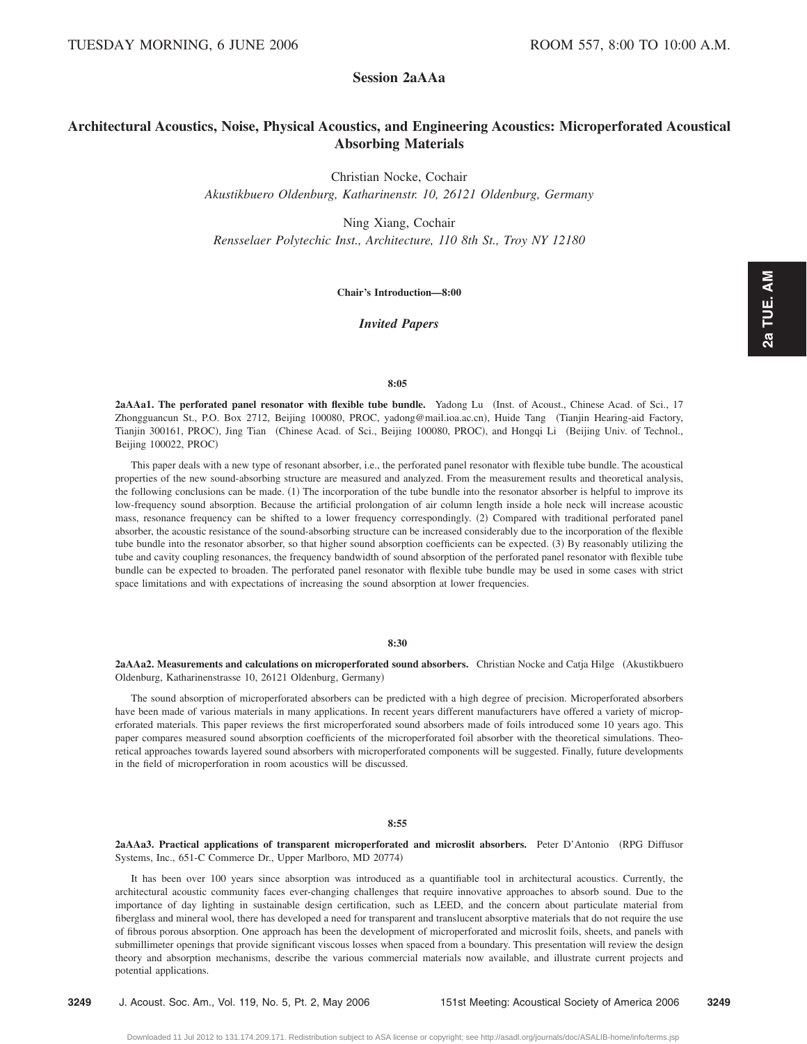# **Session 2aAAa**

# **Architectural Acoustics, Noise, Physical Acoustics, and Engineering Acoustics: Microperforated Acoustical Absorbing Materials**

Christian Nocke, Cochair

*Akustikbuero Oldenburg, Katharinenstr. 10, 26121 Oldenburg, Germany*

Ning Xiang, Cochair *Rensselaer Polytechic Inst., Architecture, 110 8th St., Troy NY 12180*

**Chair's Introduction—8:00**

*Invited Papers*

## **8:05**

2aAAa1. The perforated panel resonator with flexible tube bundle. Yadong Lu (Inst. of Acoust., Chinese Acad. of Sci., 17 Zhongguancun St., P.O. Box 2712, Beijing 100080, PROC, yadong@mail.ioa.ac.cn), Huide Tang (Tianjin Hearing-aid Factory, Tianjin 300161, PROC), Jing Tian (Chinese Acad. of Sci., Beijing 100080, PROC), and Hongqi Li (Beijing Univ. of Technol., Beijing 100022, PROC)

This paper deals with a new type of resonant absorber, i.e., the perforated panel resonator with flexible tube bundle. The acoustical properties of the new sound-absorbing structure are measured and analyzed. From the measurement results and theoretical analysis, the following conclusions can be made. (1) The incorporation of the tube bundle into the resonator absorber is helpful to improve its low-frequency sound absorption. Because the artificial prolongation of air column length inside a hole neck will increase acoustic mass, resonance frequency can be shifted to a lower frequency correspondingly. (2) Compared with traditional perforated panel absorber, the acoustic resistance of the sound-absorbing structure can be increased considerably due to the incorporation of the flexible tube bundle into the resonator absorber, so that higher sound absorption coefficients can be expected. (3) By reasonably utilizing the tube and cavity coupling resonances, the frequency bandwidth of sound absorption of the perforated panel resonator with flexible tube bundle can be expected to broaden. The perforated panel resonator with flexible tube bundle may be used in some cases with strict space limitations and with expectations of increasing the sound absorption at lower frequencies.

# **8:30**

2aAAa2. Measurements and calculations on microperforated sound absorbers. Christian Nocke and Catja Hilge (Akustikbuero Oldenburg, Katharinenstrasse 10, 26121 Oldenburg, Germany)

The sound absorption of microperforated absorbers can be predicted with a high degree of precision. Microperforated absorbers have been made of various materials in many applications. In recent years different manufacturers have offered a variety of microperforated materials. This paper reviews the first microperforated sound absorbers made of foils introduced some 10 years ago. This paper compares measured sound absorption coefficients of the microperforated foil absorber with the theoretical simulations. Theoretical approaches towards layered sound absorbers with microperforated components will be suggested. Finally, future developments in the field of microperforation in room acoustics will be discussed.

## **8:55**

**2aAAa3. Practical applications of transparent microperforated and microslit absorbers.** Peter D'Antonio RPG Diffusor Systems, Inc., 651-C Commerce Dr., Upper Marlboro, MD 20774)

It has been over 100 years since absorption was introduced as a quantifiable tool in architectural acoustics. Currently, the architectural acoustic community faces ever-changing challenges that require innovative approaches to absorb sound. Due to the importance of day lighting in sustainable design certification, such as LEED, and the concern about particulate material from fiberglass and mineral wool, there has developed a need for transparent and translucent absorptive materials that do not require the use of fibrous porous absorption. One approach has been the development of microperforated and microslit foils, sheets, and panels with submillimeter openings that provide significant viscous losses when spaced from a boundary. This presentation will review the design theory and absorption mechanisms, describe the various commercial materials now available, and illustrate current projects and potential applications.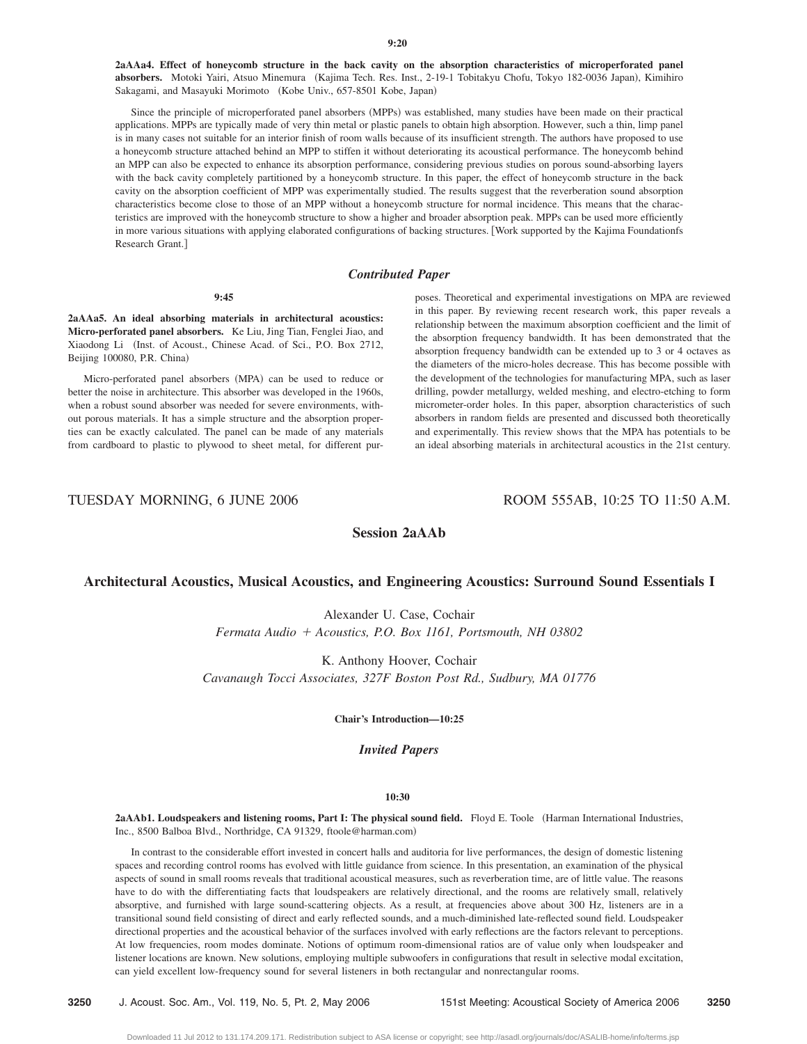**2aAAa4. Effect of honeycomb structure in the back cavity on the absorption characteristics of microperforated panel** absorbers. Motoki Yairi, Atsuo Minemura (Kajima Tech. Res. Inst., 2-19-1 Tobitakyu Chofu, Tokyo 182-0036 Japan), Kimihiro Sakagami, and Masayuki Morimoto (Kobe Univ., 657-8501 Kobe, Japan)

Since the principle of microperforated panel absorbers (MPPs) was established, many studies have been made on their practical applications. MPPs are typically made of very thin metal or plastic panels to obtain high absorption. However, such a thin, limp panel is in many cases not suitable for an interior finish of room walls because of its insufficient strength. The authors have proposed to use a honeycomb structure attached behind an MPP to stiffen it without deteriorating its acoustical performance. The honeycomb behind an MPP can also be expected to enhance its absorption performance, considering previous studies on porous sound-absorbing layers with the back cavity completely partitioned by a honeycomb structure. In this paper, the effect of honeycomb structure in the back cavity on the absorption coefficient of MPP was experimentally studied. The results suggest that the reverberation sound absorption characteristics become close to those of an MPP without a honeycomb structure for normal incidence. This means that the characteristics are improved with the honeycomb structure to show a higher and broader absorption peak. MPPs can be used more efficiently in more various situations with applying elaborated configurations of backing structures. Work supported by the Kajima Foundationfs Research Grant.

# *Contributed Paper*

#### **9:45**

**2aAAa5. An ideal absorbing materials in architectural acoustics: Micro-perforated panel absorbers.** Ke Liu, Jing Tian, Fenglei Jiao, and Xiaodong Li (Inst. of Acoust., Chinese Acad. of Sci., P.O. Box 2712, Beijing 100080, P.R. China)

Micro-perforated panel absorbers (MPA) can be used to reduce or better the noise in architecture. This absorber was developed in the 1960s, when a robust sound absorber was needed for severe environments, without porous materials. It has a simple structure and the absorption properties can be exactly calculated. The panel can be made of any materials from cardboard to plastic to plywood to sheet metal, for different purposes. Theoretical and experimental investigations on MPA are reviewed in this paper. By reviewing recent research work, this paper reveals a relationship between the maximum absorption coefficient and the limit of the absorption frequency bandwidth. It has been demonstrated that the absorption frequency bandwidth can be extended up to 3 or 4 octaves as the diameters of the micro-holes decrease. This has become possible with the development of the technologies for manufacturing MPA, such as laser drilling, powder metallurgy, welded meshing, and electro-etching to form micrometer-order holes. In this paper, absorption characteristics of such absorbers in random fields are presented and discussed both theoretically and experimentally. This review shows that the MPA has potentials to be an ideal absorbing materials in architectural acoustics in the 21st century.

TUESDAY MORNING, 6 JUNE 2006 ROOM 555AB, 10:25 TO 11:50 A.M.

# **Session 2aAAb**

# **Architectural Acoustics, Musical Acoustics, and Engineering Acoustics: Surround Sound Essentials I**

Alexander U. Case, Cochair *Fermata Audio Acoustics, P.O. Box 1161, Portsmouth, NH 03802*

K. Anthony Hoover, Cochair *Cavanaugh Tocci Associates, 327F Boston Post Rd., Sudbury, MA 01776*

**Chair's Introduction—10:25**

## *Invited Papers*

# **10:30**

2aAAb1. Loudspeakers and listening rooms, Part I: The physical sound field. Floyd E. Toole (Harman International Industries, Inc., 8500 Balboa Blvd., Northridge, CA 91329, ftoole@harman.com)

In contrast to the considerable effort invested in concert halls and auditoria for live performances, the design of domestic listening spaces and recording control rooms has evolved with little guidance from science. In this presentation, an examination of the physical aspects of sound in small rooms reveals that traditional acoustical measures, such as reverberation time, are of little value. The reasons have to do with the differentiating facts that loudspeakers are relatively directional, and the rooms are relatively small, relatively absorptive, and furnished with large sound-scattering objects. As a result, at frequencies above about 300 Hz, listeners are in a transitional sound field consisting of direct and early reflected sounds, and a much-diminished late-reflected sound field. Loudspeaker directional properties and the acoustical behavior of the surfaces involved with early reflections are the factors relevant to perceptions. At low frequencies, room modes dominate. Notions of optimum room-dimensional ratios are of value only when loudspeaker and listener locations are known. New solutions, employing multiple subwoofers in configurations that result in selective modal excitation, can yield excellent low-frequency sound for several listeners in both rectangular and nonrectangular rooms.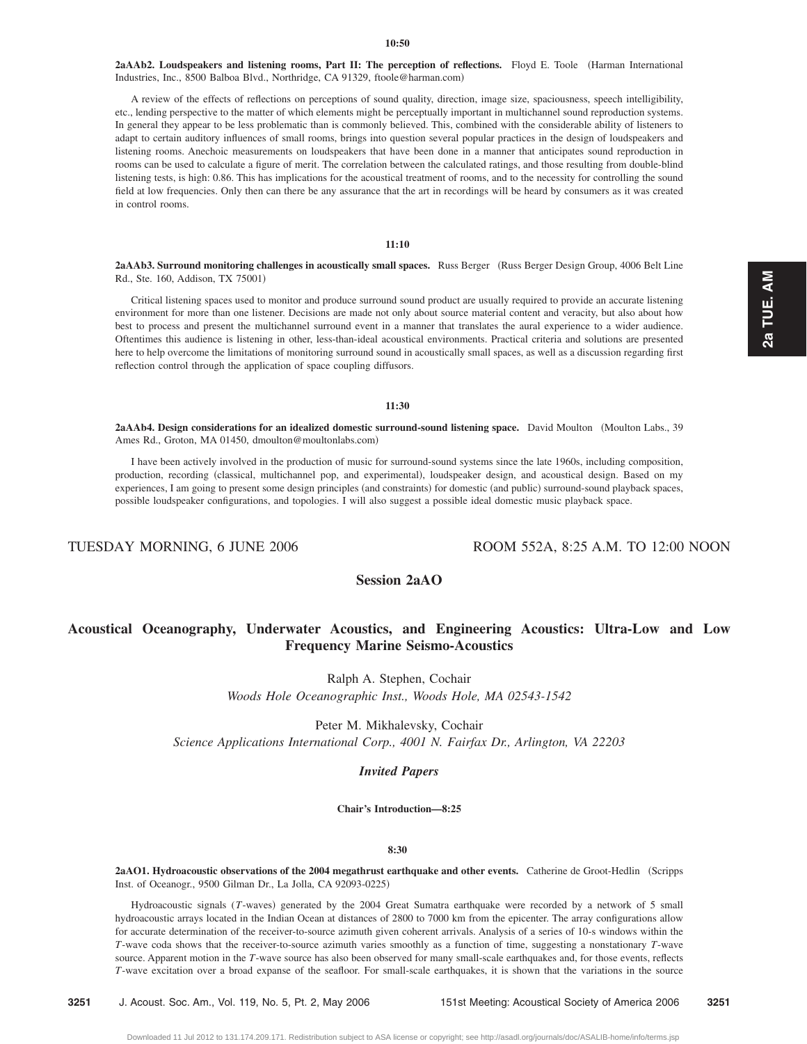#### **10:50**

2aAAb2. Loudspeakers and listening rooms, Part II: The perception of reflections. Floyd E. Toole (Harman International Industries, Inc., 8500 Balboa Blvd., Northridge, CA 91329, ftoole@harman.com)

A review of the effects of reflections on perceptions of sound quality, direction, image size, spaciousness, speech intelligibility, etc., lending perspective to the matter of which elements might be perceptually important in multichannel sound reproduction systems. In general they appear to be less problematic than is commonly believed. This, combined with the considerable ability of listeners to adapt to certain auditory influences of small rooms, brings into question several popular practices in the design of loudspeakers and listening rooms. Anechoic measurements on loudspeakers that have been done in a manner that anticipates sound reproduction in rooms can be used to calculate a figure of merit. The correlation between the calculated ratings, and those resulting from double-blind listening tests, is high: 0.86. This has implications for the acoustical treatment of rooms, and to the necessity for controlling the sound field at low frequencies. Only then can there be any assurance that the art in recordings will be heard by consumers as it was created in control rooms.

# **11:10**

2aAAb3. Surround monitoring challenges in acoustically small spaces. Russ Berger (Russ Berger Design Group, 4006 Belt Line Rd., Ste. 160, Addison, TX 75001-

Critical listening spaces used to monitor and produce surround sound product are usually required to provide an accurate listening environment for more than one listener. Decisions are made not only about source material content and veracity, but also about how best to process and present the multichannel surround event in a manner that translates the aural experience to a wider audience. Oftentimes this audience is listening in other, less-than-ideal acoustical environments. Practical criteria and solutions are presented here to help overcome the limitations of monitoring surround sound in acoustically small spaces, as well as a discussion regarding first reflection control through the application of space coupling diffusors.

## **11:30**

2aAAb4. Design considerations for an idealized domestic surround-sound listening space. David Moulton (Moulton Labs., 39 Ames Rd., Groton, MA 01450, dmoulton@moultonlabs.com)

I have been actively involved in the production of music for surround-sound systems since the late 1960s, including composition, production, recording (classical, multichannel pop, and experimental), loudspeaker design, and acoustical design. Based on my experiences, I am going to present some design principles (and constraints) for domestic (and public) surround-sound playback spaces, possible loudspeaker configurations, and topologies. I will also suggest a possible ideal domestic music playback space.

TUESDAY MORNING, 6 JUNE 2006 ROOM 552A, 8:25 A.M. TO 12:00 NOON

# **Session 2aAO**

# **Acoustical Oceanography, Underwater Acoustics, and Engineering Acoustics: Ultra-Low and Low Frequency Marine Seismo-Acoustics**

Ralph A. Stephen, Cochair

*Woods Hole Oceanographic Inst., Woods Hole, MA 02543-1542*

Peter M. Mikhalevsky, Cochair *Science Applications International Corp., 4001 N. Fairfax Dr., Arlington, VA 22203*

## *Invited Papers*

# **Chair's Introduction—8:25**

#### **8:30**

2aAO1. Hydroacoustic observations of the 2004 megathrust earthquake and other events. Catherine de Groot-Hedlin (Scripps Inst. of Oceanogr., 9500 Gilman Dr., La Jolla, CA 92093-0225-

Hydroacoustic signals (T-waves) generated by the 2004 Great Sumatra earthquake were recorded by a network of 5 small hydroacoustic arrays located in the Indian Ocean at distances of 2800 to 7000 km from the epicenter. The array configurations allow for accurate determination of the receiver-to-source azimuth given coherent arrivals. Analysis of a series of 10-s windows within the *T*-wave coda shows that the receiver-to-source azimuth varies smoothly as a function of time, suggesting a nonstationary *T*-wave source. Apparent motion in the *T*-wave source has also been observed for many small-scale earthquakes and, for those events, reflects *T*-wave excitation over a broad expanse of the seafloor. For small-scale earthquakes, it is shown that the variations in the source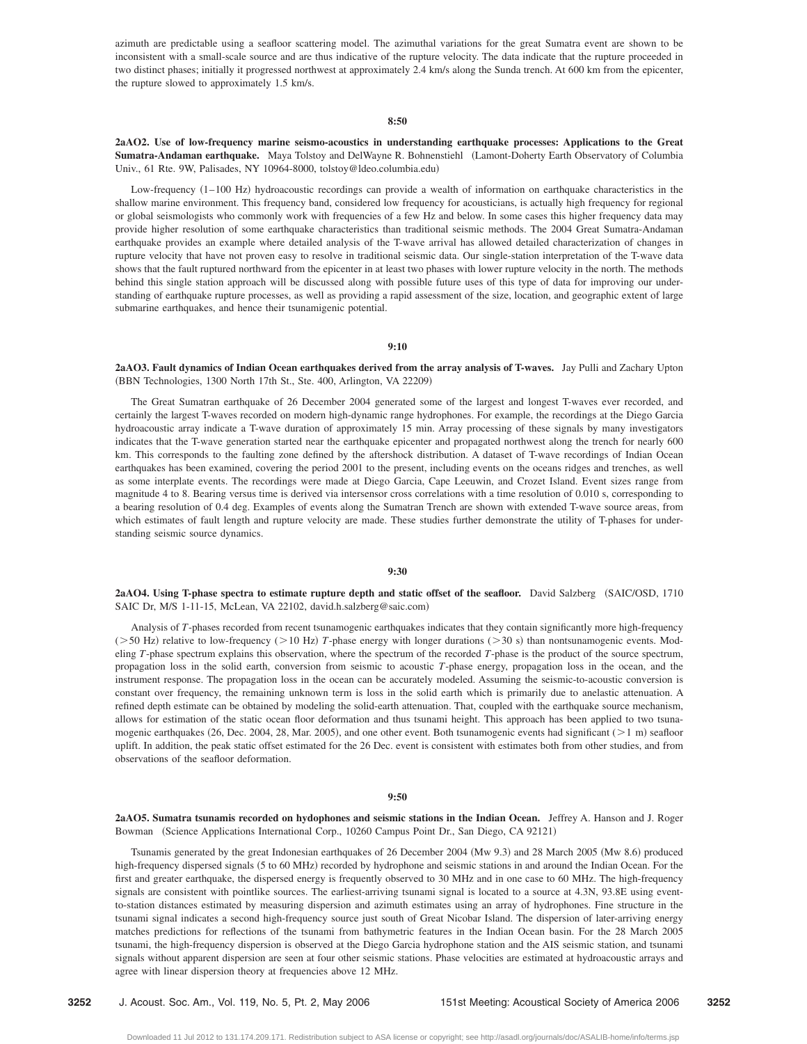azimuth are predictable using a seafloor scattering model. The azimuthal variations for the great Sumatra event are shown to be inconsistent with a small-scale source and are thus indicative of the rupture velocity. The data indicate that the rupture proceeded in two distinct phases; initially it progressed northwest at approximately 2.4 km/s along the Sunda trench. At 600 km from the epicenter, the rupture slowed to approximately 1.5 km/s.

## **8:50**

# **2aAO2. Use of low-frequency marine seismo-acoustics in understanding earthquake processes: Applications to the Great Sumatra-Andaman earthquake.** Maya Tolstoy and DelWayne R. Bohnenstiehl Lamont-Doherty Earth Observatory of Columbia Univ., 61 Rte. 9W, Palisades, NY 10964-8000, tolstoy@ldeo.columbia.edu)

Low-frequency (1-100 Hz) hydroacoustic recordings can provide a wealth of information on earthquake characteristics in the shallow marine environment. This frequency band, considered low frequency for acousticians, is actually high frequency for regional or global seismologists who commonly work with frequencies of a few Hz and below. In some cases this higher frequency data may provide higher resolution of some earthquake characteristics than traditional seismic methods. The 2004 Great Sumatra-Andaman earthquake provides an example where detailed analysis of the T-wave arrival has allowed detailed characterization of changes in rupture velocity that have not proven easy to resolve in traditional seismic data. Our single-station interpretation of the T-wave data shows that the fault ruptured northward from the epicenter in at least two phases with lower rupture velocity in the north. The methods behind this single station approach will be discussed along with possible future uses of this type of data for improving our understanding of earthquake rupture processes, as well as providing a rapid assessment of the size, location, and geographic extent of large submarine earthquakes, and hence their tsunamigenic potential.

## **9:10**

**2aAO3. Fault dynamics of Indian Ocean earthquakes derived from the array analysis of T-waves.** Jay Pulli and Zachary Upton (BBN Technologies, 1300 North 17th St., Ste. 400, Arlington, VA 22209)

The Great Sumatran earthquake of 26 December 2004 generated some of the largest and longest T-waves ever recorded, and certainly the largest T-waves recorded on modern high-dynamic range hydrophones. For example, the recordings at the Diego Garcia hydroacoustic array indicate a T-wave duration of approximately 15 min. Array processing of these signals by many investigators indicates that the T-wave generation started near the earthquake epicenter and propagated northwest along the trench for nearly 600 km. This corresponds to the faulting zone defined by the aftershock distribution. A dataset of T-wave recordings of Indian Ocean earthquakes has been examined, covering the period 2001 to the present, including events on the oceans ridges and trenches, as well as some interplate events. The recordings were made at Diego Garcia, Cape Leeuwin, and Crozet Island. Event sizes range from magnitude 4 to 8. Bearing versus time is derived via intersensor cross correlations with a time resolution of 0.010 s, corresponding to a bearing resolution of 0.4 deg. Examples of events along the Sumatran Trench are shown with extended T-wave source areas, from which estimates of fault length and rupture velocity are made. These studies further demonstrate the utility of T-phases for understanding seismic source dynamics.

# **9:30**

**2aAO4.** Using T-phase spectra to estimate rupture depth and static offset of the seafloor. David Salzberg (SAIC/OSD, 1710) SAIC Dr, M/S 1-11-15, McLean, VA 22102, david.h.salzberg@saic.com)

Analysis of *T*-phases recorded from recent tsunamogenic earthquakes indicates that they contain significantly more high-frequency  $($ >50 Hz) relative to low-frequency  $($ >10 Hz) T-phase energy with longer durations  $($ >30 s) than nontsunamogenic events. Modeling *T*-phase spectrum explains this observation, where the spectrum of the recorded *T*-phase is the product of the source spectrum, propagation loss in the solid earth, conversion from seismic to acoustic *T*-phase energy, propagation loss in the ocean, and the instrument response. The propagation loss in the ocean can be accurately modeled. Assuming the seismic-to-acoustic conversion is constant over frequency, the remaining unknown term is loss in the solid earth which is primarily due to anelastic attenuation. A refined depth estimate can be obtained by modeling the solid-earth attenuation. That, coupled with the earthquake source mechanism, allows for estimation of the static ocean floor deformation and thus tsunami height. This approach has been applied to two tsunamogenic earthquakes (26, Dec. 2004, 28, Mar. 2005), and one other event. Both tsunamogenic events had significant ( $>1$  m) seafloor uplift. In addition, the peak static offset estimated for the 26 Dec. event is consistent with estimates both from other studies, and from observations of the seafloor deformation.

#### **9:50**

**2aAO5. Sumatra tsunamis recorded on hydophones and seismic stations in the Indian Ocean.** Jeffrey A. Hanson and J. Roger Bowman (Science Applications International Corp., 10260 Campus Point Dr., San Diego, CA 92121)

Tsunamis generated by the great Indonesian earthquakes of 26 December 2004 (Mw 9.3) and 28 March 2005 (Mw 8.6) produced high-frequency dispersed signals (5 to 60 MHz) recorded by hydrophone and seismic stations in and around the Indian Ocean. For the first and greater earthquake, the dispersed energy is frequently observed to 30 MHz and in one case to 60 MHz. The high-frequency signals are consistent with pointlike sources. The earliest-arriving tsunami signal is located to a source at 4.3N, 93.8E using eventto-station distances estimated by measuring dispersion and azimuth estimates using an array of hydrophones. Fine structure in the tsunami signal indicates a second high-frequency source just south of Great Nicobar Island. The dispersion of later-arriving energy matches predictions for reflections of the tsunami from bathymetric features in the Indian Ocean basin. For the 28 March 2005 tsunami, the high-frequency dispersion is observed at the Diego Garcia hydrophone station and the AIS seismic station, and tsunami signals without apparent dispersion are seen at four other seismic stations. Phase velocities are estimated at hydroacoustic arrays and agree with linear dispersion theory at frequencies above 12 MHz.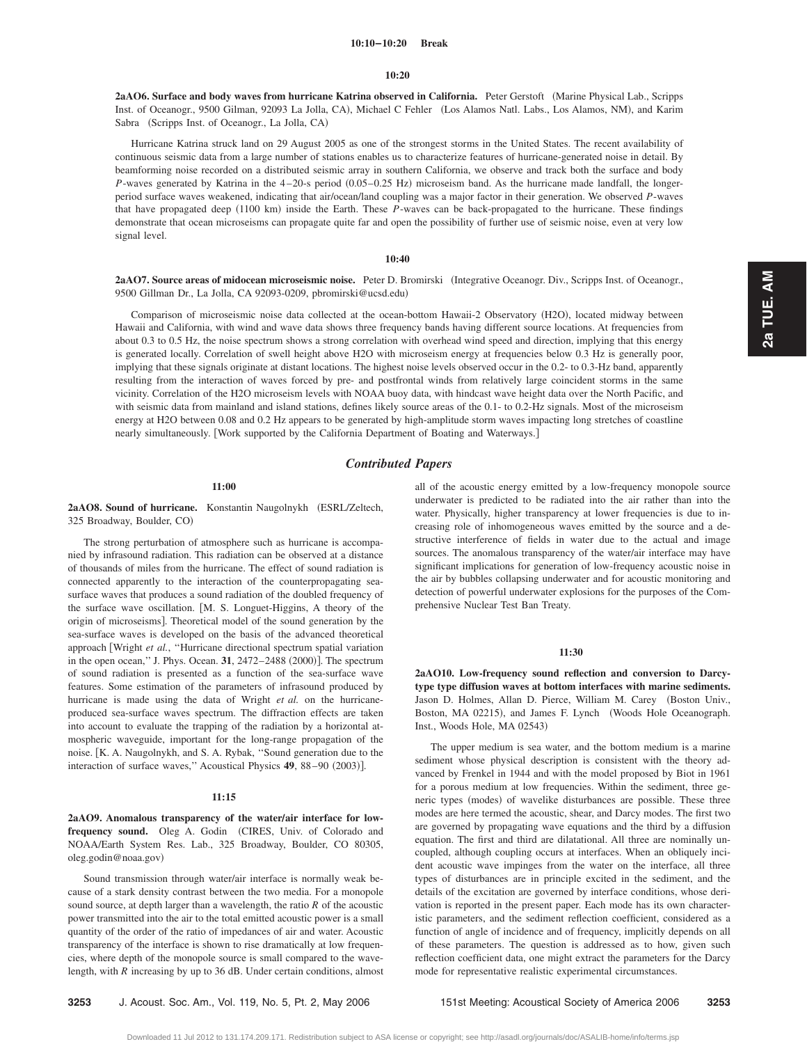#### **10:10–10:20 Break**

#### **10:20**

2aAO6. Surface and body waves from hurricane Katrina observed in California. Peter Gerstoft (Marine Physical Lab., Scripps Inst. of Oceanogr., 9500 Gilman, 92093 La Jolla, CA), Michael C Fehler (Los Alamos Natl. Labs., Los Alamos, NM), and Karim Sabra (Scripps Inst. of Oceanogr., La Jolla, CA)

Hurricane Katrina struck land on 29 August 2005 as one of the strongest storms in the United States. The recent availability of continuous seismic data from a large number of stations enables us to characterize features of hurricane-generated noise in detail. By beamforming noise recorded on a distributed seismic array in southern California, we observe and track both the surface and body *P*-waves generated by Katrina in the 4-20-s period (0.05-0.25 Hz) microseism band. As the hurricane made landfall, the longerperiod surface waves weakened, indicating that air/ocean/land coupling was a major factor in their generation. We observed *P*-waves that have propagated deep (1100 km) inside the Earth. These *P*-waves can be back-propagated to the hurricane. These findings demonstrate that ocean microseisms can propagate quite far and open the possibility of further use of seismic noise, even at very low signal level.

# **10:40**

2aAO7. Source areas of midocean microseismic noise. Peter D. Bromirski (Integrative Oceanogr. Div., Scripps Inst. of Oceanogr., 9500 Gillman Dr., La Jolla, CA 92093-0209, pbromirski@ucsd.edu)

Comparison of microseismic noise data collected at the ocean-bottom Hawaii-2 Observatory (H2O), located midway between Hawaii and California, with wind and wave data shows three frequency bands having different source locations. At frequencies from about 0.3 to 0.5 Hz, the noise spectrum shows a strong correlation with overhead wind speed and direction, implying that this energy is generated locally. Correlation of swell height above H2O with microseism energy at frequencies below 0.3 Hz is generally poor, implying that these signals originate at distant locations. The highest noise levels observed occur in the 0.2- to 0.3-Hz band, apparently resulting from the interaction of waves forced by pre- and postfrontal winds from relatively large coincident storms in the same vicinity. Correlation of the H2O microseism levels with NOAA buoy data, with hindcast wave height data over the North Pacific, and with seismic data from mainland and island stations, defines likely source areas of the 0.1- to 0.2-Hz signals. Most of the microseism energy at H2O between 0.08 and 0.2 Hz appears to be generated by high-amplitude storm waves impacting long stretches of coastline nearly simultaneously. Work supported by the California Department of Boating and Waterways.

# *Contributed Papers*

### **11:00**

2aAO8. Sound of hurricane. Konstantin Naugolnykh (ESRL/Zeltech, 325 Broadway, Boulder, CO)

The strong perturbation of atmosphere such as hurricane is accompanied by infrasound radiation. This radiation can be observed at a distance of thousands of miles from the hurricane. The effect of sound radiation is connected apparently to the interaction of the counterpropagating seasurface waves that produces a sound radiation of the doubled frequency of the surface wave oscillation. [M. S. Longuet-Higgins, A theory of the origin of microseisms]. Theoretical model of the sound generation by the sea-surface waves is developed on the basis of the advanced theoretical approach Wright *et al.*, ''Hurricane directional spectrum spatial variation in the open ocean," J. Phys. Ocean. 31, 2472–2488 (2000)]. The spectrum of sound radiation is presented as a function of the sea-surface wave features. Some estimation of the parameters of infrasound produced by hurricane is made using the data of Wright *et al.* on the hurricaneproduced sea-surface waves spectrum. The diffraction effects are taken into account to evaluate the trapping of the radiation by a horizontal atmospheric waveguide, important for the long-range propagation of the noise. K. A. Naugolnykh, and S. A. Rybak, ''Sound generation due to the interaction of surface waves," Acoustical Physics 49, 88-90 (2003)].

#### **11:15**

2aAO9. Anomalous transparency of the water/air interface for lowfrequency sound. Oleg A. Godin (CIRES, Univ. of Colorado and NOAA/Earth System Res. Lab., 325 Broadway, Boulder, CO 80305, oleg.godin@noaa.gov)

Sound transmission through water/air interface is normally weak because of a stark density contrast between the two media. For a monopole sound source, at depth larger than a wavelength, the ratio *R* of the acoustic power transmitted into the air to the total emitted acoustic power is a small quantity of the order of the ratio of impedances of air and water. Acoustic transparency of the interface is shown to rise dramatically at low frequencies, where depth of the monopole source is small compared to the wavelength, with *R* increasing by up to 36 dB. Under certain conditions, almost all of the acoustic energy emitted by a low-frequency monopole source underwater is predicted to be radiated into the air rather than into the water. Physically, higher transparency at lower frequencies is due to increasing role of inhomogeneous waves emitted by the source and a destructive interference of fields in water due to the actual and image sources. The anomalous transparency of the water/air interface may have significant implications for generation of low-frequency acoustic noise in the air by bubbles collapsing underwater and for acoustic monitoring and detection of powerful underwater explosions for the purposes of the Comprehensive Nuclear Test Ban Treaty.

#### **11:30**

**2aAO10. Low-frequency sound reflection and conversion to Darcytype type diffusion waves at bottom interfaces with marine sediments.** Jason D. Holmes, Allan D. Pierce, William M. Carey (Boston Univ., Boston, MA 02215), and James F. Lynch (Woods Hole Oceanograph. Inst., Woods Hole, MA 02543)

The upper medium is sea water, and the bottom medium is a marine sediment whose physical description is consistent with the theory advanced by Frenkel in 1944 and with the model proposed by Biot in 1961 for a porous medium at low frequencies. Within the sediment, three generic types (modes) of wavelike disturbances are possible. These three modes are here termed the acoustic, shear, and Darcy modes. The first two are governed by propagating wave equations and the third by a diffusion equation. The first and third are dilatational. All three are nominally uncoupled, although coupling occurs at interfaces. When an obliquely incident acoustic wave impinges from the water on the interface, all three types of disturbances are in principle excited in the sediment, and the details of the excitation are governed by interface conditions, whose derivation is reported in the present paper. Each mode has its own characteristic parameters, and the sediment reflection coefficient, considered as a function of angle of incidence and of frequency, implicitly depends on all of these parameters. The question is addressed as to how, given such reflection coefficient data, one might extract the parameters for the Darcy mode for representative realistic experimental circumstances.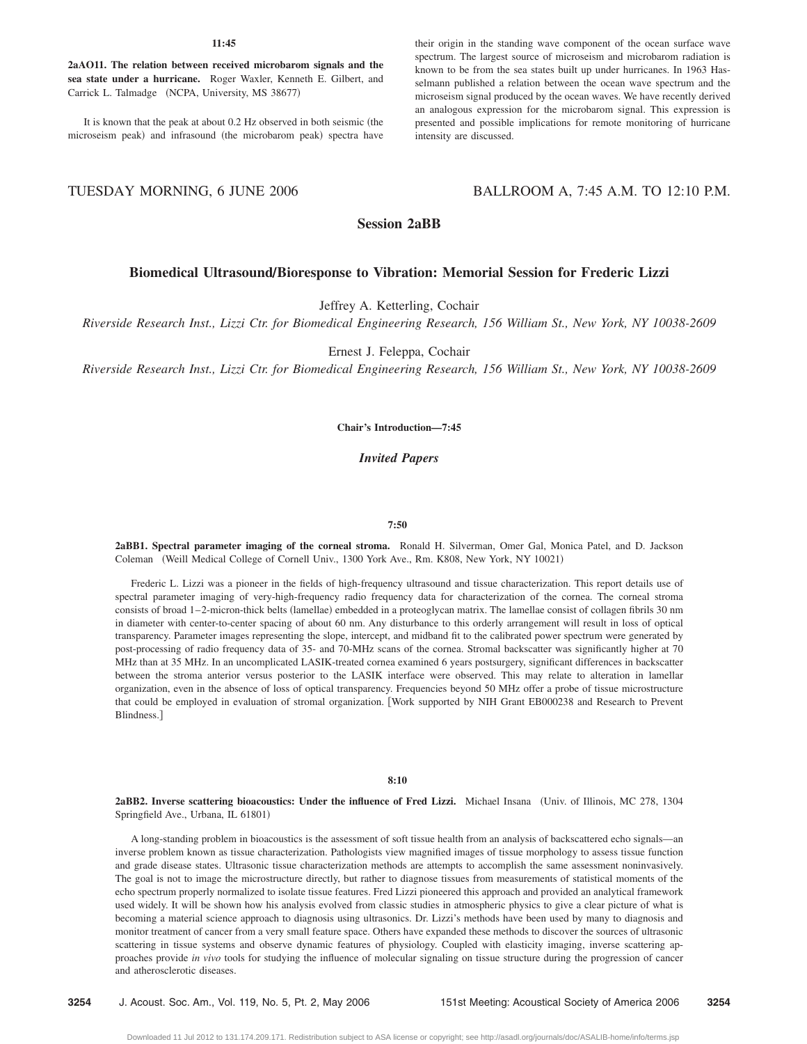#### **11:45**

**2aAO11. The relation between received microbarom signals and the sea state under a hurricane.** Roger Waxler, Kenneth E. Gilbert, and Carrick L. Talmadge (NCPA, University, MS 38677)

It is known that the peak at about 0.2 Hz observed in both seismic (the microseism peak) and infrasound (the microbarom peak) spectra have

# their origin in the standing wave component of the ocean surface wave spectrum. The largest source of microseism and microbarom radiation is known to be from the sea states built up under hurricanes. In 1963 Hasselmann published a relation between the ocean wave spectrum and the microseism signal produced by the ocean waves. We have recently derived an analogous expression for the microbarom signal. This expression is presented and possible implications for remote monitoring of hurricane intensity are discussed.

# TUESDAY MORNING, 6 JUNE 2006 BALLROOM A, 7:45 A.M. TO 12:10 P.M.

# **Session 2aBB**

# **Biomedical UltrasoundÕBioresponse to Vibration: Memorial Session for Frederic Lizzi**

Jeffrey A. Ketterling, Cochair

*Riverside Research Inst., Lizzi Ctr. for Biomedical Engineering Research, 156 William St., New York, NY 10038-2609*

Ernest J. Feleppa, Cochair

*Riverside Research Inst., Lizzi Ctr. for Biomedical Engineering Research, 156 William St., New York, NY 10038-2609*

## **Chair's Introduction—7:45**

*Invited Papers*

#### **7:50**

**2aBB1. Spectral parameter imaging of the corneal stroma.** Ronald H. Silverman, Omer Gal, Monica Patel, and D. Jackson Coleman (Weill Medical College of Cornell Univ., 1300 York Ave., Rm. K808, New York, NY 10021)

Frederic L. Lizzi was a pioneer in the fields of high-frequency ultrasound and tissue characterization. This report details use of spectral parameter imaging of very-high-frequency radio frequency data for characterization of the cornea. The corneal stroma consists of broad 1–2-micron-thick belts (lamellae) embedded in a proteoglycan matrix. The lamellae consist of collagen fibrils 30 nm in diameter with center-to-center spacing of about 60 nm. Any disturbance to this orderly arrangement will result in loss of optical transparency. Parameter images representing the slope, intercept, and midband fit to the calibrated power spectrum were generated by post-processing of radio frequency data of 35- and 70-MHz scans of the cornea. Stromal backscatter was significantly higher at 70 MHz than at 35 MHz. In an uncomplicated LASIK-treated cornea examined 6 years postsurgery, significant differences in backscatter between the stroma anterior versus posterior to the LASIK interface were observed. This may relate to alteration in lamellar organization, even in the absence of loss of optical transparency. Frequencies beyond 50 MHz offer a probe of tissue microstructure that could be employed in evaluation of stromal organization. Work supported by NIH Grant EB000238 and Research to Prevent Blindness.

#### **8:10**

**2aBB2. Inverse scattering bioacoustics: Under the influence of Fred Lizzi.** Michael Insana Univ. of Illinois, MC 278, 1304 Springfield Ave., Urbana, IL 61801)

A long-standing problem in bioacoustics is the assessment of soft tissue health from an analysis of backscattered echo signals—an inverse problem known as tissue characterization. Pathologists view magnified images of tissue morphology to assess tissue function and grade disease states. Ultrasonic tissue characterization methods are attempts to accomplish the same assessment noninvasively. The goal is not to image the microstructure directly, but rather to diagnose tissues from measurements of statistical moments of the echo spectrum properly normalized to isolate tissue features. Fred Lizzi pioneered this approach and provided an analytical framework used widely. It will be shown how his analysis evolved from classic studies in atmospheric physics to give a clear picture of what is becoming a material science approach to diagnosis using ultrasonics. Dr. Lizzi's methods have been used by many to diagnosis and monitor treatment of cancer from a very small feature space. Others have expanded these methods to discover the sources of ultrasonic scattering in tissue systems and observe dynamic features of physiology. Coupled with elasticity imaging, inverse scattering approaches provide *in vivo* tools for studying the influence of molecular signaling on tissue structure during the progression of cancer and atherosclerotic diseases.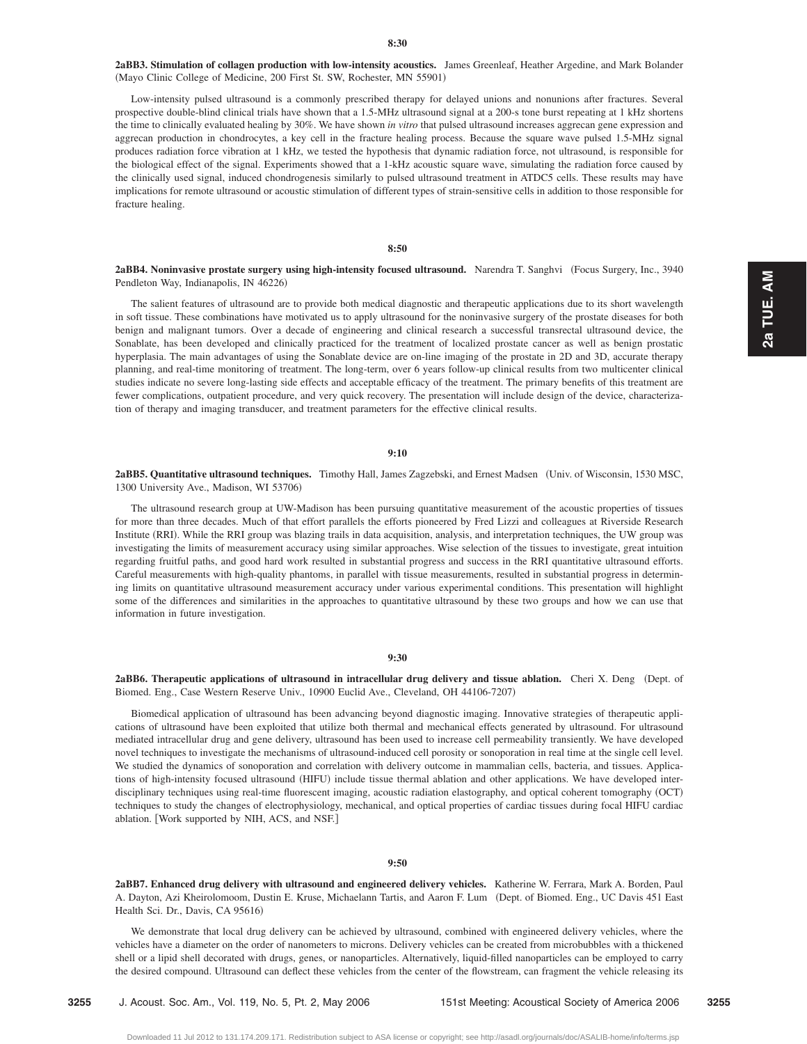**2aBB3. Stimulation of collagen production with low-intensity acoustics.** James Greenleaf, Heather Argedine, and Mark Bolander (Mayo Clinic College of Medicine, 200 First St. SW, Rochester, MN 55901)

Low-intensity pulsed ultrasound is a commonly prescribed therapy for delayed unions and nonunions after fractures. Several prospective double-blind clinical trials have shown that a 1.5-MHz ultrasound signal at a 200-s tone burst repeating at 1 kHz shortens the time to clinically evaluated healing by 30%. We have shown *in vitro* that pulsed ultrasound increases aggrecan gene expression and aggrecan production in chondrocytes, a key cell in the fracture healing process. Because the square wave pulsed 1.5-MHz signal produces radiation force vibration at 1 kHz, we tested the hypothesis that dynamic radiation force, not ultrasound, is responsible for the biological effect of the signal. Experiments showed that a 1-kHz acoustic square wave, simulating the radiation force caused by the clinically used signal, induced chondrogenesis similarly to pulsed ultrasound treatment in ATDC5 cells. These results may have implications for remote ultrasound or acoustic stimulation of different types of strain-sensitive cells in addition to those responsible for fracture healing.

### **8:50**

**2aBB4. Noninvasive prostate surgery using high-intensity focused ultrasound.** Narendra T. Sanghvi Focus Surgery, Inc., 3940 Pendleton Way, Indianapolis, IN 46226)

The salient features of ultrasound are to provide both medical diagnostic and therapeutic applications due to its short wavelength in soft tissue. These combinations have motivated us to apply ultrasound for the noninvasive surgery of the prostate diseases for both benign and malignant tumors. Over a decade of engineering and clinical research a successful transrectal ultrasound device, the Sonablate, has been developed and clinically practiced for the treatment of localized prostate cancer as well as benign prostatic hyperplasia. The main advantages of using the Sonablate device are on-line imaging of the prostate in 2D and 3D, accurate therapy planning, and real-time monitoring of treatment. The long-term, over 6 years follow-up clinical results from two multicenter clinical studies indicate no severe long-lasting side effects and acceptable efficacy of the treatment. The primary benefits of this treatment are fewer complications, outpatient procedure, and very quick recovery. The presentation will include design of the device, characterization of therapy and imaging transducer, and treatment parameters for the effective clinical results.

## **9:10**

**2aBB5. Quantitative ultrasound techniques.** Timothy Hall, James Zagzebski, and Ernest Madsen Univ. of Wisconsin, 1530 MSC, 1300 University Ave., Madison, WI 53706)

The ultrasound research group at UW-Madison has been pursuing quantitative measurement of the acoustic properties of tissues for more than three decades. Much of that effort parallels the efforts pioneered by Fred Lizzi and colleagues at Riverside Research Institute (RRI). While the RRI group was blazing trails in data acquisition, analysis, and interpretation techniques, the UW group was investigating the limits of measurement accuracy using similar approaches. Wise selection of the tissues to investigate, great intuition regarding fruitful paths, and good hard work resulted in substantial progress and success in the RRI quantitative ultrasound efforts. Careful measurements with high-quality phantoms, in parallel with tissue measurements, resulted in substantial progress in determining limits on quantitative ultrasound measurement accuracy under various experimental conditions. This presentation will highlight some of the differences and similarities in the approaches to quantitative ultrasound by these two groups and how we can use that information in future investigation.

### **9:30**

2aBB6. Therapeutic applications of ultrasound in intracellular drug delivery and tissue ablation. Cheri X. Deng (Dept. of Biomed. Eng., Case Western Reserve Univ., 10900 Euclid Ave., Cleveland, OH 44106-7207-

Biomedical application of ultrasound has been advancing beyond diagnostic imaging. Innovative strategies of therapeutic applications of ultrasound have been exploited that utilize both thermal and mechanical effects generated by ultrasound. For ultrasound mediated intracellular drug and gene delivery, ultrasound has been used to increase cell permeability transiently. We have developed novel techniques to investigate the mechanisms of ultrasound-induced cell porosity or sonoporation in real time at the single cell level. We studied the dynamics of sonoporation and correlation with delivery outcome in mammalian cells, bacteria, and tissues. Applications of high-intensity focused ultrasound (HIFU) include tissue thermal ablation and other applications. We have developed interdisciplinary techniques using real-time fluorescent imaging, acoustic radiation elastography, and optical coherent tomography (OCT) techniques to study the changes of electrophysiology, mechanical, and optical properties of cardiac tissues during focal HIFU cardiac ablation. [Work supported by NIH, ACS, and NSF.]

#### **9:50**

**2aBB7. Enhanced drug delivery with ultrasound and engineered delivery vehicles.** Katherine W. Ferrara, Mark A. Borden, Paul A. Dayton, Azi Kheirolomoom, Dustin E. Kruse, Michaelann Tartis, and Aaron F. Lum (Dept. of Biomed. Eng., UC Davis 451 East Health Sci. Dr., Davis, CA 95616)

We demonstrate that local drug delivery can be achieved by ultrasound, combined with engineered delivery vehicles, where the vehicles have a diameter on the order of nanometers to microns. Delivery vehicles can be created from microbubbles with a thickened shell or a lipid shell decorated with drugs, genes, or nanoparticles. Alternatively, liquid-filled nanoparticles can be employed to carry the desired compound. Ultrasound can deflect these vehicles from the center of the flowstream, can fragment the vehicle releasing its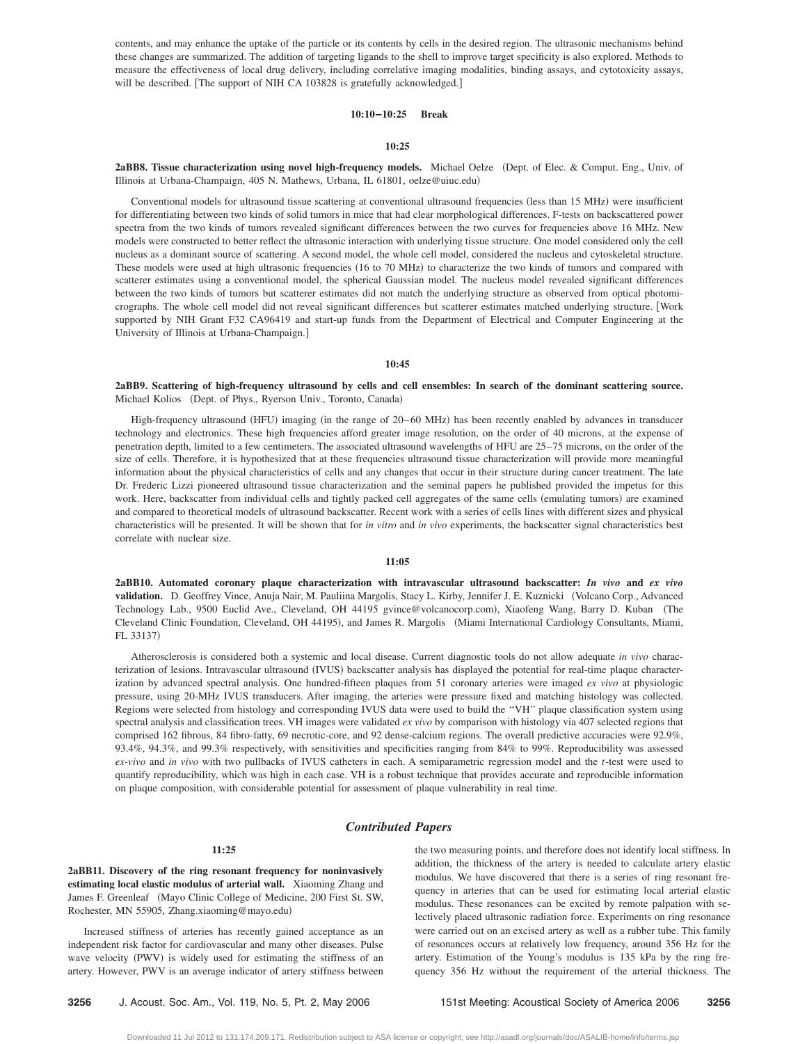contents, and may enhance the uptake of the particle or its contents by cells in the desired region. The ultrasonic mechanisms behind these changes are summarized. The addition of targeting ligands to the shell to improve target specificity is also explored. Methods to measure the effectiveness of local drug delivery, including correlative imaging modalities, binding assays, and cytotoxicity assays, will be described. [The support of NIH CA 103828 is gratefully acknowledged.]

## **10:10–10:25 Break**

# **10:25**

2aBB8. Tissue characterization using novel high-frequency models. Michael Oelze (Dept. of Elec. & Comput. Eng., Univ. of Illinois at Urbana-Champaign, 405 N. Mathews, Urbana, IL 61801, oelze@uiuc.edu-

Conventional models for ultrasound tissue scattering at conventional ultrasound frequencies (less than 15 MHz) were insufficient for differentiating between two kinds of solid tumors in mice that had clear morphological differences. F-tests on backscattered power spectra from the two kinds of tumors revealed significant differences between the two curves for frequencies above 16 MHz. New models were constructed to better reflect the ultrasonic interaction with underlying tissue structure. One model considered only the cell nucleus as a dominant source of scattering. A second model, the whole cell model, considered the nucleus and cytoskeletal structure. These models were used at high ultrasonic frequencies (16 to 70 MHz) to characterize the two kinds of tumors and compared with scatterer estimates using a conventional model, the spherical Gaussian model. The nucleus model revealed significant differences between the two kinds of tumors but scatterer estimates did not match the underlying structure as observed from optical photomicrographs. The whole cell model did not reveal significant differences but scatterer estimates matched underlying structure. Work supported by NIH Grant F32 CA96419 and start-up funds from the Department of Electrical and Computer Engineering at the University of Illinois at Urbana-Champaign.

#### **10:45**

**2aBB9. Scattering of high-frequency ultrasound by cells and cell ensembles: In search of the dominant scattering source.** Michael Kolios (Dept. of Phys., Ryerson Univ., Toronto, Canada)

High-frequency ultrasound (HFU) imaging (in the range of 20–60 MHz) has been recently enabled by advances in transducer technology and electronics. These high frequencies afford greater image resolution, on the order of 40 microns, at the expense of penetration depth, limited to a few centimeters. The associated ultrasound wavelengths of HFU are 25–75 microns, on the order of the size of cells. Therefore, it is hypothesized that at these frequencies ultrasound tissue characterization will provide more meaningful information about the physical characteristics of cells and any changes that occur in their structure during cancer treatment. The late Dr. Frederic Lizzi pioneered ultrasound tissue characterization and the seminal papers he published provided the impetus for this work. Here, backscatter from individual cells and tightly packed cell aggregates of the same cells (emulating tumors) are examined and compared to theoretical models of ultrasound backscatter. Recent work with a series of cells lines with different sizes and physical characteristics will be presented. It will be shown that for *in vitro* and *in vivo* experiments, the backscatter signal characteristics best correlate with nuclear size.

#### **11:05**

**2aBB10. Automated coronary plaque characterization with intravascular ultrasound backscatter:** *In vivo* **and** *ex vivo* validation. D. Geoffrey Vince, Anuja Nair, M. Pauliina Margolis, Stacy L. Kirby, Jennifer J. E. Kuznicki (Volcano Corp., Advanced Technology Lab., 9500 Euclid Ave., Cleveland, OH 44195 gvince@volcanocorp.com), Xiaofeng Wang, Barry D. Kuban (The Cleveland Clinic Foundation, Cleveland, OH 44195), and James R. Margolis (Miami International Cardiology Consultants, Miami, FL 33137)

Atherosclerosis is considered both a systemic and local disease. Current diagnostic tools do not allow adequate *in vivo* characterization of lesions. Intravascular ultrasound (IVUS) backscatter analysis has displayed the potential for real-time plaque characterization by advanced spectral analysis. One hundred-fifteen plaques from 51 coronary arteries were imaged *ex vivo* at physiologic pressure, using 20-MHz IVUS transducers. After imaging, the arteries were pressure fixed and matching histology was collected. Regions were selected from histology and corresponding IVUS data were used to build the ''VH'' plaque classification system using spectral analysis and classification trees. VH images were validated *ex vivo* by comparison with histology via 407 selected regions that comprised 162 fibrous, 84 fibro-fatty, 69 necrotic-core, and 92 dense-calcium regions. The overall predictive accuracies were 92.9%, 93.4%, 94.3%, and 99.3% respectively, with sensitivities and specificities ranging from 84% to 99%. Reproducibility was assessed *ex-vivo* and *in vivo* with two pullbacks of IVUS catheters in each. A semiparametric regression model and the *t*-test were used to quantify reproducibility, which was high in each case. VH is a robust technique that provides accurate and reproducible information on plaque composition, with considerable potential for assessment of plaque vulnerability in real time.

# *Contributed Papers*

**2aBB11. Discovery of the ring resonant frequency for noninvasively estimating local elastic modulus of arterial wall.** Xiaoming Zhang and James F. Greenleaf (Mayo Clinic College of Medicine, 200 First St. SW, Rochester, MN 55905, Zhang.xiaoming@mayo.edu)

**11:25**

Increased stiffness of arteries has recently gained acceptance as an independent risk factor for cardiovascular and many other diseases. Pulse wave velocity (PWV) is widely used for estimating the stiffness of an artery. However, PWV is an average indicator of artery stiffness between the two measuring points, and therefore does not identify local stiffness. In addition, the thickness of the artery is needed to calculate artery elastic modulus. We have discovered that there is a series of ring resonant frequency in arteries that can be used for estimating local arterial elastic modulus. These resonances can be excited by remote palpation with selectively placed ultrasonic radiation force. Experiments on ring resonance were carried out on an excised artery as well as a rubber tube. This family of resonances occurs at relatively low frequency, around 356 Hz for the artery. Estimation of the Young's modulus is 135 kPa by the ring frequency 356 Hz without the requirement of the arterial thickness. The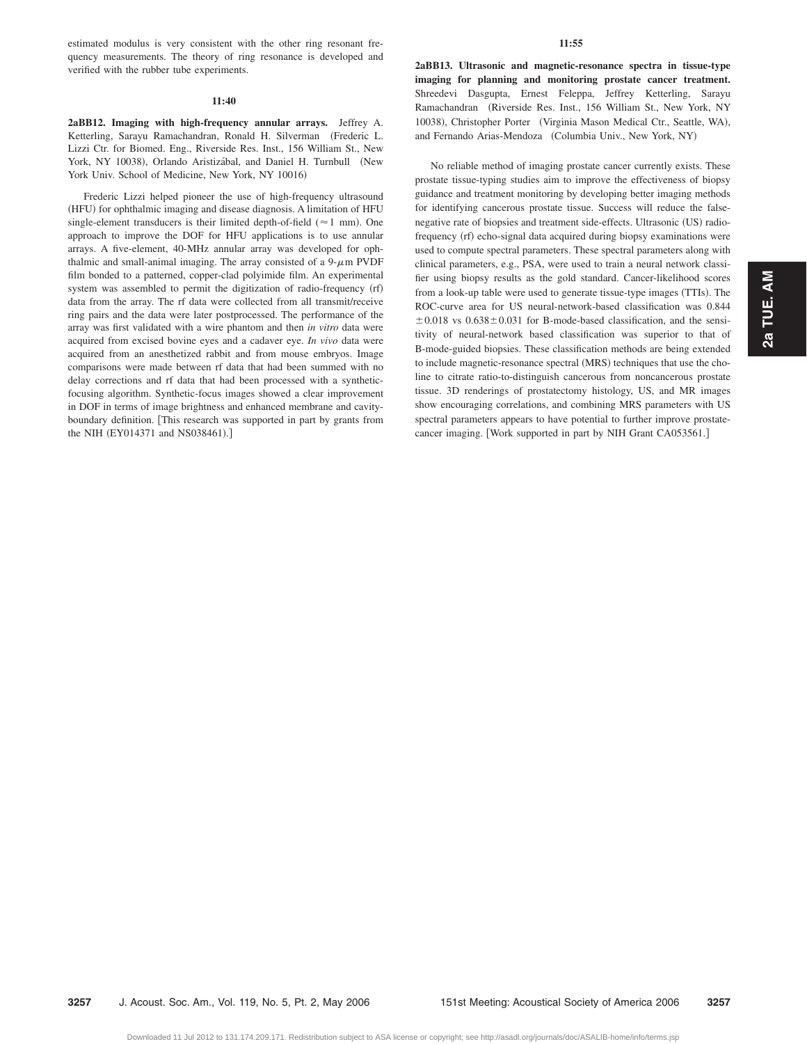estimated modulus is very consistent with the other ring resonant frequency measurements. The theory of ring resonance is developed and verified with the rubber tube experiments.

#### **11:40**

**2aBB12. Imaging with high-frequency annular arrays.** Jeffrey A. Ketterling, Sarayu Ramachandran, Ronald H. Silverman (Frederic L. Lizzi Ctr. for Biomed. Eng., Riverside Res. Inst., 156 William St., New York, NY 10038), Orlando Aristizábal, and Daniel H. Turnbull (New York Univ. School of Medicine, New York, NY 10016)

Frederic Lizzi helped pioneer the use of high-frequency ultrasound (HFU) for ophthalmic imaging and disease diagnosis. A limitation of HFU single-element transducers is their limited depth-of-field  $(\approx 1 \text{ mm})$ . One approach to improve the DOF for HFU applications is to use annular arrays. A five-element, 40-MHz annular array was developed for ophthalmic and small-animal imaging. The array consisted of a  $9-\mu$ m PVDF film bonded to a patterned, copper-clad polyimide film. An experimental system was assembled to permit the digitization of radio-frequency (rf) data from the array. The rf data were collected from all transmit/receive ring pairs and the data were later postprocessed. The performance of the array was first validated with a wire phantom and then *in vitro* data were acquired from excised bovine eyes and a cadaver eye. *In vivo* data were acquired from an anesthetized rabbit and from mouse embryos. Image comparisons were made between rf data that had been summed with no delay corrections and rf data that had been processed with a syntheticfocusing algorithm. Synthetic-focus images showed a clear improvement in DOF in terms of image brightness and enhanced membrane and cavityboundary definition. This research was supported in part by grants from the NIH (EY014371 and NS038461).]

#### **11:55**

**2aBB13. Ultrasonic and magnetic-resonance spectra in tissue-type imaging for planning and monitoring prostate cancer treatment.** Shreedevi Dasgupta, Ernest Feleppa, Jeffrey Ketterling, Sarayu Ramachandran (Riverside Res. Inst., 156 William St., New York, NY 10038), Christopher Porter (Virginia Mason Medical Ctr., Seattle, WA), and Fernando Arias-Mendoza (Columbia Univ., New York, NY)

No reliable method of imaging prostate cancer currently exists. These prostate tissue-typing studies aim to improve the effectiveness of biopsy guidance and treatment monitoring by developing better imaging methods for identifying cancerous prostate tissue. Success will reduce the falsenegative rate of biopsies and treatment side-effects. Ultrasonic (US) radiofrequency (rf) echo-signal data acquired during biopsy examinations were used to compute spectral parameters. These spectral parameters along with clinical parameters, e.g., PSA, were used to train a neural network classifier using biopsy results as the gold standard. Cancer-likelihood scores from a look-up table were used to generate tissue-type images (TTIs). The ROC-curve area for US neural-network-based classification was 0.844  $\pm 0.018$  vs  $0.638\pm 0.031$  for B-mode-based classification, and the sensitivity of neural-network based classification was superior to that of B-mode-guided biopsies. These classification methods are being extended to include magnetic-resonance spectral (MRS) techniques that use the choline to citrate ratio-to-distinguish cancerous from noncancerous prostate tissue. 3D renderings of prostatectomy histology, US, and MR images show encouraging correlations, and combining MRS parameters with US spectral parameters appears to have potential to further improve prostatecancer imaging. [Work supported in part by NIH Grant CA053561.]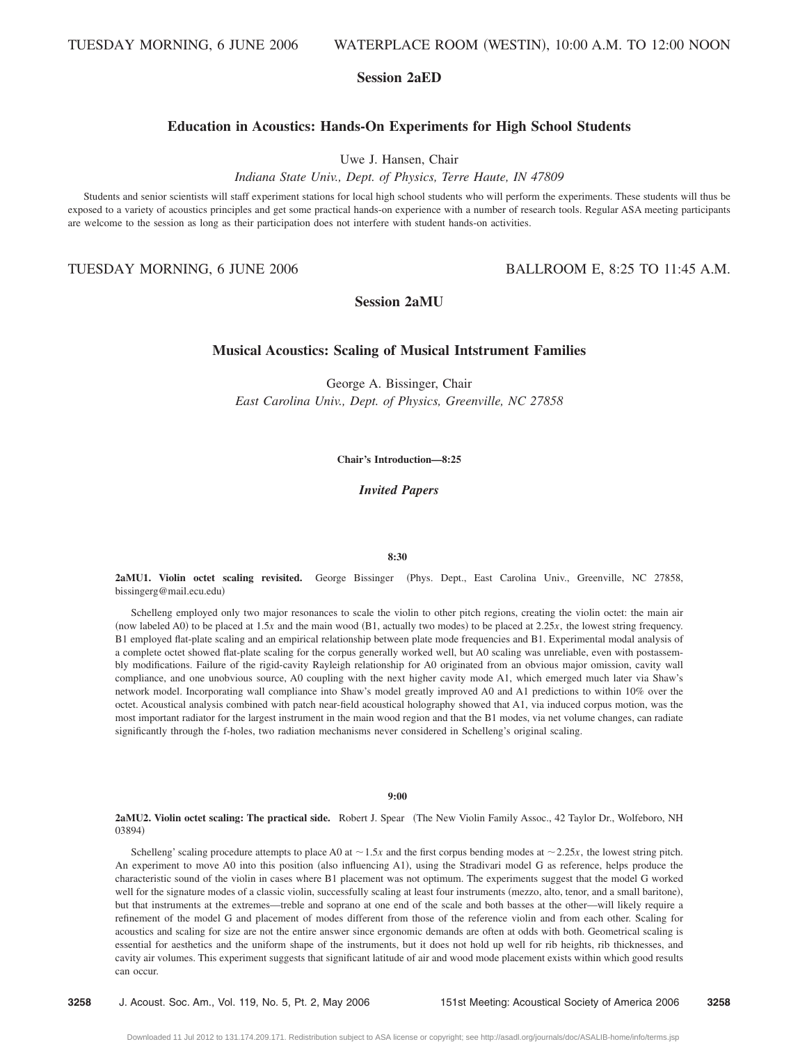# **Session 2aED**

# **Education in Acoustics: Hands-On Experiments for High School Students**

Uwe J. Hansen, Chair

*Indiana State Univ., Dept. of Physics, Terre Haute, IN 47809*

Students and senior scientists will staff experiment stations for local high school students who will perform the experiments. These students will thus be exposed to a variety of acoustics principles and get some practical hands-on experience with a number of research tools. Regular ASA meeting participants are welcome to the session as long as their participation does not interfere with student hands-on activities.

TUESDAY MORNING, 6 JUNE 2006 BALLROOM E, 8:25 TO 11:45 A.M.

**Session 2aMU**

# **Musical Acoustics: Scaling of Musical Intstrument Families**

George A. Bissinger, Chair *East Carolina Univ., Dept. of Physics, Greenville, NC 27858*

**Chair's Introduction—8:25**

*Invited Papers*

## **8:30**

2aMU1. Violin octet scaling revisited. George Bissinger (Phys. Dept., East Carolina Univ., Greenville, NC 27858, bissingerg@mail.ecu.edu)

Schelleng employed only two major resonances to scale the violin to other pitch regions, creating the violin octet: the main air (now labeled A0) to be placed at  $1.5x$  and the main wood (B1, actually two modes) to be placed at  $2.25x$ , the lowest string frequency. B1 employed flat-plate scaling and an empirical relationship between plate mode frequencies and B1. Experimental modal analysis of a complete octet showed flat-plate scaling for the corpus generally worked well, but A0 scaling was unreliable, even with postassembly modifications. Failure of the rigid-cavity Rayleigh relationship for A0 originated from an obvious major omission, cavity wall compliance, and one unobvious source, A0 coupling with the next higher cavity mode A1, which emerged much later via Shaw's network model. Incorporating wall compliance into Shaw's model greatly improved A0 and A1 predictions to within 10% over the octet. Acoustical analysis combined with patch near-field acoustical holography showed that A1, via induced corpus motion, was the most important radiator for the largest instrument in the main wood region and that the B1 modes, via net volume changes, can radiate significantly through the f-holes, two radiation mechanisms never considered in Schelleng's original scaling.

**9:00**

**2aMU2. Violin octet scaling: The practical side.** Robert J. Spear The New Violin Family Assoc., 42 Taylor Dr., Wolfeboro, NH 03894)

Schelleng' scaling procedure attempts to place A0 at  $\sim$  1.5*x* and the first corpus bending modes at  $\sim$  2.25*x*, the lowest string pitch. An experiment to move A0 into this position (also influencing A1), using the Stradivari model G as reference, helps produce the characteristic sound of the violin in cases where B1 placement was not optimum. The experiments suggest that the model G worked well for the signature modes of a classic violin, successfully scaling at least four instruments (mezzo, alto, tenor, and a small baritone), but that instruments at the extremes—treble and soprano at one end of the scale and both basses at the other—will likely require a refinement of the model G and placement of modes different from those of the reference violin and from each other. Scaling for acoustics and scaling for size are not the entire answer since ergonomic demands are often at odds with both. Geometrical scaling is essential for aesthetics and the uniform shape of the instruments, but it does not hold up well for rib heights, rib thicknesses, and cavity air volumes. This experiment suggests that significant latitude of air and wood mode placement exists within which good results can occur.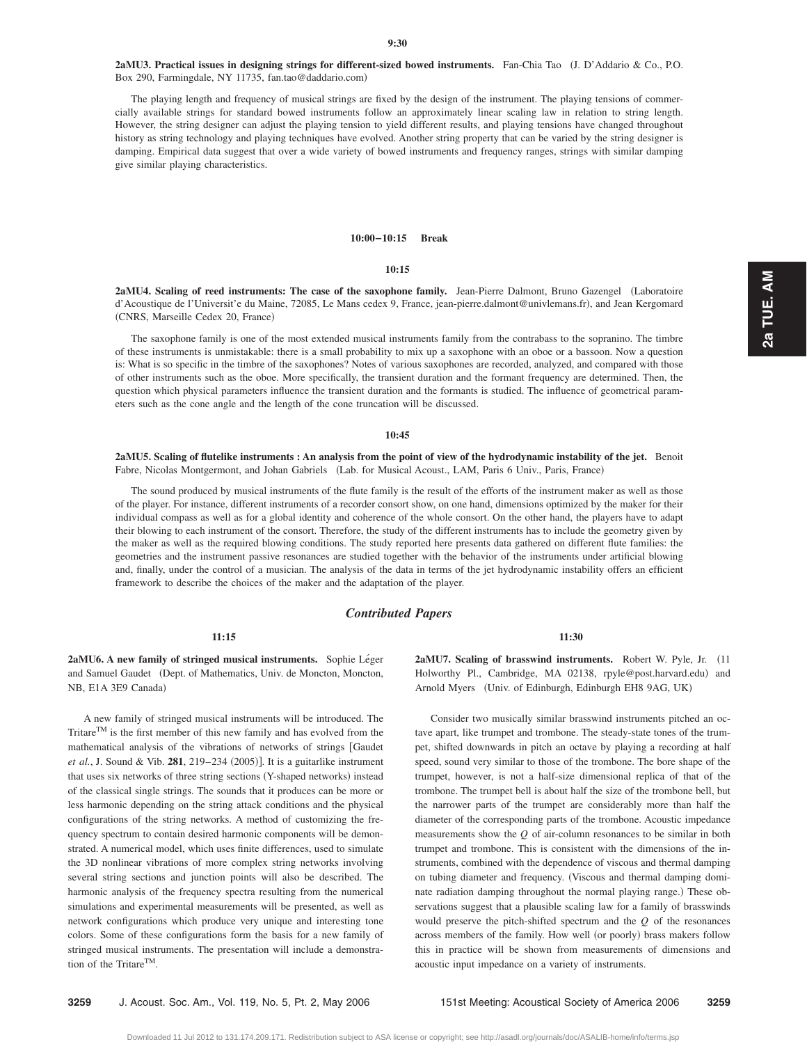2aMU3. Practical issues in designing strings for different-sized bowed instruments. Fan-Chia Tao (J. D'Addario & Co., P.O. Box 290, Farmingdale, NY 11735, fan.tao@daddario.com)

The playing length and frequency of musical strings are fixed by the design of the instrument. The playing tensions of commercially available strings for standard bowed instruments follow an approximately linear scaling law in relation to string length. However, the string designer can adjust the playing tension to yield different results, and playing tensions have changed throughout history as string technology and playing techniques have evolved. Another string property that can be varied by the string designer is damping. Empirical data suggest that over a wide variety of bowed instruments and frequency ranges, strings with similar damping give similar playing characteristics.

#### **10:00–10:15 Break**

**10:15**

**2aMU4. Scaling of reed instruments: The case of the saxophone family.** Jean-Pierre Dalmont, Bruno Gazengel Laboratoire d'Acoustique de l'Universit'e du Maine, 72085, Le Mans cedex 9, France, jean-pierre.dalmont@univlemans.fr), and Jean Kergomard (CNRS, Marseille Cedex 20, France)

The saxophone family is one of the most extended musical instruments family from the contrabass to the sopranino. The timbre of these instruments is unmistakable: there is a small probability to mix up a saxophone with an oboe or a bassoon. Now a question is: What is so specific in the timbre of the saxophones? Notes of various saxophones are recorded, analyzed, and compared with those of other instruments such as the oboe. More specifically, the transient duration and the formant frequency are determined. Then, the question which physical parameters influence the transient duration and the formants is studied. The influence of geometrical parameters such as the cone angle and the length of the cone truncation will be discussed.

#### **10:45**

**2aMU5. Scaling of flutelike instruments : An analysis from the point of view of the hydrodynamic instability of the jet.** Benoit Fabre, Nicolas Montgermont, and Johan Gabriels (Lab. for Musical Acoust., LAM, Paris 6 Univ., Paris, France)

The sound produced by musical instruments of the flute family is the result of the efforts of the instrument maker as well as those of the player. For instance, different instruments of a recorder consort show, on one hand, dimensions optimized by the maker for their individual compass as well as for a global identity and coherence of the whole consort. On the other hand, the players have to adapt their blowing to each instrument of the consort. Therefore, the study of the different instruments has to include the geometry given by the maker as well as the required blowing conditions. The study reported here presents data gathered on different flute families: the geometries and the instrument passive resonances are studied together with the behavior of the instruments under artificial blowing and, finally, under the control of a musician. The analysis of the data in terms of the jet hydrodynamic instability offers an efficient framework to describe the choices of the maker and the adaptation of the player.

# *Contributed Papers*

#### **11:15**

2aMU6. A new family of stringed musical instruments. Sophie Léger and Samuel Gaudet (Dept. of Mathematics, Univ. de Moncton, Moncton, NB, E1A 3E9 Canada)

A new family of stringed musical instruments will be introduced. The Tritare<sup>TM</sup> is the first member of this new family and has evolved from the mathematical analysis of the vibrations of networks of strings Gaudet *et al.*, J. Sound & Vib. 281, 219–234 (2005)]. It is a guitarlike instrument that uses six networks of three string sections (Y-shaped networks) instead of the classical single strings. The sounds that it produces can be more or less harmonic depending on the string attack conditions and the physical configurations of the string networks. A method of customizing the frequency spectrum to contain desired harmonic components will be demonstrated. A numerical model, which uses finite differences, used to simulate the 3D nonlinear vibrations of more complex string networks involving several string sections and junction points will also be described. The harmonic analysis of the frequency spectra resulting from the numerical simulations and experimental measurements will be presented, as well as network configurations which produce very unique and interesting tone colors. Some of these configurations form the basis for a new family of stringed musical instruments. The presentation will include a demonstration of the Tritare<sup>TM</sup>.

**11:30**

2aMU7. Scaling of brasswind instruments. Robert W. Pyle, Jr. (11) Holworthy Pl., Cambridge, MA 02138, rpyle@post.harvard.edu) and Arnold Myers (Univ. of Edinburgh, Edinburgh EH8 9AG, UK)

Consider two musically similar brasswind instruments pitched an octave apart, like trumpet and trombone. The steady-state tones of the trumpet, shifted downwards in pitch an octave by playing a recording at half speed, sound very similar to those of the trombone. The bore shape of the trumpet, however, is not a half-size dimensional replica of that of the trombone. The trumpet bell is about half the size of the trombone bell, but the narrower parts of the trumpet are considerably more than half the diameter of the corresponding parts of the trombone. Acoustic impedance measurements show the *Q* of air-column resonances to be similar in both trumpet and trombone. This is consistent with the dimensions of the instruments, combined with the dependence of viscous and thermal damping on tubing diameter and frequency. Viscous and thermal damping dominate radiation damping throughout the normal playing range.) These observations suggest that a plausible scaling law for a family of brasswinds would preserve the pitch-shifted spectrum and the *Q* of the resonances across members of the family. How well (or poorly) brass makers follow this in practice will be shown from measurements of dimensions and acoustic input impedance on a variety of instruments.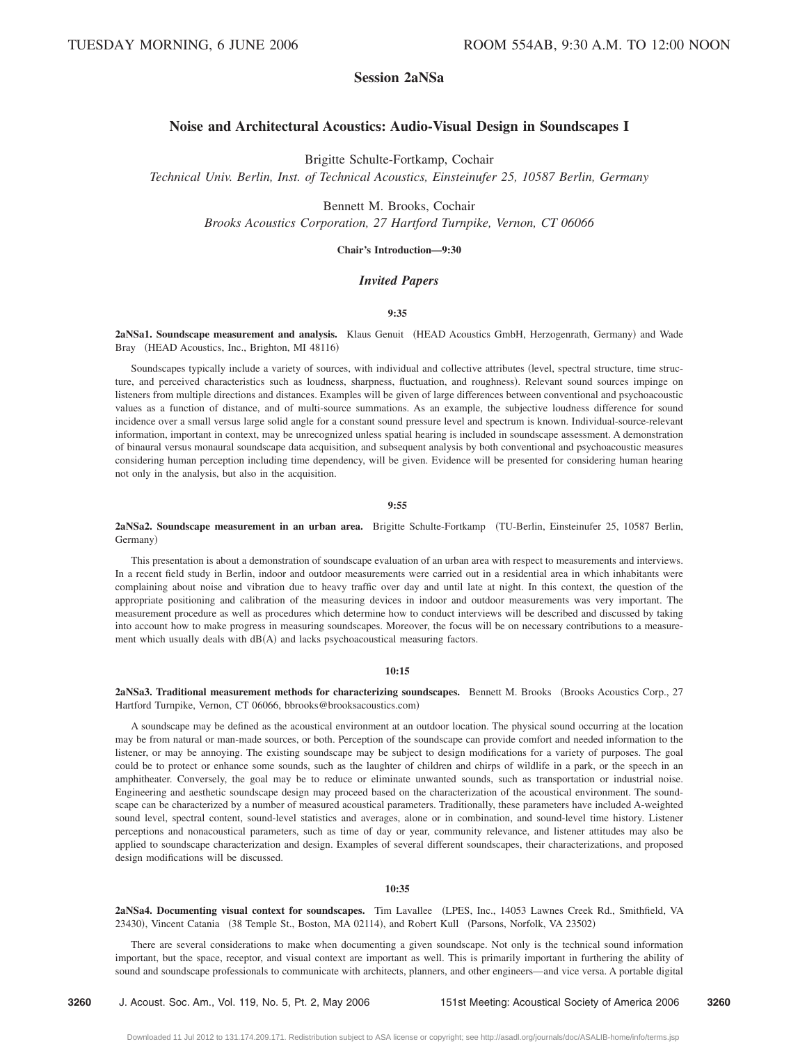# **Session 2aNSa**

# **Noise and Architectural Acoustics: Audio-Visual Design in Soundscapes I**

Brigitte Schulte-Fortkamp, Cochair

*Technical Univ. Berlin, Inst. of Technical Acoustics, Einsteinufer 25, 10587 Berlin, Germany*

Bennett M. Brooks, Cochair *Brooks Acoustics Corporation, 27 Hartford Turnpike, Vernon, CT 06066*

#### **Chair's Introduction—9:30**

# *Invited Papers*

# **9:35**

2aNSa1. Soundscape measurement and analysis. Klaus Genuit (HEAD Acoustics GmbH, Herzogenrath, Germany) and Wade Bray (HEAD Acoustics, Inc., Brighton, MI 48116)

Soundscapes typically include a variety of sources, with individual and collective attributes level, spectral structure, time structure, and perceived characteristics such as loudness, sharpness, fluctuation, and roughness). Relevant sound sources impinge on listeners from multiple directions and distances. Examples will be given of large differences between conventional and psychoacoustic values as a function of distance, and of multi-source summations. As an example, the subjective loudness difference for sound incidence over a small versus large solid angle for a constant sound pressure level and spectrum is known. Individual-source-relevant information, important in context, may be unrecognized unless spatial hearing is included in soundscape assessment. A demonstration of binaural versus monaural soundscape data acquisition, and subsequent analysis by both conventional and psychoacoustic measures considering human perception including time dependency, will be given. Evidence will be presented for considering human hearing not only in the analysis, but also in the acquisition.

**9:55**

2aNSa2. Soundscape measurement in an urban area. Brigitte Schulte-Fortkamp (TU-Berlin, Einsteinufer 25, 10587 Berlin, Germany)

This presentation is about a demonstration of soundscape evaluation of an urban area with respect to measurements and interviews. In a recent field study in Berlin, indoor and outdoor measurements were carried out in a residential area in which inhabitants were complaining about noise and vibration due to heavy traffic over day and until late at night. In this context, the question of the appropriate positioning and calibration of the measuring devices in indoor and outdoor measurements was very important. The measurement procedure as well as procedures which determine how to conduct interviews will be described and discussed by taking into account how to make progress in measuring soundscapes. Moreover, the focus will be on necessary contributions to a measurement which usually deals with  $dB(A)$  and lacks psychoacoustical measuring factors.

#### **10:15**

**2aNSa3. Traditional measurement methods for characterizing soundscapes.** Bennett M. Brooks (Brooks Acoustics Corp., 27 Hartford Turnpike, Vernon, CT 06066, bbrooks@brooksacoustics.com)

A soundscape may be defined as the acoustical environment at an outdoor location. The physical sound occurring at the location may be from natural or man-made sources, or both. Perception of the soundscape can provide comfort and needed information to the listener, or may be annoying. The existing soundscape may be subject to design modifications for a variety of purposes. The goal could be to protect or enhance some sounds, such as the laughter of children and chirps of wildlife in a park, or the speech in an amphitheater. Conversely, the goal may be to reduce or eliminate unwanted sounds, such as transportation or industrial noise. Engineering and aesthetic soundscape design may proceed based on the characterization of the acoustical environment. The soundscape can be characterized by a number of measured acoustical parameters. Traditionally, these parameters have included A-weighted sound level, spectral content, sound-level statistics and averages, alone or in combination, and sound-level time history. Listener perceptions and nonacoustical parameters, such as time of day or year, community relevance, and listener attitudes may also be applied to soundscape characterization and design. Examples of several different soundscapes, their characterizations, and proposed design modifications will be discussed.

#### **10:35**

**2aNSa4. Documenting visual context for soundscapes.** Tim Lavallee LPES, Inc., 14053 Lawnes Creek Rd., Smithfield, VA 23430), Vincent Catania (38 Temple St., Boston, MA 02114), and Robert Kull (Parsons, Norfolk, VA 23502)

There are several considerations to make when documenting a given soundscape. Not only is the technical sound information important, but the space, receptor, and visual context are important as well. This is primarily important in furthering the ability of sound and soundscape professionals to communicate with architects, planners, and other engineers—and vice versa. A portable digital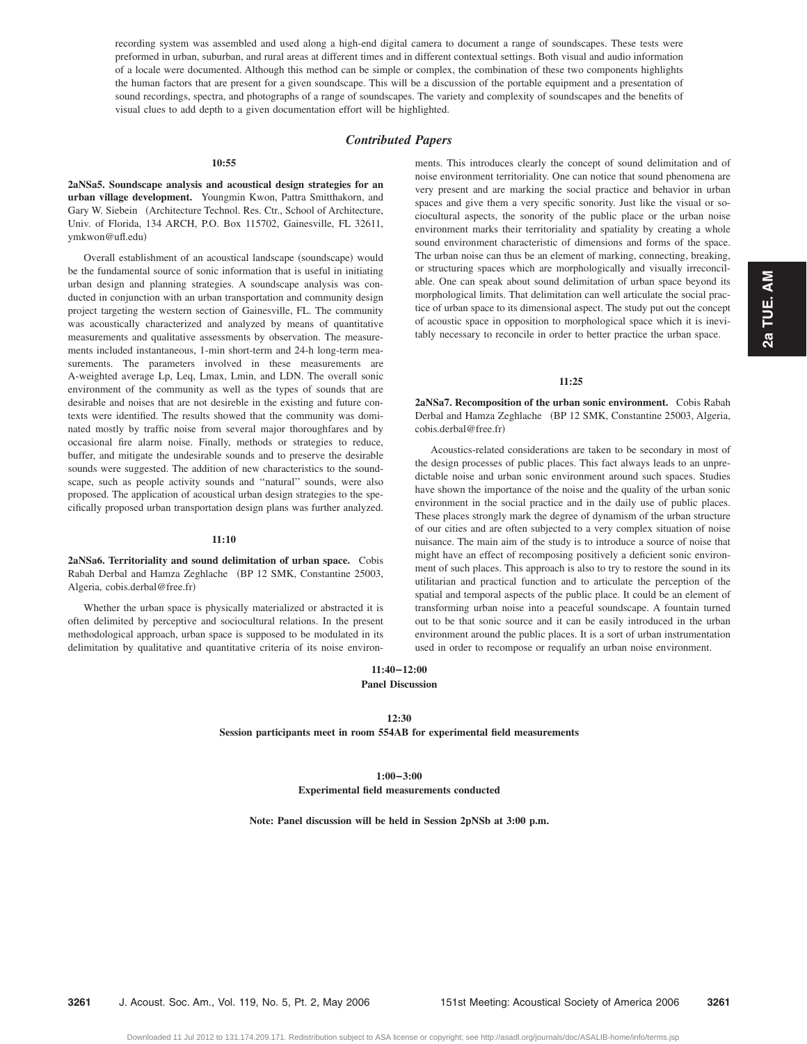recording system was assembled and used along a high-end digital camera to document a range of soundscapes. These tests were preformed in urban, suburban, and rural areas at different times and in different contextual settings. Both visual and audio information of a locale were documented. Although this method can be simple or complex, the combination of these two components highlights the human factors that are present for a given soundscape. This will be a discussion of the portable equipment and a presentation of sound recordings, spectra, and photographs of a range of soundscapes. The variety and complexity of soundscapes and the benefits of visual clues to add depth to a given documentation effort will be highlighted.

# *Contributed Papers*

#### **10:55**

**2aNSa5. Soundscape analysis and acoustical design strategies for an urban village development.** Youngmin Kwon, Pattra Smitthakorn, and Gary W. Siebein (Architecture Technol. Res. Ctr., School of Architecture, Univ. of Florida, 134 ARCH, P.O. Box 115702, Gainesville, FL 32611, ymkwon@ufl.edu)

Overall establishment of an acoustical landscape (soundscape) would be the fundamental source of sonic information that is useful in initiating urban design and planning strategies. A soundscape analysis was conducted in conjunction with an urban transportation and community design project targeting the western section of Gainesville, FL. The community was acoustically characterized and analyzed by means of quantitative measurements and qualitative assessments by observation. The measurements included instantaneous, 1-min short-term and 24-h long-term measurements. The parameters involved in these measurements are A-weighted average Lp, Leq, Lmax, Lmin, and LDN. The overall sonic environment of the community as well as the types of sounds that are desirable and noises that are not desireble in the existing and future contexts were identified. The results showed that the community was dominated mostly by traffic noise from several major thoroughfares and by occasional fire alarm noise. Finally, methods or strategies to reduce, buffer, and mitigate the undesirable sounds and to preserve the desirable sounds were suggested. The addition of new characteristics to the soundscape, such as people activity sounds and ''natural'' sounds, were also proposed. The application of acoustical urban design strategies to the specifically proposed urban transportation design plans was further analyzed.

#### **11:10**

**2aNSa6. Territoriality and sound delimitation of urban space.** Cobis Rabah Derbal and Hamza Zeghlache (BP 12 SMK, Constantine 25003, Algeria, cobis.derbal@free.fr)

Whether the urban space is physically materialized or abstracted it is often delimited by perceptive and sociocultural relations. In the present methodological approach, urban space is supposed to be modulated in its delimitation by qualitative and quantitative criteria of its noise environments. This introduces clearly the concept of sound delimitation and of noise environment territoriality. One can notice that sound phenomena are very present and are marking the social practice and behavior in urban spaces and give them a very specific sonority. Just like the visual or sociocultural aspects, the sonority of the public place or the urban noise environment marks their territoriality and spatiality by creating a whole sound environment characteristic of dimensions and forms of the space. The urban noise can thus be an element of marking, connecting, breaking, or structuring spaces which are morphologically and visually irreconcilable. One can speak about sound delimitation of urban space beyond its morphological limits. That delimitation can well articulate the social practice of urban space to its dimensional aspect. The study put out the concept of acoustic space in opposition to morphological space which it is inevitably necessary to reconcile in order to better practice the urban space.

# **11:25**

**2aNSa7. Recomposition of the urban sonic environment.** Cobis Rabah Derbal and Hamza Zeghlache (BP 12 SMK, Constantine 25003, Algeria, cobis.derbal@free.fr)

Acoustics-related considerations are taken to be secondary in most of the design processes of public places. This fact always leads to an unpredictable noise and urban sonic environment around such spaces. Studies have shown the importance of the noise and the quality of the urban sonic environment in the social practice and in the daily use of public places. These places strongly mark the degree of dynamism of the urban structure of our cities and are often subjected to a very complex situation of noise nuisance. The main aim of the study is to introduce a source of noise that might have an effect of recomposing positively a deficient sonic environment of such places. This approach is also to try to restore the sound in its utilitarian and practical function and to articulate the perception of the spatial and temporal aspects of the public place. It could be an element of transforming urban noise into a peaceful soundscape. A fountain turned out to be that sonic source and it can be easily introduced in the urban environment around the public places. It is a sort of urban instrumentation used in order to recompose or requalify an urban noise environment.

# **11:40–12:00 Panel Discussion**

#### **12:30**

**Session participants meet in room 554AB for experimental field measurements**

**1:00–3:00 Experimental field measurements conducted**

**Note: Panel discussion will be held in Session 2pNSb at 3:00 p.m.**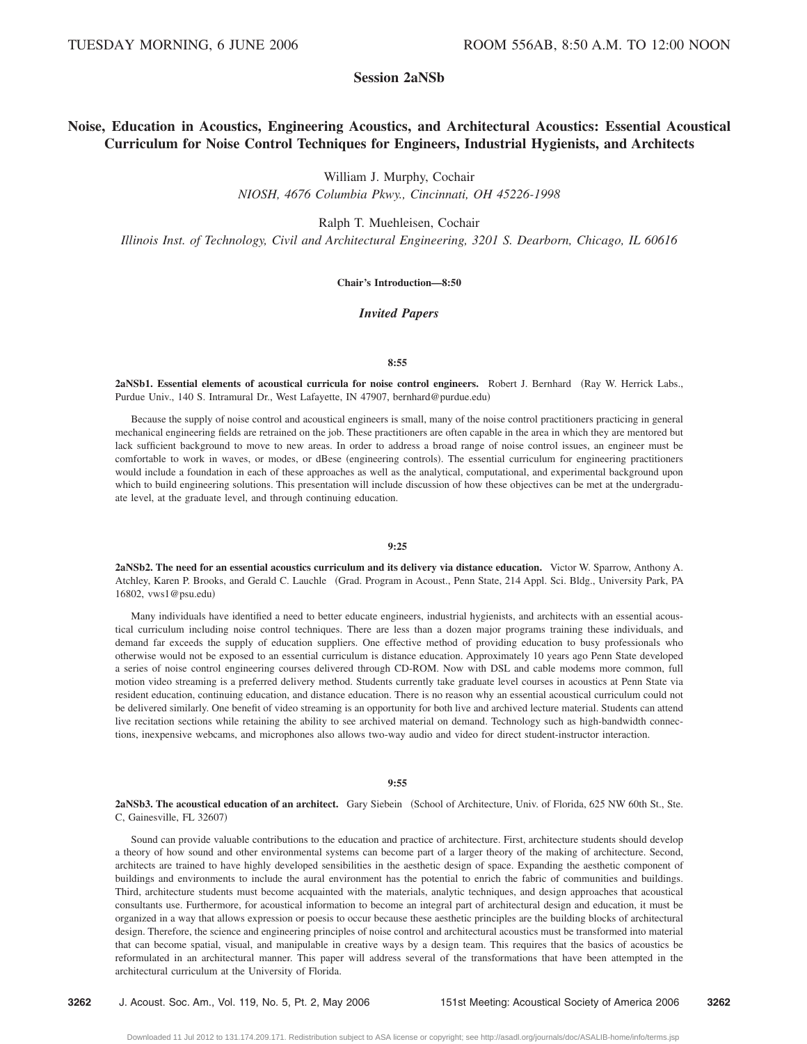# **Session 2aNSb**

# **Noise, Education in Acoustics, Engineering Acoustics, and Architectural Acoustics: Essential Acoustical Curriculum for Noise Control Techniques for Engineers, Industrial Hygienists, and Architects**

William J. Murphy, Cochair

*NIOSH, 4676 Columbia Pkwy., Cincinnati, OH 45226-1998*

Ralph T. Muehleisen, Cochair

*Illinois Inst. of Technology, Civil and Architectural Engineering, 3201 S. Dearborn, Chicago, IL 60616*

# **Chair's Introduction—8:50**

## *Invited Papers*

#### **8:55**

**2aNSb1. Essential elements of acoustical curricula for noise control engineers.** Robert J. Bernhard Ray W. Herrick Labs., Purdue Univ., 140 S. Intramural Dr., West Lafayette, IN 47907, bernhard@purdue.edu)

Because the supply of noise control and acoustical engineers is small, many of the noise control practitioners practicing in general mechanical engineering fields are retrained on the job. These practitioners are often capable in the area in which they are mentored but lack sufficient background to move to new areas. In order to address a broad range of noise control issues, an engineer must be comfortable to work in waves, or modes, or dBese (engineering controls). The essential curriculum for engineering practitioners would include a foundation in each of these approaches as well as the analytical, computational, and experimental background upon which to build engineering solutions. This presentation will include discussion of how these objectives can be met at the undergraduate level, at the graduate level, and through continuing education.

## **9:25**

**2aNSb2. The need for an essential acoustics curriculum and its delivery via distance education.** Victor W. Sparrow, Anthony A. Atchley, Karen P. Brooks, and Gerald C. Lauchle Grad. Program in Acoust., Penn State, 214 Appl. Sci. Bldg., University Park, PA 16802, vws1@psu.edu-

Many individuals have identified a need to better educate engineers, industrial hygienists, and architects with an essential acoustical curriculum including noise control techniques. There are less than a dozen major programs training these individuals, and demand far exceeds the supply of education suppliers. One effective method of providing education to busy professionals who otherwise would not be exposed to an essential curriculum is distance education. Approximately 10 years ago Penn State developed a series of noise control engineering courses delivered through CD-ROM. Now with DSL and cable modems more common, full motion video streaming is a preferred delivery method. Students currently take graduate level courses in acoustics at Penn State via resident education, continuing education, and distance education. There is no reason why an essential acoustical curriculum could not be delivered similarly. One benefit of video streaming is an opportunity for both live and archived lecture material. Students can attend live recitation sections while retaining the ability to see archived material on demand. Technology such as high-bandwidth connections, inexpensive webcams, and microphones also allows two-way audio and video for direct student-instructor interaction.

#### **9:55**

2aNSb3. The acoustical education of an architect. Gary Siebein (School of Architecture, Univ. of Florida, 625 NW 60th St., Ste. C, Gainesville, FL 32607)

Sound can provide valuable contributions to the education and practice of architecture. First, architecture students should develop a theory of how sound and other environmental systems can become part of a larger theory of the making of architecture. Second, architects are trained to have highly developed sensibilities in the aesthetic design of space. Expanding the aesthetic component of buildings and environments to include the aural environment has the potential to enrich the fabric of communities and buildings. Third, architecture students must become acquainted with the materials, analytic techniques, and design approaches that acoustical consultants use. Furthermore, for acoustical information to become an integral part of architectural design and education, it must be organized in a way that allows expression or poesis to occur because these aesthetic principles are the building blocks of architectural design. Therefore, the science and engineering principles of noise control and architectural acoustics must be transformed into material that can become spatial, visual, and manipulable in creative ways by a design team. This requires that the basics of acoustics be reformulated in an architectural manner. This paper will address several of the transformations that have been attempted in the architectural curriculum at the University of Florida.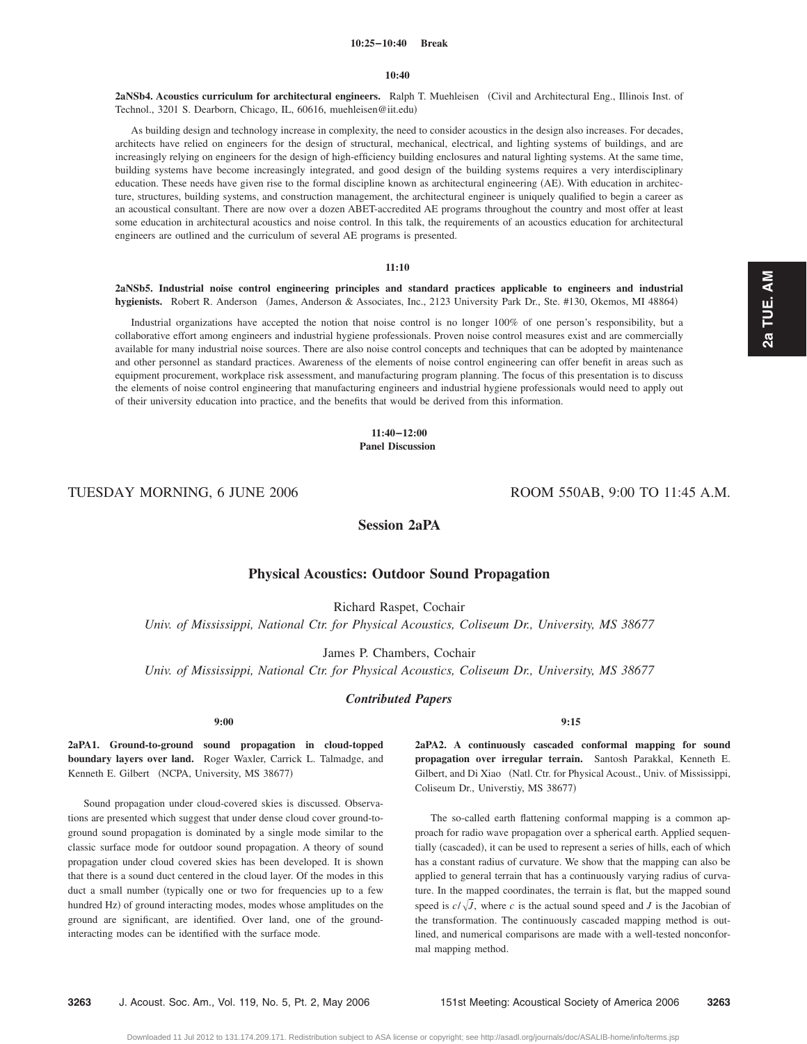#### **10:25–10:40 Break**

#### **10:40**

**2aNSb4. Acoustics curriculum for architectural engineers.** Ralph T. Muehleisen Civil and Architectural Eng., Illinois Inst. of Technol., 3201 S. Dearborn, Chicago, IL, 60616, muehleisen@iit.edu-

As building design and technology increase in complexity, the need to consider acoustics in the design also increases. For decades, architects have relied on engineers for the design of structural, mechanical, electrical, and lighting systems of buildings, and are increasingly relying on engineers for the design of high-efficiency building enclosures and natural lighting systems. At the same time, building systems have become increasingly integrated, and good design of the building systems requires a very interdisciplinary education. These needs have given rise to the formal discipline known as architectural engineering (AE). With education in architecture, structures, building systems, and construction management, the architectural engineer is uniquely qualified to begin a career as an acoustical consultant. There are now over a dozen ABET-accredited AE programs throughout the country and most offer at least some education in architectural acoustics and noise control. In this talk, the requirements of an acoustics education for architectural engineers are outlined and the curriculum of several AE programs is presented.

#### **11:10**

**2aNSb5. Industrial noise control engineering principles and standard practices applicable to engineers and industrial** hygienists. Robert R. Anderson (James, Anderson & Associates, Inc., 2123 University Park Dr., Ste. #130, Okemos, MI 48864)

Industrial organizations have accepted the notion that noise control is no longer 100% of one person's responsibility, but a collaborative effort among engineers and industrial hygiene professionals. Proven noise control measures exist and are commercially available for many industrial noise sources. There are also noise control concepts and techniques that can be adopted by maintenance and other personnel as standard practices. Awareness of the elements of noise control engineering can offer benefit in areas such as equipment procurement, workplace risk assessment, and manufacturing program planning. The focus of this presentation is to discuss the elements of noise control engineering that manufacturing engineers and industrial hygiene professionals would need to apply out of their university education into practice, and the benefits that would be derived from this information.

> **11:40–12:00 Panel Discussion**

TUESDAY MORNING, 6 JUNE 2006 ROOM 550AB, 9:00 TO 11:45 A.M.

# **Session 2aPA**

# **Physical Acoustics: Outdoor Sound Propagation**

Richard Raspet, Cochair *Univ. of Mississippi, National Ctr. for Physical Acoustics, Coliseum Dr., University, MS 38677*

James P. Chambers, Cochair *Univ. of Mississippi, National Ctr. for Physical Acoustics, Coliseum Dr., University, MS 38677*

*Contributed Papers*

**2aPA1. Ground-to-ground sound propagation in cloud-topped boundary layers over land.** Roger Waxler, Carrick L. Talmadge, and Kenneth E. Gilbert (NCPA, University, MS 38677)

Sound propagation under cloud-covered skies is discussed. Observations are presented which suggest that under dense cloud cover ground-toground sound propagation is dominated by a single mode similar to the classic surface mode for outdoor sound propagation. A theory of sound propagation under cloud covered skies has been developed. It is shown that there is a sound duct centered in the cloud layer. Of the modes in this duct a small number (typically one or two for frequencies up to a few hundred Hz) of ground interacting modes, modes whose amplitudes on the ground are significant, are identified. Over land, one of the groundinteracting modes can be identified with the surface mode.

### **9:15**

**2aPA2. A continuously cascaded conformal mapping for sound propagation over irregular terrain.** Santosh Parakkal, Kenneth E. Gilbert, and Di Xiao (Natl. Ctr. for Physical Acoust., Univ. of Mississippi, Coliseum Dr., Universtiy, MS 38677)

The so-called earth flattening conformal mapping is a common approach for radio wave propagation over a spherical earth. Applied sequentially (cascaded), it can be used to represent a series of hills, each of which has a constant radius of curvature. We show that the mapping can also be applied to general terrain that has a continuously varying radius of curvature. In the mapped coordinates, the terrain is flat, but the mapped sound speed is  $c/\sqrt{J}$ , where *c* is the actual sound speed and *J* is the Jacobian of the transformation. The continuously cascaded mapping method is outlined, and numerical comparisons are made with a well-tested nonconformal mapping method.

**2a TUE. AM**

2a TUE. AM

**9:00**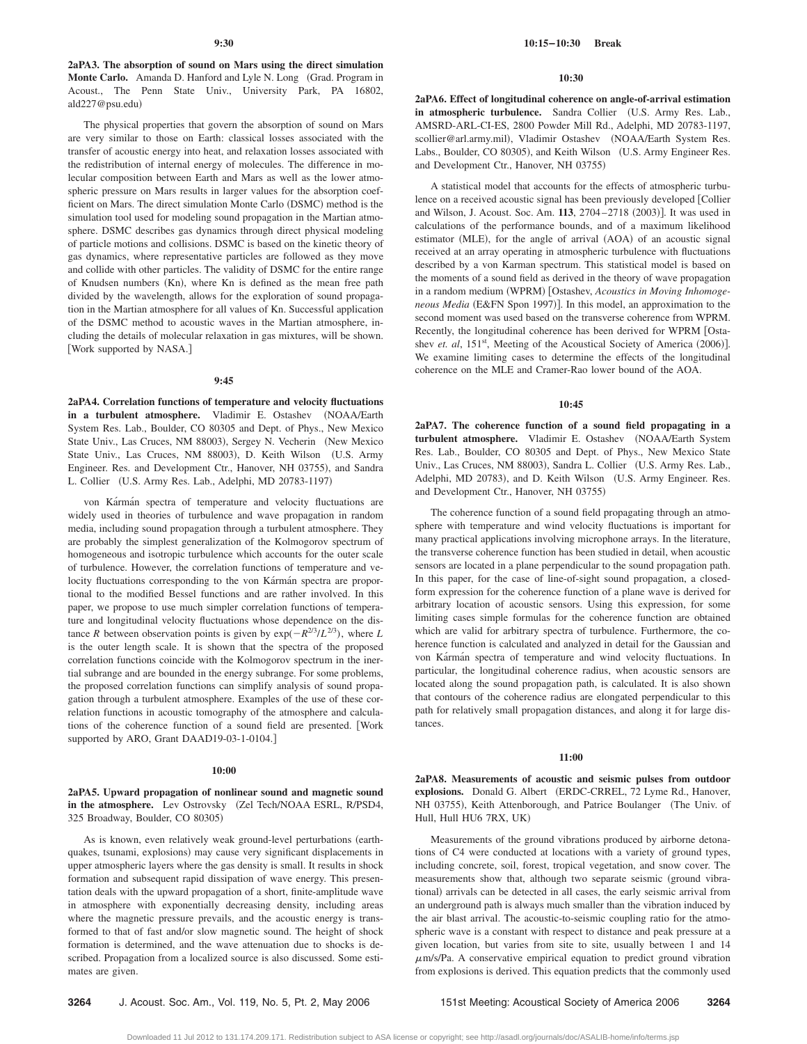**2aPA3. The absorption of sound on Mars using the direct simulation** Monte Carlo. Amanda D. Hanford and Lyle N. Long (Grad. Program in Acoust., The Penn State Univ., University Park, PA 16802, ald227@psu.edu)

The physical properties that govern the absorption of sound on Mars are very similar to those on Earth: classical losses associated with the transfer of acoustic energy into heat, and relaxation losses associated with the redistribution of internal energy of molecules. The difference in molecular composition between Earth and Mars as well as the lower atmospheric pressure on Mars results in larger values for the absorption coefficient on Mars. The direct simulation Monte Carlo (DSMC) method is the simulation tool used for modeling sound propagation in the Martian atmosphere. DSMC describes gas dynamics through direct physical modeling of particle motions and collisions. DSMC is based on the kinetic theory of gas dynamics, where representative particles are followed as they move and collide with other particles. The validity of DSMC for the entire range of Knudsen numbers (Kn), where Kn is defined as the mean free path divided by the wavelength, allows for the exploration of sound propagation in the Martian atmosphere for all values of Kn. Successful application of the DSMC method to acoustic waves in the Martian atmosphere, including the details of molecular relaxation in gas mixtures, will be shown. [Work supported by NASA.]

#### **9:45**

**2aPA4. Correlation functions of temperature and velocity fluctuations** in a turbulent atmosphere. Vladimir E. Ostashev (NOAA/Earth System Res. Lab., Boulder, CO 80305 and Dept. of Phys., New Mexico State Univ., Las Cruces, NM 88003), Sergey N. Vecherin (New Mexico State Univ., Las Cruces, NM 88003), D. Keith Wilson (U.S. Army Engineer. Res. and Development Ctr., Hanover, NH 03755), and Sandra L. Collier (U.S. Army Res. Lab., Adelphi, MD 20783-1197)

von Kármán spectra of temperature and velocity fluctuations are widely used in theories of turbulence and wave propagation in random media, including sound propagation through a turbulent atmosphere. They are probably the simplest generalization of the Kolmogorov spectrum of homogeneous and isotropic turbulence which accounts for the outer scale of turbulence. However, the correlation functions of temperature and velocity fluctuations corresponding to the von Kármán spectra are proportional to the modified Bessel functions and are rather involved. In this paper, we propose to use much simpler correlation functions of temperature and longitudinal velocity fluctuations whose dependence on the distance *R* between observation points is given by  $exp(-R^{2/3}/L^{2/3})$ , where *L* is the outer length scale. It is shown that the spectra of the proposed correlation functions coincide with the Kolmogorov spectrum in the inertial subrange and are bounded in the energy subrange. For some problems, the proposed correlation functions can simplify analysis of sound propagation through a turbulent atmosphere. Examples of the use of these correlation functions in acoustic tomography of the atmosphere and calculations of the coherence function of a sound field are presented. Work supported by ARO, Grant DAAD19-03-1-0104.]

#### **10:00**

**2aPA5. Upward propagation of nonlinear sound and magnetic sound** in the atmosphere. Lev Ostrovsky (Zel Tech/NOAA ESRL, R/PSD4, 325 Broadway, Boulder, CO 80305)

As is known, even relatively weak ground-level perturbations (earthquakes, tsunami, explosions) may cause very significant displacements in upper atmospheric layers where the gas density is small. It results in shock formation and subsequent rapid dissipation of wave energy. This presentation deals with the upward propagation of a short, finite-amplitude wave in atmosphere with exponentially decreasing density, including areas where the magnetic pressure prevails, and the acoustic energy is transformed to that of fast and/or slow magnetic sound. The height of shock formation is determined, and the wave attenuation due to shocks is described. Propagation from a localized source is also discussed. Some estimates are given.

## **10:30**

**2aPA6. Effect of longitudinal coherence on angle-of-arrival estimation** in atmospheric turbulence. Sandra Collier (U.S. Army Res. Lab., AMSRD-ARL-CI-ES, 2800 Powder Mill Rd., Adelphi, MD 20783-1197, scollier@arl.army.mil), Vladimir Ostashev (NOAA/Earth System Res. Labs., Boulder, CO 80305), and Keith Wilson (U.S. Army Engineer Res. and Development Ctr., Hanover, NH 03755)

A statistical model that accounts for the effects of atmospheric turbulence on a received acoustic signal has been previously developed [Collier] and Wilson, J. Acoust. Soc. Am. 113, 2704-2718 (2003)]. It was used in calculations of the performance bounds, and of a maximum likelihood estimator (MLE), for the angle of arrival (AOA) of an acoustic signal received at an array operating in atmospheric turbulence with fluctuations described by a von Karman spectrum. This statistical model is based on the moments of a sound field as derived in the theory of wave propagation in a random medium (WPRM) [Ostashev, *Acoustics in Moving Inhomoge*neous Media (E&FN Spon 1997)]. In this model, an approximation to the second moment was used based on the transverse coherence from WPRM. Recently, the longitudinal coherence has been derived for WPRM [Ostashev *et. al*, 151<sup>st</sup>, Meeting of the Acoustical Society of America (2006)]. We examine limiting cases to determine the effects of the longitudinal coherence on the MLE and Cramer-Rao lower bound of the AOA.

# **10:45**

**2aPA7. The coherence function of a sound field propagating in a** turbulent atmosphere. Vladimir E. Ostashev (NOAA/Earth System Res. Lab., Boulder, CO 80305 and Dept. of Phys., New Mexico State Univ., Las Cruces, NM 88003), Sandra L. Collier (U.S. Army Res. Lab., Adelphi, MD 20783), and D. Keith Wilson (U.S. Army Engineer. Res. and Development Ctr., Hanover, NH 03755)

The coherence function of a sound field propagating through an atmosphere with temperature and wind velocity fluctuations is important for many practical applications involving microphone arrays. In the literature, the transverse coherence function has been studied in detail, when acoustic sensors are located in a plane perpendicular to the sound propagation path. In this paper, for the case of line-of-sight sound propagation, a closedform expression for the coherence function of a plane wave is derived for arbitrary location of acoustic sensors. Using this expression, for some limiting cases simple formulas for the coherence function are obtained which are valid for arbitrary spectra of turbulence. Furthermore, the coherence function is calculated and analyzed in detail for the Gaussian and von Kármán spectra of temperature and wind velocity fluctuations. In particular, the longitudinal coherence radius, when acoustic sensors are located along the sound propagation path, is calculated. It is also shown that contours of the coherence radius are elongated perpendicular to this path for relatively small propagation distances, and along it for large distances.

#### **11:00**

**2aPA8. Measurements of acoustic and seismic pulses from outdoor** explosions. Donald G. Albert (ERDC-CRREL, 72 Lyme Rd., Hanover, NH 03755), Keith Attenborough, and Patrice Boulanger (The Univ. of Hull, Hull HU6 7RX, UK-

Measurements of the ground vibrations produced by airborne detonations of C4 were conducted at locations with a variety of ground types, including concrete, soil, forest, tropical vegetation, and snow cover. The measurements show that, although two separate seismic (ground vibrational) arrivals can be detected in all cases, the early seismic arrival from an underground path is always much smaller than the vibration induced by the air blast arrival. The acoustic-to-seismic coupling ratio for the atmospheric wave is a constant with respect to distance and peak pressure at a given location, but varies from site to site, usually between 1 and 14  $\mu$ m/s/Pa. A conservative empirical equation to predict ground vibration from explosions is derived. This equation predicts that the commonly used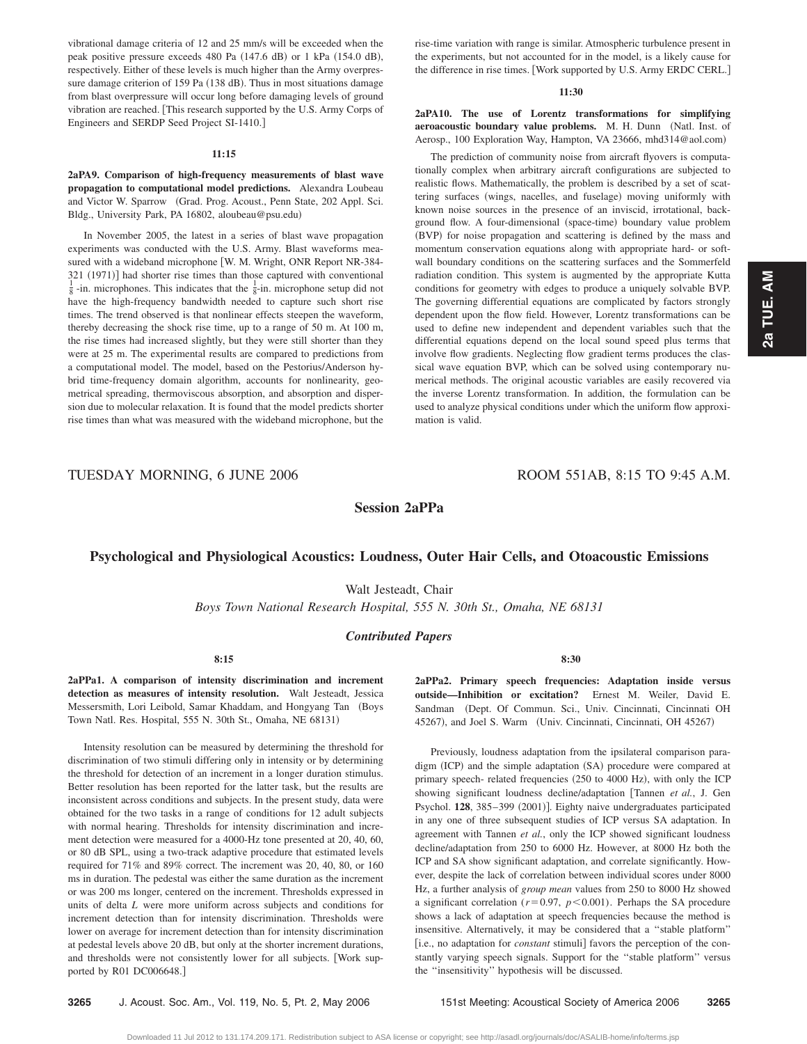2a TUE. AM **2a TUE. AM**

vibrational damage criteria of 12 and 25 mm/s will be exceeded when the peak positive pressure exceeds 480 Pa (147.6 dB) or 1 kPa (154.0 dB), respectively. Either of these levels is much higher than the Army overpressure damage criterion of 159 Pa (138 dB). Thus in most situations damage from blast overpressure will occur long before damaging levels of ground vibration are reached. This research supported by the U.S. Army Corps of

#### **11:15**

Engineers and SERDP Seed Project SI-1410.

**2aPA9. Comparison of high-frequency measurements of blast wave propagation to computational model predictions.** Alexandra Loubeau and Victor W. Sparrow (Grad. Prog. Acoust., Penn State, 202 Appl. Sci. Bldg., University Park, PA 16802, aloubeau@psu.edu-

In November 2005, the latest in a series of blast wave propagation experiments was conducted with the U.S. Army. Blast waveforms measured with a wideband microphone [W. M. Wright, ONR Report NR-384-321 (1971)] had shorter rise times than those captured with conventional  $\frac{1}{4}$  in miscophone setting did not  $\frac{1}{8}$ -in. microphones. This indicates that the  $\frac{1}{8}$ -in. microphone setup did not have the high-frequency bandwidth needed to capture such short rise times. The trend observed is that nonlinear effects steepen the waveform, thereby decreasing the shock rise time, up to a range of 50 m. At 100 m, the rise times had increased slightly, but they were still shorter than they were at 25 m. The experimental results are compared to predictions from a computational model. The model, based on the Pestorius/Anderson hybrid time-frequency domain algorithm, accounts for nonlinearity, geometrical spreading, thermoviscous absorption, and absorption and dispersion due to molecular relaxation. It is found that the model predicts shorter rise times than what was measured with the wideband microphone, but the rise-time variation with range is similar. Atmospheric turbulence present in the experiments, but not accounted for in the model, is a likely cause for the difference in rise times. [Work supported by U.S. Army ERDC CERL.]

#### **11:30**

**2aPA10. The use of Lorentz transformations for simplifying** aeroacoustic boundary value problems. M. H. Dunn (Natl. Inst. of Aerosp., 100 Exploration Way, Hampton, VA 23666, mhd314@aol.com)

The prediction of community noise from aircraft flyovers is computationally complex when arbitrary aircraft configurations are subjected to realistic flows. Mathematically, the problem is described by a set of scattering surfaces (wings, nacelles, and fuselage) moving uniformly with known noise sources in the presence of an inviscid, irrotational, background flow. A four-dimensional (space-time) boundary value problem (BVP) for noise propagation and scattering is defined by the mass and momentum conservation equations along with appropriate hard- or softwall boundary conditions on the scattering surfaces and the Sommerfeld radiation condition. This system is augmented by the appropriate Kutta conditions for geometry with edges to produce a uniquely solvable BVP. The governing differential equations are complicated by factors strongly dependent upon the flow field. However, Lorentz transformations can be used to define new independent and dependent variables such that the differential equations depend on the local sound speed plus terms that involve flow gradients. Neglecting flow gradient terms produces the classical wave equation BVP, which can be solved using contemporary numerical methods. The original acoustic variables are easily recovered via the inverse Lorentz transformation. In addition, the formulation can be used to analyze physical conditions under which the uniform flow approximation is valid.

TUESDAY MORNING, 6 JUNE 2006 ROOM 551AB, 8:15 TO 9:45 A.M.

**Session 2aPPa**

# **Psychological and Physiological Acoustics: Loudness, Outer Hair Cells, and Otoacoustic Emissions**

Walt Jesteadt, Chair

*Boys Town National Research Hospital, 555 N. 30th St., Omaha, NE 68131*

# *Contributed Papers*

**8:15**

**2aPPa1. A comparison of intensity discrimination and increment detection as measures of intensity resolution.** Walt Jesteadt, Jessica Messersmith, Lori Leibold, Samar Khaddam, and Hongyang Tan (Boys Town Natl. Res. Hospital, 555 N. 30th St., Omaha, NE 68131)

Intensity resolution can be measured by determining the threshold for discrimination of two stimuli differing only in intensity or by determining the threshold for detection of an increment in a longer duration stimulus. Better resolution has been reported for the latter task, but the results are inconsistent across conditions and subjects. In the present study, data were obtained for the two tasks in a range of conditions for 12 adult subjects with normal hearing. Thresholds for intensity discrimination and increment detection were measured for a 4000-Hz tone presented at 20, 40, 60, or 80 dB SPL, using a two-track adaptive procedure that estimated levels required for 71% and 89% correct. The increment was 20, 40, 80, or 160 ms in duration. The pedestal was either the same duration as the increment or was 200 ms longer, centered on the increment. Thresholds expressed in units of delta *L* were more uniform across subjects and conditions for increment detection than for intensity discrimination. Thresholds were lower on average for increment detection than for intensity discrimination at pedestal levels above 20 dB, but only at the shorter increment durations, and thresholds were not consistently lower for all subjects. Work supported by R01 DC006648.]

**8:30**

**2aPPa2. Primary speech frequencies: Adaptation inside versus outside—Inhibition or excitation?** Ernest M. Weiler, David E. Sandman (Dept. Of Commun. Sci., Univ. Cincinnati, Cincinnati OH 45267), and Joel S. Warm (Univ. Cincinnati, Cincinnati, OH 45267)

Previously, loudness adaptation from the ipsilateral comparison paradigm (ICP) and the simple adaptation (SA) procedure were compared at primary speech- related frequencies (250 to 4000 Hz), with only the ICP showing significant loudness decline/adaptation Tannen *et al.*, J. Gen Psychol. 128, 385-399 (2001)]. Eighty naive undergraduates participated in any one of three subsequent studies of ICP versus SA adaptation. In agreement with Tannen *et al.*, only the ICP showed significant loudness decline/adaptation from 250 to 6000 Hz. However, at 8000 Hz both the ICP and SA show significant adaptation, and correlate significantly. However, despite the lack of correlation between individual scores under 8000 Hz, a further analysis of *group mean* values from 250 to 8000 Hz showed a significant correlation ( $r=0.97$ ,  $p<0.001$ ). Perhaps the SA procedure shows a lack of adaptation at speech frequencies because the method is insensitive. Alternatively, it may be considered that a ''stable platform'' [i.e., no adaptation for *constant* stimuli] favors the perception of the constantly varying speech signals. Support for the ''stable platform'' versus the ''insensitivity'' hypothesis will be discussed.

**3265** J. Acoust. Soc. Am., Vol. 119, No. 5, Pt. 2, May 2006 151st Meeting: Acoustical Society of America 2006 **3265**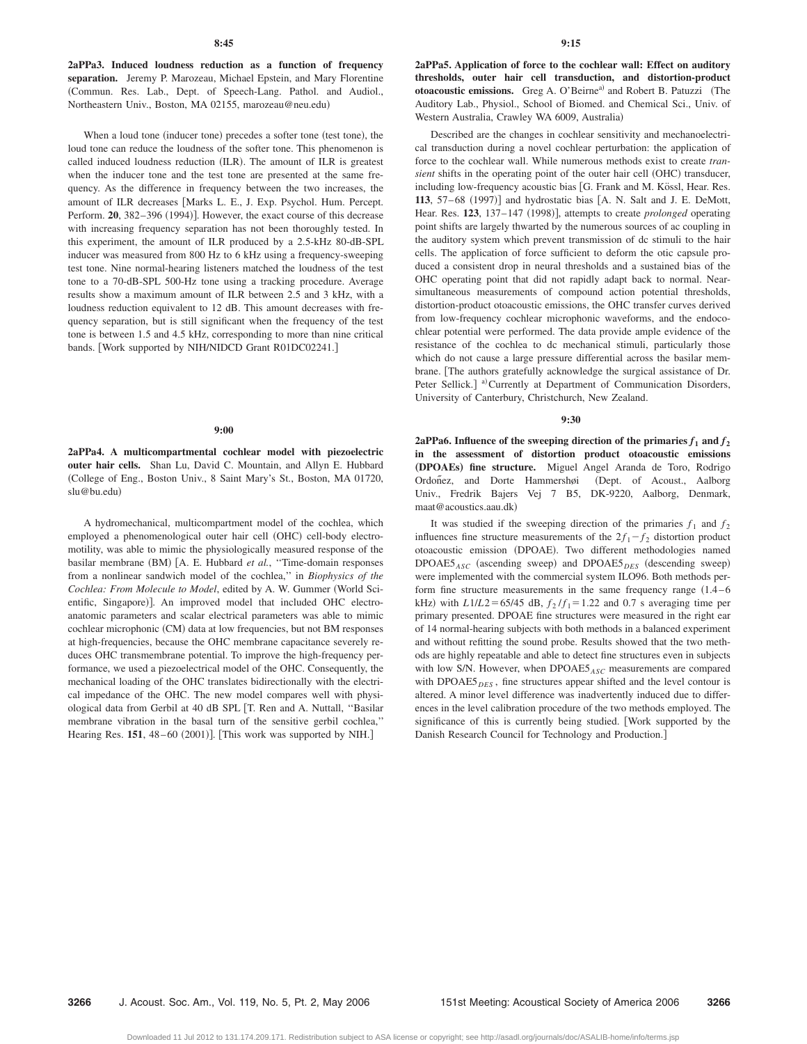**2aPPa3. Induced loudness reduction as a function of frequency separation.** Jeremy P. Marozeau, Michael Epstein, and Mary Florentine Commun. Res. Lab., Dept. of Speech-Lang. Pathol. and Audiol., Northeastern Univ., Boston, MA 02155, marozeau@neu.edu-

When a loud tone (inducer tone) precedes a softer tone (test tone), the loud tone can reduce the loudness of the softer tone. This phenomenon is called induced loudness reduction (ILR). The amount of ILR is greatest when the inducer tone and the test tone are presented at the same frequency. As the difference in frequency between the two increases, the amount of ILR decreases [Marks L. E., J. Exp. Psychol. Hum. Percept. Perform. 20, 382–396 (1994)]. However, the exact course of this decrease with increasing frequency separation has not been thoroughly tested. In this experiment, the amount of ILR produced by a 2.5-kHz 80-dB-SPL inducer was measured from 800 Hz to 6 kHz using a frequency-sweeping test tone. Nine normal-hearing listeners matched the loudness of the test tone to a 70-dB-SPL 500-Hz tone using a tracking procedure. Average results show a maximum amount of ILR between 2.5 and 3 kHz, with a loudness reduction equivalent to 12 dB. This amount decreases with frequency separation, but is still significant when the frequency of the test tone is between 1.5 and 4.5 kHz, corresponding to more than nine critical bands. [Work supported by NIH/NIDCD Grant R01DC02241.]

#### **9:00**

**2aPPa4. A multicompartmental cochlear model with piezoelectric outer hair cells.** Shan Lu, David C. Mountain, and Allyn E. Hubbard College of Eng., Boston Univ., 8 Saint Mary's St., Boston, MA 01720, slu@bu.edu)

A hydromechanical, multicompartment model of the cochlea, which employed a phenomenological outer hair cell (OHC) cell-body electromotility, was able to mimic the physiologically measured response of the basilar membrane (BM) [A. E. Hubbard *et al.*, "Time-domain responses from a nonlinear sandwich model of the cochlea,'' in *Biophysics of the* Cochlea: From Molecule to Model, edited by A. W. Gummer (World Scientific, Singapore)]. An improved model that included OHC electroanatomic parameters and scalar electrical parameters was able to mimic cochlear microphonic (CM) data at low frequencies, but not BM responses at high-frequencies, because the OHC membrane capacitance severely reduces OHC transmembrane potential. To improve the high-frequency performance, we used a piezoelectrical model of the OHC. Consequently, the mechanical loading of the OHC translates bidirectionally with the electrical impedance of the OHC. The new model compares well with physiological data from Gerbil at 40 dB SPL [T. Ren and A. Nuttall, "Basilar membrane vibration in the basal turn of the sensitive gerbil cochlea,'' Hearing Res. 151, 48-60 (2001)]. [This work was supported by NIH.]

**2aPPa5. Application of force to the cochlear wall: Effect on auditory thresholds, outer hair cell transduction, and distortion-product** otoacoustic emissions. Greg A. O'Beirne<sup>a)</sup> and Robert B. Patuzzi (The Auditory Lab., Physiol., School of Biomed. and Chemical Sci., Univ. of Western Australia, Crawley WA 6009, Australia)

Described are the changes in cochlear sensitivity and mechanoelectrical transduction during a novel cochlear perturbation: the application of force to the cochlear wall. While numerous methods exist to create *tran*sient shifts in the operating point of the outer hair cell (OHC) transducer, including low-frequency acoustic bias [G. Frank and M. Kössl, Hear. Res. 113, 57-68 (1997)] and hydrostatic bias [A. N. Salt and J. E. DeMott, Hear. Res. 123, 137-147 (1998)], attempts to create *prolonged* operating point shifts are largely thwarted by the numerous sources of ac coupling in the auditory system which prevent transmission of dc stimuli to the hair cells. The application of force sufficient to deform the otic capsule produced a consistent drop in neural thresholds and a sustained bias of the OHC operating point that did not rapidly adapt back to normal. Nearsimultaneous measurements of compound action potential thresholds, distortion-product otoacoustic emissions, the OHC transfer curves derived from low-frequency cochlear microphonic waveforms, and the endocochlear potential were performed. The data provide ample evidence of the resistance of the cochlea to dc mechanical stimuli, particularly those which do not cause a large pressure differential across the basilar membrane. The authors gratefully acknowledge the surgical assistance of Dr. Peter Sellick.] <sup>a)</sup> Currently at Department of Communication Disorders, University of Canterbury, Christchurch, New Zealand.

#### **9:30**

**2aPPa6.** Influence of the sweeping direction of the primaries  $f_1$  and  $f_2$ **in the assessment of distortion product otoacoustic emissions** "**DPOAEs**… **fine structure.** Miguel Angel Aranda de Toro, Rodrigo Ordoñez, and Dorte Hammershøi (Dept. of Acoust., Aalborg Univ., Fredrik Bajers Vej 7 B5, DK-9220, Aalborg, Denmark, maat@acoustics.aau.dk-

It was studied if the sweeping direction of the primaries  $f_1$  and  $f_2$ influences fine structure measurements of the  $2f_1 - f_2$  distortion product otoacoustic emission (DPOAE). Two different methodologies named DPOAE5<sub>ASC</sub> (ascending sweep) and DPOAE5<sub>DES</sub> (descending sweep) were implemented with the commercial system ILO96. Both methods perform fine structure measurements in the same frequency range  $(1.4 - 6$ kHz) with  $L1/L2 = 65/45$  dB,  $f_2/f_1 = 1.22$  and 0.7 s averaging time per primary presented. DPOAE fine structures were measured in the right ear of 14 normal-hearing subjects with both methods in a balanced experiment and without refitting the sound probe. Results showed that the two methods are highly repeatable and able to detect fine structures even in subjects with low S/N. However, when DPOAE5*ASC* measurements are compared with DPOAE5<sub>*DES*</sub>, fine structures appear shifted and the level contour is altered. A minor level difference was inadvertently induced due to differences in the level calibration procedure of the two methods employed. The significance of this is currently being studied. Work supported by the Danish Research Council for Technology and Production.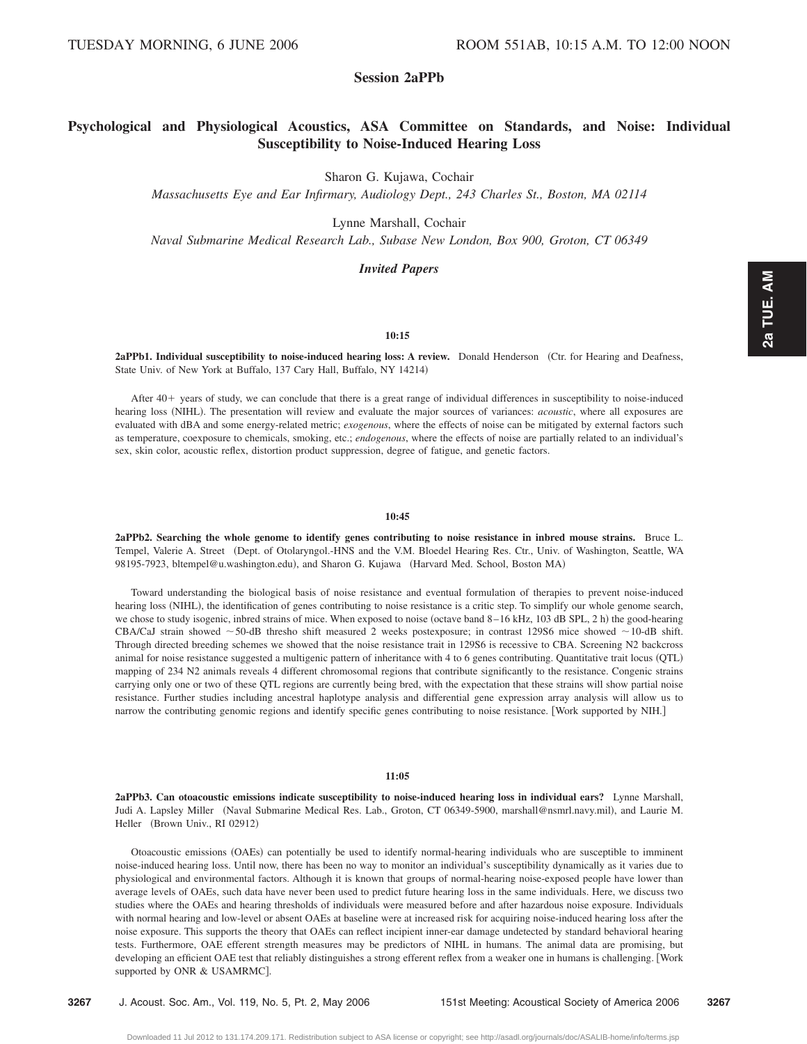# **Session 2aPPb**

# **Psychological and Physiological Acoustics, ASA Committee on Standards, and Noise: Individual Susceptibility to Noise-Induced Hearing Loss**

Sharon G. Kujawa, Cochair

*Massachusetts Eye and Ear Infirmary, Audiology Dept., 243 Charles St., Boston, MA 02114*

Lynne Marshall, Cochair

*Naval Submarine Medical Research Lab., Subase New London, Box 900, Groton, CT 06349*

# *Invited Papers*

#### **10:15**

2aPPb1. Individual susceptibility to noise-induced hearing loss: A review. Donald Henderson (Ctr. for Hearing and Deafness, State Univ. of New York at Buffalo, 137 Cary Hall, Buffalo, NY 14214)

After 40+ years of study, we can conclude that there is a great range of individual differences in susceptibility to noise-induced hearing loss (NIHL). The presentation will review and evaluate the major sources of variances: *acoustic*, where all exposures are evaluated with dBA and some energy-related metric; *exogenous*, where the effects of noise can be mitigated by external factors such as temperature, coexposure to chemicals, smoking, etc.; *endogenous*, where the effects of noise are partially related to an individual's sex, skin color, acoustic reflex, distortion product suppression, degree of fatigue, and genetic factors.

#### **10:45**

**2aPPb2. Searching the whole genome to identify genes contributing to noise resistance in inbred mouse strains.** Bruce L. Tempel, Valerie A. Street (Dept. of Otolaryngol.-HNS and the V.M. Bloedel Hearing Res. Ctr., Univ. of Washington, Seattle, WA 98195-7923, bltempel@u.washington.edu), and Sharon G. Kujawa (Harvard Med. School, Boston MA)

Toward understanding the biological basis of noise resistance and eventual formulation of therapies to prevent noise-induced hearing loss (NIHL), the identification of genes contributing to noise resistance is a critic step. To simplify our whole genome search, we chose to study isogenic, inbred strains of mice. When exposed to noise (octave band 8-16 kHz, 103 dB SPL, 2 h) the good-hearing CBA/CaJ strain showed  $\sim$  50-dB thresho shift measured 2 weeks postexposure; in contrast 129S6 mice showed  $\sim$  10-dB shift. Through directed breeding schemes we showed that the noise resistance trait in 129S6 is recessive to CBA. Screening N2 backcross animal for noise resistance suggested a multigenic pattern of inheritance with 4 to 6 genes contributing. Quantitative trait locus QTL mapping of 234 N2 animals reveals 4 different chromosomal regions that contribute significantly to the resistance. Congenic strains carrying only one or two of these QTL regions are currently being bred, with the expectation that these strains will show partial noise resistance. Further studies including ancestral haplotype analysis and differential gene expression array analysis will allow us to narrow the contributing genomic regions and identify specific genes contributing to noise resistance. Work supported by NIH.

## **11:05**

**2aPPb3. Can otoacoustic emissions indicate susceptibility to noise-induced hearing loss in individual ears?** Lynne Marshall, Judi A. Lapsley Miller (Naval Submarine Medical Res. Lab., Groton, CT 06349-5900, marshall@nsmrl.navy.mil), and Laurie M. Heller (Brown Univ., RI 02912)

Otoacoustic emissions (OAEs) can potentially be used to identify normal-hearing individuals who are susceptible to imminent noise-induced hearing loss. Until now, there has been no way to monitor an individual's susceptibility dynamically as it varies due to physiological and environmental factors. Although it is known that groups of normal-hearing noise-exposed people have lower than average levels of OAEs, such data have never been used to predict future hearing loss in the same individuals. Here, we discuss two studies where the OAEs and hearing thresholds of individuals were measured before and after hazardous noise exposure. Individuals with normal hearing and low-level or absent OAEs at baseline were at increased risk for acquiring noise-induced hearing loss after the noise exposure. This supports the theory that OAEs can reflect incipient inner-ear damage undetected by standard behavioral hearing tests. Furthermore, OAE efferent strength measures may be predictors of NIHL in humans. The animal data are promising, but developing an efficient OAE test that reliably distinguishes a strong efferent reflex from a weaker one in humans is challenging. Work supported by ONR & USAMRMC].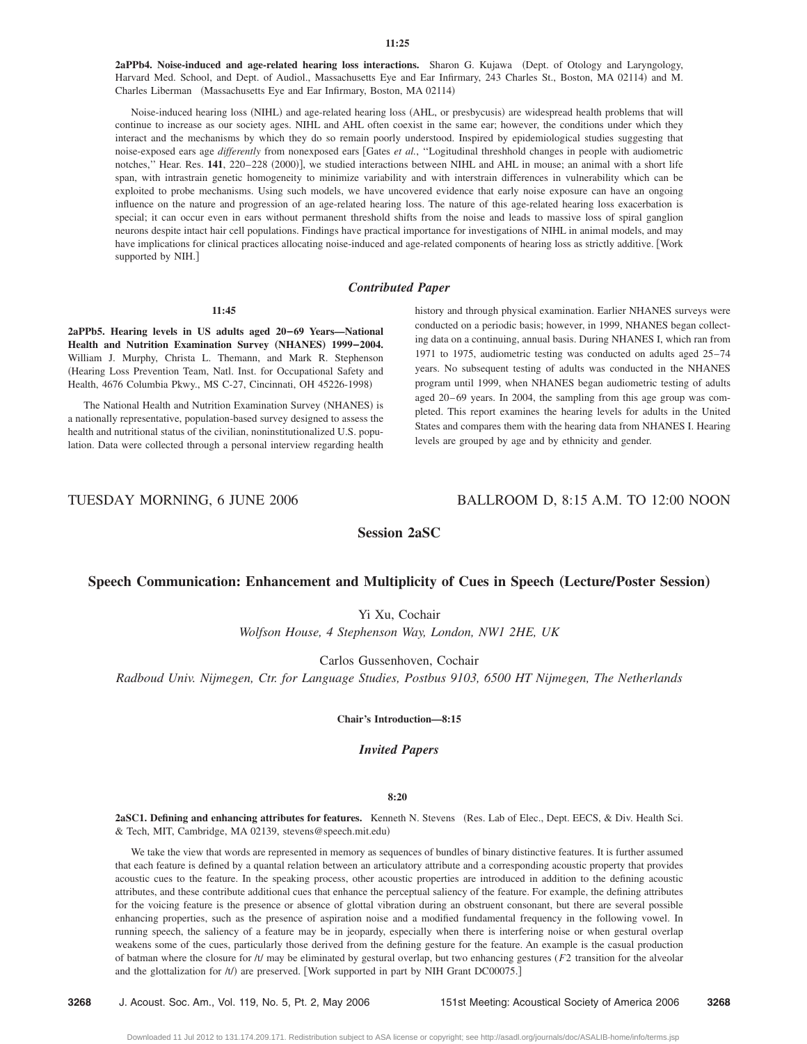2aPPb4. Noise-induced and age-related hearing loss interactions. Sharon G. Kujawa (Dept. of Otology and Laryngology, Harvard Med. School, and Dept. of Audiol., Massachusetts Eye and Ear Infirmary, 243 Charles St., Boston, MA 02114) and M. Charles Liberman (Massachusetts Eye and Ear Infirmary, Boston, MA 02114)

Noise-induced hearing loss (NIHL) and age-related hearing loss (AHL, or presbycusis) are widespread health problems that will continue to increase as our society ages. NIHL and AHL often coexist in the same ear; however, the conditions under which they interact and the mechanisms by which they do so remain poorly understood. Inspired by epidemiological studies suggesting that noise-exposed ears age *differently* from nonexposed ears Gates *et al.*, ''Logitudinal threshhold changes in people with audiometric notches," Hear. Res. 141, 220–228 (2000)], we studied interactions between NIHL and AHL in mouse; an animal with a short life span, with intrastrain genetic homogeneity to minimize variability and with interstrain differences in vulnerability which can be exploited to probe mechanisms. Using such models, we have uncovered evidence that early noise exposure can have an ongoing influence on the nature and progression of an age-related hearing loss. The nature of this age-related hearing loss exacerbation is special; it can occur even in ears without permanent threshold shifts from the noise and leads to massive loss of spiral ganglion neurons despite intact hair cell populations. Findings have practical importance for investigations of NIHL in animal models, and may have implications for clinical practices allocating noise-induced and age-related components of hearing loss as strictly additive. Work supported by NIH.]

## *Contributed Paper*

# **11:45**

**2aPPb5. Hearing levels in US adults aged 20–69 Years—National Health and Nutrition Examination Survey (NHANES) 1999-2004.** William J. Murphy, Christa L. Themann, and Mark R. Stephenson (Hearing Loss Prevention Team, Natl. Inst. for Occupational Safety and Health, 4676 Columbia Pkwy., MS C-27, Cincinnati, OH 45226-1998)

The National Health and Nutrition Examination Survey (NHANES) is a nationally representative, population-based survey designed to assess the health and nutritional status of the civilian, noninstitutionalized U.S. population. Data were collected through a personal interview regarding health history and through physical examination. Earlier NHANES surveys were conducted on a periodic basis; however, in 1999, NHANES began collecting data on a continuing, annual basis. During NHANES I, which ran from 1971 to 1975, audiometric testing was conducted on adults aged 25–74 years. No subsequent testing of adults was conducted in the NHANES program until 1999, when NHANES began audiometric testing of adults aged 20–69 years. In 2004, the sampling from this age group was completed. This report examines the hearing levels for adults in the United States and compares them with the hearing data from NHANES I. Hearing levels are grouped by age and by ethnicity and gender.

# TUESDAY MORNING, 6 JUNE 2006 BALLROOM D, 8:15 A.M. TO 12:00 NOON

**Session 2aSC**

# **Speech Communication: Enhancement and Multiplicity of Cues in Speech (Lecture/Poster Session)**

Yi Xu, Cochair

*Wolfson House, 4 Stephenson Way, London, NW1 2HE, UK*

Carlos Gussenhoven, Cochair

*Radboud Univ. Nijmegen, Ctr. for Language Studies, Postbus 9103, 6500 HT Nijmegen, The Netherlands*

**Chair's Introduction—8:15**

# *Invited Papers*

# **8:20**

2aSC1. Defining and enhancing attributes for features. Kenneth N. Stevens (Res. Lab of Elec., Dept. EECS, & Div. Health Sci. & Tech, MIT, Cambridge, MA 02139, stevens@speech.mit.edu-

We take the view that words are represented in memory as sequences of bundles of binary distinctive features. It is further assumed that each feature is defined by a quantal relation between an articulatory attribute and a corresponding acoustic property that provides acoustic cues to the feature. In the speaking process, other acoustic properties are introduced in addition to the defining acoustic attributes, and these contribute additional cues that enhance the perceptual saliency of the feature. For example, the defining attributes for the voicing feature is the presence or absence of glottal vibration during an obstruent consonant, but there are several possible enhancing properties, such as the presence of aspiration noise and a modified fundamental frequency in the following vowel. In running speech, the saliency of a feature may be in jeopardy, especially when there is interfering noise or when gestural overlap weakens some of the cues, particularly those derived from the defining gesture for the feature. An example is the casual production of batman where the closure for /t/ may be eliminated by gestural overlap, but two enhancing gestures (*F*2 transition for the alveolar and the glottalization for  $/t/$ ) are preserved. [Work supported in part by NIH Grant DC00075.]

**3268** J. Acoust. Soc. Am., Vol. 119, No. 5, Pt. 2, May 2006 151st Meeting: Acoustical Society of America 2006 **3268**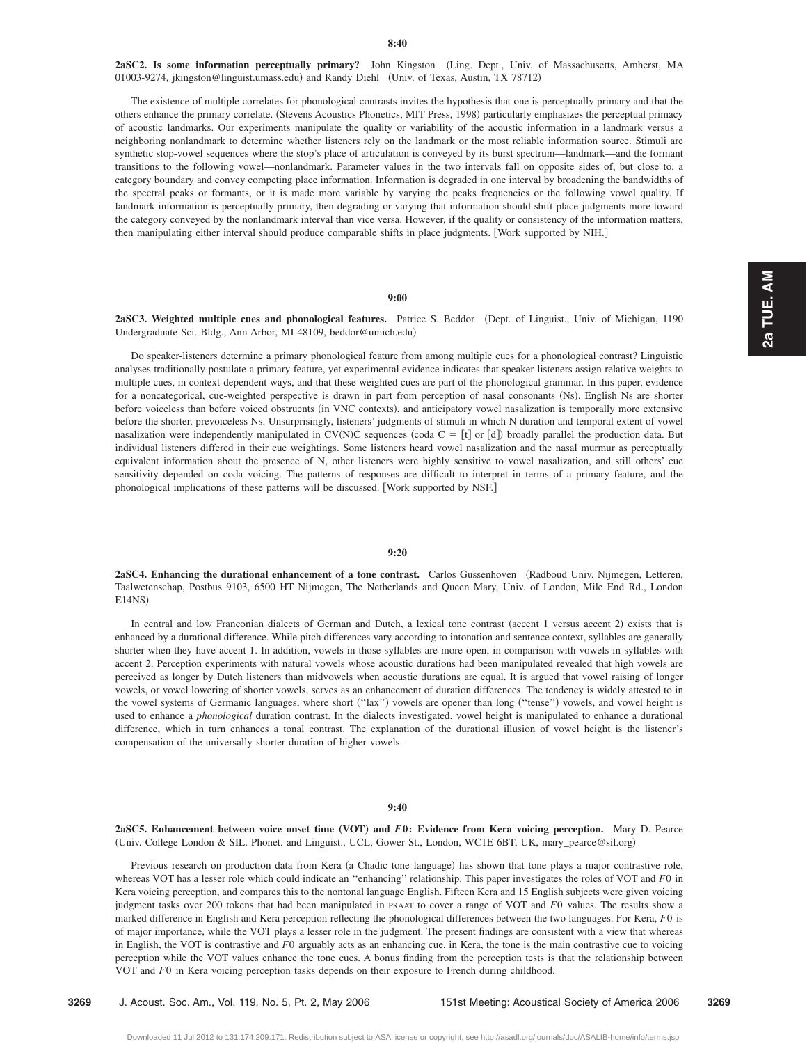**2aSC2. Is some information perceptually primary?** John Kingston Ling. Dept., Univ. of Massachusetts, Amherst, MA 01003-9274, jkingston@linguist.umass.edu) and Randy Diehl (Univ. of Texas, Austin, TX 78712)

The existence of multiple correlates for phonological contrasts invites the hypothesis that one is perceptually primary and that the others enhance the primary correlate. (Stevens Acoustics Phonetics, MIT Press, 1998) particularly emphasizes the perceptual primacy of acoustic landmarks. Our experiments manipulate the quality or variability of the acoustic information in a landmark versus a neighboring nonlandmark to determine whether listeners rely on the landmark or the most reliable information source. Stimuli are synthetic stop-vowel sequences where the stop's place of articulation is conveyed by its burst spectrum—landmark—and the formant transitions to the following vowel—nonlandmark. Parameter values in the two intervals fall on opposite sides of, but close to, a category boundary and convey competing place information. Information is degraded in one interval by broadening the bandwidths of the spectral peaks or formants, or it is made more variable by varying the peaks frequencies or the following vowel quality. If landmark information is perceptually primary, then degrading or varying that information should shift place judgments more toward the category conveyed by the nonlandmark interval than vice versa. However, if the quality or consistency of the information matters, then manipulating either interval should produce comparable shifts in place judgments. [Work supported by NIH.]

#### **9:00**

**2aSC3. Weighted multiple cues and phonological features.** Patrice S. Beddor Dept. of Linguist., Univ. of Michigan, 1190 Undergraduate Sci. Bldg., Ann Arbor, MI 48109, beddor@umich.edu-

Do speaker-listeners determine a primary phonological feature from among multiple cues for a phonological contrast? Linguistic analyses traditionally postulate a primary feature, yet experimental evidence indicates that speaker-listeners assign relative weights to multiple cues, in context-dependent ways, and that these weighted cues are part of the phonological grammar. In this paper, evidence for a noncategorical, cue-weighted perspective is drawn in part from perception of nasal consonants (Ns). English Ns are shorter before voiceless than before voiced obstruents (in VNC contexts), and anticipatory vowel nasalization is temporally more extensive before the shorter, prevoiceless Ns. Unsurprisingly, listeners' judgments of stimuli in which N duration and temporal extent of vowel nasalization were independently manipulated in  $CV(N)C$  sequences (coda  $C = [t]$  or [d]) broadly parallel the production data. But individual listeners differed in their cue weightings. Some listeners heard vowel nasalization and the nasal murmur as perceptually equivalent information about the presence of N, other listeners were highly sensitive to vowel nasalization, and still others' cue sensitivity depended on coda voicing. The patterns of responses are difficult to interpret in terms of a primary feature, and the phonological implications of these patterns will be discussed. [Work supported by NSF.]

# **9:20**

**2aSC4. Enhancing the durational enhancement of a tone contrast.** Carlos Gussenhoven Radboud Univ. Nijmegen, Letteren, Taalwetenschap, Postbus 9103, 6500 HT Nijmegen, The Netherlands and Queen Mary, Univ. of London, Mile End Rd., London  $E14NS$ 

In central and low Franconian dialects of German and Dutch, a lexical tone contrast (accent 1 versus accent 2) exists that is enhanced by a durational difference. While pitch differences vary according to intonation and sentence context, syllables are generally shorter when they have accent 1. In addition, vowels in those syllables are more open, in comparison with vowels in syllables with accent 2. Perception experiments with natural vowels whose acoustic durations had been manipulated revealed that high vowels are perceived as longer by Dutch listeners than midvowels when acoustic durations are equal. It is argued that vowel raising of longer vowels, or vowel lowering of shorter vowels, serves as an enhancement of duration differences. The tendency is widely attested to in the vowel systems of Germanic languages, where short ("lax") vowels are opener than long ("tense") vowels, and vowel height is used to enhance a *phonological* duration contrast. In the dialects investigated, vowel height is manipulated to enhance a durational difference, which in turn enhances a tonal contrast. The explanation of the durational illusion of vowel height is the listener's compensation of the universally shorter duration of higher vowels.

## **9:40**

**2aSC5.** Enhancement between voice onset time (VOT) and F<sub>0</sub>: Evidence from Kera voicing perception. Mary D. Pearce Univ. College London & SIL. Phonet. and Linguist., UCL, Gower St., London, WC1E 6BT, UK, mary\_pearce@sil.org-

Previous research on production data from Kera (a Chadic tone language) has shown that tone plays a major contrastive role, whereas VOT has a lesser role which could indicate an ''enhancing'' relationship. This paper investigates the roles of VOT and *F*0 in Kera voicing perception, and compares this to the nontonal language English. Fifteen Kera and 15 English subjects were given voicing judgment tasks over 200 tokens that had been manipulated in PRAAT to cover a range of VOT and *F*0 values. The results show a marked difference in English and Kera perception reflecting the phonological differences between the two languages. For Kera, *F*0 is of major importance, while the VOT plays a lesser role in the judgment. The present findings are consistent with a view that whereas in English, the VOT is contrastive and *F*0 arguably acts as an enhancing cue, in Kera, the tone is the main contrastive cue to voicing perception while the VOT values enhance the tone cues. A bonus finding from the perception tests is that the relationship between VOT and *F*0 in Kera voicing perception tasks depends on their exposure to French during childhood.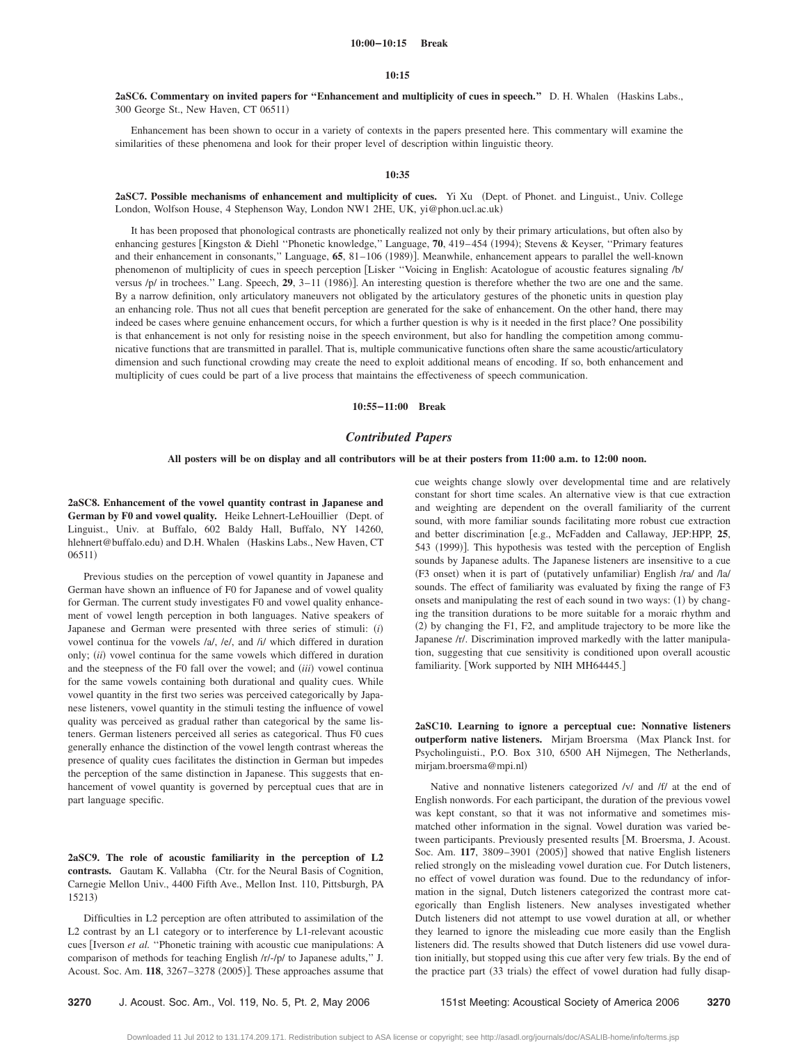#### **10:00–10:15 Break**

#### **10:15**

**2aSC6. Commentary on invited papers for "Enhancement and multiplicity of cues in speech."** D. H. Whalen (Haskins Labs., 300 George St., New Haven, CT 06511)

Enhancement has been shown to occur in a variety of contexts in the papers presented here. This commentary will examine the similarities of these phenomena and look for their proper level of description within linguistic theory.

#### **10:35**

**2aSC7. Possible mechanisms of enhancement and multiplicity of cues.** Yi Xu Dept. of Phonet. and Linguist., Univ. College London, Wolfson House, 4 Stephenson Way, London NW1 2HE, UK, yi@phon.ucl.ac.uk-

It has been proposed that phonological contrasts are phonetically realized not only by their primary articulations, but often also by enhancing gestures [Kingston & Diehl "Phonetic knowledge," Language, 70, 419–454 (1994); Stevens & Keyser, "Primary features and their enhancement in consonants," Language, 65, 81–106 (1989)]. Meanwhile, enhancement appears to parallel the well-known phenomenon of multiplicity of cues in speech perception Lisker ''Voicing in English: Acatologue of acoustic features signaling /b/ versus /p/ in trochees." Lang. Speech, 29, 3-11 (1986)]. An interesting question is therefore whether the two are one and the same. By a narrow definition, only articulatory maneuvers not obligated by the articulatory gestures of the phonetic units in question play an enhancing role. Thus not all cues that benefit perception are generated for the sake of enhancement. On the other hand, there may indeed be cases where genuine enhancement occurs, for which a further question is why is it needed in the first place? One possibility is that enhancement is not only for resisting noise in the speech environment, but also for handling the competition among communicative functions that are transmitted in parallel. That is, multiple communicative functions often share the same acoustic/articulatory dimension and such functional crowding may create the need to exploit additional means of encoding. If so, both enhancement and multiplicity of cues could be part of a live process that maintains the effectiveness of speech communication.

**10:55–11:00 Break**

## *Contributed Papers*

#### **All posters will be on display and all contributors will be at their posters from 11:00 a.m. to 12:00 noon.**

**2aSC8. Enhancement of the vowel quantity contrast in Japanese and German by F0 and vowel quality.** Heike Lehnert-LeHouillier (Dept. of Linguist., Univ. at Buffalo, 602 Baldy Hall, Buffalo, NY 14260, hlehnert@buffalo.edu) and D.H. Whalen (Haskins Labs., New Haven, CT 06511)

Previous studies on the perception of vowel quantity in Japanese and German have shown an influence of F0 for Japanese and of vowel quality for German. The current study investigates F0 and vowel quality enhancement of vowel length perception in both languages. Native speakers of Japanese and German were presented with three series of stimuli: *i* vowel continua for the vowels /a/, /e/, and /i/ which differed in duration only; *(ii)* vowel continua for the same vowels which differed in duration and the steepness of the F0 fall over the vowel; and *(iii)* vowel continua for the same vowels containing both durational and quality cues. While vowel quantity in the first two series was perceived categorically by Japanese listeners, vowel quantity in the stimuli testing the influence of vowel quality was perceived as gradual rather than categorical by the same listeners. German listeners perceived all series as categorical. Thus F0 cues generally enhance the distinction of the vowel length contrast whereas the presence of quality cues facilitates the distinction in German but impedes the perception of the same distinction in Japanese. This suggests that enhancement of vowel quantity is governed by perceptual cues that are in part language specific.

**2aSC9. The role of acoustic familiarity in the perception of L2** contrasts. Gautam K. Vallabha (Ctr. for the Neural Basis of Cognition, Carnegie Mellon Univ., 4400 Fifth Ave., Mellon Inst. 110, Pittsburgh, PA 15213)

Difficulties in L2 perception are often attributed to assimilation of the L2 contrast by an L1 category or to interference by L1-relevant acoustic cues [Iverson et al. "Phonetic training with acoustic cue manipulations: A comparison of methods for teaching English /r/-/p/ to Japanese adults,'' J. Acoust. Soc. Am. 118, 3267-3278 (2005)]. These approaches assume that

cue weights change slowly over developmental time and are relatively constant for short time scales. An alternative view is that cue extraction and weighting are dependent on the overall familiarity of the current sound, with more familiar sounds facilitating more robust cue extraction and better discrimination [e.g., McFadden and Callaway, JEP:HPP, 25, 543 (1999)]. This hypothesis was tested with the perception of English sounds by Japanese adults. The Japanese listeners are insensitive to a cue (F3 onset) when it is part of (putatively unfamiliar) English /ra/ and /la/ sounds. The effect of familiarity was evaluated by fixing the range of F3 onsets and manipulating the rest of each sound in two ways: (1) by changing the transition durations to be more suitable for a moraic rhythm and (2) by changing the F1, F2, and amplitude trajectory to be more like the Japanese /r/. Discrimination improved markedly with the latter manipulation, suggesting that cue sensitivity is conditioned upon overall acoustic familiarity. [Work supported by NIH MH64445.]

**2aSC10. Learning to ignore a perceptual cue: Nonnative listeners outperform native listeners.** Mirjam Broersma (Max Planck Inst. for Psycholinguisti., P.O. Box 310, 6500 AH Nijmegen, The Netherlands, mirjam.broersma@mpi.nl-

Native and nonnative listeners categorized /v/ and /f/ at the end of English nonwords. For each participant, the duration of the previous vowel was kept constant, so that it was not informative and sometimes mismatched other information in the signal. Vowel duration was varied between participants. Previously presented results [M. Broersma, J. Acoust. Soc. Am. 117, 3809-3901 (2005)] showed that native English listeners relied strongly on the misleading vowel duration cue. For Dutch listeners, no effect of vowel duration was found. Due to the redundancy of information in the signal, Dutch listeners categorized the contrast more categorically than English listeners. New analyses investigated whether Dutch listeners did not attempt to use vowel duration at all, or whether they learned to ignore the misleading cue more easily than the English listeners did. The results showed that Dutch listeners did use vowel duration initially, but stopped using this cue after very few trials. By the end of the practice part (33 trials) the effect of vowel duration had fully disap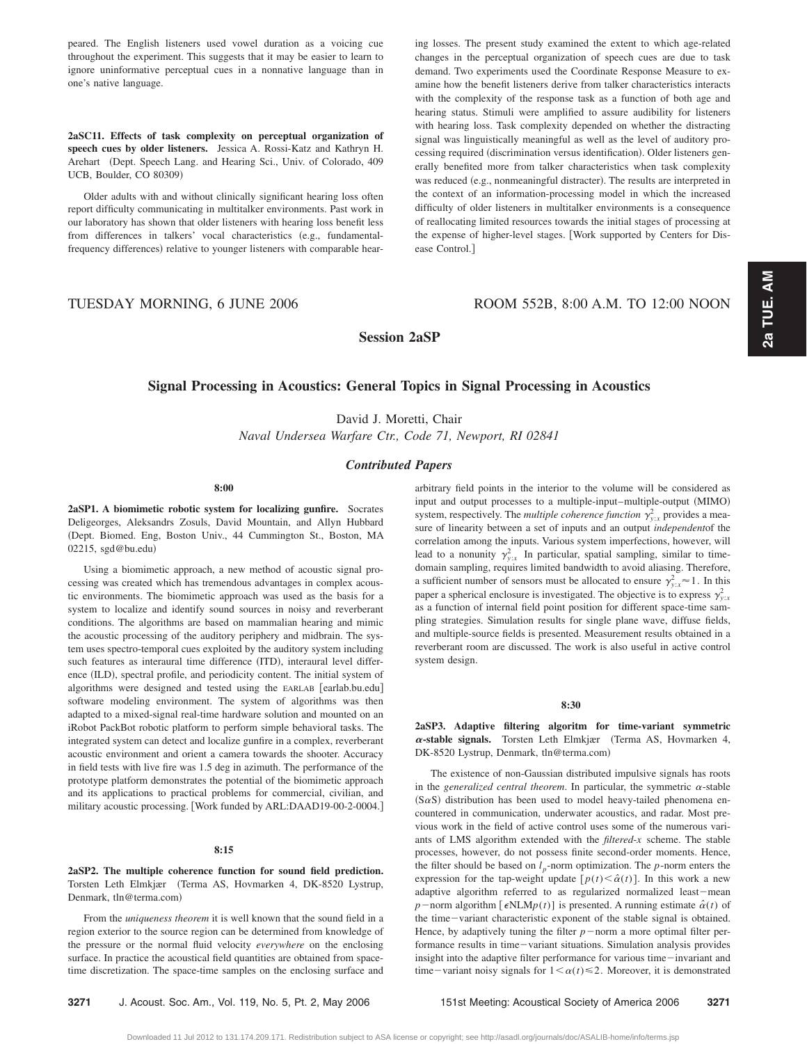peared. The English listeners used vowel duration as a voicing cue throughout the experiment. This suggests that it may be easier to learn to ignore uninformative perceptual cues in a nonnative language than in one's native language.

**2aSC11. Effects of task complexity on perceptual organization of speech cues by older listeners.** Jessica A. Rossi-Katz and Kathryn H. Arehart (Dept. Speech Lang. and Hearing Sci., Univ. of Colorado, 409 UCB, Boulder, CO 80309)

Older adults with and without clinically significant hearing loss often report difficulty communicating in multitalker environments. Past work in our laboratory has shown that older listeners with hearing loss benefit less from differences in talkers' vocal characteristics (e.g., fundamentalfrequency differences) relative to younger listeners with comparable hearing losses. The present study examined the extent to which age-related changes in the perceptual organization of speech cues are due to task demand. Two experiments used the Coordinate Response Measure to examine how the benefit listeners derive from talker characteristics interacts with the complexity of the response task as a function of both age and hearing status. Stimuli were amplified to assure audibility for listeners with hearing loss. Task complexity depended on whether the distracting signal was linguistically meaningful as well as the level of auditory processing required (discrimination versus identification). Older listeners generally benefited more from talker characteristics when task complexity was reduced (e.g., nonmeaningful distracter). The results are interpreted in the context of an information-processing model in which the increased difficulty of older listeners in multitalker environments is a consequence of reallocating limited resources towards the initial stages of processing at the expense of higher-level stages. Work supported by Centers for Disease Control.

TUESDAY MORNING, 6 JUNE 2006 ROOM 552B, 8:00 A.M. TO 12:00 NOON

**Session 2aSP**

# **Signal Processing in Acoustics: General Topics in Signal Processing in Acoustics**

David J. Moretti, Chair

*Naval Undersea Warfare Ctr., Code 71, Newport, RI 02841*

# *Contributed Papers*

Downloaded 11 Jul 2012 to 131.174.209.171. Redistribution subject to ASA license or copyright; see http://asadl.org/journals/doc/ASALIB-home/info/terms.jsp

**8:00**

**2aSP1. A biomimetic robotic system for localizing gunfire.** Socrates Deligeorges, Aleksandrs Zosuls, David Mountain, and Allyn Hubbard Dept. Biomed. Eng, Boston Univ., 44 Cummington St., Boston, MA 02215, sgd@bu.edu)

Using a biomimetic approach, a new method of acoustic signal processing was created which has tremendous advantages in complex acoustic environments. The biomimetic approach was used as the basis for a system to localize and identify sound sources in noisy and reverberant conditions. The algorithms are based on mammalian hearing and mimic the acoustic processing of the auditory periphery and midbrain. The system uses spectro-temporal cues exploited by the auditory system including such features as interaural time difference (ITD), interaural level difference (ILD), spectral profile, and periodicity content. The initial system of algorithms were designed and tested using the EARLAB [earlab.bu.edu] software modeling environment. The system of algorithms was then adapted to a mixed-signal real-time hardware solution and mounted on an iRobot PackBot robotic platform to perform simple behavioral tasks. The integrated system can detect and localize gunfire in a complex, reverberant acoustic environment and orient a camera towards the shooter. Accuracy in field tests with live fire was 1.5 deg in azimuth. The performance of the prototype platform demonstrates the potential of the biomimetic approach and its applications to practical problems for commercial, civilian, and military acoustic processing. Work funded by ARL:DAAD19-00-2-0004.

# **8:15**

**2aSP2. The multiple coherence function for sound field prediction.** Torsten Leth Elmkjær (Terma AS, Hovmarken 4, DK-8520 Lystrup, Denmark, tln@terma.com)

From the *uniqueness theorem* it is well known that the sound field in a region exterior to the source region can be determined from knowledge of the pressure or the normal fluid velocity *everywhere* on the enclosing surface. In practice the acoustical field quantities are obtained from spacetime discretization. The space-time samples on the enclosing surface and arbitrary field points in the interior to the volume will be considered as input and output processes to a multiple-input–multiple-output (MIMO) system, respectively. The *multiple coherence function*  $\gamma_{y:x}^2$  provides a measure of linearity between a set of inputs and an output *independent*of the correlation among the inputs. Various system imperfections, however, will lead to a nonunity  $\gamma_{y:x}^2$  In particular, spatial sampling, similar to timedomain sampling, requires limited bandwidth to avoid aliasing. Therefore, a sufficient number of sensors must be allocated to ensure  $\gamma_{y:x}^2 \approx 1$ . In this paper a spherical enclosure is investigated. The objective is to express  $\gamma_{y.x}^2$ as a function of internal field point position for different space-time sampling strategies. Simulation results for single plane wave, diffuse fields, and multiple-source fields is presented. Measurement results obtained in a reverberant room are discussed. The work is also useful in active control system design.

#### **8:30**

**2aSP3. Adaptive filtering algoritm for time-variant symmetric**  $\alpha$ -stable signals. Torsten Leth Elmkjær (Terma AS, Hovmarken 4, DK-8520 Lystrup, Denmark, tln@terma.com)

The existence of non-Gaussian distributed impulsive signals has roots in the *generalized central theorem*. In particular, the symmetric  $\alpha$ -stable  $(S\alpha S)$  distribution has been used to model heavy-tailed phenomena encountered in communication, underwater acoustics, and radar. Most previous work in the field of active control uses some of the numerous variants of LMS algorithm extended with the *filtered*-*x* scheme. The stable processes, however, do not possess finite second-order moments. Hence, the filter should be based on  $l_p$ -norm optimization. The  $p$ -norm enters the expression for the tap-weight update  $[p(t) \leq \hat{\alpha}(t)]$ . In this work a new adaptive algorithm referred to as regularized normalized least-mean  $p$  – norm algorithm [ $\epsilon$ NLM $p(t)$ ] is presented. A running estimate  $\hat{\alpha}(t)$  of the time-variant characteristic exponent of the stable signal is obtained. Hence, by adaptively tuning the filter  $p$  –norm a more optimal filter performance results in time-variant situations. Simulation analysis provides insight into the adaptive filter performance for various time-invariant and time-variant noisy signals for  $1 < \alpha(t) \le 2$ . Moreover, it is demonstrated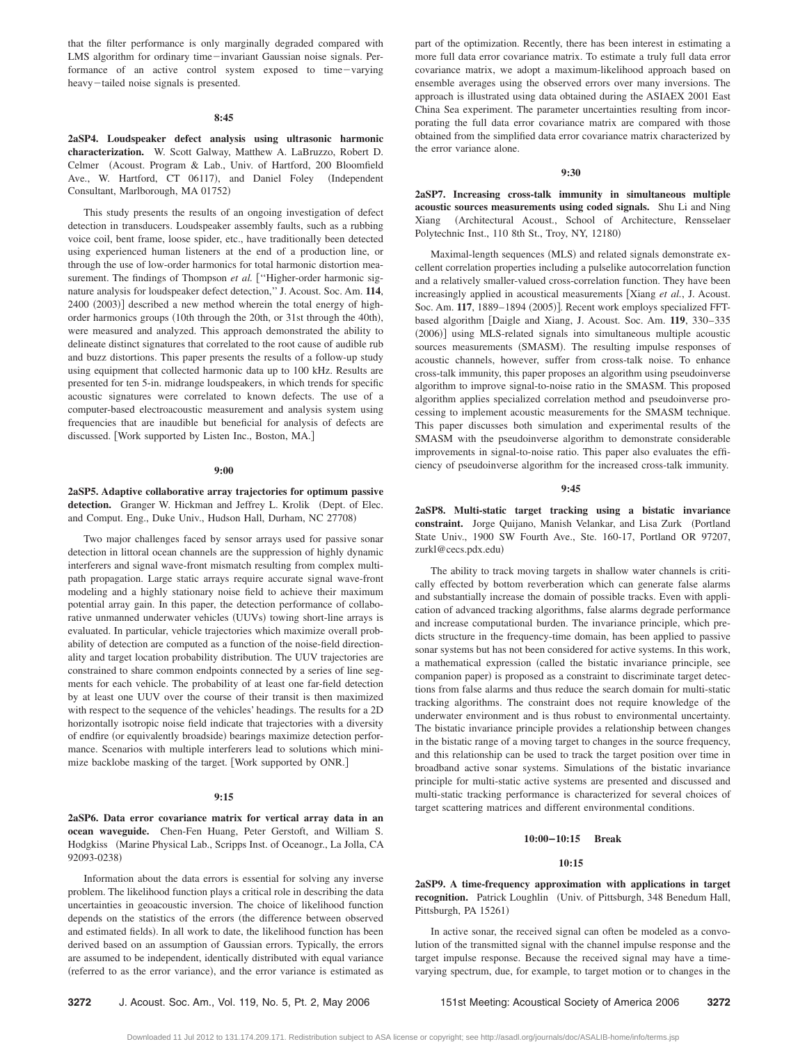that the filter performance is only marginally degraded compared with LMS algorithm for ordinary time-invariant Gaussian noise signals. Performance of an active control system exposed to time-varying heavy-tailed noise signals is presented.

## **8:45**

**2aSP4. Loudspeaker defect analysis using ultrasonic harmonic characterization.** W. Scott Galway, Matthew A. LaBruzzo, Robert D. Celmer (Acoust. Program & Lab., Univ. of Hartford, 200 Bloomfield Ave., W. Hartford, CT 06117), and Daniel Foley (Independent Consultant, Marlborough, MA 01752)

This study presents the results of an ongoing investigation of defect detection in transducers. Loudspeaker assembly faults, such as a rubbing voice coil, bent frame, loose spider, etc., have traditionally been detected using experienced human listeners at the end of a production line, or through the use of low-order harmonics for total harmonic distortion measurement. The findings of Thompson *et al.* ["Higher-order harmonic signature analysis for loudspeaker defect detection,'' J. Acoust. Soc. Am. **114**, 2400 (2003)] described a new method wherein the total energy of highorder harmonics groups (10th through the 20th, or 31st through the 40th), were measured and analyzed. This approach demonstrated the ability to delineate distinct signatures that correlated to the root cause of audible rub and buzz distortions. This paper presents the results of a follow-up study using equipment that collected harmonic data up to 100 kHz. Results are presented for ten 5-in. midrange loudspeakers, in which trends for specific acoustic signatures were correlated to known defects. The use of a computer-based electroacoustic measurement and analysis system using frequencies that are inaudible but beneficial for analysis of defects are discussed. Work supported by Listen Inc., Boston, MA.

#### **9:00**

**2aSP5. Adaptive collaborative array trajectories for optimum passive** detection. Granger W. Hickman and Jeffrey L. Krolik (Dept. of Elec. and Comput. Eng., Duke Univ., Hudson Hall, Durham, NC 27708)

Two major challenges faced by sensor arrays used for passive sonar detection in littoral ocean channels are the suppression of highly dynamic interferers and signal wave-front mismatch resulting from complex multipath propagation. Large static arrays require accurate signal wave-front modeling and a highly stationary noise field to achieve their maximum potential array gain. In this paper, the detection performance of collaborative unmanned underwater vehicles (UUVs) towing short-line arrays is evaluated. In particular, vehicle trajectories which maximize overall probability of detection are computed as a function of the noise-field directionality and target location probability distribution. The UUV trajectories are constrained to share common endpoints connected by a series of line segments for each vehicle. The probability of at least one far-field detection by at least one UUV over the course of their transit is then maximized with respect to the sequence of the vehicles' headings. The results for a 2D horizontally isotropic noise field indicate that trajectories with a diversity of endfire (or equivalently broadside) bearings maximize detection performance. Scenarios with multiple interferers lead to solutions which minimize backlobe masking of the target. Work supported by ONR.

#### **9:15**

**2aSP6. Data error covariance matrix for vertical array data in an ocean waveguide.** Chen-Fen Huang, Peter Gerstoft, and William S. Hodgkiss (Marine Physical Lab., Scripps Inst. of Oceanogr., La Jolla, CA 92093-0238)

Information about the data errors is essential for solving any inverse problem. The likelihood function plays a critical role in describing the data uncertainties in geoacoustic inversion. The choice of likelihood function depends on the statistics of the errors (the difference between observed and estimated fields). In all work to date, the likelihood function has been derived based on an assumption of Gaussian errors. Typically, the errors are assumed to be independent, identically distributed with equal variance (referred to as the error variance), and the error variance is estimated as

part of the optimization. Recently, there has been interest in estimating a more full data error covariance matrix. To estimate a truly full data error covariance matrix, we adopt a maximum-likelihood approach based on ensemble averages using the observed errors over many inversions. The approach is illustrated using data obtained during the ASIAEX 2001 East China Sea experiment. The parameter uncertainties resulting from incorporating the full data error covariance matrix are compared with those obtained from the simplified data error covariance matrix characterized by the error variance alone.

#### **9:30**

**2aSP7. Increasing cross-talk immunity in simultaneous multiple acoustic sources measurements using coded signals.** Shu Li and Ning Xiang Architectural Acoust., School of Architecture, Rensselaer Polytechnic Inst., 110 8th St., Troy, NY, 12180)

Maximal-length sequences (MLS) and related signals demonstrate excellent correlation properties including a pulselike autocorrelation function and a relatively smaller-valued cross-correlation function. They have been increasingly applied in acoustical measurements [Xiang et al., J. Acoust. Soc. Am. 117, 1889-1894 (2005)]. Recent work employs specialized FFTbased algorithm Daigle and Xiang, J. Acoust. Soc. Am. **119**, 330–335 (2006)] using MLS-related signals into simultaneous multiple acoustic sources measurements (SMASM). The resulting impulse responses of acoustic channels, however, suffer from cross-talk noise. To enhance cross-talk immunity, this paper proposes an algorithm using pseudoinverse algorithm to improve signal-to-noise ratio in the SMASM. This proposed algorithm applies specialized correlation method and pseudoinverse processing to implement acoustic measurements for the SMASM technique. This paper discusses both simulation and experimental results of the SMASM with the pseudoinverse algorithm to demonstrate considerable improvements in signal-to-noise ratio. This paper also evaluates the efficiency of pseudoinverse algorithm for the increased cross-talk immunity.

#### **9:45**

**2aSP8. Multi-static target tracking using a bistatic invariance** constraint. Jorge Quijano, Manish Velankar, and Lisa Zurk (Portland State Univ., 1900 SW Fourth Ave., Ste. 160-17, Portland OR 97207, zurkl@cecs.pdx.edu-

The ability to track moving targets in shallow water channels is critically effected by bottom reverberation which can generate false alarms and substantially increase the domain of possible tracks. Even with application of advanced tracking algorithms, false alarms degrade performance and increase computational burden. The invariance principle, which predicts structure in the frequency-time domain, has been applied to passive sonar systems but has not been considered for active systems. In this work, a mathematical expression called the bistatic invariance principle, see companion paper) is proposed as a constraint to discriminate target detections from false alarms and thus reduce the search domain for multi-static tracking algorithms. The constraint does not require knowledge of the underwater environment and is thus robust to environmental uncertainty. The bistatic invariance principle provides a relationship between changes in the bistatic range of a moving target to changes in the source frequency, and this relationship can be used to track the target position over time in broadband active sonar systems. Simulations of the bistatic invariance principle for multi-static active systems are presented and discussed and multi-static tracking performance is characterized for several choices of target scattering matrices and different environmental conditions.

#### **10:00–10:15 Break**

#### **10:15**

**2aSP9. A time-frequency approximation with applications in target** recognition. Patrick Loughlin (Univ. of Pittsburgh, 348 Benedum Hall, Pittsburgh, PA 15261)

In active sonar, the received signal can often be modeled as a convolution of the transmitted signal with the channel impulse response and the target impulse response. Because the received signal may have a timevarying spectrum, due, for example, to target motion or to changes in the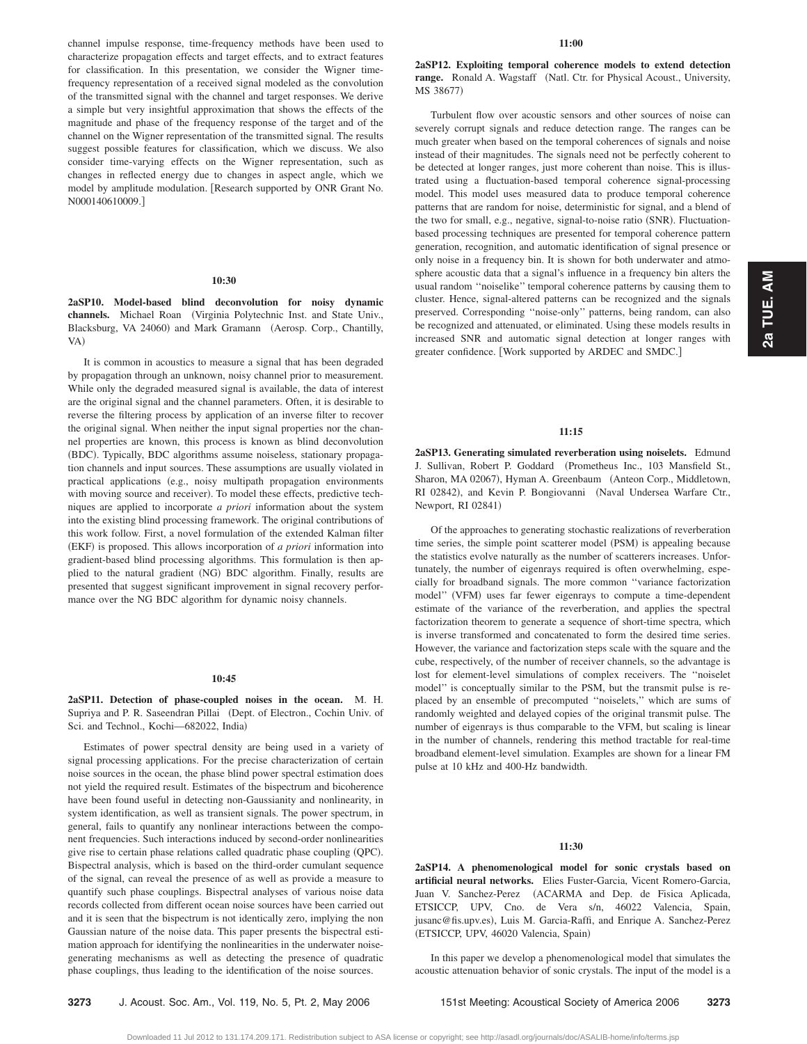channel impulse response, time-frequency methods have been used to characterize propagation effects and target effects, and to extract features for classification. In this presentation, we consider the Wigner timefrequency representation of a received signal modeled as the convolution of the transmitted signal with the channel and target responses. We derive a simple but very insightful approximation that shows the effects of the magnitude and phase of the frequency response of the target and of the channel on the Wigner representation of the transmitted signal. The results suggest possible features for classification, which we discuss. We also consider time-varying effects on the Wigner representation, such as changes in reflected energy due to changes in aspect angle, which we model by amplitude modulation. Research supported by ONR Grant No. N000140610009.

#### **10:30**

**2aSP10. Model-based blind deconvolution for noisy dynamic** channels. Michael Roan (Virginia Polytechnic Inst. and State Univ., Blacksburg, VA 24060) and Mark Gramann (Aerosp. Corp., Chantilly, VA)

It is common in acoustics to measure a signal that has been degraded by propagation through an unknown, noisy channel prior to measurement. While only the degraded measured signal is available, the data of interest are the original signal and the channel parameters. Often, it is desirable to reverse the filtering process by application of an inverse filter to recover the original signal. When neither the input signal properties nor the channel properties are known, this process is known as blind deconvolution (BDC). Typically, BDC algorithms assume noiseless, stationary propagation channels and input sources. These assumptions are usually violated in practical applications (e.g., noisy multipath propagation environments with moving source and receiver). To model these effects, predictive techniques are applied to incorporate *a priori* information about the system into the existing blind processing framework. The original contributions of this work follow. First, a novel formulation of the extended Kalman filter (EKF) is proposed. This allows incorporation of *a priori* information into gradient-based blind processing algorithms. This formulation is then applied to the natural gradient (NG) BDC algorithm. Finally, results are presented that suggest significant improvement in signal recovery performance over the NG BDC algorithm for dynamic noisy channels.

#### **10:45**

**2aSP11. Detection of phase-coupled noises in the ocean.** M. H. Supriya and P. R. Saseendran Pillai (Dept. of Electron., Cochin Univ. of Sci. and Technol., Kochi-682022, India)

Estimates of power spectral density are being used in a variety of signal processing applications. For the precise characterization of certain noise sources in the ocean, the phase blind power spectral estimation does not yield the required result. Estimates of the bispectrum and bicoherence have been found useful in detecting non-Gaussianity and nonlinearity, in system identification, as well as transient signals. The power spectrum, in general, fails to quantify any nonlinear interactions between the component frequencies. Such interactions induced by second-order nonlinearities give rise to certain phase relations called quadratic phase coupling (QPC). Bispectral analysis, which is based on the third-order cumulant sequence of the signal, can reveal the presence of as well as provide a measure to quantify such phase couplings. Bispectral analyses of various noise data records collected from different ocean noise sources have been carried out and it is seen that the bispectrum is not identically zero, implying the non Gaussian nature of the noise data. This paper presents the bispectral estimation approach for identifying the nonlinearities in the underwater noisegenerating mechanisms as well as detecting the presence of quadratic phase couplings, thus leading to the identification of the noise sources.

**2aSP12. Exploiting temporal coherence models to extend detection** range. Ronald A. Wagstaff (Natl. Ctr. for Physical Acoust., University, MS 38677)

Turbulent flow over acoustic sensors and other sources of noise can severely corrupt signals and reduce detection range. The ranges can be much greater when based on the temporal coherences of signals and noise instead of their magnitudes. The signals need not be perfectly coherent to be detected at longer ranges, just more coherent than noise. This is illustrated using a fluctuation-based temporal coherence signal-processing model. This model uses measured data to produce temporal coherence patterns that are random for noise, deterministic for signal, and a blend of the two for small, e.g., negative, signal-to-noise ratio (SNR). Fluctuationbased processing techniques are presented for temporal coherence pattern generation, recognition, and automatic identification of signal presence or only noise in a frequency bin. It is shown for both underwater and atmosphere acoustic data that a signal's influence in a frequency bin alters the usual random ''noiselike'' temporal coherence patterns by causing them to cluster. Hence, signal-altered patterns can be recognized and the signals preserved. Corresponding ''noise-only'' patterns, being random, can also be recognized and attenuated, or eliminated. Using these models results in increased SNR and automatic signal detection at longer ranges with greater confidence. Work supported by ARDEC and SMDC.

# **11:15**

**2aSP13. Generating simulated reverberation using noiselets.** Edmund J. Sullivan, Robert P. Goddard (Prometheus Inc., 103 Mansfield St., Sharon, MA 02067), Hyman A. Greenbaum (Anteon Corp., Middletown, RI 02842), and Kevin P. Bongiovanni (Naval Undersea Warfare Ctr., Newport, RI 02841)

Of the approaches to generating stochastic realizations of reverberation time series, the simple point scatterer model (PSM) is appealing because the statistics evolve naturally as the number of scatterers increases. Unfortunately, the number of eigenrays required is often overwhelming, especially for broadband signals. The more common ''variance factorization model" (VFM) uses far fewer eigenrays to compute a time-dependent estimate of the variance of the reverberation, and applies the spectral factorization theorem to generate a sequence of short-time spectra, which is inverse transformed and concatenated to form the desired time series. However, the variance and factorization steps scale with the square and the cube, respectively, of the number of receiver channels, so the advantage is lost for element-level simulations of complex receivers. The ''noiselet model'' is conceptually similar to the PSM, but the transmit pulse is replaced by an ensemble of precomputed ''noiselets,'' which are sums of randomly weighted and delayed copies of the original transmit pulse. The number of eigenrays is thus comparable to the VFM, but scaling is linear in the number of channels, rendering this method tractable for real-time broadband element-level simulation. Examples are shown for a linear FM pulse at 10 kHz and 400-Hz bandwidth.

# **11:30**

**2aSP14. A phenomenological model for sonic crystals based on artificial neural networks.** Elies Fuster-Garcia, Vicent Romero-Garcia, Juan V. Sanchez-Perez (ACARMA and Dep. de Fisica Aplicada, ETSICCP, UPV, Cno. de Vera s/n, 46022 Valencia, Spain, jusanc@fis.upv.es), Luis M. Garcia-Raffi, and Enrique A. Sanchez-Perez (ETSICCP, UPV, 46020 Valencia, Spain)

In this paper we develop a phenomenological model that simulates the acoustic attenuation behavior of sonic crystals. The input of the model is a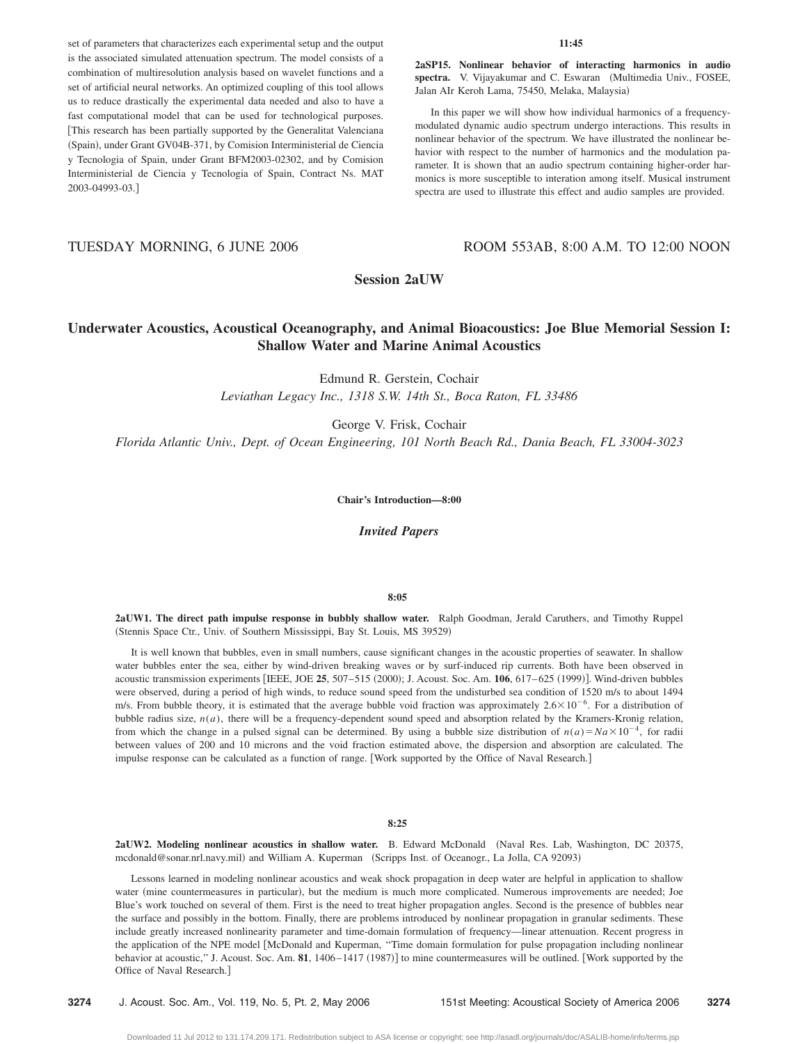set of parameters that characterizes each experimental setup and the output is the associated simulated attenuation spectrum. The model consists of a combination of multiresolution analysis based on wavelet functions and a set of artificial neural networks. An optimized coupling of this tool allows us to reduce drastically the experimental data needed and also to have a fast computational model that can be used for technological purposes. This research has been partially supported by the Generalitat Valenciana (Spain), under Grant GV04B-371, by Comision Interministerial de Ciencia y Tecnologia of Spain, under Grant BFM2003-02302, and by Comision Interministerial de Ciencia y Tecnologia of Spain, Contract Ns. MAT 2003-04993-03.

#### **11:45**

**2aSP15. Nonlinear behavior of interacting harmonics in audio** spectra. V. Vijayakumar and C. Eswaran (Multimedia Univ., FOSEE, Jalan AIr Keroh Lama, 75450, Melaka, Malaysia)

In this paper we will show how individual harmonics of a frequencymodulated dynamic audio spectrum undergo interactions. This results in nonlinear behavior of the spectrum. We have illustrated the nonlinear behavior with respect to the number of harmonics and the modulation parameter. It is shown that an audio spectrum containing higher-order harmonics is more susceptible to interation among itself. Musical instrument spectra are used to illustrate this effect and audio samples are provided.

# TUESDAY MORNING, 6 JUNE 2006 ROOM 553AB, 8:00 A.M. TO 12:00 NOON

**Session 2aUW**

# **Underwater Acoustics, Acoustical Oceanography, and Animal Bioacoustics: Joe Blue Memorial Session I: Shallow Water and Marine Animal Acoustics**

Edmund R. Gerstein, Cochair *Leviathan Legacy Inc., 1318 S.W. 14th St., Boca Raton, FL 33486*

George V. Frisk, Cochair

*Florida Atlantic Univ., Dept. of Ocean Engineering, 101 North Beach Rd., Dania Beach, FL 33004-3023*

**Chair's Introduction—8:00**

*Invited Papers*

#### **8:05**

**2aUW1. The direct path impulse response in bubbly shallow water.** Ralph Goodman, Jerald Caruthers, and Timothy Ruppel (Stennis Space Ctr., Univ. of Southern Mississippi, Bay St. Louis, MS 39529)

It is well known that bubbles, even in small numbers, cause significant changes in the acoustic properties of seawater. In shallow water bubbles enter the sea, either by wind-driven breaking waves or by surf-induced rip currents. Both have been observed in acoustic transmission experiments [IEEE, JOE 25, 507–515 (2000); J. Acoust. Soc. Am. 106, 617–625 (1999)]. Wind-driven bubbles were observed, during a period of high winds, to reduce sound speed from the undisturbed sea condition of 1520 m/s to about 1494 m/s. From bubble theory, it is estimated that the average bubble void fraction was approximately  $2.6 \times 10^{-6}$ . For a distribution of bubble radius size, *n*(*a*), there will be a frequency-dependent sound speed and absorption related by the Kramers-Kronig relation, from which the change in a pulsed signal can be determined. By using a bubble size distribution of  $n(a) = Na \times 10^{-4}$ , for radii between values of 200 and 10 microns and the void fraction estimated above, the dispersion and absorption are calculated. The impulse response can be calculated as a function of range. [Work supported by the Office of Naval Research.]

## **8:25**

2aUW2. Modeling nonlinear acoustics in shallow water. B. Edward McDonald (Naval Res. Lab, Washington, DC 20375, mcdonald@sonar.nrl.navy.mil) and William A. Kuperman (Scripps Inst. of Oceanogr., La Jolla, CA 92093)

Lessons learned in modeling nonlinear acoustics and weak shock propagation in deep water are helpful in application to shallow water (mine countermeasures in particular), but the medium is much more complicated. Numerous improvements are needed; Joe Blue's work touched on several of them. First is the need to treat higher propagation angles. Second is the presence of bubbles near the surface and possibly in the bottom. Finally, there are problems introduced by nonlinear propagation in granular sediments. These include greatly increased nonlinearity parameter and time-domain formulation of frequency—linear attenuation. Recent progress in the application of the NPE model [McDonald and Kuperman, "Time domain formulation for pulse propagation including nonlinear behavior at acoustic," J. Acoust. Soc. Am. 81, 1406–1417 (1987)] to mine countermeasures will be outlined. [Work supported by the Office of Naval Research.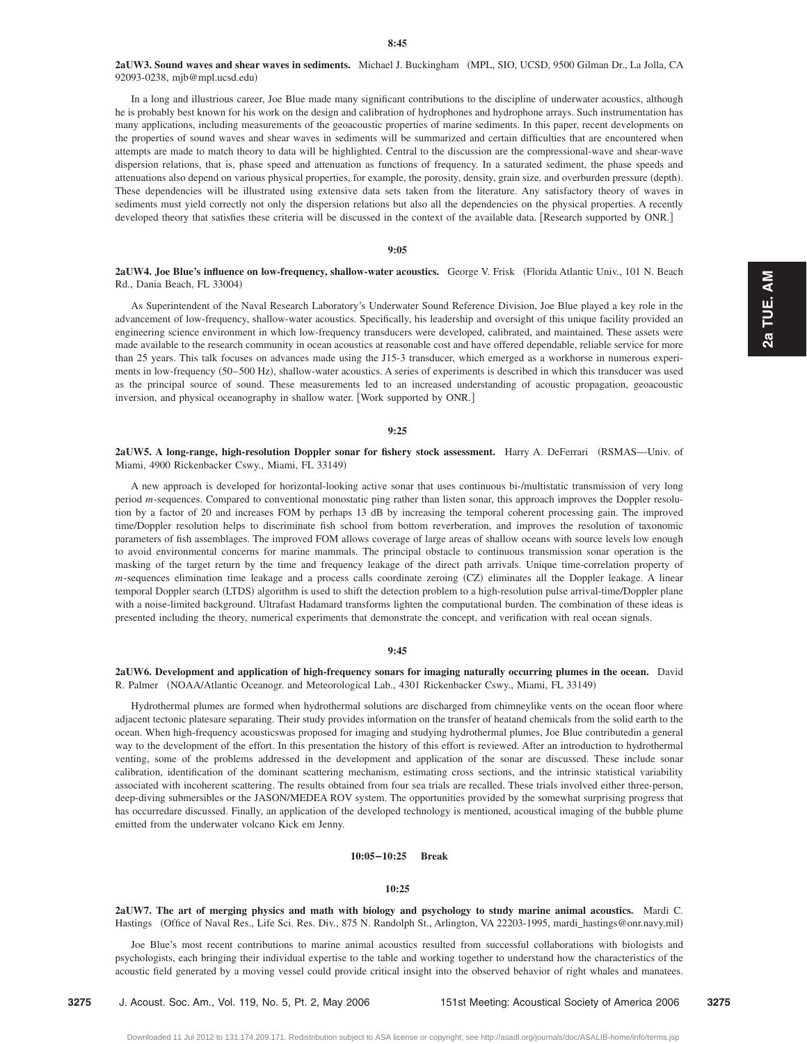# **2aUW3. Sound waves and shear waves in sediments.** Michael J. Buckingham MPL, SIO, UCSD, 9500 Gilman Dr., La Jolla, CA 92093-0238, mjb@mpl.ucsd.edu-

In a long and illustrious career, Joe Blue made many significant contributions to the discipline of underwater acoustics, although he is probably best known for his work on the design and calibration of hydrophones and hydrophone arrays. Such instrumentation has many applications, including measurements of the geoacoustic properties of marine sediments. In this paper, recent developments on the properties of sound waves and shear waves in sediments will be summarized and certain difficulties that are encountered when attempts are made to match theory to data will be highlighted. Central to the discussion are the compressional-wave and shear-wave dispersion relations, that is, phase speed and attenuation as functions of frequency. In a saturated sediment, the phase speeds and attenuations also depend on various physical properties, for example, the porosity, density, grain size, and overburden pressure (depth). These dependencies will be illustrated using extensive data sets taken from the literature. Any satisfactory theory of waves in sediments must yield correctly not only the dispersion relations but also all the dependencies on the physical properties. A recently developed theory that satisfies these criteria will be discussed in the context of the available data. Research supported by ONR.

#### **9:05**

# 2aUW4. Joe Blue's influence on low-frequency, shallow-water acoustics. George V. Frisk (Florida Atlantic Univ., 101 N. Beach Rd., Dania Beach, FL 33004)

As Superintendent of the Naval Research Laboratory's Underwater Sound Reference Division, Joe Blue played a key role in the advancement of low-frequency, shallow-water acoustics. Specifically, his leadership and oversight of this unique facility provided an engineering science environment in which low-frequency transducers were developed, calibrated, and maintained. These assets were made available to the research community in ocean acoustics at reasonable cost and have offered dependable, reliable service for more than 25 years. This talk focuses on advances made using the J15-3 transducer, which emerged as a workhorse in numerous experiments in low-frequency (50-500 Hz), shallow-water acoustics. A series of experiments is described in which this transducer was used as the principal source of sound. These measurements led to an increased understanding of acoustic propagation, geoacoustic inversion, and physical oceanography in shallow water. [Work supported by ONR.]

#### **9:25**

**2aUW5. A long-range, high-resolution Doppler sonar for fishery stock assessment.** Harry A. DeFerrari RSMAS—Univ. of Miami, 4900 Rickenbacker Cswy., Miami, FL 33149)

A new approach is developed for horizontal-looking active sonar that uses continuous bi-/multistatic transmission of very long period *m*-sequences. Compared to conventional monostatic ping rather than listen sonar, this approach improves the Doppler resolution by a factor of 20 and increases FOM by perhaps 13 dB by increasing the temporal coherent processing gain. The improved time/Doppler resolution helps to discriminate fish school from bottom reverberation, and improves the resolution of taxonomic parameters of fish assemblages. The improved FOM allows coverage of large areas of shallow oceans with source levels low enough to avoid environmental concerns for marine mammals. The principal obstacle to continuous transmission sonar operation is the masking of the target return by the time and frequency leakage of the direct path arrivals. Unique time-correlation property of *m*-sequences elimination time leakage and a process calls coordinate zeroing (CZ) eliminates all the Doppler leakage. A linear temporal Doppler search (LTDS) algorithm is used to shift the detection problem to a high-resolution pulse arrival-time/Doppler plane with a noise-limited background. Ultrafast Hadamard transforms lighten the computational burden. The combination of these ideas is presented including the theory, numerical experiments that demonstrate the concept, and verification with real ocean signals.

## **9:45**

# **2aUW6. Development and application of high-frequency sonars for imaging naturally occurring plumes in the ocean.** David R. Palmer (NOAA/Atlantic Oceanogr. and Meteorological Lab., 4301 Rickenbacker Cswy., Miami, FL 33149)

Hydrothermal plumes are formed when hydrothermal solutions are discharged from chimneylike vents on the ocean floor where adjacent tectonic platesare separating. Their study provides information on the transfer of heatand chemicals from the solid earth to the ocean. When high-frequency acousticswas proposed for imaging and studying hydrothermal plumes, Joe Blue contributedin a general way to the development of the effort. In this presentation the history of this effort is reviewed. After an introduction to hydrothermal venting, some of the problems addressed in the development and application of the sonar are discussed. These include sonar calibration, identification of the dominant scattering mechanism, estimating cross sections, and the intrinsic statistical variability associated with incoherent scattering. The results obtained from four sea trials are recalled. These trials involved either three-person, deep-diving submersibles or the JASON/MEDEA ROV system. The opportunities provided by the somewhat surprising progress that has occurredare discussed. Finally, an application of the developed technology is mentioned, acoustical imaging of the bubble plume emitted from the underwater volcano Kick em Jenny.

## **10:05–10:25 Break**

#### **10:25**

**2aUW7. The art of merging physics and math with biology and psychology to study marine animal acoustics.** Mardi C. Hastings (Office of Naval Res., Life Sci. Res. Div., 875 N. Randolph St., Arlington, VA 22203-1995, mardi\_hastings@onr.navy.mil)

Joe Blue's most recent contributions to marine animal acoustics resulted from successful collaborations with biologists and psychologists, each bringing their individual expertise to the table and working together to understand how the characteristics of the acoustic field generated by a moving vessel could provide critical insight into the observed behavior of right whales and manatees.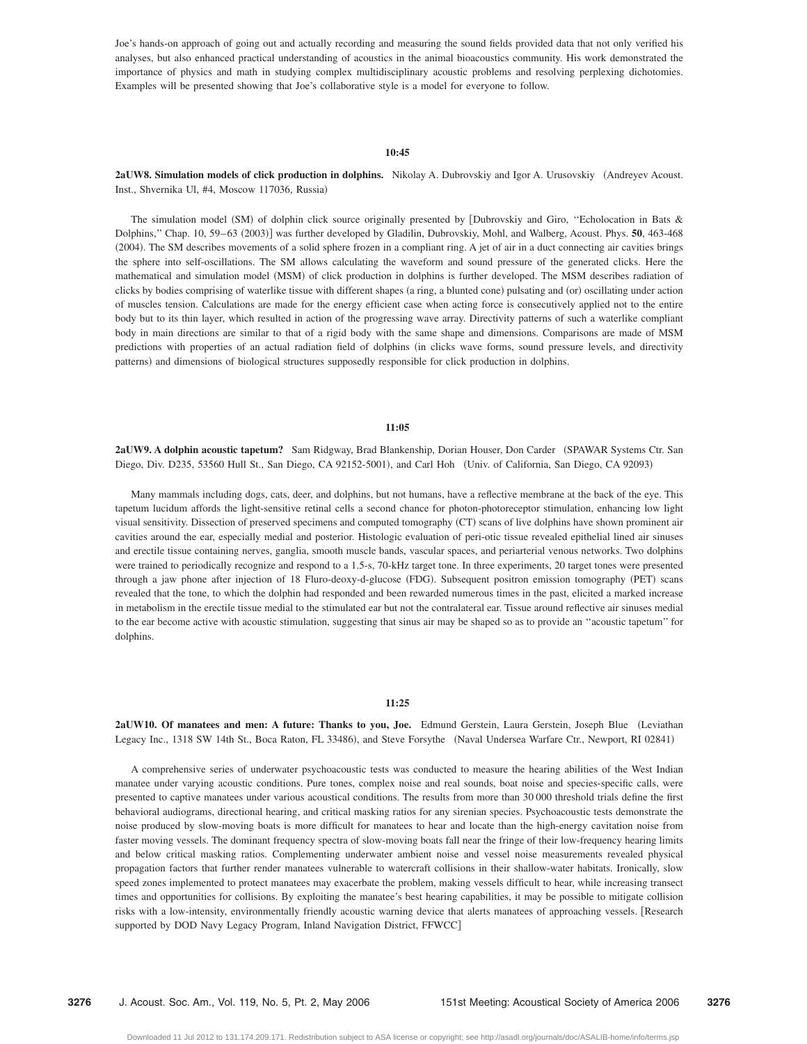Joe's hands-on approach of going out and actually recording and measuring the sound fields provided data that not only verified his analyses, but also enhanced practical understanding of acoustics in the animal bioacoustics community. His work demonstrated the importance of physics and math in studying complex multidisciplinary acoustic problems and resolving perplexing dichotomies. Examples will be presented showing that Joe's collaborative style is a model for everyone to follow.

## **10:45**

# **2aUW8. Simulation models of click production in dolphins.** Nikolay A. Dubrovskiy and Igor A. Urusovskiy (Andreyev Acoust. Inst., Shvernika Ul, #4, Moscow 117036, Russia)

The simulation model (SM) of dolphin click source originally presented by [Dubrovskiy and Giro, "Echolocation in Bats & Dolphins," Chap. 10, 59–63 (2003)] was further developed by Gladilin, Dubrovskiy, Mohl, and Walberg, Acoust. Phys. **50**, 463-468 (2004). The SM describes movements of a solid sphere frozen in a compliant ring. A jet of air in a duct connecting air cavities brings the sphere into self-oscillations. The SM allows calculating the waveform and sound pressure of the generated clicks. Here the mathematical and simulation model (MSM) of click production in dolphins is further developed. The MSM describes radiation of clicks by bodies comprising of waterlike tissue with different shapes (a ring, a blunted cone) pulsating and (or) oscillating under action of muscles tension. Calculations are made for the energy efficient case when acting force is consecutively applied not to the entire body but to its thin layer, which resulted in action of the progressing wave array. Directivity patterns of such a waterlike compliant body in main directions are similar to that of a rigid body with the same shape and dimensions. Comparisons are made of MSM predictions with properties of an actual radiation field of dolphins (in clicks wave forms, sound pressure levels, and directivity patterns) and dimensions of biological structures supposedly responsible for click production in dolphins.

## **11:05**

2aUW9. A dolphin acoustic tapetum? Sam Ridgway, Brad Blankenship, Dorian Houser, Don Carder (SPAWAR Systems Ctr. San Diego, Div. D235, 53560 Hull St., San Diego, CA 92152-5001), and Carl Hoh (Univ. of California, San Diego, CA 92093)

Many mammals including dogs, cats, deer, and dolphins, but not humans, have a reflective membrane at the back of the eye. This tapetum lucidum affords the light-sensitive retinal cells a second chance for photon-photoreceptor stimulation, enhancing low light visual sensitivity. Dissection of preserved specimens and computed tomography (CT) scans of live dolphins have shown prominent air cavities around the ear, especially medial and posterior. Histologic evaluation of peri-otic tissue revealed epithelial lined air sinuses and erectile tissue containing nerves, ganglia, smooth muscle bands, vascular spaces, and periarterial venous networks. Two dolphins were trained to periodically recognize and respond to a 1.5-s, 70-kHz target tone. In three experiments, 20 target tones were presented through a jaw phone after injection of 18 Fluro-deoxy-d-glucose (FDG). Subsequent positron emission tomography (PET) scans revealed that the tone, to which the dolphin had responded and been rewarded numerous times in the past, elicited a marked increase in metabolism in the erectile tissue medial to the stimulated ear but not the contralateral ear. Tissue around reflective air sinuses medial to the ear become active with acoustic stimulation, suggesting that sinus air may be shaped so as to provide an ''acoustic tapetum'' for dolphins.

#### **11:25**

**2aUW10. Of manatees and men: A future: Thanks to you, Joe.** Edmund Gerstein, Laura Gerstein, Joseph Blue Leviathan Legacy Inc., 1318 SW 14th St., Boca Raton, FL 33486), and Steve Forsythe (Naval Undersea Warfare Ctr., Newport, RI 02841)

A comprehensive series of underwater psychoacoustic tests was conducted to measure the hearing abilities of the West Indian manatee under varying acoustic conditions. Pure tones, complex noise and real sounds, boat noise and species-specific calls, were presented to captive manatees under various acoustical conditions. The results from more than 30 000 threshold trials define the first behavioral audiograms, directional hearing, and critical masking ratios for any sirenian species. Psychoacoustic tests demonstrate the noise produced by slow-moving boats is more difficult for manatees to hear and locate than the high-energy cavitation noise from faster moving vessels. The dominant frequency spectra of slow-moving boats fall near the fringe of their low-frequency hearing limits and below critical masking ratios. Complementing underwater ambient noise and vessel noise measurements revealed physical propagation factors that further render manatees vulnerable to watercraft collisions in their shallow-water habitats. Ironically, slow speed zones implemented to protect manatees may exacerbate the problem, making vessels difficult to hear, while increasing transect times and opportunities for collisions. By exploiting the manatee's best hearing capabilities, it may be possible to mitigate collision risks with a low-intensity, environmentally friendly acoustic warning device that alerts manatees of approaching vessels. Research supported by DOD Navy Legacy Program, Inland Navigation District, FFWCC]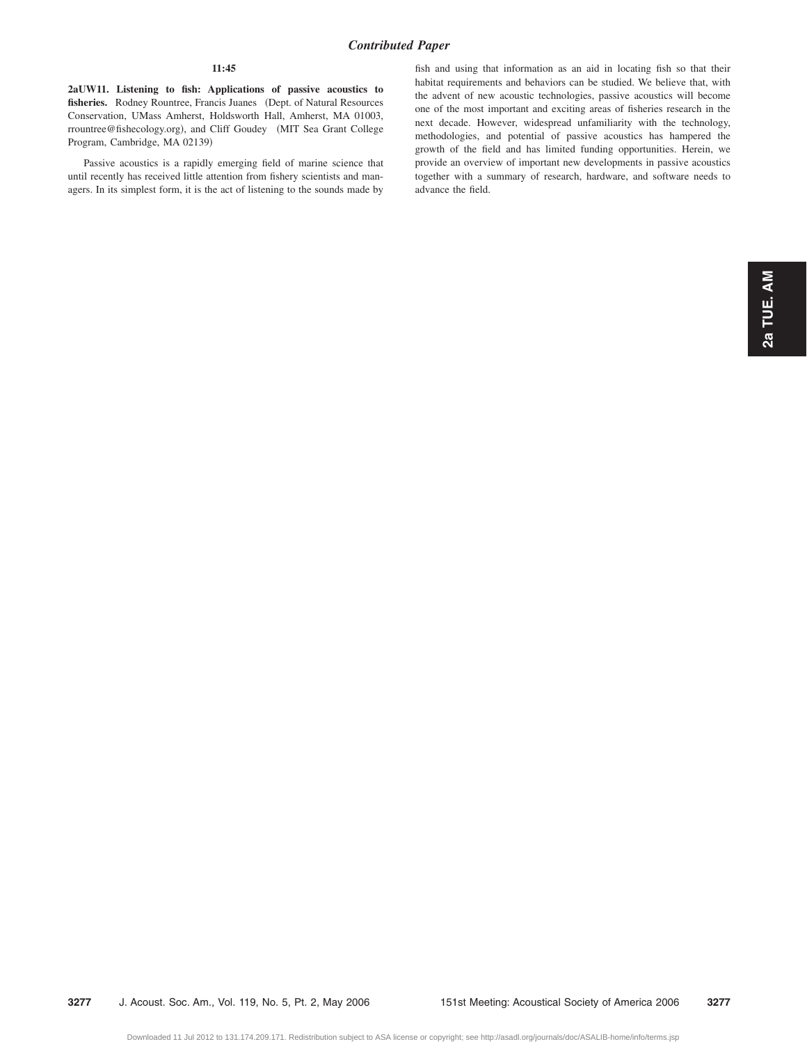# **11:45**

**2aUW11. Listening to fish: Applications of passive acoustics to** fisheries. Rodney Rountree, Francis Juanes (Dept. of Natural Resources Conservation, UMass Amherst, Holdsworth Hall, Amherst, MA 01003, rrountree@fishecology.org), and Cliff Goudey (MIT Sea Grant College Program, Cambridge, MA 02139)

Passive acoustics is a rapidly emerging field of marine science that until recently has received little attention from fishery scientists and managers. In its simplest form, it is the act of listening to the sounds made by fish and using that information as an aid in locating fish so that their habitat requirements and behaviors can be studied. We believe that, with the advent of new acoustic technologies, passive acoustics will become one of the most important and exciting areas of fisheries research in the next decade. However, widespread unfamiliarity with the technology, methodologies, and potential of passive acoustics has hampered the growth of the field and has limited funding opportunities. Herein, we provide an overview of important new developments in passive acoustics together with a summary of research, hardware, and software needs to advance the field.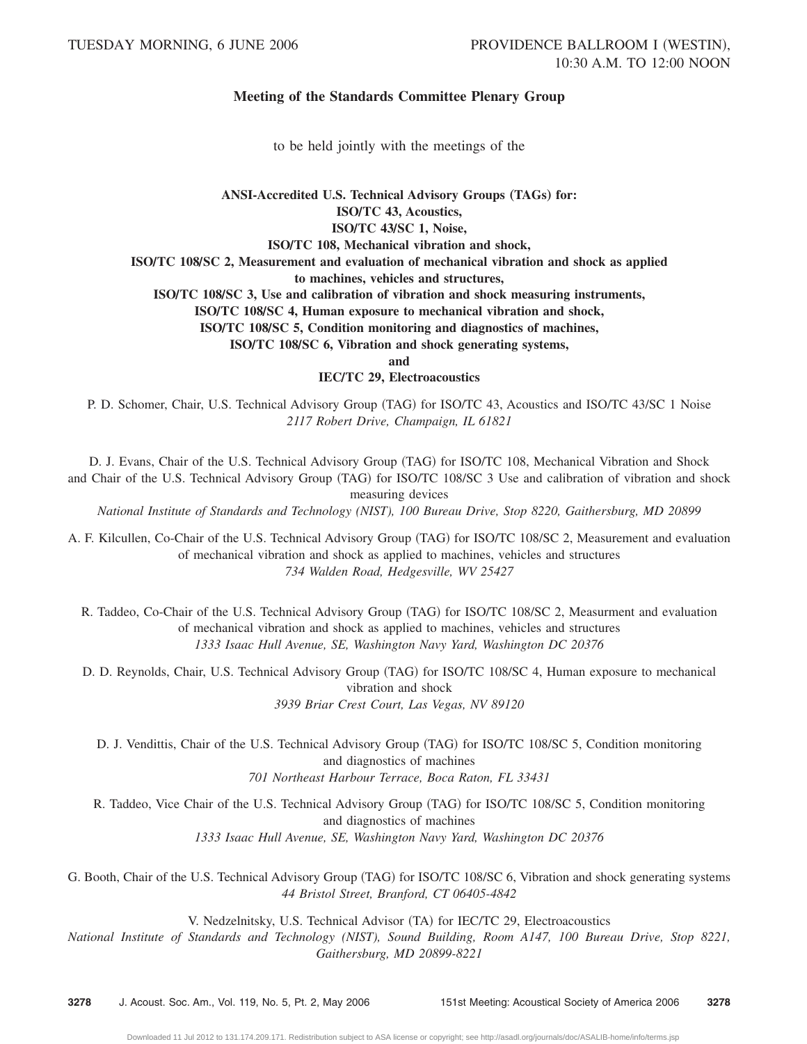# **Meeting of the Standards Committee Plenary Group**

to be held jointly with the meetings of the

# ANSI-Accredited U.S. Technical Advisory Groups (TAGs) for: **ISOÕTC 43, Acoustics, ISOÕTC 43ÕSC 1, Noise, ISOÕTC 108, Mechanical vibration and shock, ISOÕTC 108ÕSC 2, Measurement and evaluation of mechanical vibration and shock as applied to machines, vehicles and structures, ISOÕTC 108ÕSC 3, Use and calibration of vibration and shock measuring instruments, ISOÕTC 108ÕSC 4, Human exposure to mechanical vibration and shock,**

**ISOÕTC 108ÕSC 5, Condition monitoring and diagnostics of machines,**

**ISO**/**TC** 108/SC 6, Vibration and shock generating systems,

**and**

# **IEC/TC 29, Electroacoustics**

P. D. Schomer, Chair, U.S. Technical Advisory Group (TAG) for ISO/TC 43, Acoustics and ISO/TC 43/SC 1 Noise *2117 Robert Drive, Champaign, IL 61821*

D. J. Evans, Chair of the U.S. Technical Advisory Group (TAG) for ISO/TC 108, Mechanical Vibration and Shock and Chair of the U.S. Technical Advisory Group (TAG) for ISO/TC 108/SC 3 Use and calibration of vibration and shock measuring devices

*National Institute of Standards and Technology (NIST), 100 Bureau Drive, Stop 8220, Gaithersburg, MD 20899*

A. F. Kilcullen, Co-Chair of the U.S. Technical Advisory Group (TAG) for ISO/TC 108/SC 2, Measurement and evaluation of mechanical vibration and shock as applied to machines, vehicles and structures *734 Walden Road, Hedgesville, WV 25427*

R. Taddeo, Co-Chair of the U.S. Technical Advisory Group (TAG) for ISO/TC 108/SC 2, Measurment and evaluation of mechanical vibration and shock as applied to machines, vehicles and structures *1333 Isaac Hull Avenue, SE, Washington Navy Yard, Washington DC 20376*

D. D. Reynolds, Chair, U.S. Technical Advisory Group (TAG) for ISO/TC 108/SC 4, Human exposure to mechanical vibration and shock *3939 Briar Crest Court, Las Vegas, NV 89120*

D. J. Vendittis, Chair of the U.S. Technical Advisory Group (TAG) for ISO/TC 108/SC 5, Condition monitoring and diagnostics of machines *701 Northeast Harbour Terrace, Boca Raton, FL 33431*

R. Taddeo, Vice Chair of the U.S. Technical Advisory Group (TAG) for ISO/TC 108/SC 5, Condition monitoring and diagnostics of machines *1333 Isaac Hull Avenue, SE, Washington Navy Yard, Washington DC 20376*

G. Booth, Chair of the U.S. Technical Advisory Group (TAG) for ISO/TC 108/SC 6, Vibration and shock generating systems *44 Bristol Street, Branford, CT 06405-4842*

V. Nedzelnitsky, U.S. Technical Advisor (TA) for IEC/TC 29, Electroacoustics

*National Institute of Standards and Technology (NIST), Sound Building, Room A147, 100 Bureau Drive, Stop 8221, Gaithersburg, MD 20899-8221*

**3278** J. Acoust. Soc. Am., Vol. 119, No. 5, Pt. 2, May 2006 151st Meeting: Acoustical Society of America 2006 **3278**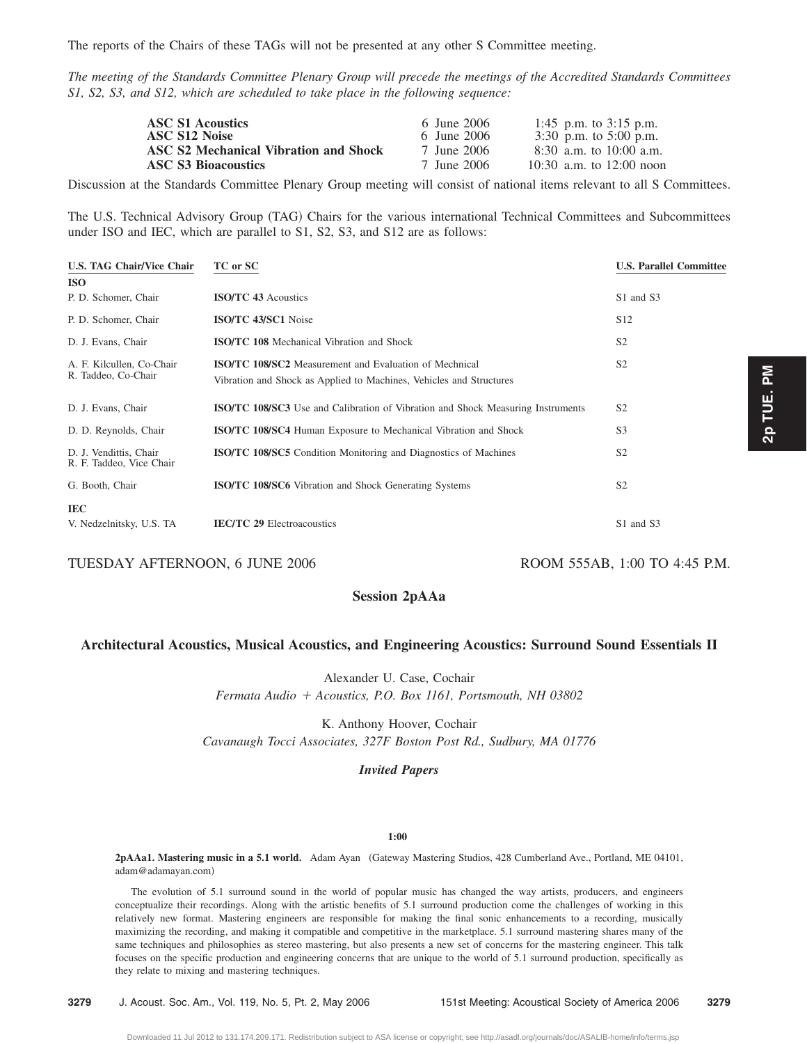The reports of the Chairs of these TAGs will not be presented at any other S Committee meeting.

*The meeting of the Standards Committee Plenary Group will precede the meetings of the Accredited Standards Committees S1, S2, S3, and S12, which are scheduled to take place in the following sequence:*

| <b>ASC S1 Acoustics</b><br>ASC S12 Noise     | 6 June 2006<br>6 June 2006 | 1:45 p.m. to $3:15$ p.m.<br>3:30 p.m. to $5:00$ p.m. |
|----------------------------------------------|----------------------------|------------------------------------------------------|
| <b>ASC S2 Mechanical Vibration and Shock</b> | 7 June 2006                | $8:30$ a.m. to 10:00 a.m.                            |
| <b>ASC S3 Bioacoustics</b>                   | 7 June 2006                | 10:30 a.m. to 12:00 noon                             |

Discussion at the Standards Committee Plenary Group meeting will consist of national items relevant to all S Committees.

The U.S. Technical Advisory Group (TAG) Chairs for the various international Technical Committees and Subcommittees under ISO and IEC, which are parallel to S1, S2, S3, and S12 are as follows:

| U.S. TAG Chair/Vice Chair                          | TC or SC                                                                                                                             | <b>U.S. Parallel Committee</b> |
|----------------------------------------------------|--------------------------------------------------------------------------------------------------------------------------------------|--------------------------------|
| ISO                                                |                                                                                                                                      |                                |
| P. D. Schomer, Chair                               | <b>ISO/TC 43 Acoustics</b>                                                                                                           | S1 and S3                      |
| P. D. Schomer, Chair                               | ISO/TC 43/SC1 Noise                                                                                                                  | S <sub>12</sub>                |
| D. J. Evans, Chair                                 | <b>ISO/TC 108</b> Mechanical Vibration and Shock                                                                                     | S <sub>2</sub>                 |
| A. F. Kilcullen, Co-Chair<br>R. Taddeo, Co-Chair   | <b>ISO/TC 108/SC2</b> Measurement and Evaluation of Mechnical<br>Vibration and Shock as Applied to Machines, Vehicles and Structures | S <sub>2</sub>                 |
| D. J. Evans, Chair                                 | <b>ISO/TC 108/SC3</b> Use and Calibration of Vibration and Shock Measuring Instruments                                               | S <sub>2</sub>                 |
| D. D. Reynolds, Chair                              | ISO/TC 108/SC4 Human Exposure to Mechanical Vibration and Shock                                                                      | S <sub>3</sub>                 |
| D. J. Vendittis, Chair<br>R. F. Taddeo, Vice Chair | <b>ISO/TC 108/SC5</b> Condition Monitoring and Diagnostics of Machines                                                               | S <sub>2</sub>                 |
| G. Booth, Chair                                    | <b>ISO/TC 108/SC6</b> Vibration and Shock Generating Systems                                                                         | S <sub>2</sub>                 |
| IEC<br>V. Nedzelnitsky, U.S. TA                    | <b>IEC/TC 29 Electroacoustics</b>                                                                                                    | S1 and S3                      |

TUESDAY AFTERNOON, 6 JUNE 2006 ROOM 555AB, 1:00 TO 4:45 P.M.

# **Session 2pAAa**

# **Architectural Acoustics, Musical Acoustics, and Engineering Acoustics: Surround Sound Essentials II**

Alexander U. Case, Cochair *Fermata Audio Acoustics, P.O. Box 1161, Portsmouth, NH 03802*

K. Anthony Hoover, Cochair *Cavanaugh Tocci Associates, 327F Boston Post Rd., Sudbury, MA 01776*

# *Invited Papers*

# **1:00**

**2pAAa1. Mastering music in a 5.1 world.** Adam Ayan Gateway Mastering Studios, 428 Cumberland Ave., Portland, ME 04101, adam@adamayan.com)

The evolution of 5.1 surround sound in the world of popular music has changed the way artists, producers, and engineers conceptualize their recordings. Along with the artistic benefits of 5.1 surround production come the challenges of working in this relatively new format. Mastering engineers are responsible for making the final sonic enhancements to a recording, musically maximizing the recording, and making it compatible and competitive in the marketplace. 5.1 surround mastering shares many of the same techniques and philosophies as stereo mastering, but also presents a new set of concerns for the mastering engineer. This talk focuses on the specific production and engineering concerns that are unique to the world of 5.1 surround production, specifically as they relate to mixing and mastering techniques.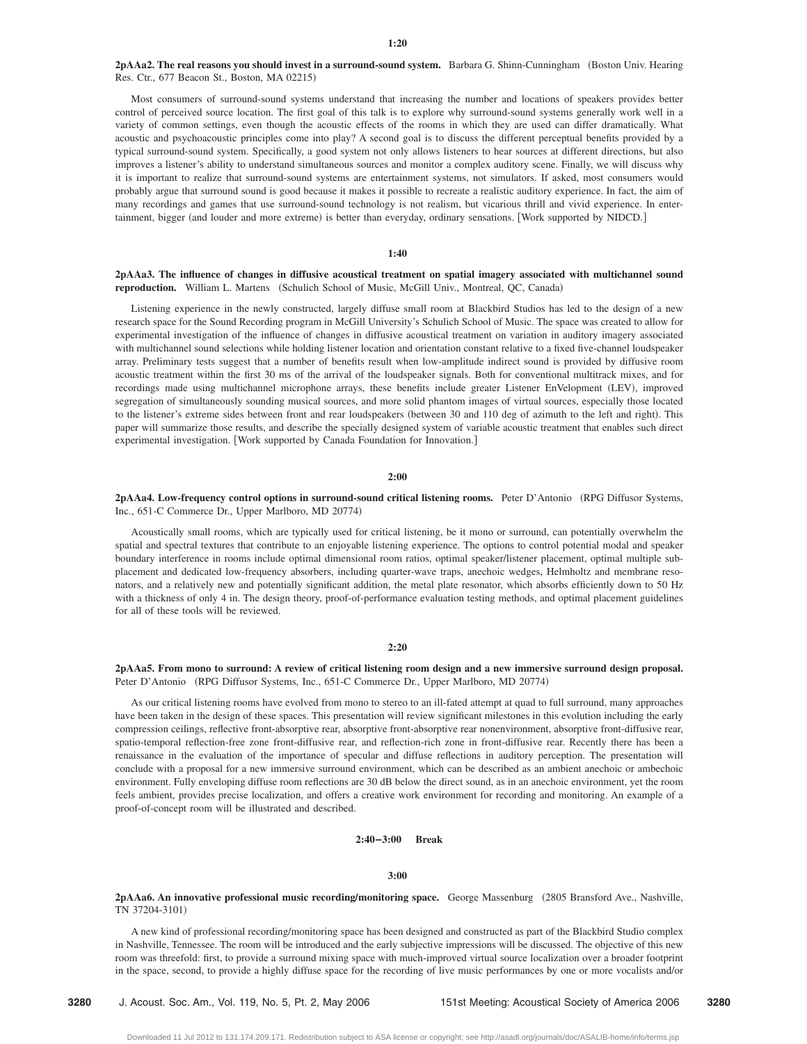# 2pAAa2. The real reasons you should invest in a surround-sound system. Barbara G. Shinn-Cunningham (Boston Univ. Hearing Res. Ctr., 677 Beacon St., Boston, MA 02215)

Most consumers of surround-sound systems understand that increasing the number and locations of speakers provides better control of perceived source location. The first goal of this talk is to explore why surround-sound systems generally work well in a variety of common settings, even though the acoustic effects of the rooms in which they are used can differ dramatically. What acoustic and psychoacoustic principles come into play? A second goal is to discuss the different perceptual benefits provided by a typical surround-sound system. Specifically, a good system not only allows listeners to hear sources at different directions, but also improves a listener's ability to understand simultaneous sources and monitor a complex auditory scene. Finally, we will discuss why it is important to realize that surround-sound systems are entertainment systems, not simulators. If asked, most consumers would probably argue that surround sound is good because it makes it possible to recreate a realistic auditory experience. In fact, the aim of many recordings and games that use surround-sound technology is not realism, but vicarious thrill and vivid experience. In entertainment, bigger (and louder and more extreme) is better than everyday, ordinary sensations. [Work supported by NIDCD.]

## **1:40**

# **2pAAa3. The influence of changes in diffusive acoustical treatment on spatial imagery associated with multichannel sound** reproduction. William L. Martens (Schulich School of Music, McGill Univ., Montreal, QC, Canada)

Listening experience in the newly constructed, largely diffuse small room at Blackbird Studios has led to the design of a new research space for the Sound Recording program in McGill University's Schulich School of Music. The space was created to allow for experimental investigation of the influence of changes in diffusive acoustical treatment on variation in auditory imagery associated with multichannel sound selections while holding listener location and orientation constant relative to a fixed five-channel loudspeaker array. Preliminary tests suggest that a number of benefits result when low-amplitude indirect sound is provided by diffusive room acoustic treatment within the first 30 ms of the arrival of the loudspeaker signals. Both for conventional multitrack mixes, and for recordings made using multichannel microphone arrays, these benefits include greater Listener EnVelopment (LEV), improved segregation of simultaneously sounding musical sources, and more solid phantom images of virtual sources, especially those located to the listener's extreme sides between front and rear loudspeakers (between 30 and 110 deg of azimuth to the left and right). This paper will summarize those results, and describe the specially designed system of variable acoustic treatment that enables such direct experimental investigation. [Work supported by Canada Foundation for Innovation.]

## **2:00**

# **2pAAa4. Low-frequency control options in surround-sound critical listening rooms.** Peter D'Antonio RPG Diffusor Systems, Inc., 651-C Commerce Dr., Upper Marlboro, MD 20774)

Acoustically small rooms, which are typically used for critical listening, be it mono or surround, can potentially overwhelm the spatial and spectral textures that contribute to an enjoyable listening experience. The options to control potential modal and speaker boundary interference in rooms include optimal dimensional room ratios, optimal speaker/listener placement, optimal multiple subplacement and dedicated low-frequency absorbers, including quarter-wave traps, anechoic wedges, Helmholtz and membrane resonators, and a relatively new and potentially significant addition, the metal plate resonator, which absorbs efficiently down to 50 Hz with a thickness of only 4 in. The design theory, proof-of-performance evaluation testing methods, and optimal placement guidelines for all of these tools will be reviewed.

## **2:20**

# **2pAAa5. From mono to surround: A review of critical listening room design and a new immersive surround design proposal.** Peter D'Antonio (RPG Diffusor Systems, Inc., 651-C Commerce Dr., Upper Marlboro, MD 20774)

As our critical listening rooms have evolved from mono to stereo to an ill-fated attempt at quad to full surround, many approaches have been taken in the design of these spaces. This presentation will review significant milestones in this evolution including the early compression ceilings, reflective front-absorptive rear, absorptive front-absorptive rear nonenvironment, absorptive front-diffusive rear, spatio-temporal reflection-free zone front-diffusive rear, and reflection-rich zone in front-diffusive rear. Recently there has been a renaissance in the evaluation of the importance of specular and diffuse reflections in auditory perception. The presentation will conclude with a proposal for a new immersive surround environment, which can be described as an ambient anechoic or ambechoic environment. Fully enveloping diffuse room reflections are 30 dB below the direct sound, as in an anechoic environment, yet the room feels ambient, provides precise localization, and offers a creative work environment for recording and monitoring. An example of a proof-of-concept room will be illustrated and described.

# **2:40–3:00 Break**

#### **3:00**

2pAAa6. An innovative professional music recording/monitoring space. George Massenburg (2805 Bransford Ave., Nashville, TN 37204-3101)

A new kind of professional recording/monitoring space has been designed and constructed as part of the Blackbird Studio complex in Nashville, Tennessee. The room will be introduced and the early subjective impressions will be discussed. The objective of this new room was threefold: first, to provide a surround mixing space with much-improved virtual source localization over a broader footprint in the space, second, to provide a highly diffuse space for the recording of live music performances by one or more vocalists and/or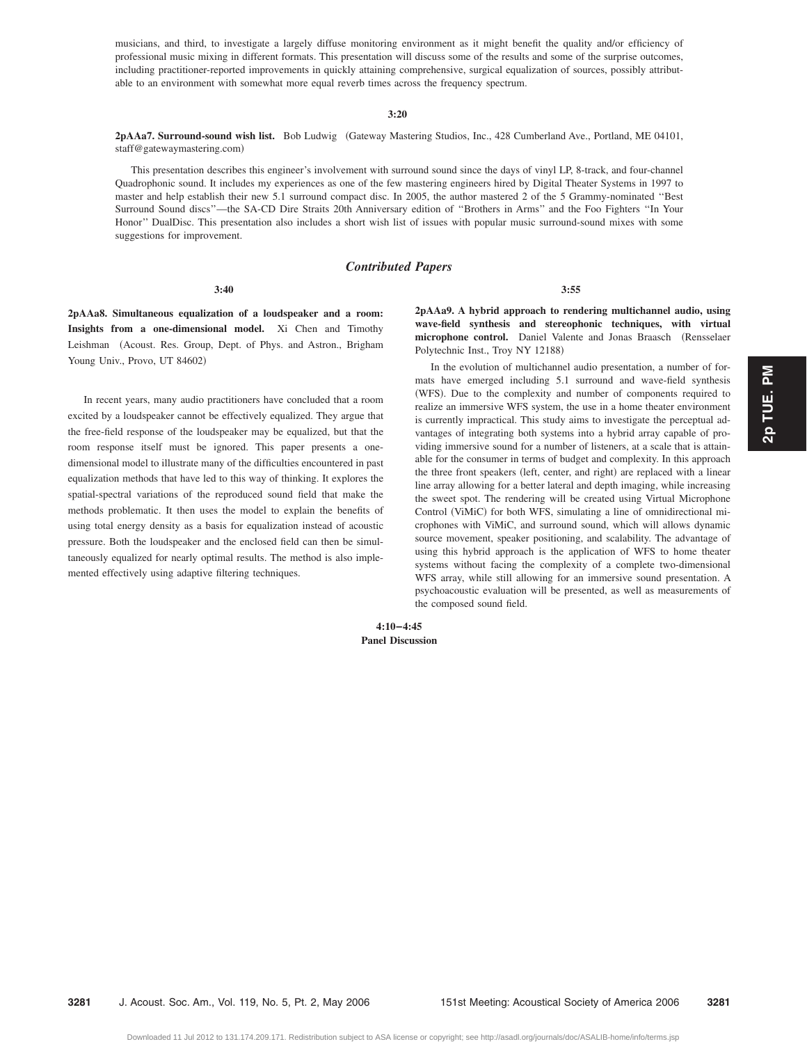musicians, and third, to investigate a largely diffuse monitoring environment as it might benefit the quality and/or efficiency of professional music mixing in different formats. This presentation will discuss some of the results and some of the surprise outcomes, including practitioner-reported improvements in quickly attaining comprehensive, surgical equalization of sources, possibly attributable to an environment with somewhat more equal reverb times across the frequency spectrum.

#### **3:20**

**2pAAa7. Surround-sound wish list.** Bob Ludwig Gateway Mastering Studios, Inc., 428 Cumberland Ave., Portland, ME 04101, staff@gatewaymastering.com)

This presentation describes this engineer's involvement with surround sound since the days of vinyl LP, 8-track, and four-channel Quadrophonic sound. It includes my experiences as one of the few mastering engineers hired by Digital Theater Systems in 1997 to master and help establish their new 5.1 surround compact disc. In 2005, the author mastered 2 of the 5 Grammy-nominated ''Best Surround Sound discs''—the SA-CD Dire Straits 20th Anniversary edition of ''Brothers in Arms'' and the Foo Fighters ''In Your Honor'' DualDisc. This presentation also includes a short wish list of issues with popular music surround-sound mixes with some suggestions for improvement.

# *Contributed Papers*

**3:55**

**3:40**

**2pAAa8. Simultaneous equalization of a loudspeaker and a room: Insights from a one-dimensional model.** Xi Chen and Timothy Leishman (Acoust. Res. Group, Dept. of Phys. and Astron., Brigham Young Univ., Provo, UT 84602)

In recent years, many audio practitioners have concluded that a room excited by a loudspeaker cannot be effectively equalized. They argue that the free-field response of the loudspeaker may be equalized, but that the room response itself must be ignored. This paper presents a onedimensional model to illustrate many of the difficulties encountered in past equalization methods that have led to this way of thinking. It explores the spatial-spectral variations of the reproduced sound field that make the methods problematic. It then uses the model to explain the benefits of using total energy density as a basis for equalization instead of acoustic pressure. Both the loudspeaker and the enclosed field can then be simultaneously equalized for nearly optimal results. The method is also implemented effectively using adaptive filtering techniques.

**2pAAa9. A hybrid approach to rendering multichannel audio, using wave-field synthesis and stereophonic techniques, with virtual** microphone control. Daniel Valente and Jonas Braasch (Rensselaer Polytechnic Inst., Troy NY 12188)

In the evolution of multichannel audio presentation, a number of formats have emerged including 5.1 surround and wave-field synthesis (WFS). Due to the complexity and number of components required to realize an immersive WFS system, the use in a home theater environment is currently impractical. This study aims to investigate the perceptual advantages of integrating both systems into a hybrid array capable of providing immersive sound for a number of listeners, at a scale that is attainable for the consumer in terms of budget and complexity. In this approach the three front speakers (left, center, and right) are replaced with a linear line array allowing for a better lateral and depth imaging, while increasing the sweet spot. The rendering will be created using Virtual Microphone Control (ViMiC) for both WFS, simulating a line of omnidirectional microphones with ViMiC, and surround sound, which will allows dynamic source movement, speaker positioning, and scalability. The advantage of using this hybrid approach is the application of WFS to home theater systems without facing the complexity of a complete two-dimensional WFS array, while still allowing for an immersive sound presentation. A psychoacoustic evaluation will be presented, as well as measurements of the composed sound field.

**4:10–4:45 Panel Discussion**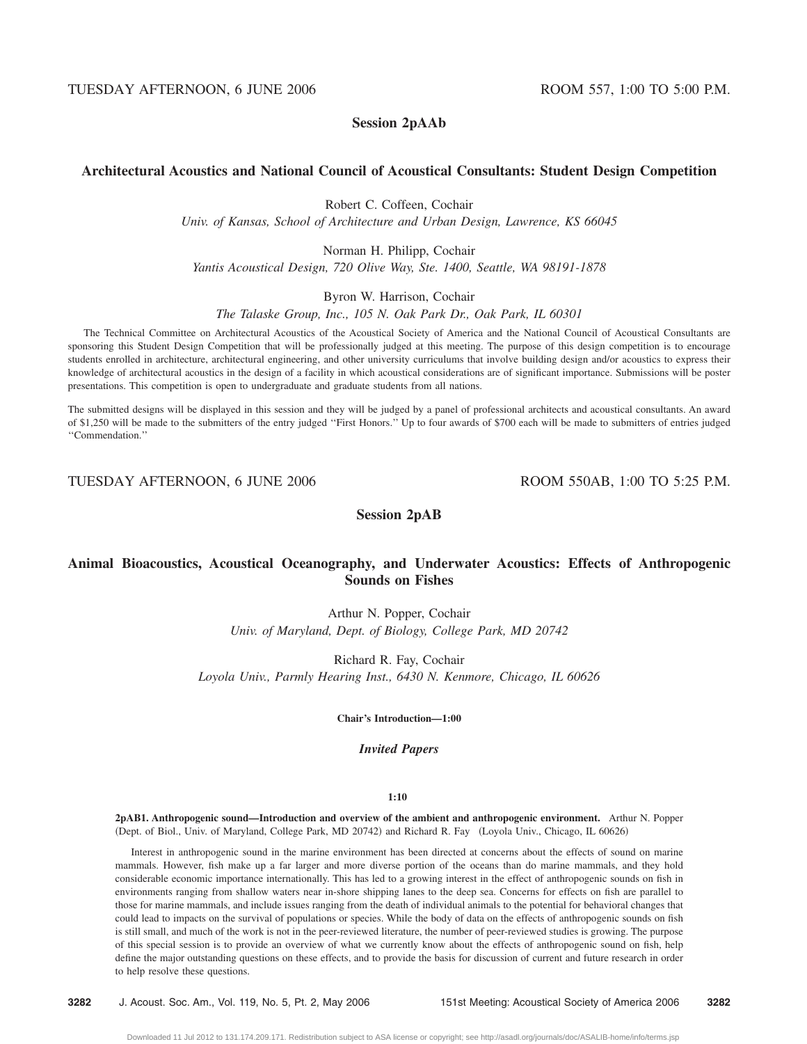# **Session 2pAAb**

# **Architectural Acoustics and National Council of Acoustical Consultants: Student Design Competition**

Robert C. Coffeen, Cochair

*Univ. of Kansas, School of Architecture and Urban Design, Lawrence, KS 66045*

Norman H. Philipp, Cochair

*Yantis Acoustical Design, 720 Olive Way, Ste. 1400, Seattle, WA 98191-1878*

Byron W. Harrison, Cochair

*The Talaske Group, Inc., 105 N. Oak Park Dr., Oak Park, IL 60301*

The Technical Committee on Architectural Acoustics of the Acoustical Society of America and the National Council of Acoustical Consultants are sponsoring this Student Design Competition that will be professionally judged at this meeting. The purpose of this design competition is to encourage students enrolled in architecture, architectural engineering, and other university curriculums that involve building design and/or acoustics to express their knowledge of architectural acoustics in the design of a facility in which acoustical considerations are of significant importance. Submissions will be poster presentations. This competition is open to undergraduate and graduate students from all nations.

The submitted designs will be displayed in this session and they will be judged by a panel of professional architects and acoustical consultants. An award of \$1,250 will be made to the submitters of the entry judged ''First Honors.'' Up to four awards of \$700 each will be made to submitters of entries judged ''Commendation.''

TUESDAY AFTERNOON, 6 JUNE 2006 ROOM 550AB, 1:00 TO 5:25 P.M.

**Session 2pAB**

# **Animal Bioacoustics, Acoustical Oceanography, and Underwater Acoustics: Effects of Anthropogenic Sounds on Fishes**

Arthur N. Popper, Cochair *Univ. of Maryland, Dept. of Biology, College Park, MD 20742*

Richard R. Fay, Cochair *Loyola Univ., Parmly Hearing Inst., 6430 N. Kenmore, Chicago, IL 60626*

**Chair's Introduction—1:00**

*Invited Papers*

# **1:10**

**2pAB1. Anthropogenic sound—Introduction and overview of the ambient and anthropogenic environment.** Arthur N. Popper (Dept. of Biol., Univ. of Maryland, College Park, MD 20742) and Richard R. Fay (Loyola Univ., Chicago, IL 60626)

Interest in anthropogenic sound in the marine environment has been directed at concerns about the effects of sound on marine mammals. However, fish make up a far larger and more diverse portion of the oceans than do marine mammals, and they hold considerable economic importance internationally. This has led to a growing interest in the effect of anthropogenic sounds on fish in environments ranging from shallow waters near in-shore shipping lanes to the deep sea. Concerns for effects on fish are parallel to those for marine mammals, and include issues ranging from the death of individual animals to the potential for behavioral changes that could lead to impacts on the survival of populations or species. While the body of data on the effects of anthropogenic sounds on fish is still small, and much of the work is not in the peer-reviewed literature, the number of peer-reviewed studies is growing. The purpose of this special session is to provide an overview of what we currently know about the effects of anthropogenic sound on fish, help define the major outstanding questions on these effects, and to provide the basis for discussion of current and future research in order to help resolve these questions.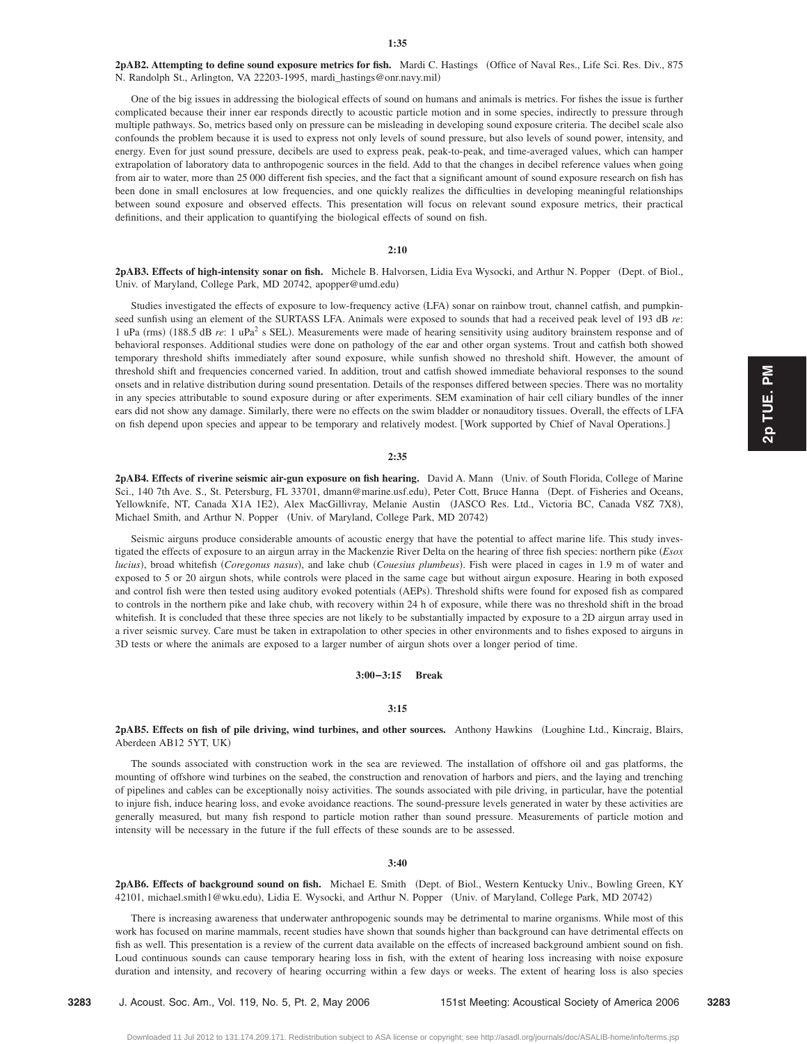**2pAB2. Attempting to define sound exposure metrics for fish.** Mardi C. Hastings Office of Naval Res., Life Sci. Res. Div., 875 N. Randolph St., Arlington, VA 22203-1995, mardi\_hastings@onr.navy.mil)

One of the big issues in addressing the biological effects of sound on humans and animals is metrics. For fishes the issue is further complicated because their inner ear responds directly to acoustic particle motion and in some species, indirectly to pressure through multiple pathways. So, metrics based only on pressure can be misleading in developing sound exposure criteria. The decibel scale also confounds the problem because it is used to express not only levels of sound pressure, but also levels of sound power, intensity, and energy. Even for just sound pressure, decibels are used to express peak, peak-to-peak, and time-averaged values, which can hamper extrapolation of laboratory data to anthropogenic sources in the field. Add to that the changes in decibel reference values when going from air to water, more than 25 000 different fish species, and the fact that a significant amount of sound exposure research on fish has been done in small enclosures at low frequencies, and one quickly realizes the difficulties in developing meaningful relationships between sound exposure and observed effects. This presentation will focus on relevant sound exposure metrics, their practical definitions, and their application to quantifying the biological effects of sound on fish.

## **2:10**

2pAB3. Effects of high-intensity sonar on fish. Michele B. Halvorsen, Lidia Eva Wysocki, and Arthur N. Popper (Dept. of Biol., Univ. of Maryland, College Park, MD 20742, apopper@umd.edu)

Studies investigated the effects of exposure to low-frequency active (LFA) sonar on rainbow trout, channel catfish, and pumpkinseed sunfish using an element of the SURTASS LFA. Animals were exposed to sounds that had a received peak level of 193 dB *re*: 1 uPa (rms) (188.5 dB *re*: 1 uPa<sup>2</sup> s SEL). Measurements were made of hearing sensitivity using auditory brainstem response and of behavioral responses. Additional studies were done on pathology of the ear and other organ systems. Trout and catfish both showed temporary threshold shifts immediately after sound exposure, while sunfish showed no threshold shift. However, the amount of threshold shift and frequencies concerned varied. In addition, trout and catfish showed immediate behavioral responses to the sound onsets and in relative distribution during sound presentation. Details of the responses differed between species. There was no mortality in any species attributable to sound exposure during or after experiments. SEM examination of hair cell ciliary bundles of the inner ears did not show any damage. Similarly, there were no effects on the swim bladder or nonauditory tissues. Overall, the effects of LFA on fish depend upon species and appear to be temporary and relatively modest. Work supported by Chief of Naval Operations.

## **2:35**

**2pAB4. Effects of riverine seismic air-gun exposure on fish hearing.** David A. Mann Univ. of South Florida, College of Marine Sci., 140 7th Ave. S., St. Petersburg, FL 33701, dmann@marine.usf.edu), Peter Cott, Bruce Hanna (Dept. of Fisheries and Oceans, Yellowknife, NT, Canada X1A 1E2), Alex MacGillivray, Melanie Austin (JASCO Res. Ltd., Victoria BC, Canada V8Z 7X8), Michael Smith, and Arthur N. Popper (Univ. of Maryland, College Park, MD 20742)

Seismic airguns produce considerable amounts of acoustic energy that have the potential to affect marine life. This study investigated the effects of exposure to an airgun array in the Mackenzie River Delta on the hearing of three fish species: northern pike *Esox* lucius), broad whitefish *(Coregonus nasus)*, and lake chub *(Couesius plumbeus)*. Fish were placed in cages in 1.9 m of water and exposed to 5 or 20 airgun shots, while controls were placed in the same cage but without airgun exposure. Hearing in both exposed and control fish were then tested using auditory evoked potentials (AEPs). Threshold shifts were found for exposed fish as compared to controls in the northern pike and lake chub, with recovery within 24 h of exposure, while there was no threshold shift in the broad whitefish. It is concluded that these three species are not likely to be substantially impacted by exposure to a 2D airgun array used in a river seismic survey. Care must be taken in extrapolation to other species in other environments and to fishes exposed to airguns in 3D tests or where the animals are exposed to a larger number of airgun shots over a longer period of time.

# **3:00–3:15 Break**

# **3:15**

2pAB5. Effects on fish of pile driving, wind turbines, and other sources. Anthony Hawkins (Loughine Ltd., Kincraig, Blairs, Aberdeen AB12 5YT, UK-

The sounds associated with construction work in the sea are reviewed. The installation of offshore oil and gas platforms, the mounting of offshore wind turbines on the seabed, the construction and renovation of harbors and piers, and the laying and trenching of pipelines and cables can be exceptionally noisy activities. The sounds associated with pile driving, in particular, have the potential to injure fish, induce hearing loss, and evoke avoidance reactions. The sound-pressure levels generated in water by these activities are generally measured, but many fish respond to particle motion rather than sound pressure. Measurements of particle motion and intensity will be necessary in the future if the full effects of these sounds are to be assessed.

## **3:40**

2pAB6. Effects of background sound on fish. Michael E. Smith (Dept. of Biol., Western Kentucky Univ., Bowling Green, KY 42101, michael.smith1@wku.edu), Lidia E. Wysocki, and Arthur N. Popper (Univ. of Maryland, College Park, MD 20742)

There is increasing awareness that underwater anthropogenic sounds may be detrimental to marine organisms. While most of this work has focused on marine mammals, recent studies have shown that sounds higher than background can have detrimental effects on fish as well. This presentation is a review of the current data available on the effects of increased background ambient sound on fish. Loud continuous sounds can cause temporary hearing loss in fish, with the extent of hearing loss increasing with noise exposure duration and intensity, and recovery of hearing occurring within a few days or weeks. The extent of hearing loss is also species

Downloaded 11 Jul 2012 to 131.174.209.171. Redistribution subject to ASA license or copyright; see http://asadl.org/journals/doc/ASALIB-home/info/terms.jsp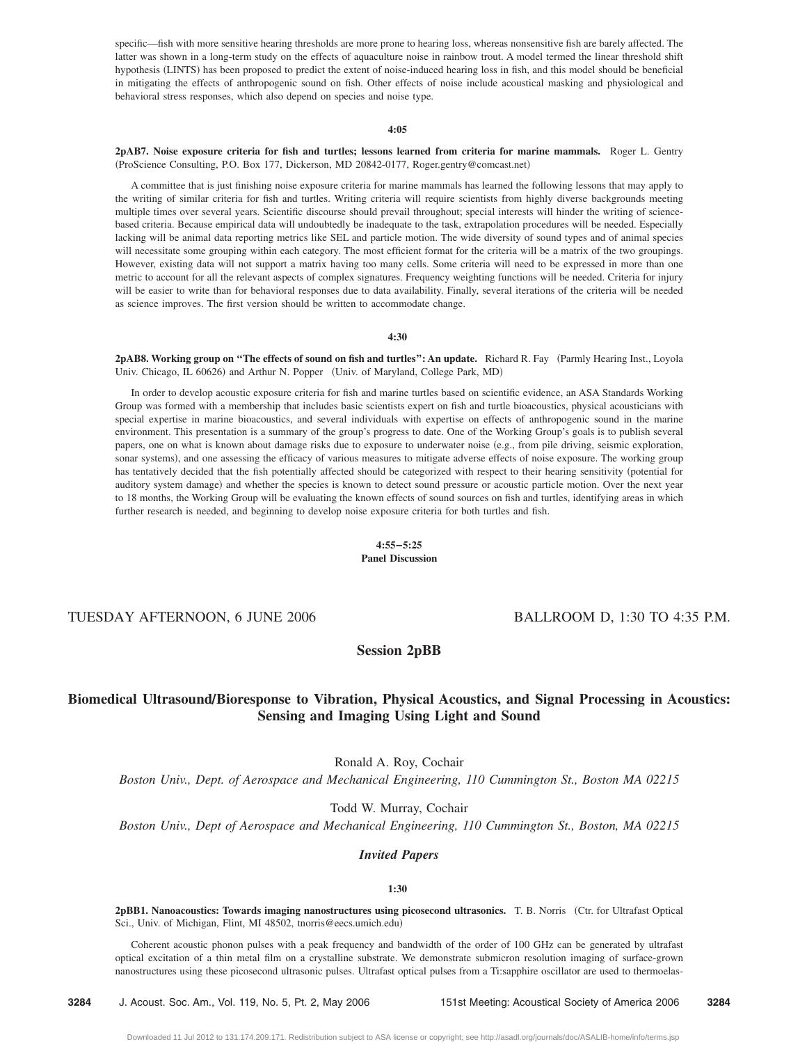specific—fish with more sensitive hearing thresholds are more prone to hearing loss, whereas nonsensitive fish are barely affected. The latter was shown in a long-term study on the effects of aquaculture noise in rainbow trout. A model termed the linear threshold shift hypothesis (LINTS) has been proposed to predict the extent of noise-induced hearing loss in fish, and this model should be beneficial in mitigating the effects of anthropogenic sound on fish. Other effects of noise include acoustical masking and physiological and behavioral stress responses, which also depend on species and noise type.

#### **4:05**

**2pAB7. Noise exposure criteria for fish and turtles; lessons learned from criteria for marine mammals.** Roger L. Gentry (ProScience Consulting, P.O. Box 177, Dickerson, MD 20842-0177, Roger.gentry@comcast.net)

A committee that is just finishing noise exposure criteria for marine mammals has learned the following lessons that may apply to the writing of similar criteria for fish and turtles. Writing criteria will require scientists from highly diverse backgrounds meeting multiple times over several years. Scientific discourse should prevail throughout; special interests will hinder the writing of sciencebased criteria. Because empirical data will undoubtedly be inadequate to the task, extrapolation procedures will be needed. Especially lacking will be animal data reporting metrics like SEL and particle motion. The wide diversity of sound types and of animal species will necessitate some grouping within each category. The most efficient format for the criteria will be a matrix of the two groupings. However, existing data will not support a matrix having too many cells. Some criteria will need to be expressed in more than one metric to account for all the relevant aspects of complex signatures. Frequency weighting functions will be needed. Criteria for injury will be easier to write than for behavioral responses due to data availability. Finally, several iterations of the criteria will be needed as science improves. The first version should be written to accommodate change.

#### **4:30**

2pAB8. Working group on "The effects of sound on fish and turtles": An update. Richard R. Fay (Parmly Hearing Inst., Loyola Univ. Chicago, IL 60626) and Arthur N. Popper (Univ. of Maryland, College Park, MD)

In order to develop acoustic exposure criteria for fish and marine turtles based on scientific evidence, an ASA Standards Working Group was formed with a membership that includes basic scientists expert on fish and turtle bioacoustics, physical acousticians with special expertise in marine bioacoustics, and several individuals with expertise on effects of anthropogenic sound in the marine environment. This presentation is a summary of the group's progress to date. One of the Working Group's goals is to publish several papers, one on what is known about damage risks due to exposure to underwater noise e.g., from pile driving, seismic exploration, sonar systems), and one assessing the efficacy of various measures to mitigate adverse effects of noise exposure. The working group has tentatively decided that the fish potentially affected should be categorized with respect to their hearing sensitivity potential for auditory system damage) and whether the species is known to detect sound pressure or acoustic particle motion. Over the next year to 18 months, the Working Group will be evaluating the known effects of sound sources on fish and turtles, identifying areas in which further research is needed, and beginning to develop noise exposure criteria for both turtles and fish.

#### **4:55–5:25 Panel Discussion**

# TUESDAY AFTERNOON, 6 JUNE 2006 BALLROOM D, 1:30 TO 4:35 P.M.

# **Session 2pBB**

# **Biomedical UltrasoundÕBioresponse to Vibration, Physical Acoustics, and Signal Processing in Acoustics: Sensing and Imaging Using Light and Sound**

Ronald A. Roy, Cochair

*Boston Univ., Dept. of Aerospace and Mechanical Engineering, 110 Cummington St., Boston MA 02215*

Todd W. Murray, Cochair

*Boston Univ., Dept of Aerospace and Mechanical Engineering, 110 Cummington St., Boston, MA 02215*

# *Invited Papers*

## **1:30**

**2pBB1. Nanoacoustics: Towards imaging nanostructures using picosecond ultrasonics.** T. B. Norris Ctr. for Ultrafast Optical Sci., Univ. of Michigan, Flint, MI 48502, tnorris@eecs.umich.edu-

Coherent acoustic phonon pulses with a peak frequency and bandwidth of the order of 100 GHz can be generated by ultrafast optical excitation of a thin metal film on a crystalline substrate. We demonstrate submicron resolution imaging of surface-grown nanostructures using these picosecond ultrasonic pulses. Ultrafast optical pulses from a Ti:sapphire oscillator are used to thermoelas-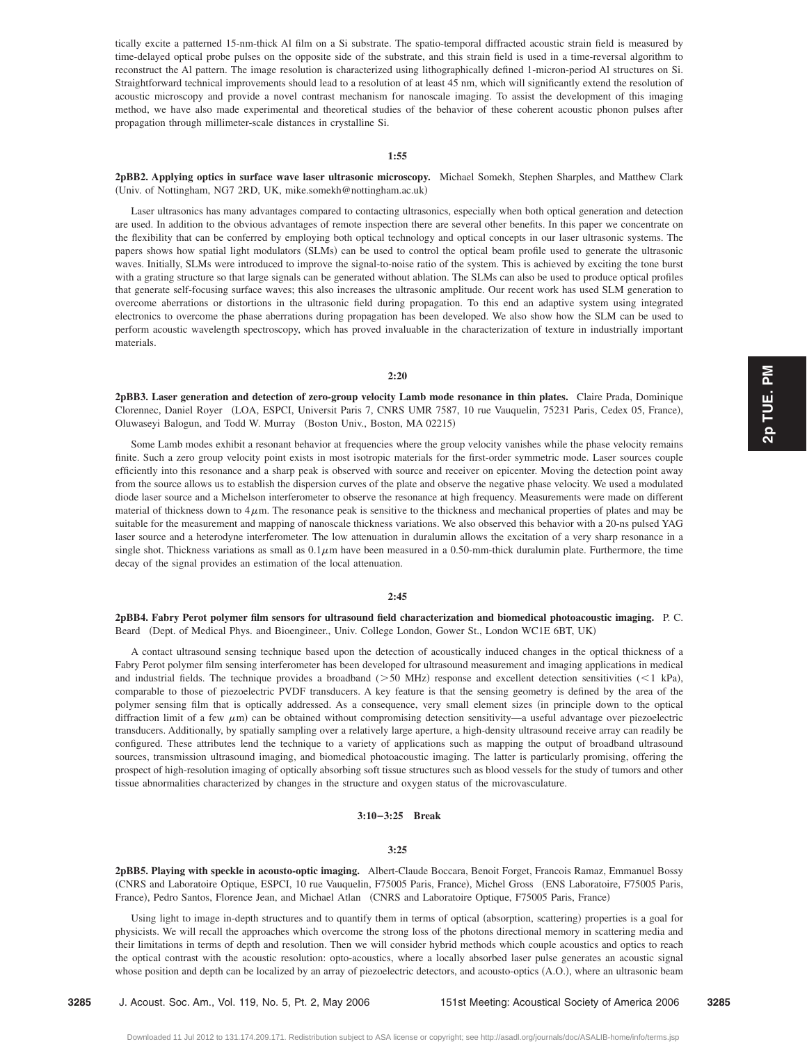tically excite a patterned 15-nm-thick Al film on a Si substrate. The spatio-temporal diffracted acoustic strain field is measured by time-delayed optical probe pulses on the opposite side of the substrate, and this strain field is used in a time-reversal algorithm to reconstruct the Al pattern. The image resolution is characterized using lithographically defined 1-micron-period Al structures on Si. Straightforward technical improvements should lead to a resolution of at least 45 nm, which will significantly extend the resolution of acoustic microscopy and provide a novel contrast mechanism for nanoscale imaging. To assist the development of this imaging method, we have also made experimental and theoretical studies of the behavior of these coherent acoustic phonon pulses after propagation through millimeter-scale distances in crystalline Si.

#### **1:55**

**2pBB2. Applying optics in surface wave laser ultrasonic microscopy.** Michael Somekh, Stephen Sharples, and Matthew Clark Univ. of Nottingham, NG7 2RD, UK, mike.somekh@nottingham.ac.uk-

Laser ultrasonics has many advantages compared to contacting ultrasonics, especially when both optical generation and detection are used. In addition to the obvious advantages of remote inspection there are several other benefits. In this paper we concentrate on the flexibility that can be conferred by employing both optical technology and optical concepts in our laser ultrasonic systems. The papers shows how spatial light modulators (SLMs) can be used to control the optical beam profile used to generate the ultrasonic waves. Initially, SLMs were introduced to improve the signal-to-noise ratio of the system. This is achieved by exciting the tone burst with a grating structure so that large signals can be generated without ablation. The SLMs can also be used to produce optical profiles that generate self-focusing surface waves; this also increases the ultrasonic amplitude. Our recent work has used SLM generation to overcome aberrations or distortions in the ultrasonic field during propagation. To this end an adaptive system using integrated electronics to overcome the phase aberrations during propagation has been developed. We also show how the SLM can be used to perform acoustic wavelength spectroscopy, which has proved invaluable in the characterization of texture in industrially important materials.

## **2:20**

**2pBB3. Laser generation and detection of zero-group velocity Lamb mode resonance in thin plates.** Claire Prada, Dominique Clorennec, Daniel Royer (LOA, ESPCI, Universit Paris 7, CNRS UMR 7587, 10 rue Vauquelin, 75231 Paris, Cedex 05, France), Oluwaseyi Balogun, and Todd W. Murray (Boston Univ., Boston, MA 02215)

Some Lamb modes exhibit a resonant behavior at frequencies where the group velocity vanishes while the phase velocity remains finite. Such a zero group velocity point exists in most isotropic materials for the first-order symmetric mode. Laser sources couple efficiently into this resonance and a sharp peak is observed with source and receiver on epicenter. Moving the detection point away from the source allows us to establish the dispersion curves of the plate and observe the negative phase velocity. We used a modulated diode laser source and a Michelson interferometer to observe the resonance at high frequency. Measurements were made on different material of thickness down to  $4\mu$ m. The resonance peak is sensitive to the thickness and mechanical properties of plates and may be suitable for the measurement and mapping of nanoscale thickness variations. We also observed this behavior with a 20-ns pulsed YAG laser source and a heterodyne interferometer. The low attenuation in duralumin allows the excitation of a very sharp resonance in a single shot. Thickness variations as small as  $0.1\mu$ m have been measured in a 0.50-mm-thick duralumin plate. Furthermore, the time decay of the signal provides an estimation of the local attenuation.

## **2:45**

**2pBB4. Fabry Perot polymer film sensors for ultrasound field characterization and biomedical photoacoustic imaging.** P. C. Beard (Dept. of Medical Phys. and Bioengineer., Univ. College London, Gower St., London WC1E 6BT, UK)

A contact ultrasound sensing technique based upon the detection of acoustically induced changes in the optical thickness of a Fabry Perot polymer film sensing interferometer has been developed for ultrasound measurement and imaging applications in medical and industrial fields. The technique provides a broadband  $(>50$  MHz) response and excellent detection sensitivities  $(< 1$  kPa), comparable to those of piezoelectric PVDF transducers. A key feature is that the sensing geometry is defined by the area of the polymer sensing film that is optically addressed. As a consequence, very small element sizes in principle down to the optical diffraction limit of a few  $\mu$ m) can be obtained without compromising detection sensitivity—a useful advantage over piezoelectric transducers. Additionally, by spatially sampling over a relatively large aperture, a high-density ultrasound receive array can readily be configured. These attributes lend the technique to a variety of applications such as mapping the output of broadband ultrasound sources, transmission ultrasound imaging, and biomedical photoacoustic imaging. The latter is particularly promising, offering the prospect of high-resolution imaging of optically absorbing soft tissue structures such as blood vessels for the study of tumors and other tissue abnormalities characterized by changes in the structure and oxygen status of the microvasculature.

#### **3:10–3:25 Break**

#### **3:25**

**2pBB5. Playing with speckle in acousto-optic imaging.** Albert-Claude Boccara, Benoit Forget, Francois Ramaz, Emmanuel Bossy (CNRS and Laboratoire Optique, ESPCI, 10 rue Vauquelin, F75005 Paris, France), Michel Gross (ENS Laboratoire, F75005 Paris, France), Pedro Santos, Florence Jean, and Michael Atlan (CNRS and Laboratoire Optique, F75005 Paris, France)

Using light to image in-depth structures and to quantify them in terms of optical (absorption, scattering) properties is a goal for physicists. We will recall the approaches which overcome the strong loss of the photons directional memory in scattering media and their limitations in terms of depth and resolution. Then we will consider hybrid methods which couple acoustics and optics to reach the optical contrast with the acoustic resolution: opto-acoustics, where a locally absorbed laser pulse generates an acoustic signal whose position and depth can be localized by an array of piezoelectric detectors, and acousto-optics (A.O.), where an ultrasonic beam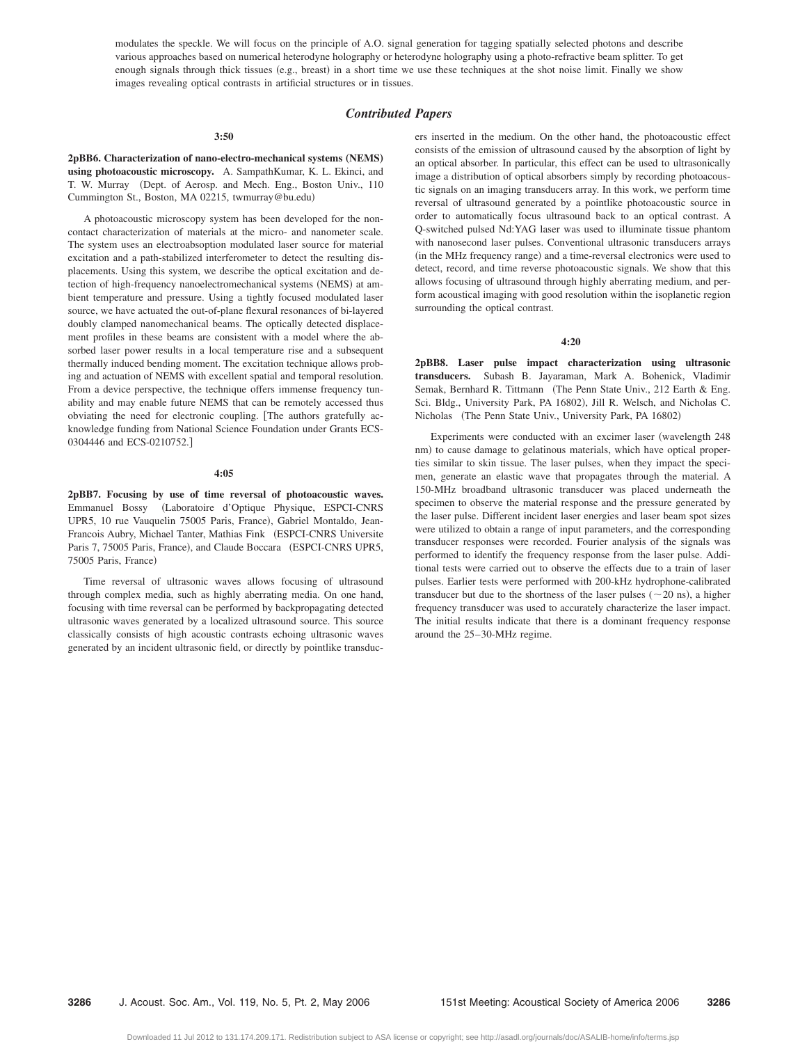modulates the speckle. We will focus on the principle of A.O. signal generation for tagging spatially selected photons and describe various approaches based on numerical heterodyne holography or heterodyne holography using a photo-refractive beam splitter. To get enough signals through thick tissues (e.g., breast) in a short time we use these techniques at the shot noise limit. Finally we show images revealing optical contrasts in artificial structures or in tissues.

# *Contributed Papers*

#### **3:50**

2pBB6. Characterization of nano-electro-mechanical systems (NEMS) **using photoacoustic microscopy.** A. SampathKumar, K. L. Ekinci, and T. W. Murray (Dept. of Aerosp. and Mech. Eng., Boston Univ., 110 Cummington St., Boston, MA 02215, twmurray@bu.edu-

A photoacoustic microscopy system has been developed for the noncontact characterization of materials at the micro- and nanometer scale. The system uses an electroabsoption modulated laser source for material excitation and a path-stabilized interferometer to detect the resulting displacements. Using this system, we describe the optical excitation and detection of high-frequency nanoelectromechanical systems (NEMS) at ambient temperature and pressure. Using a tightly focused modulated laser source, we have actuated the out-of-plane flexural resonances of bi-layered doubly clamped nanomechanical beams. The optically detected displacement profiles in these beams are consistent with a model where the absorbed laser power results in a local temperature rise and a subsequent thermally induced bending moment. The excitation technique allows probing and actuation of NEMS with excellent spatial and temporal resolution. From a device perspective, the technique offers immense frequency tunability and may enable future NEMS that can be remotely accessed thus obviating the need for electronic coupling. The authors gratefully acknowledge funding from National Science Foundation under Grants ECS-0304446 and ECS-0210752.]

#### **4:05**

**2pBB7. Focusing by use of time reversal of photoacoustic waves.** Emmanuel Bossy Laboratoire d'Optique Physique, ESPCI-CNRS UPR5, 10 rue Vauquelin 75005 Paris, France), Gabriel Montaldo, Jean-Francois Aubry, Michael Tanter, Mathias Fink (ESPCI-CNRS Universite Paris 7, 75005 Paris, France), and Claude Boccara (ESPCI-CNRS UPR5, 75005 Paris, France)

Time reversal of ultrasonic waves allows focusing of ultrasound through complex media, such as highly aberrating media. On one hand, focusing with time reversal can be performed by backpropagating detected ultrasonic waves generated by a localized ultrasound source. This source classically consists of high acoustic contrasts echoing ultrasonic waves generated by an incident ultrasonic field, or directly by pointlike transducers inserted in the medium. On the other hand, the photoacoustic effect consists of the emission of ultrasound caused by the absorption of light by an optical absorber. In particular, this effect can be used to ultrasonically image a distribution of optical absorbers simply by recording photoacoustic signals on an imaging transducers array. In this work, we perform time reversal of ultrasound generated by a pointlike photoacoustic source in order to automatically focus ultrasound back to an optical contrast. A Q-switched pulsed Nd:YAG laser was used to illuminate tissue phantom with nanosecond laser pulses. Conventional ultrasonic transducers arrays (in the MHz frequency range) and a time-reversal electronics were used to detect, record, and time reverse photoacoustic signals. We show that this allows focusing of ultrasound through highly aberrating medium, and perform acoustical imaging with good resolution within the isoplanetic region surrounding the optical contrast.

#### **4:20**

**2pBB8. Laser pulse impact characterization using ultrasonic transducers.** Subash B. Jayaraman, Mark A. Bohenick, Vladimir Semak, Bernhard R. Tittmann (The Penn State Univ., 212 Earth & Eng. Sci. Bldg., University Park, PA 16802), Jill R. Welsch, and Nicholas C. Nicholas (The Penn State Univ., University Park, PA 16802)

Experiments were conducted with an excimer laser (wavelength 248 nm) to cause damage to gelatinous materials, which have optical properties similar to skin tissue. The laser pulses, when they impact the specimen, generate an elastic wave that propagates through the material. A 150-MHz broadband ultrasonic transducer was placed underneath the specimen to observe the material response and the pressure generated by the laser pulse. Different incident laser energies and laser beam spot sizes were utilized to obtain a range of input parameters, and the corresponding transducer responses were recorded. Fourier analysis of the signals was performed to identify the frequency response from the laser pulse. Additional tests were carried out to observe the effects due to a train of laser pulses. Earlier tests were performed with 200-kHz hydrophone-calibrated transducer but due to the shortness of the laser pulses ( $\sim$  20 ns), a higher frequency transducer was used to accurately characterize the laser impact. The initial results indicate that there is a dominant frequency response around the 25–30-MHz regime.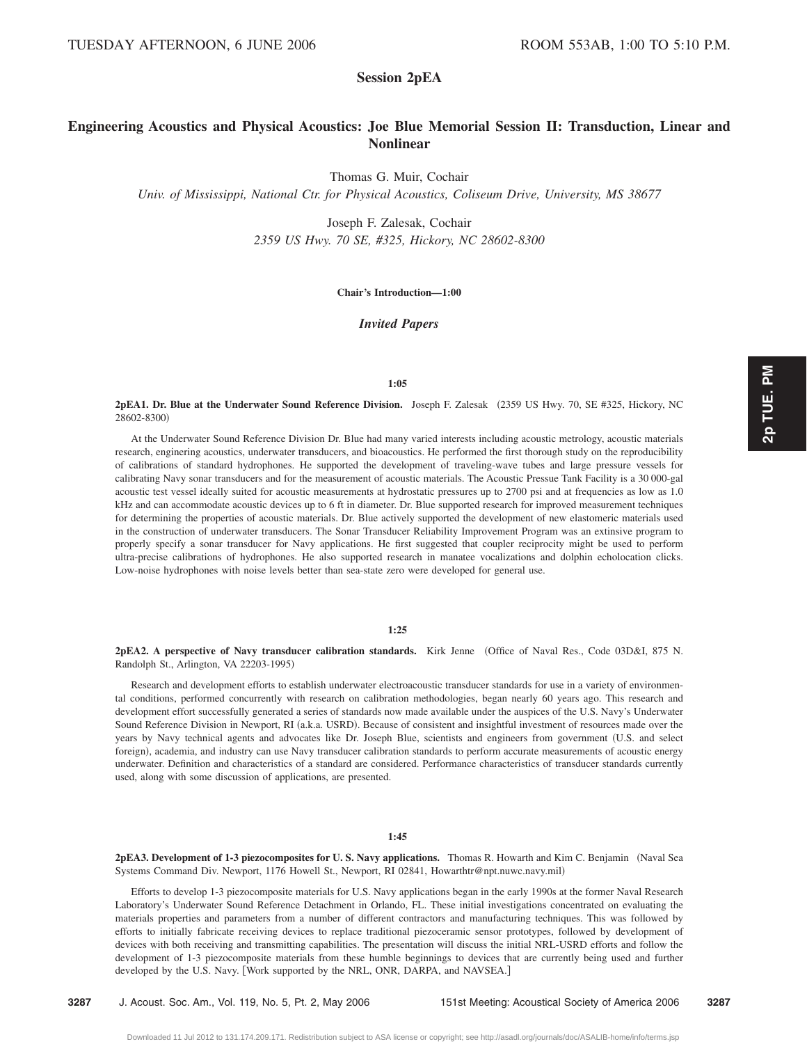# **Session 2pEA**

# **Engineering Acoustics and Physical Acoustics: Joe Blue Memorial Session II: Transduction, Linear and Nonlinear**

Thomas G. Muir, Cochair

*Univ. of Mississippi, National Ctr. for Physical Acoustics, Coliseum Drive, University, MS 38677*

Joseph F. Zalesak, Cochair *2359 US Hwy. 70 SE, #325, Hickory, NC 28602-8300*

## **Chair's Introduction—1:00**

*Invited Papers*

## **1:05**

# **2pEA1. Dr. Blue at the Underwater Sound Reference Division.** Joseph F. Zalesak 2359 US Hwy. 70, SE #325, Hickory, NC 28602-8300)

At the Underwater Sound Reference Division Dr. Blue had many varied interests including acoustic metrology, acoustic materials research, enginering acoustics, underwater transducers, and bioacoustics. He performed the first thorough study on the reproducibility of calibrations of standard hydrophones. He supported the development of traveling-wave tubes and large pressure vessels for calibrating Navy sonar transducers and for the measurement of acoustic materials. The Acoustic Pressue Tank Facility is a 30 000-gal acoustic test vessel ideally suited for acoustic measurements at hydrostatic pressures up to 2700 psi and at frequencies as low as 1.0 kHz and can accommodate acoustic devices up to 6 ft in diameter. Dr. Blue supported research for improved measurement techniques for determining the properties of acoustic materials. Dr. Blue actively supported the development of new elastomeric materials used in the construction of underwater transducers. The Sonar Transducer Reliability Improvement Program was an extinsive program to properly specify a sonar transducer for Navy applications. He first suggested that coupler reciprocity might be used to perform ultra-precise calibrations of hydrophones. He also supported research in manatee vocalizations and dolphin echolocation clicks. Low-noise hydrophones with noise levels better than sea-state zero were developed for general use.

# **1:25**

**2pEA2. A perspective of Navy transducer calibration standards.** Kirk Jenne Office of Naval Res., Code 03D&I, 875 N. Randolph St., Arlington, VA 22203-1995)

Research and development efforts to establish underwater electroacoustic transducer standards for use in a variety of environmental conditions, performed concurrently with research on calibration methodologies, began nearly 60 years ago. This research and development effort successfully generated a series of standards now made available under the auspices of the U.S. Navy's Underwater Sound Reference Division in Newport, RI (a.k.a. USRD). Because of consistent and insightful investment of resources made over the years by Navy technical agents and advocates like Dr. Joseph Blue, scientists and engineers from government U.S. and select foreign), academia, and industry can use Navy transducer calibration standards to perform accurate measurements of acoustic energy underwater. Definition and characteristics of a standard are considered. Performance characteristics of transducer standards currently used, along with some discussion of applications, are presented.

### **1:45**

2pEA3. Development of 1-3 piezocomposites for U.S. Navy applications. Thomas R. Howarth and Kim C. Benjamin (Naval Sea Systems Command Div. Newport, 1176 Howell St., Newport, RI 02841, Howarthtr@npt.nuwc.navy.mil-

Efforts to develop 1-3 piezocomposite materials for U.S. Navy applications began in the early 1990s at the former Naval Research Laboratory's Underwater Sound Reference Detachment in Orlando, FL. These initial investigations concentrated on evaluating the materials properties and parameters from a number of different contractors and manufacturing techniques. This was followed by efforts to initially fabricate receiving devices to replace traditional piezoceramic sensor prototypes, followed by development of devices with both receiving and transmitting capabilities. The presentation will discuss the initial NRL-USRD efforts and follow the development of 1-3 piezocomposite materials from these humble beginnings to devices that are currently being used and further developed by the U.S. Navy. [Work supported by the NRL, ONR, DARPA, and NAVSEA.]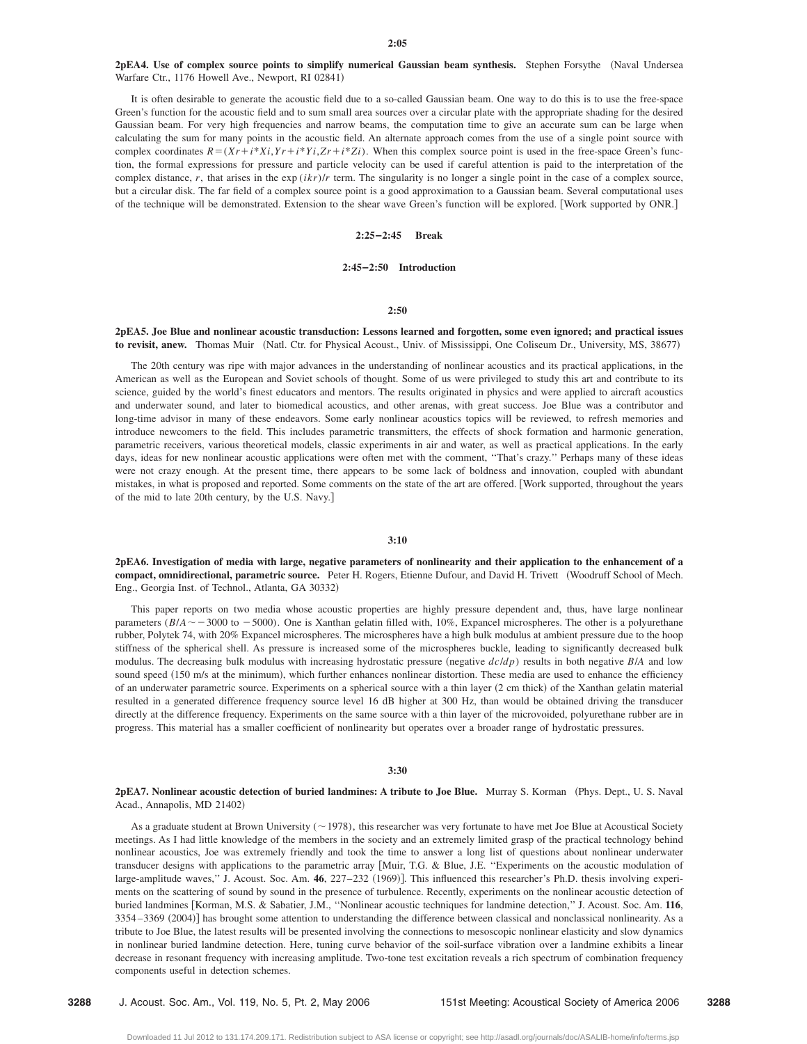# 2pEA4. Use of complex source points to simplify numerical Gaussian beam synthesis. Stephen Forsythe (Naval Undersea Warfare Ctr., 1176 Howell Ave., Newport, RI 02841)

It is often desirable to generate the acoustic field due to a so-called Gaussian beam. One way to do this is to use the free-space Green's function for the acoustic field and to sum small area sources over a circular plate with the appropriate shading for the desired Gaussian beam. For very high frequencies and narrow beams, the computation time to give an accurate sum can be large when calculating the sum for many points in the acoustic field. An alternate approach comes from the use of a single point source with complex coordinates  $R = (Xr + i*Xi, Yr + i*Zi, Zr + i*Zi)$ . When this complex source point is used in the free-space Green's function, the formal expressions for pressure and particle velocity can be used if careful attention is paid to the interpretation of the complex distance,  $r$ , that arises in the exp  $(ikr)/r$  term. The singularity is no longer a single point in the case of a complex source, but a circular disk. The far field of a complex source point is a good approximation to a Gaussian beam. Several computational uses of the technique will be demonstrated. Extension to the shear wave Green's function will be explored. Work supported by ONR.

#### **2:25–2:45 Break**

### **2:45–2:50 Introduction**

# **2:50**

# **2pEA5. Joe Blue and nonlinear acoustic transduction: Lessons learned and forgotten, some even ignored; and practical issues** to revisit, anew. Thomas Muir (Natl. Ctr. for Physical Acoust., Univ. of Mississippi, One Coliseum Dr., University, MS, 38677)

The 20th century was ripe with major advances in the understanding of nonlinear acoustics and its practical applications, in the American as well as the European and Soviet schools of thought. Some of us were privileged to study this art and contribute to its science, guided by the world's finest educators and mentors. The results originated in physics and were applied to aircraft acoustics and underwater sound, and later to biomedical acoustics, and other arenas, with great success. Joe Blue was a contributor and long-time advisor in many of these endeavors. Some early nonlinear acoustics topics will be reviewed, to refresh memories and introduce newcomers to the field. This includes parametric transmitters, the effects of shock formation and harmonic generation, parametric receivers, various theoretical models, classic experiments in air and water, as well as practical applications. In the early days, ideas for new nonlinear acoustic applications were often met with the comment, ''That's crazy.'' Perhaps many of these ideas were not crazy enough. At the present time, there appears to be some lack of boldness and innovation, coupled with abundant mistakes, in what is proposed and reported. Some comments on the state of the art are offered. Work supported, throughout the years of the mid to late 20th century, by the U.S. Navy.

#### **3:10**

**2pEA6. Investigation of media with large, negative parameters of nonlinearity and their application to the enhancement of a compact, omnidirectional, parametric source.** Peter H. Rogers, Etienne Dufour, and David H. Trivett Woodruff School of Mech. Eng., Georgia Inst. of Technol., Atlanta, GA 30332)

This paper reports on two media whose acoustic properties are highly pressure dependent and, thus, have large nonlinear parameters  $(B/A \sim 3000$  to  $-5000$ ). One is Xanthan gelatin filled with, 10%, Expancel microspheres. The other is a polyurethane rubber, Polytek 74, with 20% Expancel microspheres. The microspheres have a high bulk modulus at ambient pressure due to the hoop stiffness of the spherical shell. As pressure is increased some of the microspheres buckle, leading to significantly decreased bulk modulus. The decreasing bulk modulus with increasing hydrostatic pressure (negative  $dcldp$ ) results in both negative  $B/A$  and low sound speed (150 m/s at the minimum), which further enhances nonlinear distortion. These media are used to enhance the efficiency of an underwater parametric source. Experiments on a spherical source with a thin layer (2 cm thick) of the Xanthan gelatin material resulted in a generated difference frequency source level 16 dB higher at 300 Hz, than would be obtained driving the transducer directly at the difference frequency. Experiments on the same source with a thin layer of the microvoided, polyurethane rubber are in progress. This material has a smaller coefficient of nonlinearity but operates over a broader range of hydrostatic pressures.

# **3:30**

## **2pEA7. Nonlinear acoustic detection of buried landmines: A tribute to Joe Blue.** Murray S. Korman (Phys. Dept., U. S. Naval Acad., Annapolis, MD 21402)

As a graduate student at Brown University ( $\sim$  1978), this researcher was very fortunate to have met Joe Blue at Acoustical Society meetings. As I had little knowledge of the members in the society and an extremely limited grasp of the practical technology behind nonlinear acoustics, Joe was extremely friendly and took the time to answer a long list of questions about nonlinear underwater transducer designs with applications to the parametric array Muir, T.G. & Blue, J.E. ''Experiments on the acoustic modulation of large-amplitude waves," J. Acoust. Soc. Am. 46, 227–232 (1969)]. This influenced this researcher's Ph.D. thesis involving experiments on the scattering of sound by sound in the presence of turbulence. Recently, experiments on the nonlinear acoustic detection of buried landmines [Korman, M.S. & Sabatier, J.M., "Nonlinear acoustic techniques for landmine detection," J. Acoust. Soc. Am. 116, 3354-3369 (2004)] has brought some attention to understanding the difference between classical and nonclassical nonlinearity. As a tribute to Joe Blue, the latest results will be presented involving the connections to mesoscopic nonlinear elasticity and slow dynamics in nonlinear buried landmine detection. Here, tuning curve behavior of the soil-surface vibration over a landmine exhibits a linear decrease in resonant frequency with increasing amplitude. Two-tone test excitation reveals a rich spectrum of combination frequency components useful in detection schemes.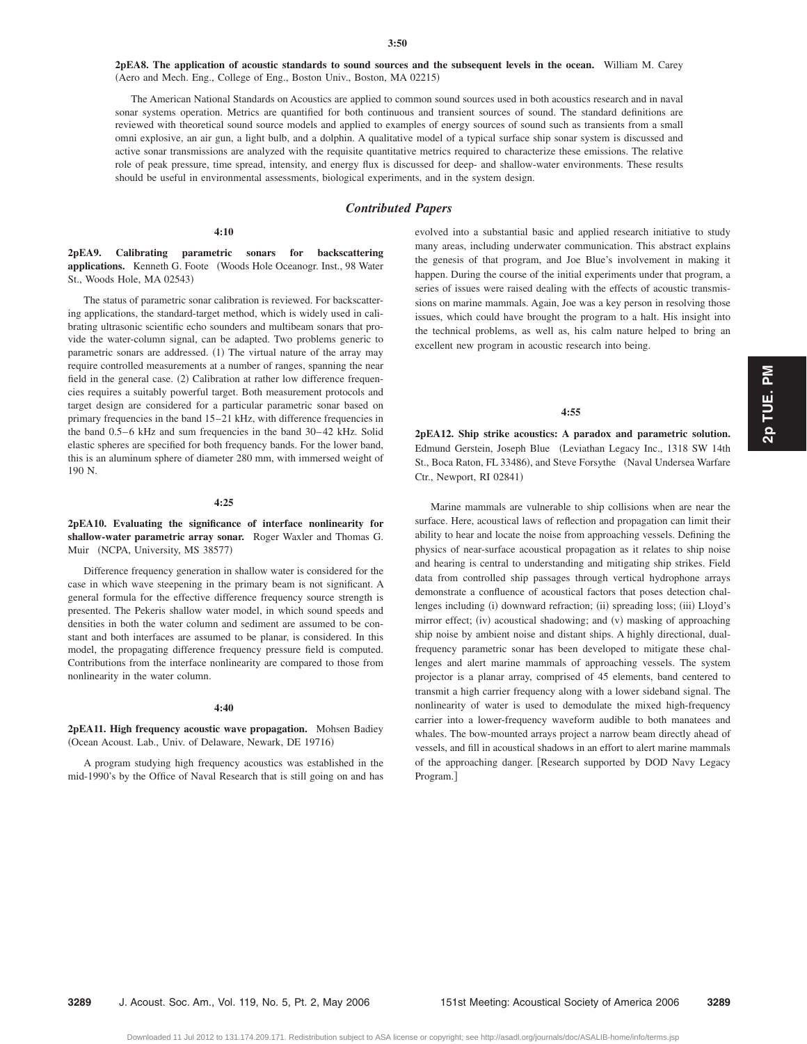**2pEA8. The application of acoustic standards to sound sources and the subsequent levels in the ocean.** William M. Carey (Aero and Mech. Eng., College of Eng., Boston Univ., Boston, MA 02215)

The American National Standards on Acoustics are applied to common sound sources used in both acoustics research and in naval sonar systems operation. Metrics are quantified for both continuous and transient sources of sound. The standard definitions are reviewed with theoretical sound source models and applied to examples of energy sources of sound such as transients from a small omni explosive, an air gun, a light bulb, and a dolphin. A qualitative model of a typical surface ship sonar system is discussed and active sonar transmissions are analyzed with the requisite quantitative metrics required to characterize these emissions. The relative role of peak pressure, time spread, intensity, and energy flux is discussed for deep- and shallow-water environments. These results should be useful in environmental assessments, biological experiments, and in the system design.

# *Contributed Papers*

#### **4:10**

**2pEA9. Calibrating parametric sonars for backscattering applications.** Kenneth G. Foote Woods Hole Oceanogr. Inst., 98 Water St., Woods Hole, MA 02543)

The status of parametric sonar calibration is reviewed. For backscattering applications, the standard-target method, which is widely used in calibrating ultrasonic scientific echo sounders and multibeam sonars that provide the water-column signal, can be adapted. Two problems generic to parametric sonars are addressed. (1) The virtual nature of the array may require controlled measurements at a number of ranges, spanning the near field in the general case. (2) Calibration at rather low difference frequencies requires a suitably powerful target. Both measurement protocols and target design are considered for a particular parametric sonar based on primary frequencies in the band 15–21 kHz, with difference frequencies in the band 0.5–6 kHz and sum frequencies in the band 30–42 kHz. Solid elastic spheres are specified for both frequency bands. For the lower band, this is an aluminum sphere of diameter 280 mm, with immersed weight of 190 N.

#### **4:25**

**2pEA10. Evaluating the significance of interface nonlinearity for shallow-water parametric array sonar.** Roger Waxler and Thomas G. Muir (NCPA, University, MS 38577)

Difference frequency generation in shallow water is considered for the case in which wave steepening in the primary beam is not significant. A general formula for the effective difference frequency source strength is presented. The Pekeris shallow water model, in which sound speeds and densities in both the water column and sediment are assumed to be constant and both interfaces are assumed to be planar, is considered. In this model, the propagating difference frequency pressure field is computed. Contributions from the interface nonlinearity are compared to those from nonlinearity in the water column.

# **4:40**

**2pEA11. High frequency acoustic wave propagation.** Mohsen Badiey (Ocean Acoust. Lab., Univ. of Delaware, Newark, DE 19716)

A program studying high frequency acoustics was established in the mid-1990's by the Office of Naval Research that is still going on and has evolved into a substantial basic and applied research initiative to study many areas, including underwater communication. This abstract explains the genesis of that program, and Joe Blue's involvement in making it happen. During the course of the initial experiments under that program, a series of issues were raised dealing with the effects of acoustic transmissions on marine mammals. Again, Joe was a key person in resolving those issues, which could have brought the program to a halt. His insight into the technical problems, as well as, his calm nature helped to bring an excellent new program in acoustic research into being.

# **4:55**

**2pEA12. Ship strike acoustics: A paradox and parametric solution.** Edmund Gerstein, Joseph Blue (Leviathan Legacy Inc., 1318 SW 14th St., Boca Raton, FL 33486), and Steve Forsythe (Naval Undersea Warfare Ctr., Newport, RI 02841)

Marine mammals are vulnerable to ship collisions when are near the surface. Here, acoustical laws of reflection and propagation can limit their ability to hear and locate the noise from approaching vessels. Defining the physics of near-surface acoustical propagation as it relates to ship noise and hearing is central to understanding and mitigating ship strikes. Field data from controlled ship passages through vertical hydrophone arrays demonstrate a confluence of acoustical factors that poses detection challenges including (i) downward refraction; (ii) spreading loss; (iii) Lloyd's mirror effect; (iv) acoustical shadowing; and (v) masking of approaching ship noise by ambient noise and distant ships. A highly directional, dualfrequency parametric sonar has been developed to mitigate these challenges and alert marine mammals of approaching vessels. The system projector is a planar array, comprised of 45 elements, band centered to transmit a high carrier frequency along with a lower sideband signal. The nonlinearity of water is used to demodulate the mixed high-frequency carrier into a lower-frequency waveform audible to both manatees and whales. The bow-mounted arrays project a narrow beam directly ahead of vessels, and fill in acoustical shadows in an effort to alert marine mammals of the approaching danger. Research supported by DOD Navy Legacy Program.

**3289** J. Acoust. Soc. Am., Vol. 119, No. 5, Pt. 2, May 2006 151st Meeting: Acoustical Society of America 2006 **3289**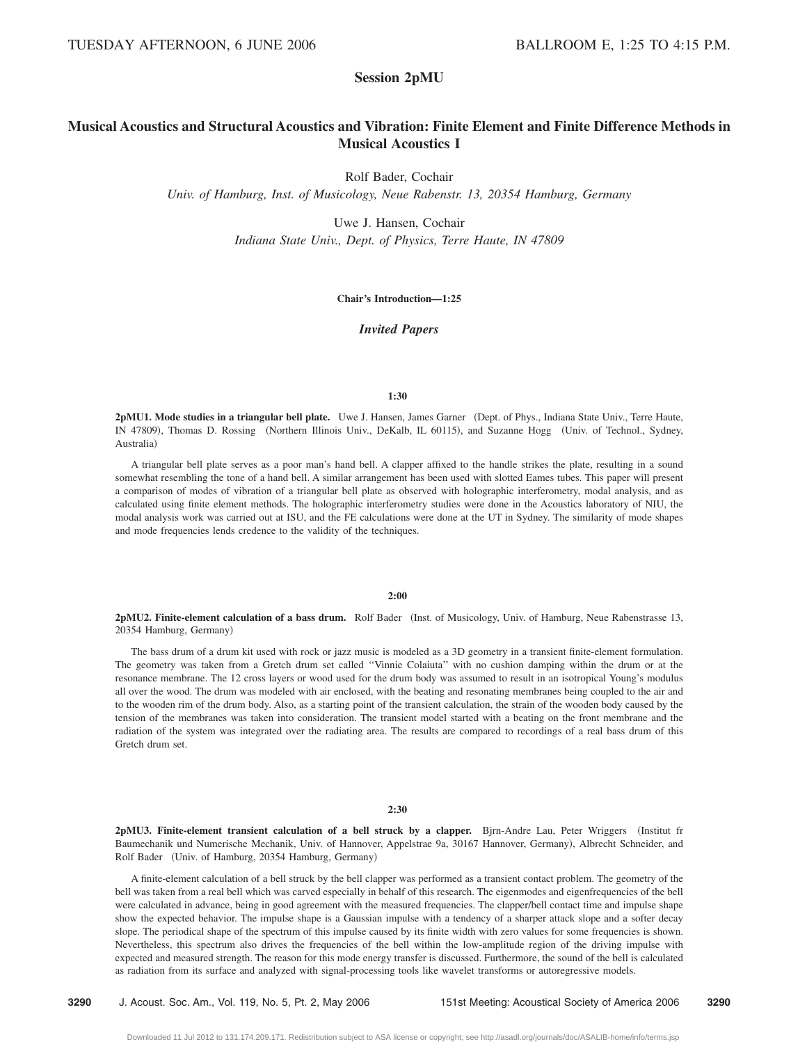# **Session 2pMU**

# **Musical Acoustics and Structural Acoustics and Vibration: Finite Element and Finite Difference Methods in Musical Acoustics I**

Rolf Bader, Cochair

*Univ. of Hamburg, Inst. of Musicology, Neue Rabenstr. 13, 20354 Hamburg, Germany*

Uwe J. Hansen, Cochair *Indiana State Univ., Dept. of Physics, Terre Haute, IN 47809*

# **Chair's Introduction—1:25**

*Invited Papers*

#### **1:30**

2pMU1. Mode studies in a triangular bell plate. Uwe J. Hansen, James Garner (Dept. of Phys., Indiana State Univ., Terre Haute, IN 47809), Thomas D. Rossing (Northern Illinois Univ., DeKalb, IL 60115), and Suzanne Hogg (Univ. of Technol., Sydney, Australia)

A triangular bell plate serves as a poor man's hand bell. A clapper affixed to the handle strikes the plate, resulting in a sound somewhat resembling the tone of a hand bell. A similar arrangement has been used with slotted Eames tubes. This paper will present a comparison of modes of vibration of a triangular bell plate as observed with holographic interferometry, modal analysis, and as calculated using finite element methods. The holographic interferometry studies were done in the Acoustics laboratory of NIU, the modal analysis work was carried out at ISU, and the FE calculations were done at the UT in Sydney. The similarity of mode shapes and mode frequencies lends credence to the validity of the techniques.

# **2:00**

2pMU2. Finite-element calculation of a bass drum. Rolf Bader (Inst. of Musicology, Univ. of Hamburg, Neue Rabenstrasse 13, 20354 Hamburg, Germany)

The bass drum of a drum kit used with rock or jazz music is modeled as a 3D geometry in a transient finite-element formulation. The geometry was taken from a Gretch drum set called ''Vinnie Colaiuta'' with no cushion damping within the drum or at the resonance membrane. The 12 cross layers or wood used for the drum body was assumed to result in an isotropical Young's modulus all over the wood. The drum was modeled with air enclosed, with the beating and resonating membranes being coupled to the air and to the wooden rim of the drum body. Also, as a starting point of the transient calculation, the strain of the wooden body caused by the tension of the membranes was taken into consideration. The transient model started with a beating on the front membrane and the radiation of the system was integrated over the radiating area. The results are compared to recordings of a real bass drum of this Gretch drum set.

# **2:30**

2pMU3. Finite-element transient calculation of a bell struck by a clapper. Bjrn-Andre Lau, Peter Wriggers (Institut fr Baumechanik und Numerische Mechanik, Univ. of Hannover, Appelstrae 9a, 30167 Hannover, Germany), Albrecht Schneider, and Rolf Bader (Univ. of Hamburg, 20354 Hamburg, Germany)

A finite-element calculation of a bell struck by the bell clapper was performed as a transient contact problem. The geometry of the bell was taken from a real bell which was carved especially in behalf of this research. The eigenmodes and eigenfrequencies of the bell were calculated in advance, being in good agreement with the measured frequencies. The clapper/bell contact time and impulse shape show the expected behavior. The impulse shape is a Gaussian impulse with a tendency of a sharper attack slope and a softer decay slope. The periodical shape of the spectrum of this impulse caused by its finite width with zero values for some frequencies is shown. Nevertheless, this spectrum also drives the frequencies of the bell within the low-amplitude region of the driving impulse with expected and measured strength. The reason for this mode energy transfer is discussed. Furthermore, the sound of the bell is calculated as radiation from its surface and analyzed with signal-processing tools like wavelet transforms or autoregressive models.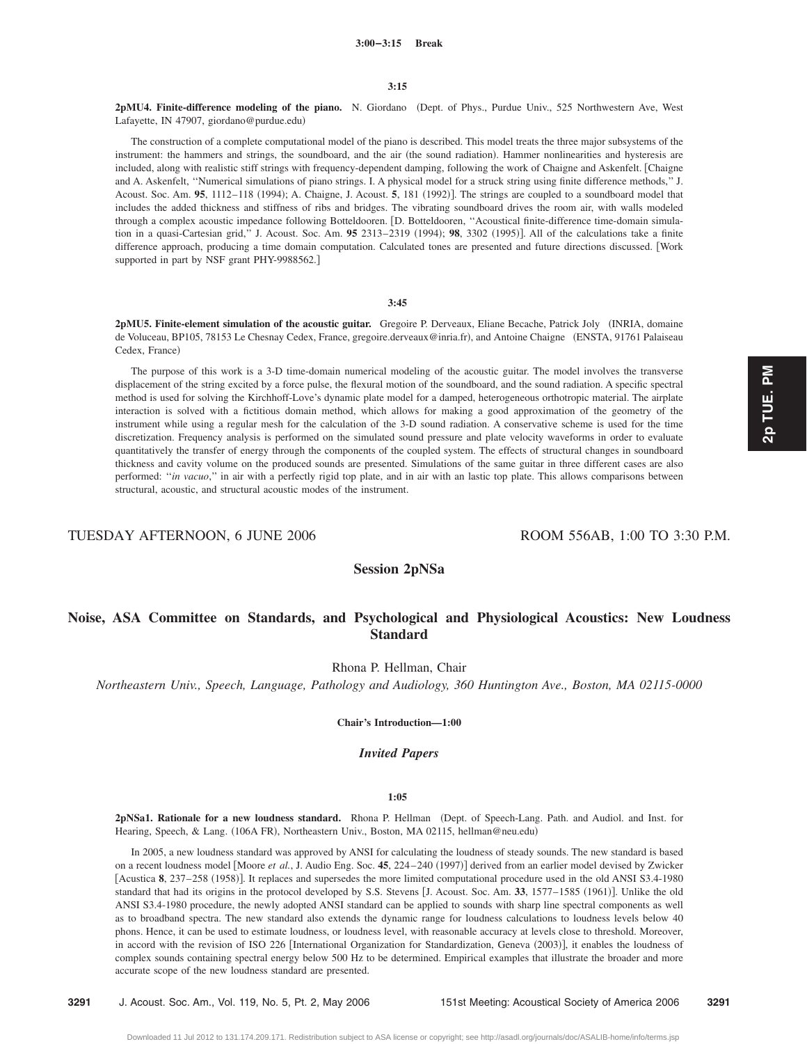2pMU4. Finite-difference modeling of the piano. N. Giordano (Dept. of Phys., Purdue Univ., 525 Northwestern Ave, West Lafayette, IN 47907, giordano@purdue.edu)

The construction of a complete computational model of the piano is described. This model treats the three major subsystems of the instrument: the hammers and strings, the soundboard, and the air (the sound radiation). Hammer nonlinearities and hysteresis are included, along with realistic stiff strings with frequency-dependent damping, following the work of Chaigne and Askenfelt. Chaigne and A. Askenfelt, ''Numerical simulations of piano strings. I. A physical model for a struck string using finite difference methods,'' J. Acoust. Soc. Am. 95, 1112-118 (1994); A. Chaigne, J. Acoust. 5, 181 (1992)]. The strings are coupled to a soundboard model that includes the added thickness and stiffness of ribs and bridges. The vibrating soundboard drives the room air, with walls modeled through a complex acoustic impedance following Botteldooren. [D. Botteldooren, "Acoustical finite-difference time-domain simulation in a quasi-Cartesian grid," J. Acoust. Soc. Am. **95** 2313–2319 (1994); **98**, 3302 (1995)]. All of the calculations take a finite difference approach, producing a time domain computation. Calculated tones are presented and future directions discussed. Work supported in part by NSF grant PHY-9988562.]

# **3:45**

**2pMU5. Finite-element simulation of the acoustic guitar.** Gregoire P. Derveaux, Eliane Becache, Patrick Joly INRIA, domaine de Voluceau, BP105, 78153 Le Chesnay Cedex, France, gregoire.derveaux@inria.fr), and Antoine Chaigne (ENSTA, 91761 Palaiseau Cedex, France)

The purpose of this work is a 3-D time-domain numerical modeling of the acoustic guitar. The model involves the transverse displacement of the string excited by a force pulse, the flexural motion of the soundboard, and the sound radiation. A specific spectral method is used for solving the Kirchhoff-Love's dynamic plate model for a damped, heterogeneous orthotropic material. The airplate interaction is solved with a fictitious domain method, which allows for making a good approximation of the geometry of the instrument while using a regular mesh for the calculation of the 3-D sound radiation. A conservative scheme is used for the time discretization. Frequency analysis is performed on the simulated sound pressure and plate velocity waveforms in order to evaluate quantitatively the transfer of energy through the components of the coupled system. The effects of structural changes in soundboard thickness and cavity volume on the produced sounds are presented. Simulations of the same guitar in three different cases are also performed: "*in vacuo*," in air with a perfectly rigid top plate, and in air with an lastic top plate. This allows comparisons between structural, acoustic, and structural acoustic modes of the instrument.

TUESDAY AFTERNOON, 6 JUNE 2006 ROOM 556AB, 1:00 TO 3:30 P.M.

# **Session 2pNSa**

# **Noise, ASA Committee on Standards, and Psychological and Physiological Acoustics: New Loudness Standard**

Rhona P. Hellman, Chair

*Northeastern Univ., Speech, Language, Pathology and Audiology, 360 Huntington Ave., Boston, MA 02115-0000*

**Chair's Introduction—1:00**

# *Invited Papers*

## **1:05**

2pNSa1. Rationale for a new loudness standard. Rhona P. Hellman (Dept. of Speech-Lang. Path. and Audiol. and Inst. for Hearing, Speech, & Lang. (106A FR), Northeastern Univ., Boston, MA 02115, hellman@neu.edu)

In 2005, a new loudness standard was approved by ANSI for calculating the loudness of steady sounds. The new standard is based on a recent loudness model [Moore *et al.*, J. Audio Eng. Soc. 45, 224-240 (1997)] derived from an earlier model devised by Zwicker [Acustica 8, 237–258 (1958)]. It replaces and supersedes the more limited computational procedure used in the old ANSI S3.4-1980 standard that had its origins in the protocol developed by S.S. Stevens [J. Acoust. Soc. Am. 33, 1577–1585 (1961)]. Unlike the old ANSI S3.4-1980 procedure, the newly adopted ANSI standard can be applied to sounds with sharp line spectral components as well as to broadband spectra. The new standard also extends the dynamic range for loudness calculations to loudness levels below 40 phons. Hence, it can be used to estimate loudness, or loudness level, with reasonable accuracy at levels close to threshold. Moreover, in accord with the revision of ISO 226 [International Organization for Standardization, Geneva (2003)], it enables the loudness of complex sounds containing spectral energy below 500 Hz to be determined. Empirical examples that illustrate the broader and more accurate scope of the new loudness standard are presented.

**3291** J. Acoust. Soc. Am., Vol. 119, No. 5, Pt. 2, May 2006 151st Meeting: Acoustical Society of America 2006 **3291**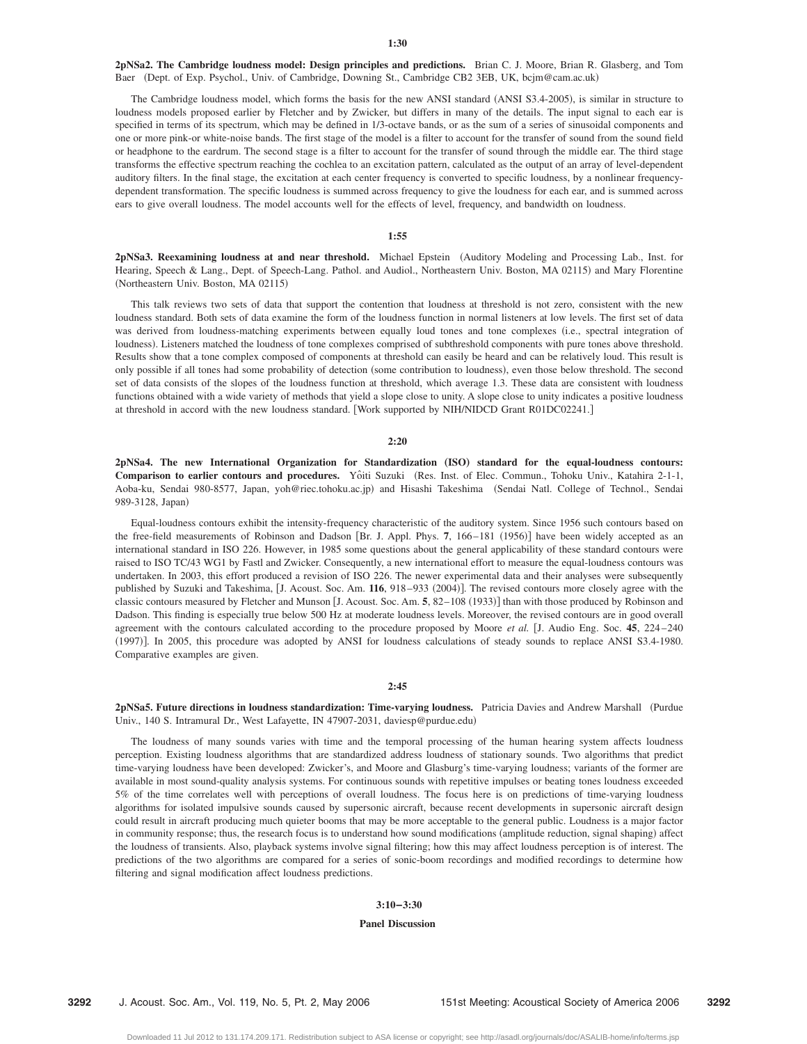**2pNSa2. The Cambridge loudness model: Design principles and predictions.** Brian C. J. Moore, Brian R. Glasberg, and Tom Baer (Dept. of Exp. Psychol., Univ. of Cambridge, Downing St., Cambridge CB2 3EB, UK, bcjm@cam.ac.uk)

The Cambridge loudness model, which forms the basis for the new ANSI standard (ANSI S3.4-2005), is similar in structure to loudness models proposed earlier by Fletcher and by Zwicker, but differs in many of the details. The input signal to each ear is specified in terms of its spectrum, which may be defined in 1/3-octave bands, or as the sum of a series of sinusoidal components and one or more pink-or white-noise bands. The first stage of the model is a filter to account for the transfer of sound from the sound field or headphone to the eardrum. The second stage is a filter to account for the transfer of sound through the middle ear. The third stage transforms the effective spectrum reaching the cochlea to an excitation pattern, calculated as the output of an array of level-dependent auditory filters. In the final stage, the excitation at each center frequency is converted to specific loudness, by a nonlinear frequencydependent transformation. The specific loudness is summed across frequency to give the loudness for each ear, and is summed across ears to give overall loudness. The model accounts well for the effects of level, frequency, and bandwidth on loudness.

#### **1:55**

2pNSa3. Reexamining loudness at and near threshold. Michael Epstein (Auditory Modeling and Processing Lab., Inst. for Hearing, Speech & Lang., Dept. of Speech-Lang. Pathol. and Audiol., Northeastern Univ. Boston, MA 02115) and Mary Florentine (Northeastern Univ. Boston, MA 02115)

This talk reviews two sets of data that support the contention that loudness at threshold is not zero, consistent with the new loudness standard. Both sets of data examine the form of the loudness function in normal listeners at low levels. The first set of data was derived from loudness-matching experiments between equally loud tones and tone complexes (i.e., spectral integration of loudness). Listeners matched the loudness of tone complexes comprised of subthreshold components with pure tones above threshold. Results show that a tone complex composed of components at threshold can easily be heard and can be relatively loud. This result is only possible if all tones had some probability of detection (some contribution to loudness), even those below threshold. The second set of data consists of the slopes of the loudness function at threshold, which average 1.3. These data are consistent with loudness functions obtained with a wide variety of methods that yield a slope close to unity. A slope close to unity indicates a positive loudness at threshold in accord with the new loudness standard. [Work supported by NIH/NIDCD Grant R01DC02241.]

#### **2:20**

**2pNSa4. The new International Organization for Standardization** "**ISO**… **standard for the equal-loudness contours: Comparison to earlier contours and procedures.** Yoˆiti Suzuki Res. Inst. of Elec. Commun., Tohoku Univ., Katahira 2-1-1, Aoba-ku, Sendai 980-8577, Japan, yoh@riec.tohoku.ac.jp) and Hisashi Takeshima (Sendai Natl. College of Technol., Sendai 989-3128, Japan)

Equal-loudness contours exhibit the intensity-frequency characteristic of the auditory system. Since 1956 such contours based on the free-field measurements of Robinson and Dadson [Br. J. Appl. Phys. 7, 166–181 (1956)] have been widely accepted as an international standard in ISO 226. However, in 1985 some questions about the general applicability of these standard contours were raised to ISO TC/43 WG1 by Fastl and Zwicker. Consequently, a new international effort to measure the equal-loudness contours was undertaken. In 2003, this effort produced a revision of ISO 226. The newer experimental data and their analyses were subsequently published by Suzuki and Takeshima, [J. Acoust. Soc. Am. 116, 918–933 (2004)]. The revised contours more closely agree with the classic contours measured by Fletcher and Munson [J. Acoust. Soc. Am. 5, 82–108 (1933)] than with those produced by Robinson and Dadson. This finding is especially true below 500 Hz at moderate loudness levels. Moreover, the revised contours are in good overall agreement with the contours calculated according to the procedure proposed by Moore *et al.* J. Audio Eng. Soc. **45**, 224 –240 (1997)]. In 2005, this procedure was adopted by ANSI for loudness calculations of steady sounds to replace ANSI S3.4-1980. Comparative examples are given.

# **2:45**

**2pNSa5. Future directions in loudness standardization: Time-varying loudness.** Patricia Davies and Andrew Marshall Purdue Univ., 140 S. Intramural Dr., West Lafayette, IN 47907-2031, daviesp@purdue.edu)

The loudness of many sounds varies with time and the temporal processing of the human hearing system affects loudness perception. Existing loudness algorithms that are standardized address loudness of stationary sounds. Two algorithms that predict time-varying loudness have been developed: Zwicker's, and Moore and Glasburg's time-varying loudness; variants of the former are available in most sound-quality analysis systems. For continuous sounds with repetitive impulses or beating tones loudness exceeded 5% of the time correlates well with perceptions of overall loudness. The focus here is on predictions of time-varying loudness algorithms for isolated impulsive sounds caused by supersonic aircraft, because recent developments in supersonic aircraft design could result in aircraft producing much quieter booms that may be more acceptable to the general public. Loudness is a major factor in community response; thus, the research focus is to understand how sound modifications (amplitude reduction, signal shaping) affect the loudness of transients. Also, playback systems involve signal filtering; how this may affect loudness perception is of interest. The predictions of the two algorithms are compared for a series of sonic-boom recordings and modified recordings to determine how filtering and signal modification affect loudness predictions.

## **3:10–3:30**

#### **Panel Discussion**

**3292** J. Acoust. Soc. Am., Vol. 119, No. 5, Pt. 2, May 2006 151st Meeting: Acoustical Society of America 2006 **3292**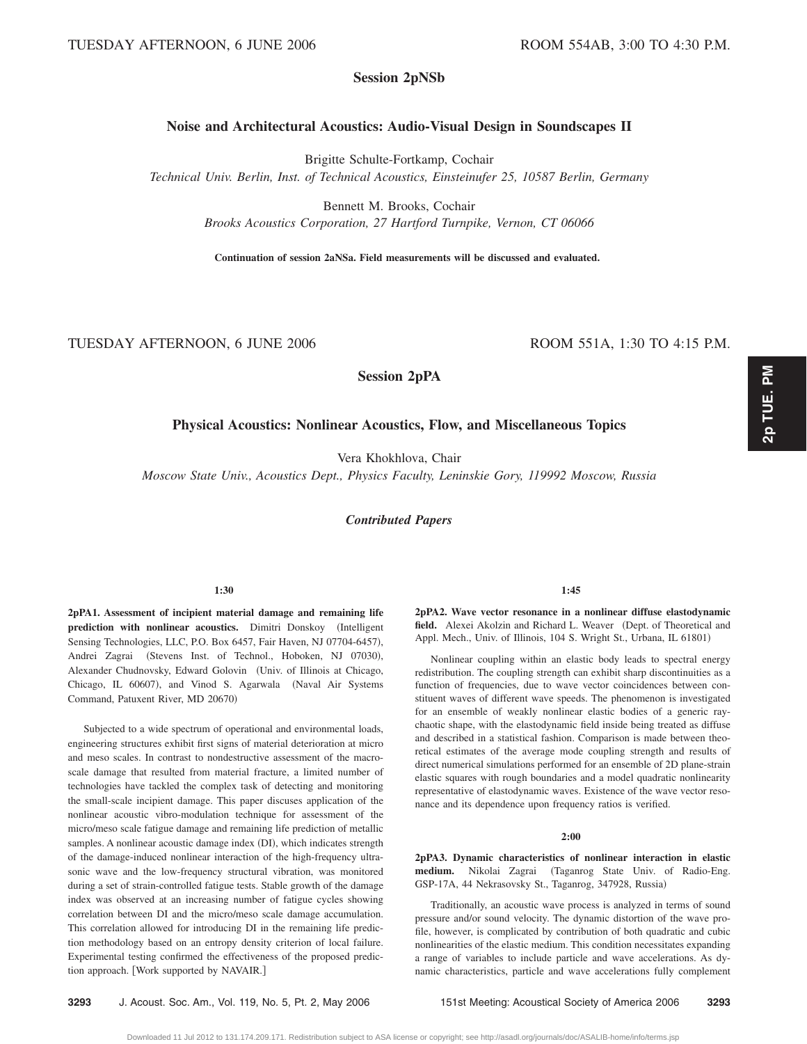# **Session 2pNSb**

# **Noise and Architectural Acoustics: Audio-Visual Design in Soundscapes II**

Brigitte Schulte-Fortkamp, Cochair

*Technical Univ. Berlin, Inst. of Technical Acoustics, Einsteinufer 25, 10587 Berlin, Germany*

Bennett M. Brooks, Cochair

*Brooks Acoustics Corporation, 27 Hartford Turnpike, Vernon, CT 06066*

**Continuation of session 2aNSa. Field measurements will be discussed and evaluated.**

TUESDAY AFTERNOON, 6 JUNE 2006 ROOM 551A, 1:30 TO 4:15 P.M.

# **Physical Acoustics: Nonlinear Acoustics, Flow, and Miscellaneous Topics**

**Session 2pPA**

Vera Khokhlova, Chair

*Moscow State Univ., Acoustics Dept., Physics Faculty, Leninskie Gory, 119992 Moscow, Russia*

*Contributed Papers*

## **1:30**

**2pPA1. Assessment of incipient material damage and remaining life** prediction with nonlinear acoustics. Dimitri Donskoy (Intelligent Sensing Technologies, LLC, P.O. Box 6457, Fair Haven, NJ 07704-6457), Andrei Zagrai (Stevens Inst. of Technol., Hoboken, NJ 07030), Alexander Chudnovsky, Edward Golovin (Univ. of Illinois at Chicago, Chicago, IL 60607), and Vinod S. Agarwala (Naval Air Systems Command, Patuxent River, MD 20670)

Subjected to a wide spectrum of operational and environmental loads, engineering structures exhibit first signs of material deterioration at micro and meso scales. In contrast to nondestructive assessment of the macroscale damage that resulted from material fracture, a limited number of technologies have tackled the complex task of detecting and monitoring the small-scale incipient damage. This paper discuses application of the nonlinear acoustic vibro-modulation technique for assessment of the micro/meso scale fatigue damage and remaining life prediction of metallic samples. A nonlinear acoustic damage index (DI), which indicates strength of the damage-induced nonlinear interaction of the high-frequency ultrasonic wave and the low-frequency structural vibration, was monitored during a set of strain-controlled fatigue tests. Stable growth of the damage index was observed at an increasing number of fatigue cycles showing correlation between DI and the micro/meso scale damage accumulation. This correlation allowed for introducing DI in the remaining life prediction methodology based on an entropy density criterion of local failure. Experimental testing confirmed the effectiveness of the proposed prediction approach. Work supported by NAVAIR.

#### **1:45**

**2pPA2. Wave vector resonance in a nonlinear diffuse elastodynamic** field. Alexei Akolzin and Richard L. Weaver (Dept. of Theoretical and Appl. Mech., Univ. of Illinois, 104 S. Wright St., Urbana, IL 61801)

Nonlinear coupling within an elastic body leads to spectral energy redistribution. The coupling strength can exhibit sharp discontinuities as a function of frequencies, due to wave vector coincidences between constituent waves of different wave speeds. The phenomenon is investigated for an ensemble of weakly nonlinear elastic bodies of a generic raychaotic shape, with the elastodynamic field inside being treated as diffuse and described in a statistical fashion. Comparison is made between theoretical estimates of the average mode coupling strength and results of direct numerical simulations performed for an ensemble of 2D plane-strain elastic squares with rough boundaries and a model quadratic nonlinearity representative of elastodynamic waves. Existence of the wave vector resonance and its dependence upon frequency ratios is verified.

#### **2:00**

**2pPA3. Dynamic characteristics of nonlinear interaction in elastic** medium. Nikolai Zagrai (Taganrog State Univ. of Radio-Eng. GSP-17A, 44 Nekrasovsky St., Taganrog, 347928, Russia)

Traditionally, an acoustic wave process is analyzed in terms of sound pressure and/or sound velocity. The dynamic distortion of the wave profile, however, is complicated by contribution of both quadratic and cubic nonlinearities of the elastic medium. This condition necessitates expanding a range of variables to include particle and wave accelerations. As dynamic characteristics, particle and wave accelerations fully complement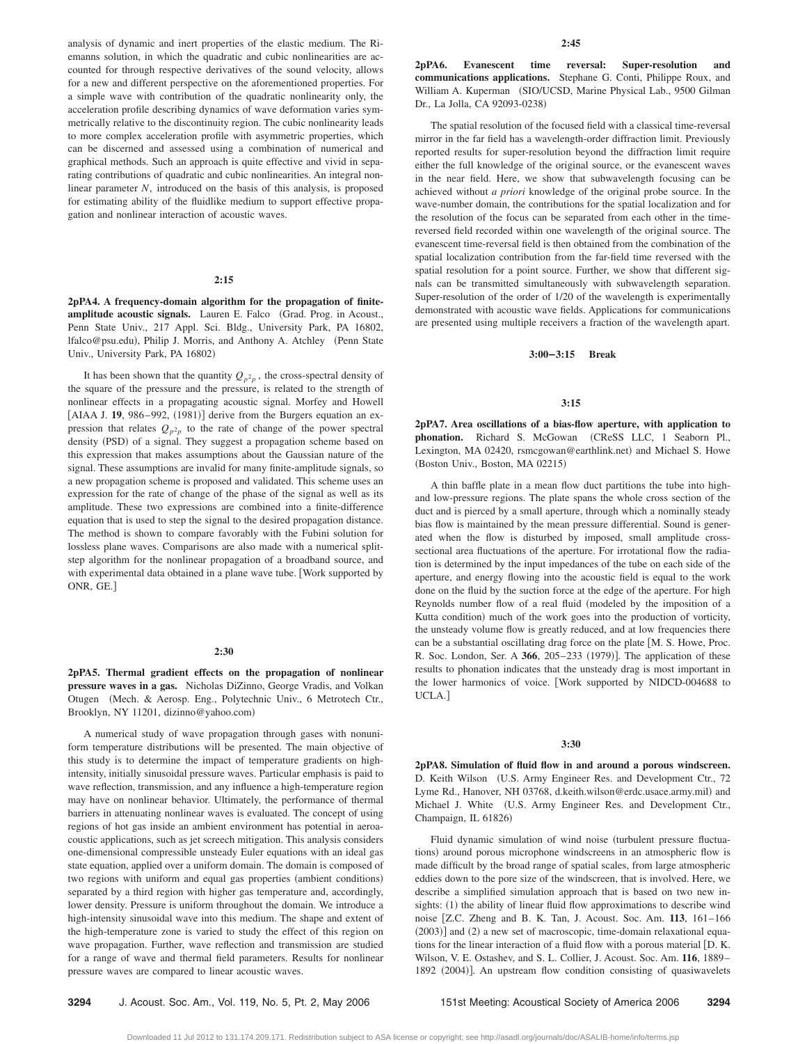analysis of dynamic and inert properties of the elastic medium. The Riemanns solution, in which the quadratic and cubic nonlinearities are accounted for through respective derivatives of the sound velocity, allows for a new and different perspective on the aforementioned properties. For a simple wave with contribution of the quadratic nonlinearity only, the acceleration profile describing dynamics of wave deformation varies symmetrically relative to the discontinuity region. The cubic nonlinearity leads to more complex acceleration profile with asymmetric properties, which can be discerned and assessed using a combination of numerical and graphical methods. Such an approach is quite effective and vivid in separating contributions of quadratic and cubic nonlinearities. An integral nonlinear parameter *N*, introduced on the basis of this analysis, is proposed for estimating ability of the fluidlike medium to support effective propagation and nonlinear interaction of acoustic waves.

#### **2:15**

**2pPA4. A frequency-domain algorithm for the propagation of finite**amplitude acoustic signals. Lauren E. Falco (Grad. Prog. in Acoust., Penn State Univ., 217 Appl. Sci. Bldg., University Park, PA 16802, lfalco@psu.edu), Philip J. Morris, and Anthony A. Atchley (Penn State Univ., University Park, PA 16802)

It has been shown that the quantity  $Q_{p^2p}$ , the cross-spectral density of the square of the pressure and the pressure, is related to the strength of nonlinear effects in a propagating acoustic signal. Morfey and Howell [AIAA J. 19, 986-992, (1981)] derive from the Burgers equation an expression that relates  $Q_{p^2p}$  to the rate of change of the power spectral density (PSD) of a signal. They suggest a propagation scheme based on this expression that makes assumptions about the Gaussian nature of the signal. These assumptions are invalid for many finite-amplitude signals, so a new propagation scheme is proposed and validated. This scheme uses an expression for the rate of change of the phase of the signal as well as its amplitude. These two expressions are combined into a finite-difference equation that is used to step the signal to the desired propagation distance. The method is shown to compare favorably with the Fubini solution for lossless plane waves. Comparisons are also made with a numerical splitstep algorithm for the nonlinear propagation of a broadband source, and with experimental data obtained in a plane wave tube. [Work supported by ONR, GE.

## **2:30**

**2pPA5. Thermal gradient effects on the propagation of nonlinear pressure waves in a gas.** Nicholas DiZinno, George Vradis, and Volkan Otugen (Mech. & Aerosp. Eng., Polytechnic Univ., 6 Metrotech Ctr., Brooklyn, NY 11201, dizinno@yahoo.com)

A numerical study of wave propagation through gases with nonuniform temperature distributions will be presented. The main objective of this study is to determine the impact of temperature gradients on highintensity, initially sinusoidal pressure waves. Particular emphasis is paid to wave reflection, transmission, and any influence a high-temperature region may have on nonlinear behavior. Ultimately, the performance of thermal barriers in attenuating nonlinear waves is evaluated. The concept of using regions of hot gas inside an ambient environment has potential in aeroacoustic applications, such as jet screech mitigation. This analysis considers one-dimensional compressible unsteady Euler equations with an ideal gas state equation, applied over a uniform domain. The domain is composed of two regions with uniform and equal gas properties (ambient conditions) separated by a third region with higher gas temperature and, accordingly, lower density. Pressure is uniform throughout the domain. We introduce a high-intensity sinusoidal wave into this medium. The shape and extent of the high-temperature zone is varied to study the effect of this region on wave propagation. Further, wave reflection and transmission are studied for a range of wave and thermal field parameters. Results for nonlinear pressure waves are compared to linear acoustic waves.

**2pPA6. Evanescent time reversal: Super-resolution and communications applications.** Stephane G. Conti, Philippe Roux, and William A. Kuperman (SIO/UCSD, Marine Physical Lab., 9500 Gilman Dr., La Jolla, CA 92093-0238)

The spatial resolution of the focused field with a classical time-reversal mirror in the far field has a wavelength-order diffraction limit. Previously reported results for super-resolution beyond the diffraction limit require either the full knowledge of the original source, or the evanescent waves in the near field. Here, we show that subwavelength focusing can be achieved without *a priori* knowledge of the original probe source. In the wave-number domain, the contributions for the spatial localization and for the resolution of the focus can be separated from each other in the timereversed field recorded within one wavelength of the original source. The evanescent time-reversal field is then obtained from the combination of the spatial localization contribution from the far-field time reversed with the spatial resolution for a point source. Further, we show that different signals can be transmitted simultaneously with subwavelength separation. Super-resolution of the order of 1/20 of the wavelength is experimentally demonstrated with acoustic wave fields. Applications for communications are presented using multiple receivers a fraction of the wavelength apart.

#### **3:00–3:15 Break**

#### **3:15**

**2pPA7. Area oscillations of a bias-flow aperture, with application to** phonation. Richard S. McGowan (CReSS LLC, 1 Seaborn Pl., Lexington, MA 02420, rsmcgowan@earthlink.net) and Michael S. Howe (Boston Univ., Boston, MA 02215)

A thin baffle plate in a mean flow duct partitions the tube into highand low-pressure regions. The plate spans the whole cross section of the duct and is pierced by a small aperture, through which a nominally steady bias flow is maintained by the mean pressure differential. Sound is generated when the flow is disturbed by imposed, small amplitude crosssectional area fluctuations of the aperture. For irrotational flow the radiation is determined by the input impedances of the tube on each side of the aperture, and energy flowing into the acoustic field is equal to the work done on the fluid by the suction force at the edge of the aperture. For high Reynolds number flow of a real fluid modeled by the imposition of a Kutta condition) much of the work goes into the production of vorticity, the unsteady volume flow is greatly reduced, and at low frequencies there can be a substantial oscillating drag force on the plate [M. S. Howe, Proc. R. Soc. London, Ser. A 366, 205-233 (1979)]. The application of these results to phonation indicates that the unsteady drag is most important in the lower harmonics of voice. Work supported by NIDCD-004688 to UCLA.

#### **3:30**

**2pPA8. Simulation of fluid flow in and around a porous windscreen.** D. Keith Wilson (U.S. Army Engineer Res. and Development Ctr., 72 Lyme Rd., Hanover, NH 03768, d.keith.wilson@erdc.usace.army.mil) and Michael J. White (U.S. Army Engineer Res. and Development Ctr., Champaign, IL 61826)

Fluid dynamic simulation of wind noise (turbulent pressure fluctuations) around porous microphone windscreens in an atmospheric flow is made difficult by the broad range of spatial scales, from large atmospheric eddies down to the pore size of the windscreen, that is involved. Here, we describe a simplified simulation approach that is based on two new insights: (1) the ability of linear fluid flow approximations to describe wind noise Z.C. Zheng and B. K. Tan, J. Acoust. Soc. Am. **113**, 161–166  $(2003)$ ] and  $(2)$  a new set of macroscopic, time-domain relaxational equations for the linear interaction of a fluid flow with a porous material D. K. Wilson, V. E. Ostashev, and S. L. Collier, J. Acoust. Soc. Am. **116**, 1889– 1892 (2004)]. An upstream flow condition consisting of quasiwavelets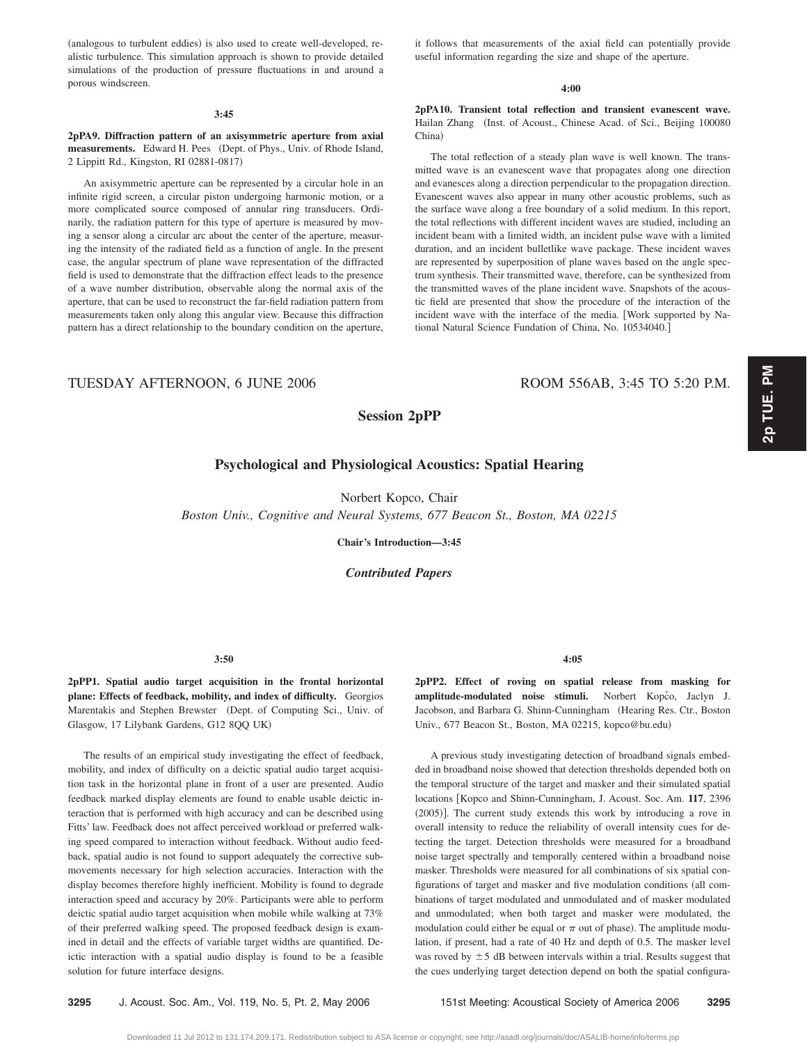(analogous to turbulent eddies) is also used to create well-developed, realistic turbulence. This simulation approach is shown to provide detailed simulations of the production of pressure fluctuations in and around a porous windscreen.

#### **3:45**

**2pPA9. Diffraction pattern of an axisymmetric aperture from axial** measurements. Edward H. Pees (Dept. of Phys., Univ. of Rhode Island, 2 Lippitt Rd., Kingston, RI 02881-0817-

An axisymmetric aperture can be represented by a circular hole in an infinite rigid screen, a circular piston undergoing harmonic motion, or a more complicated source composed of annular ring transducers. Ordinarily, the radiation pattern for this type of aperture is measured by moving a sensor along a circular arc about the center of the aperture, measuring the intensity of the radiated field as a function of angle. In the present case, the angular spectrum of plane wave representation of the diffracted field is used to demonstrate that the diffraction effect leads to the presence of a wave number distribution, observable along the normal axis of the aperture, that can be used to reconstruct the far-field radiation pattern from measurements taken only along this angular view. Because this diffraction pattern has a direct relationship to the boundary condition on the aperture,

it follows that measurements of the axial field can potentially provide useful information regarding the size and shape of the aperture.

#### **4:00**

**2pPA10. Transient total reflection and transient evanescent wave.** Hailan Zhang (Inst. of Acoust., Chinese Acad. of Sci., Beijing 100080 China)

The total reflection of a steady plan wave is well known. The transmitted wave is an evanescent wave that propagates along one direction and evanesces along a direction perpendicular to the propagation direction. Evanescent waves also appear in many other acoustic problems, such as the surface wave along a free boundary of a solid medium. In this report, the total reflections with different incident waves are studied, including an incident beam with a limited width, an incident pulse wave with a limited duration, and an incident bulletlike wave package. These incident waves are represented by superposition of plane waves based on the angle spectrum synthesis. Their transmitted wave, therefore, can be synthesized from the transmitted waves of the plane incident wave. Snapshots of the acoustic field are presented that show the procedure of the interaction of the incident wave with the interface of the media. Work supported by National Natural Science Fundation of China, No. 10534040.

# TUESDAY AFTERNOON, 6 JUNE 2006 ROOM 556AB, 3:45 TO 5:20 P.M.

# **Session 2pPP**

# **Psychological and Physiological Acoustics: Spatial Hearing**

Norbert Kopco, Chair

*Boston Univ., Cognitive and Neural Systems, 677 Beacon St., Boston, MA 02215*

**Chair's Introduction—3:45**

*Contributed Papers*

# **3:50**

**2pPP1. Spatial audio target acquisition in the frontal horizontal plane: Effects of feedback, mobility, and index of difficulty.** Georgios Marentakis and Stephen Brewster (Dept. of Computing Sci., Univ. of Glasgow, 17 Lilybank Gardens, G12 8QQ UK-

The results of an empirical study investigating the effect of feedback, mobility, and index of difficulty on a deictic spatial audio target acquisition task in the horizontal plane in front of a user are presented. Audio feedback marked display elements are found to enable usable deictic interaction that is performed with high accuracy and can be described using Fitts' law. Feedback does not affect perceived workload or preferred walking speed compared to interaction without feedback. Without audio feedback, spatial audio is not found to support adequately the corrective submovements necessary for high selection accuracies. Interaction with the display becomes therefore highly inefficient. Mobility is found to degrade interaction speed and accuracy by 20%. Participants were able to perform deictic spatial audio target acquisition when mobile while walking at 73% of their preferred walking speed. The proposed feedback design is examined in detail and the effects of variable target widths are quantified. Deictic interaction with a spatial audio display is found to be a feasible solution for future interface designs.

**4:05**

**2pPP2. Effect of roving on spatial release from masking for** amplitude-modulated noise stimuli. Norbert Kopčo, Jaclyn J. Jacobson, and Barbara G. Shinn-Cunningham (Hearing Res. Ctr., Boston Univ., 677 Beacon St., Boston, MA 02215, kopco@bu.edu)

A previous study investigating detection of broadband signals embedded in broadband noise showed that detection thresholds depended both on the temporal structure of the target and masker and their simulated spatial locations [Kopco and Shinn-Cunningham, J. Acoust. Soc. Am. 117, 2396 (2005)]. The current study extends this work by introducing a rove in overall intensity to reduce the reliability of overall intensity cues for detecting the target. Detection thresholds were measured for a broadband noise target spectrally and temporally centered within a broadband noise masker. Thresholds were measured for all combinations of six spatial configurations of target and masker and five modulation conditions (all combinations of target modulated and unmodulated and of masker modulated and unmodulated; when both target and masker were modulated, the modulation could either be equal or  $\pi$  out of phase). The amplitude modulation, if present, had a rate of 40 Hz and depth of 0.5. The masker level was roved by  $\pm$  5 dB between intervals within a trial. Results suggest that the cues underlying target detection depend on both the spatial configura-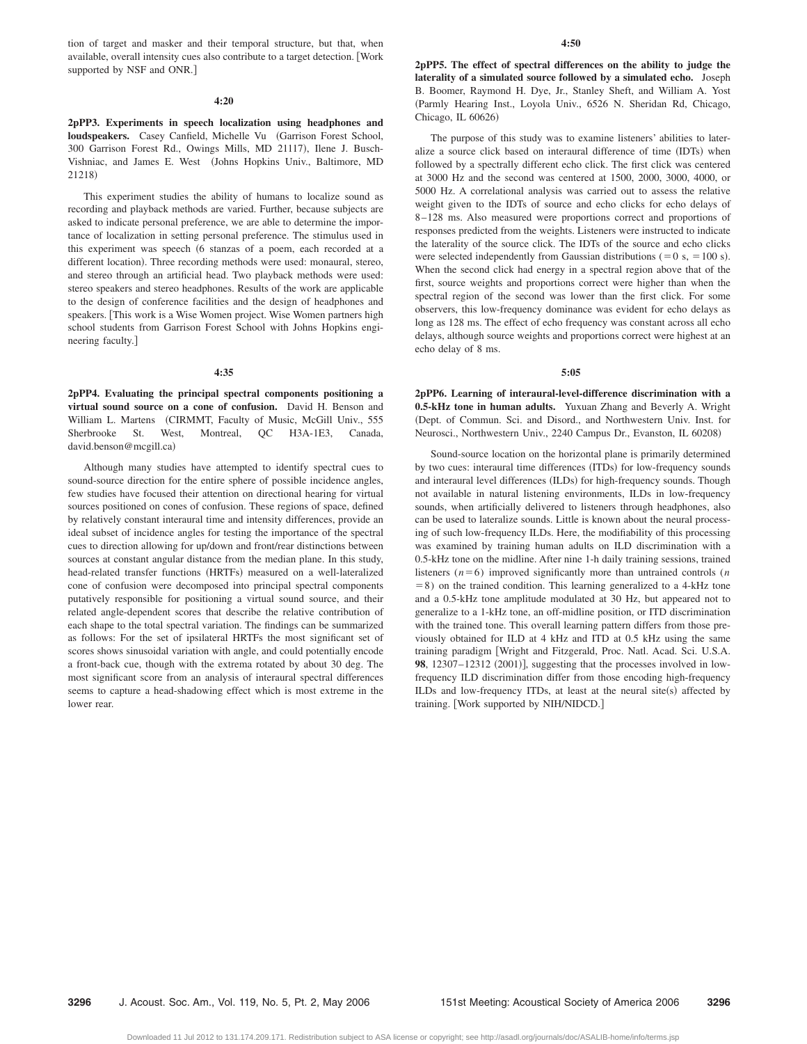tion of target and masker and their temporal structure, but that, when available, overall intensity cues also contribute to a target detection. Work supported by NSF and ONR.]

#### **4:20**

# **2pPP3. Experiments in speech localization using headphones and loudspeakers.** Casey Canfield, Michelle Vu Garrison Forest School, 300 Garrison Forest Rd., Owings Mills, MD 21117), Ilene J. Busch-Vishniac, and James E. West (Johns Hopkins Univ., Baltimore, MD 21218)

This experiment studies the ability of humans to localize sound as recording and playback methods are varied. Further, because subjects are asked to indicate personal preference, we are able to determine the importance of localization in setting personal preference. The stimulus used in this experiment was speech (6 stanzas of a poem, each recorded at a different location). Three recording methods were used: monaural, stereo, and stereo through an artificial head. Two playback methods were used: stereo speakers and stereo headphones. Results of the work are applicable to the design of conference facilities and the design of headphones and speakers. [This work is a Wise Women project. Wise Women partners high school students from Garrison Forest School with Johns Hopkins engineering faculty.

#### **4:35**

**2pPP4. Evaluating the principal spectral components positioning a virtual sound source on a cone of confusion.** David H. Benson and William L. Martens (CIRMMT, Faculty of Music, McGill Univ., 555 Sherbrooke St. West, Montreal, QC H3A-1E3, Canada, david.benson@mcgill.ca)

Although many studies have attempted to identify spectral cues to sound-source direction for the entire sphere of possible incidence angles, few studies have focused their attention on directional hearing for virtual sources positioned on cones of confusion. These regions of space, defined by relatively constant interaural time and intensity differences, provide an ideal subset of incidence angles for testing the importance of the spectral cues to direction allowing for up/down and front/rear distinctions between sources at constant angular distance from the median plane. In this study, head-related transfer functions (HRTFs) measured on a well-lateralized cone of confusion were decomposed into principal spectral components putatively responsible for positioning a virtual sound source, and their related angle-dependent scores that describe the relative contribution of each shape to the total spectral variation. The findings can be summarized as follows: For the set of ipsilateral HRTFs the most significant set of scores shows sinusoidal variation with angle, and could potentially encode a front-back cue, though with the extrema rotated by about 30 deg. The most significant score from an analysis of interaural spectral differences seems to capture a head-shadowing effect which is most extreme in the lower rear.

**2pPP5. The effect of spectral differences on the ability to judge the laterality of a simulated source followed by a simulated echo.** Joseph B. Boomer, Raymond H. Dye, Jr., Stanley Sheft, and William A. Yost Parmly Hearing Inst., Loyola Univ., 6526 N. Sheridan Rd, Chicago, Chicago, IL 60626)

The purpose of this study was to examine listeners' abilities to lateralize a source click based on interaural difference of time (IDTs) when followed by a spectrally different echo click. The first click was centered at 3000 Hz and the second was centered at 1500, 2000, 3000, 4000, or 5000 Hz. A correlational analysis was carried out to assess the relative weight given to the IDTs of source and echo clicks for echo delays of 8 –128 ms. Also measured were proportions correct and proportions of responses predicted from the weights. Listeners were instructed to indicate the laterality of the source click. The IDTs of the source and echo clicks were selected independently from Gaussian distributions  $(=0 \text{ s}, =100 \text{ s}).$ When the second click had energy in a spectral region above that of the first, source weights and proportions correct were higher than when the spectral region of the second was lower than the first click. For some observers, this low-frequency dominance was evident for echo delays as long as 128 ms. The effect of echo frequency was constant across all echo delays, although source weights and proportions correct were highest at an echo delay of 8 ms.

## **5:05**

**2pPP6. Learning of interaural-level-difference discrimination with a 0.5-kHz tone in human adults.** Yuxuan Zhang and Beverly A. Wright Dept. of Commun. Sci. and Disord., and Northwestern Univ. Inst. for Neurosci., Northwestern Univ., 2240 Campus Dr., Evanston, IL 60208-

Sound-source location on the horizontal plane is primarily determined by two cues: interaural time differences (ITDs) for low-frequency sounds and interaural level differences (ILDs) for high-frequency sounds. Though not available in natural listening environments, ILDs in low-frequency sounds, when artificially delivered to listeners through headphones, also can be used to lateralize sounds. Little is known about the neural processing of such low-frequency ILDs. Here, the modifiability of this processing was examined by training human adults on ILD discrimination with a 0.5-kHz tone on the midline. After nine 1-h daily training sessions, trained listeners  $(n=6)$  improved significantly more than untrained controls  $(n)$  $= 8$ ) on the trained condition. This learning generalized to a 4-kHz tone and a 0.5-kHz tone amplitude modulated at 30 Hz, but appeared not to generalize to a 1-kHz tone, an off-midline position, or ITD discrimination with the trained tone. This overall learning pattern differs from those previously obtained for ILD at 4 kHz and ITD at 0.5 kHz using the same training paradigm Wright and Fitzgerald, Proc. Natl. Acad. Sci. U.S.A. 98, 12307–12312 (2001)], suggesting that the processes involved in lowfrequency ILD discrimination differ from those encoding high-frequency ILDs and low-frequency ITDs, at least at the neural site(s) affected by training. Work supported by NIH/NIDCD.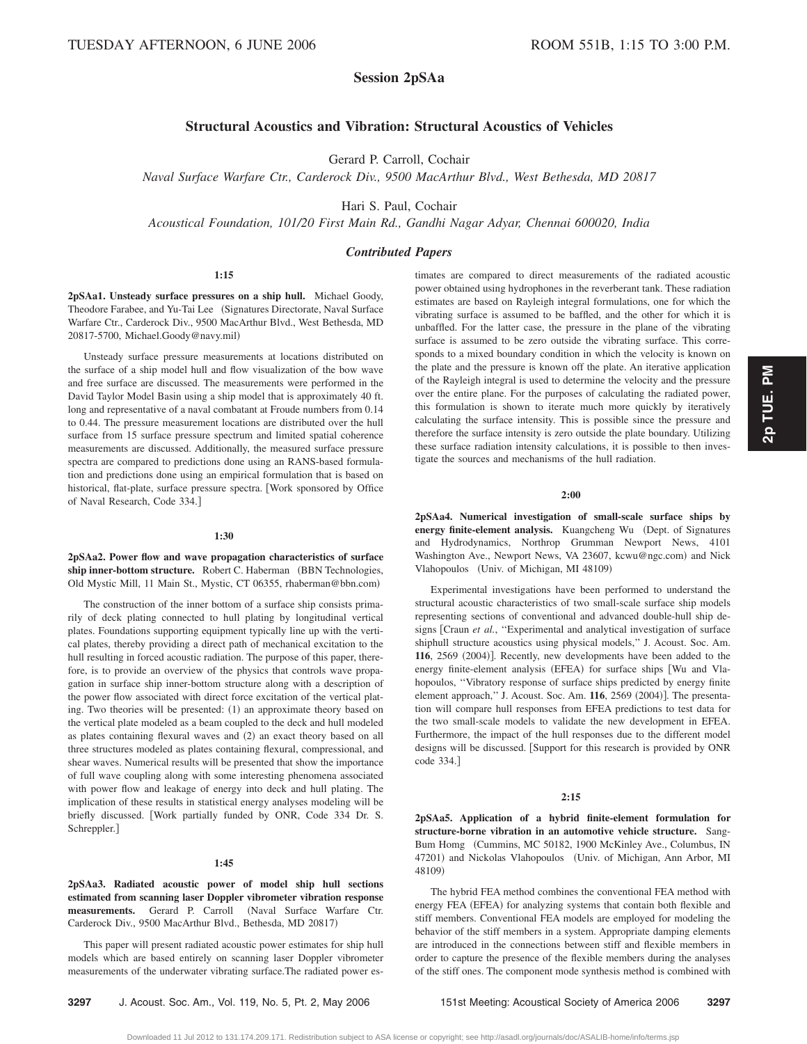# **Session 2pSAa**

# **Structural Acoustics and Vibration: Structural Acoustics of Vehicles**

Gerard P. Carroll, Cochair

*Naval Surface Warfare Ctr., Carderock Div., 9500 MacArthur Blvd., West Bethesda, MD 20817*

Hari S. Paul, Cochair

*Acoustical Foundation, 101/20 First Main Rd., Gandhi Nagar Adyar, Chennai 600020, India*

# *Contributed Papers*

#### **1:15**

**2pSAa1. Unsteady surface pressures on a ship hull.** Michael Goody, Theodore Farabee, and Yu-Tai Lee (Signatures Directorate, Naval Surface Warfare Ctr., Carderock Div., 9500 MacArthur Blvd., West Bethesda, MD 20817-5700, Michael.Goody@navy.mil-

Unsteady surface pressure measurements at locations distributed on the surface of a ship model hull and flow visualization of the bow wave and free surface are discussed. The measurements were performed in the David Taylor Model Basin using a ship model that is approximately 40 ft. long and representative of a naval combatant at Froude numbers from 0.14 to 0.44. The pressure measurement locations are distributed over the hull surface from 15 surface pressure spectrum and limited spatial coherence measurements are discussed. Additionally, the measured surface pressure spectra are compared to predictions done using an RANS-based formulation and predictions done using an empirical formulation that is based on historical, flat-plate, surface pressure spectra. [Work sponsored by Office of Naval Research, Code 334.

#### **1:30**

**2pSAa2. Power flow and wave propagation characteristics of surface** ship inner-bottom structure. Robert C. Haberman (BBN Technologies, Old Mystic Mill, 11 Main St., Mystic, CT 06355, rhaberman@bbn.com-

The construction of the inner bottom of a surface ship consists primarily of deck plating connected to hull plating by longitudinal vertical plates. Foundations supporting equipment typically line up with the vertical plates, thereby providing a direct path of mechanical excitation to the hull resulting in forced acoustic radiation. The purpose of this paper, therefore, is to provide an overview of the physics that controls wave propagation in surface ship inner-bottom structure along with a description of the power flow associated with direct force excitation of the vertical plating. Two theories will be presented: (1) an approximate theory based on the vertical plate modeled as a beam coupled to the deck and hull modeled as plates containing flexural waves and (2) an exact theory based on all three structures modeled as plates containing flexural, compressional, and shear waves. Numerical results will be presented that show the importance of full wave coupling along with some interesting phenomena associated with power flow and leakage of energy into deck and hull plating. The implication of these results in statistical energy analyses modeling will be briefly discussed. Work partially funded by ONR, Code 334 Dr. S. Schreppler.]

#### **1:45**

**2pSAa3. Radiated acoustic power of model ship hull sections estimated from scanning laser Doppler vibrometer vibration response** measurements. Gerard P. Carroll (Naval Surface Warfare Ctr. Carderock Div., 9500 MacArthur Blvd., Bethesda, MD 20817)

This paper will present radiated acoustic power estimates for ship hull models which are based entirely on scanning laser Doppler vibrometer measurements of the underwater vibrating surface.The radiated power estimates are compared to direct measurements of the radiated acoustic power obtained using hydrophones in the reverberant tank. These radiation estimates are based on Rayleigh integral formulations, one for which the vibrating surface is assumed to be baffled, and the other for which it is unbaffled. For the latter case, the pressure in the plane of the vibrating surface is assumed to be zero outside the vibrating surface. This corresponds to a mixed boundary condition in which the velocity is known on the plate and the pressure is known off the plate. An iterative application of the Rayleigh integral is used to determine the velocity and the pressure over the entire plane. For the purposes of calculating the radiated power, this formulation is shown to iterate much more quickly by iteratively calculating the surface intensity. This is possible since the pressure and therefore the surface intensity is zero outside the plate boundary. Utilizing these surface radiation intensity calculations, it is possible to then investigate the sources and mechanisms of the hull radiation.

## **2:00**

**2pSAa4. Numerical investigation of small-scale surface ships by** energy finite-element analysis. Kuangcheng Wu (Dept. of Signatures and Hydrodynamics, Northrop Grumman Newport News, 4101 Washington Ave., Newport News, VA 23607, kcwu@ngc.com) and Nick Vlahopoulos (Univ. of Michigan, MI 48109)

Experimental investigations have been performed to understand the structural acoustic characteristics of two small-scale surface ship models representing sections of conventional and advanced double-hull ship designs [Craun *et al.*, "Experimental and analytical investigation of surface shiphull structure acoustics using physical models,'' J. Acoust. Soc. Am. 116, 2569 (2004)]. Recently, new developments have been added to the energy finite-element analysis (EFEA) for surface ships [Wu and Vlahopoulos, ''Vibratory response of surface ships predicted by energy finite element approach," J. Acoust. Soc. Am. 116, 2569 (2004)]. The presentation will compare hull responses from EFEA predictions to test data for the two small-scale models to validate the new development in EFEA. Furthermore, the impact of the hull responses due to the different model designs will be discussed. [Support for this research is provided by ONR code 334.

## **2:15**

**2pSAa5. Application of a hybrid finite-element formulation for structure-borne vibration in an automotive vehicle structure.** Sang-Bum Homg Cummins, MC 50182, 1900 McKinley Ave., Columbus, IN 47201) and Nickolas Vlahopoulos (Univ. of Michigan, Ann Arbor, MI 48109)

The hybrid FEA method combines the conventional FEA method with energy FEA (EFEA) for analyzing systems that contain both flexible and stiff members. Conventional FEA models are employed for modeling the behavior of the stiff members in a system. Appropriate damping elements are introduced in the connections between stiff and flexible members in order to capture the presence of the flexible members during the analyses of the stiff ones. The component mode synthesis method is combined with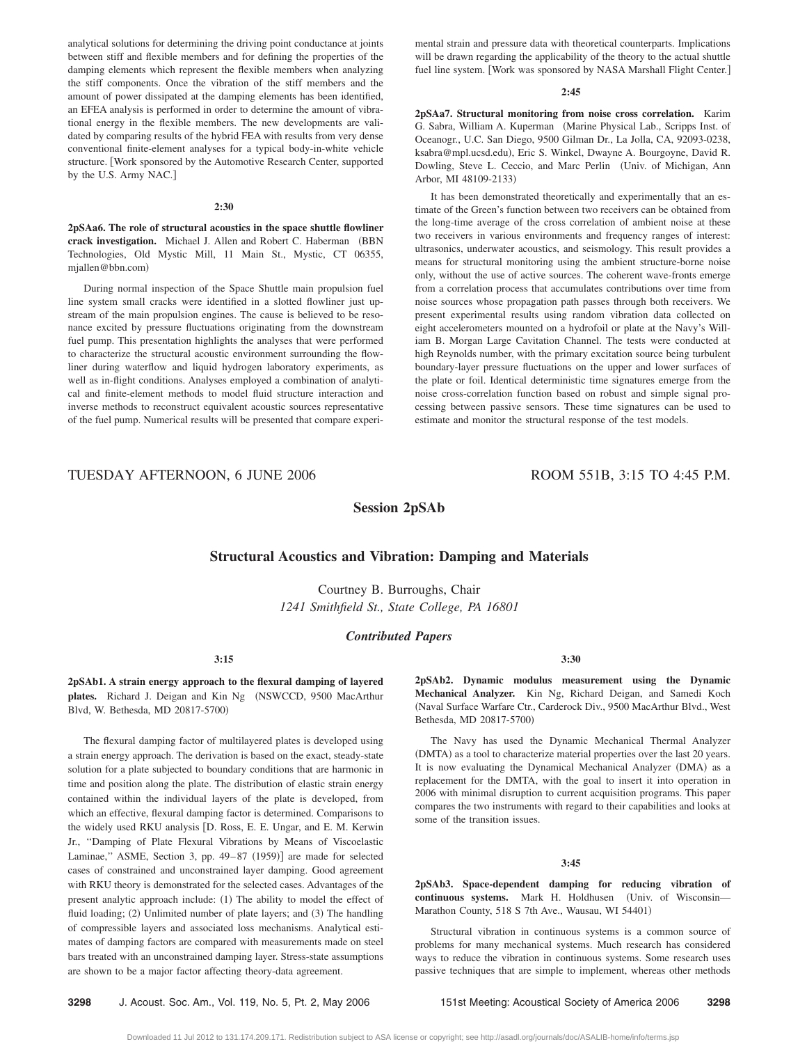analytical solutions for determining the driving point conductance at joints between stiff and flexible members and for defining the properties of the damping elements which represent the flexible members when analyzing the stiff components. Once the vibration of the stiff members and the amount of power dissipated at the damping elements has been identified, an EFEA analysis is performed in order to determine the amount of vibrational energy in the flexible members. The new developments are validated by comparing results of the hybrid FEA with results from very dense conventional finite-element analyses for a typical body-in-white vehicle structure. [Work sponsored by the Automotive Research Center, supported by the U.S. Army NAC.

#### **2:30**

**2pSAa6. The role of structural acoustics in the space shuttle flowliner** crack investigation. Michael J. Allen and Robert C. Haberman (BBN Technologies, Old Mystic Mill, 11 Main St., Mystic, CT 06355, mjallen@bbn.com)

During normal inspection of the Space Shuttle main propulsion fuel line system small cracks were identified in a slotted flowliner just upstream of the main propulsion engines. The cause is believed to be resonance excited by pressure fluctuations originating from the downstream fuel pump. This presentation highlights the analyses that were performed to characterize the structural acoustic environment surrounding the flowliner during waterflow and liquid hydrogen laboratory experiments, as well as in-flight conditions. Analyses employed a combination of analytical and finite-element methods to model fluid structure interaction and inverse methods to reconstruct equivalent acoustic sources representative of the fuel pump. Numerical results will be presented that compare experimental strain and pressure data with theoretical counterparts. Implications will be drawn regarding the applicability of the theory to the actual shuttle fuel line system. [Work was sponsored by NASA Marshall Flight Center.]

#### **2:45**

**2pSAa7. Structural monitoring from noise cross correlation.** Karim G. Sabra, William A. Kuperman (Marine Physical Lab., Scripps Inst. of Oceanogr., U.C. San Diego, 9500 Gilman Dr., La Jolla, CA, 92093-0238, ksabra@mpl.ucsd.edu), Eric S. Winkel, Dwayne A. Bourgoyne, David R. Dowling, Steve L. Ceccio, and Marc Perlin Univ. of Michigan, Ann Arbor, MI 48109-2133)

It has been demonstrated theoretically and experimentally that an estimate of the Green's function between two receivers can be obtained from the long-time average of the cross correlation of ambient noise at these two receivers in various environments and frequency ranges of interest: ultrasonics, underwater acoustics, and seismology. This result provides a means for structural monitoring using the ambient structure-borne noise only, without the use of active sources. The coherent wave-fronts emerge from a correlation process that accumulates contributions over time from noise sources whose propagation path passes through both receivers. We present experimental results using random vibration data collected on eight accelerometers mounted on a hydrofoil or plate at the Navy's William B. Morgan Large Cavitation Channel. The tests were conducted at high Reynolds number, with the primary excitation source being turbulent boundary-layer pressure fluctuations on the upper and lower surfaces of the plate or foil. Identical deterministic time signatures emerge from the noise cross-correlation function based on robust and simple signal processing between passive sensors. These time signatures can be used to estimate and monitor the structural response of the test models.

# TUESDAY AFTERNOON, 6 JUNE 2006 ROOM 551B, 3:15 TO 4:45 P.M.

**Session 2pSAb**

# **Structural Acoustics and Vibration: Damping and Materials**

Courtney B. Burroughs, Chair *1241 Smithfield St., State College, PA 16801*

# *Contributed Papers*

**3:15**

**2pSAb1. A strain energy approach to the flexural damping of layered** plates. Richard J. Deigan and Kin Ng (NSWCCD, 9500 MacArthur Blvd, W. Bethesda, MD 20817-5700-

The flexural damping factor of multilayered plates is developed using a strain energy approach. The derivation is based on the exact, steady-state solution for a plate subjected to boundary conditions that are harmonic in time and position along the plate. The distribution of elastic strain energy contained within the individual layers of the plate is developed, from which an effective, flexural damping factor is determined. Comparisons to the widely used RKU analysis [D. Ross, E. E. Ungar, and E. M. Kerwin Jr., ''Damping of Plate Flexural Vibrations by Means of Viscoelastic Laminae," ASME, Section 3, pp. 49-87 (1959)] are made for selected cases of constrained and unconstrained layer damping. Good agreement with RKU theory is demonstrated for the selected cases. Advantages of the present analytic approach include: (1) The ability to model the effect of fluid loading; (2) Unlimited number of plate layers; and (3) The handling of compressible layers and associated loss mechanisms. Analytical estimates of damping factors are compared with measurements made on steel bars treated with an unconstrained damping layer. Stress-state assumptions are shown to be a major factor affecting theory-data agreement.

**3:30**

**2pSAb2. Dynamic modulus measurement using the Dynamic Mechanical Analyzer.** Kin Ng, Richard Deigan, and Samedi Koch Naval Surface Warfare Ctr., Carderock Div., 9500 MacArthur Blvd., West Bethesda, MD 20817-5700-

The Navy has used the Dynamic Mechanical Thermal Analyzer (DMTA) as a tool to characterize material properties over the last 20 years. It is now evaluating the Dynamical Mechanical Analyzer (DMA) as a replacement for the DMTA, with the goal to insert it into operation in 2006 with minimal disruption to current acquisition programs. This paper compares the two instruments with regard to their capabilities and looks at some of the transition issues.

#### **3:45**

**2pSAb3. Space-dependent damping for reducing vibration of** continuous systems. Mark H. Holdhusen (Univ. of Wisconsin-Marathon County, 518 S 7th Ave., Wausau, WI 54401)

Structural vibration in continuous systems is a common source of problems for many mechanical systems. Much research has considered ways to reduce the vibration in continuous systems. Some research uses passive techniques that are simple to implement, whereas other methods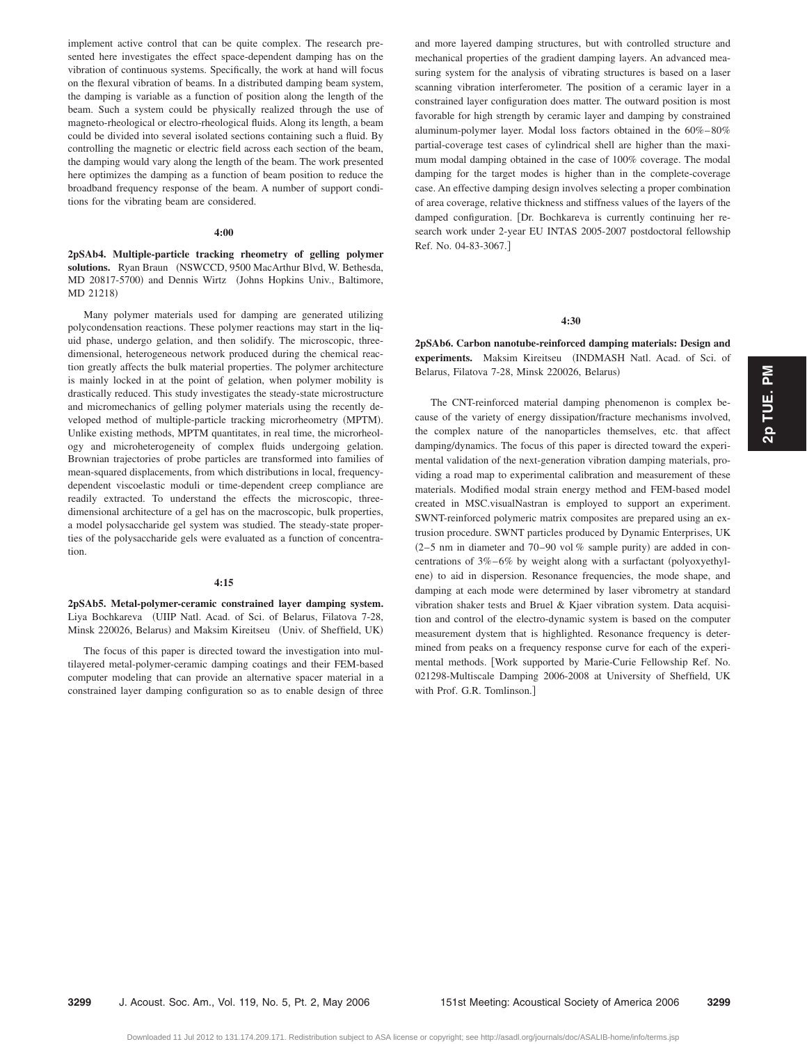implement active control that can be quite complex. The research presented here investigates the effect space-dependent damping has on the vibration of continuous systems. Specifically, the work at hand will focus on the flexural vibration of beams. In a distributed damping beam system, the damping is variable as a function of position along the length of the beam. Such a system could be physically realized through the use of magneto-rheological or electro-rheological fluids. Along its length, a beam could be divided into several isolated sections containing such a fluid. By controlling the magnetic or electric field across each section of the beam, the damping would vary along the length of the beam. The work presented here optimizes the damping as a function of beam position to reduce the broadband frequency response of the beam. A number of support conditions for the vibrating beam are considered.

#### **4:00**

**2pSAb4. Multiple-particle tracking rheometry of gelling polymer** solutions. Ryan Braun (NSWCCD, 9500 MacArthur Blvd, W. Bethesda, MD 20817-5700) and Dennis Wirtz (Johns Hopkins Univ., Baltimore, MD 21218)

Many polymer materials used for damping are generated utilizing polycondensation reactions. These polymer reactions may start in the liquid phase, undergo gelation, and then solidify. The microscopic, threedimensional, heterogeneous network produced during the chemical reaction greatly affects the bulk material properties. The polymer architecture is mainly locked in at the point of gelation, when polymer mobility is drastically reduced. This study investigates the steady-state microstructure and micromechanics of gelling polymer materials using the recently developed method of multiple-particle tracking microrheometry (MPTM). Unlike existing methods, MPTM quantitates, in real time, the microrheology and microheterogeneity of complex fluids undergoing gelation. Brownian trajectories of probe particles are transformed into families of mean-squared displacements, from which distributions in local, frequencydependent viscoelastic moduli or time-dependent creep compliance are readily extracted. To understand the effects the microscopic, threedimensional architecture of a gel has on the macroscopic, bulk properties, a model polysaccharide gel system was studied. The steady-state properties of the polysaccharide gels were evaluated as a function of concentration.

#### **4:15**

**2pSAb5. Metal-polymer-ceramic constrained layer damping system.** Liya Bochkareva UIIP Natl. Acad. of Sci. of Belarus, Filatova 7-28, Minsk 220026, Belarus) and Maksim Kireitseu (Univ. of Sheffield, UK)

The focus of this paper is directed toward the investigation into multilayered metal-polymer-ceramic damping coatings and their FEM-based computer modeling that can provide an alternative spacer material in a constrained layer damping configuration so as to enable design of three and more layered damping structures, but with controlled structure and mechanical properties of the gradient damping layers. An advanced measuring system for the analysis of vibrating structures is based on a laser scanning vibration interferometer. The position of a ceramic layer in a constrained layer configuration does matter. The outward position is most favorable for high strength by ceramic layer and damping by constrained aluminum-polymer layer. Modal loss factors obtained in the 60%– 80% partial-coverage test cases of cylindrical shell are higher than the maximum modal damping obtained in the case of 100% coverage. The modal damping for the target modes is higher than in the complete-coverage case. An effective damping design involves selecting a proper combination of area coverage, relative thickness and stiffness values of the layers of the damped configuration. [Dr. Bochkareva is currently continuing her research work under 2-year EU INTAS 2005-2007 postdoctoral fellowship Ref. No. 04-83-3067.

# **4:30**

**2pSAb6. Carbon nanotube-reinforced damping materials: Design and** experiments. Maksim Kireitseu (INDMASH Natl. Acad. of Sci. of Belarus, Filatova 7-28, Minsk 220026, Belarus)

The CNT-reinforced material damping phenomenon is complex because of the variety of energy dissipation/fracture mechanisms involved, the complex nature of the nanoparticles themselves, etc. that affect damping/dynamics. The focus of this paper is directed toward the experimental validation of the next-generation vibration damping materials, providing a road map to experimental calibration and measurement of these materials. Modified modal strain energy method and FEM-based model created in MSC.visualNastran is employed to support an experiment. SWNT-reinforced polymeric matrix composites are prepared using an extrusion procedure. SWNT particles produced by Dynamic Enterprises, UK  $(2-5)$  nm in diameter and 70-90 vol % sample purity) are added in concentrations of  $3\% - 6\%$  by weight along with a surfactant (polyoxyethylene) to aid in dispersion. Resonance frequencies, the mode shape, and damping at each mode were determined by laser vibrometry at standard vibration shaker tests and Bruel & Kjaer vibration system. Data acquisition and control of the electro-dynamic system is based on the computer measurement dystem that is highlighted. Resonance frequency is determined from peaks on a frequency response curve for each of the experimental methods. [Work supported by Marie-Curie Fellowship Ref. No. 021298-Multiscale Damping 2006-2008 at University of Sheffield, UK with Prof. G.R. Tomlinson.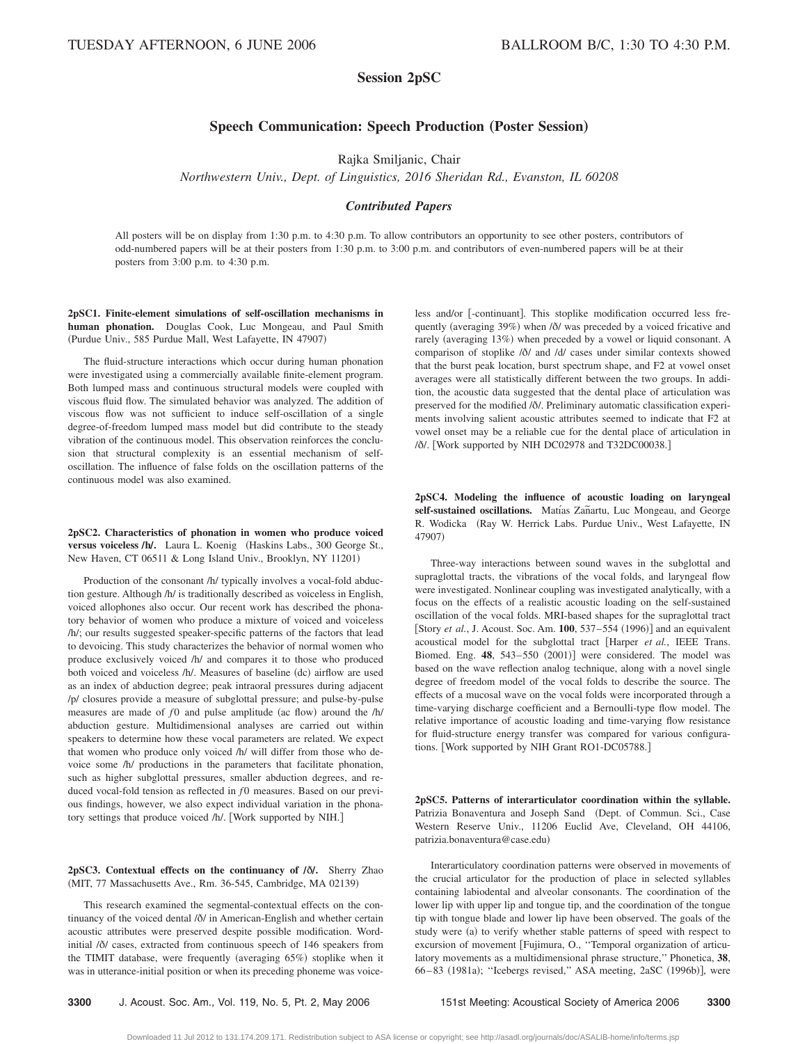# **Session 2pSC**

# **Speech Communication: Speech Production (Poster Session)**

Rajka Smiljanic, Chair

*Northwestern Univ., Dept. of Linguistics, 2016 Sheridan Rd., Evanston, IL 60208*

# *Contributed Papers*

All posters will be on display from 1:30 p.m. to 4:30 p.m. To allow contributors an opportunity to see other posters, contributors of odd-numbered papers will be at their posters from 1:30 p.m. to 3:00 p.m. and contributors of even-numbered papers will be at their posters from 3:00 p.m. to 4:30 p.m.

**2pSC1. Finite-element simulations of self-oscillation mechanisms in human phonation.** Douglas Cook, Luc Mongeau, and Paul Smith (Purdue Univ., 585 Purdue Mall, West Lafayette, IN 47907)

The fluid-structure interactions which occur during human phonation were investigated using a commercially available finite-element program. Both lumped mass and continuous structural models were coupled with viscous fluid flow. The simulated behavior was analyzed. The addition of viscous flow was not sufficient to induce self-oscillation of a single degree-of-freedom lumped mass model but did contribute to the steady vibration of the continuous model. This observation reinforces the conclusion that structural complexity is an essential mechanism of selfoscillation. The influence of false folds on the oscillation patterns of the continuous model was also examined.

**2pSC2. Characteristics of phonation in women who produce voiced versus voiceless /h/.** Laura L. Koenig (Haskins Labs., 300 George St., New Haven, CT 06511 & Long Island Univ., Brooklyn, NY 11201)

Production of the consonant /h/ typically involves a vocal-fold abduction gesture. Although /h/ is traditionally described as voiceless in English, voiced allophones also occur. Our recent work has described the phonatory behavior of women who produce a mixture of voiced and voiceless /h/; our results suggested speaker-specific patterns of the factors that lead to devoicing. This study characterizes the behavior of normal women who produce exclusively voiced /h/ and compares it to those who produced both voiced and voiceless /h/. Measures of baseline (dc) airflow are used as an index of abduction degree; peak intraoral pressures during adjacent /p/ closures provide a measure of subglottal pressure; and pulse-by-pulse measures are made of  $f0$  and pulse amplitude (ac flow) around the /h/ abduction gesture. Multidimensional analyses are carried out within speakers to determine how these vocal parameters are related. We expect that women who produce only voiced /h/ will differ from those who devoice some /h/ productions in the parameters that facilitate phonation, such as higher subglottal pressures, smaller abduction degrees, and reduced vocal-fold tension as reflected in  $f0$  measures. Based on our previous findings, however, we also expect individual variation in the phonatory settings that produce voiced /h/. [Work supported by NIH.]

# 2pSC3. Contextual effects on the continuancy of  $\delta$ *l*. Sherry Zhao (MIT, 77 Massachusetts Ave., Rm. 36-545, Cambridge, MA 02139)

This research examined the segmental-contextual effects on the continuancy of the voiced dental  $\delta/$  in American-English and whether certain acoustic attributes were preserved despite possible modification. Wordinitial / $\delta$ / cases, extracted from continuous speech of 146 speakers from the TIMIT database, were frequently (averaging 65%) stoplike when it was in utterance-initial position or when its preceding phoneme was voiceless and/or [-continuant]. This stoplike modification occurred less frequently (averaging 39%) when / $\delta$ / was preceded by a voiced fricative and rarely (averaging 13%) when preceded by a vowel or liquid consonant. A comparison of stoplike / $\delta$ / and /d/ cases under similar contexts showed that the burst peak location, burst spectrum shape, and F2 at vowel onset averages were all statistically different between the two groups. In addition, the acoustic data suggested that the dental place of articulation was preserved for the modified /ð/. Preliminary automatic classification experiments involving salient acoustic attributes seemed to indicate that F2 at vowel onset may be a reliable cue for the dental place of articulation in /ð/. [Work supported by NIH DC02978 and T32DC00038.]

**2pSC4. Modeling the influence of acoustic loading on laryngeal** self-sustained oscillations. Matías Zañartu, Luc Mongeau, and George R. Wodicka (Ray W. Herrick Labs. Purdue Univ., West Lafayette, IN 47907)

Three-way interactions between sound waves in the subglottal and supraglottal tracts, the vibrations of the vocal folds, and laryngeal flow were investigated. Nonlinear coupling was investigated analytically, with a focus on the effects of a realistic acoustic loading on the self-sustained oscillation of the vocal folds. MRI-based shapes for the supraglottal tract [Story *et al.*, J. Acoust. Soc. Am. 100, 537–554 (1996)] and an equivalent acoustical model for the subglottal tract Harper *et al.*, IEEE Trans. Biomed. Eng. 48, 543-550 (2001)] were considered. The model was based on the wave reflection analog technique, along with a novel single degree of freedom model of the vocal folds to describe the source. The effects of a mucosal wave on the vocal folds were incorporated through a time-varying discharge coefficient and a Bernoulli-type flow model. The relative importance of acoustic loading and time-varying flow resistance for fluid-structure energy transfer was compared for various configurations. [Work supported by NIH Grant RO1-DC05788.]

**2pSC5. Patterns of interarticulator coordination within the syllable.** Patrizia Bonaventura and Joseph Sand (Dept. of Commun. Sci., Case Western Reserve Univ., 11206 Euclid Ave, Cleveland, OH 44106, patrizia.bonaventura@case.edu-

Interarticulatory coordination patterns were observed in movements of the crucial articulator for the production of place in selected syllables containing labiodental and alveolar consonants. The coordination of the lower lip with upper lip and tongue tip, and the coordination of the tongue tip with tongue blade and lower lip have been observed. The goals of the study were (a) to verify whether stable patterns of speed with respect to excursion of movement [Fujimura, O., "Temporal organization of articulatory movements as a multidimensional phrase structure,'' Phonetica, **38**, 66-83 (1981a); "Icebergs revised," ASA meeting, 2aSC (1996b)], were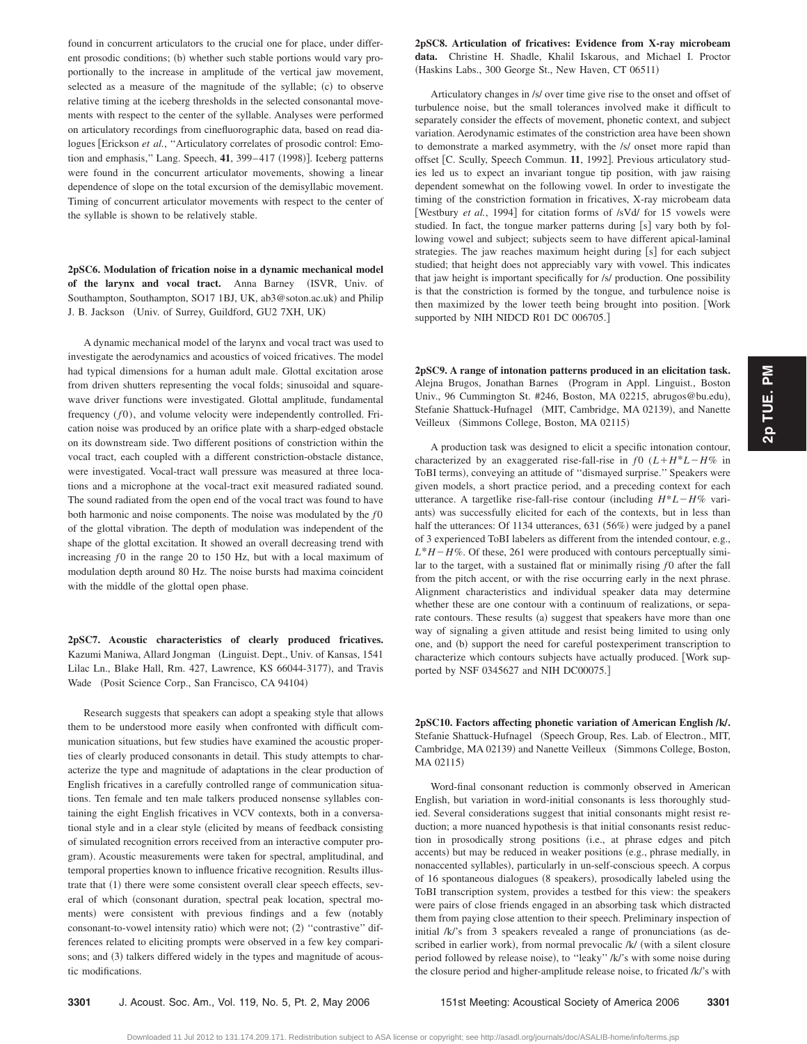2p TUE. PM **2p TUE. PM**

found in concurrent articulators to the crucial one for place, under different prosodic conditions; (b) whether such stable portions would vary proportionally to the increase in amplitude of the vertical jaw movement, selected as a measure of the magnitude of the syllable; (c) to observe relative timing at the iceberg thresholds in the selected consonantal movements with respect to the center of the syllable. Analyses were performed on articulatory recordings from cinefluorographic data, based on read dialogues [Erickson et al., "Articulatory correlates of prosodic control: Emotion and emphasis," Lang. Speech, 41, 399–417 (1998)]. Iceberg patterns were found in the concurrent articulator movements, showing a linear dependence of slope on the total excursion of the demisyllabic movement. Timing of concurrent articulator movements with respect to the center of the syllable is shown to be relatively stable.

**2pSC6. Modulation of frication noise in a dynamic mechanical model of the larynx and vocal tract.** Anna Barney ISVR, Univ. of Southampton, Southampton, SO17 1BJ, UK, ab3@soton.ac.uk) and Philip J. B. Jackson (Univ. of Surrey, Guildford, GU2 7XH, UK)

A dynamic mechanical model of the larynx and vocal tract was used to investigate the aerodynamics and acoustics of voiced fricatives. The model had typical dimensions for a human adult male. Glottal excitation arose from driven shutters representing the vocal folds; sinusoidal and squarewave driver functions were investigated. Glottal amplitude, fundamental frequency (*f* 0), and volume velocity were independently controlled. Frication noise was produced by an orifice plate with a sharp-edged obstacle on its downstream side. Two different positions of constriction within the vocal tract, each coupled with a different constriction-obstacle distance, were investigated. Vocal-tract wall pressure was measured at three locations and a microphone at the vocal-tract exit measured radiated sound. The sound radiated from the open end of the vocal tract was found to have both harmonic and noise components. The noise was modulated by the  $f0$ of the glottal vibration. The depth of modulation was independent of the shape of the glottal excitation. It showed an overall decreasing trend with increasing *f*0 in the range 20 to 150 Hz, but with a local maximum of modulation depth around 80 Hz. The noise bursts had maxima coincident with the middle of the glottal open phase.

**2pSC7. Acoustic characteristics of clearly produced fricatives.** Kazumi Maniwa, Allard Jongman (Linguist. Dept., Univ. of Kansas, 1541 Lilac Ln., Blake Hall, Rm. 427, Lawrence, KS 66044-3177), and Travis Wade (Posit Science Corp., San Francisco, CA 94104)

Research suggests that speakers can adopt a speaking style that allows them to be understood more easily when confronted with difficult communication situations, but few studies have examined the acoustic properties of clearly produced consonants in detail. This study attempts to characterize the type and magnitude of adaptations in the clear production of English fricatives in a carefully controlled range of communication situations. Ten female and ten male talkers produced nonsense syllables containing the eight English fricatives in VCV contexts, both in a conversational style and in a clear style (elicited by means of feedback consisting of simulated recognition errors received from an interactive computer program). Acoustic measurements were taken for spectral, amplitudinal, and temporal properties known to influence fricative recognition. Results illustrate that (1) there were some consistent overall clear speech effects, several of which (consonant duration, spectral peak location, spectral moments) were consistent with previous findings and a few (notably consonant-to-vowel intensity ratio) which were not; (2) "contrastive" differences related to eliciting prompts were observed in a few key comparisons; and (3) talkers differed widely in the types and magnitude of acoustic modifications.

**2pSC8. Articulation of fricatives: Evidence from X-ray microbeam data.** Christine H. Shadle, Khalil Iskarous, and Michael I. Proctor (Haskins Labs., 300 George St., New Haven, CT 06511)

Articulatory changes in /s/ over time give rise to the onset and offset of turbulence noise, but the small tolerances involved make it difficult to separately consider the effects of movement, phonetic context, and subject variation. Aerodynamic estimates of the constriction area have been shown to demonstrate a marked asymmetry, with the /s/ onset more rapid than offset [C. Scully, Speech Commun. 11, 1992]. Previous articulatory studies led us to expect an invariant tongue tip position, with jaw raising dependent somewhat on the following vowel. In order to investigate the timing of the constriction formation in fricatives, X-ray microbeam data [Westbury *et al.*, 1994] for citation forms of /sVd/ for 15 vowels were studied. In fact, the tongue marker patterns during [s] vary both by following vowel and subject; subjects seem to have different apical-laminal strategies. The jaw reaches maximum height during [s] for each subject studied; that height does not appreciably vary with vowel. This indicates that jaw height is important specifically for /s/ production. One possibility is that the constriction is formed by the tongue, and turbulence noise is then maximized by the lower teeth being brought into position. [Work supported by NIH NIDCD R01 DC 006705.]

**2pSC9. A range of intonation patterns produced in an elicitation task.** Alejna Brugos, Jonathan Barnes (Program in Appl. Linguist., Boston Univ., 96 Cummington St. #246, Boston, MA 02215, abrugos@bu.edu), Stefanie Shattuck-Hufnagel (MIT, Cambridge, MA 02139), and Nanette Veilleux (Simmons College, Boston, MA 02115)

A production task was designed to elicit a specific intonation contour, characterized by an exaggerated rise-fall-rise in  $f0$   $(L+H^*L-H\%$  in ToBI terms), conveying an attitude of "dismayed surprise." Speakers were given models, a short practice period, and a preceding context for each utterance. A targetlike rise-fall-rise contour (including  $H^*L-H\%$  variants) was successfully elicited for each of the contexts, but in less than half the utterances: Of 1134 utterances, 631 (56%) were judged by a panel of 3 experienced ToBI labelers as different from the intended contour, e.g.,  $L*H-H\%$ . Of these, 261 were produced with contours perceptually similar to the target, with a sustained flat or minimally rising  $f0$  after the fall from the pitch accent, or with the rise occurring early in the next phrase. Alignment characteristics and individual speaker data may determine whether these are one contour with a continuum of realizations, or separate contours. These results (a) suggest that speakers have more than one way of signaling a given attitude and resist being limited to using only one, and (b) support the need for careful postexperiment transcription to characterize which contours subjects have actually produced. [Work supported by NSF 0345627 and NIH DC00075.

2pSC10. Factors affecting phonetic variation of American English /k/. Stefanie Shattuck-Hufnagel (Speech Group, Res. Lab. of Electron., MIT, Cambridge, MA 02139) and Nanette Veilleux (Simmons College, Boston, MA 02115)

Word-final consonant reduction is commonly observed in American English, but variation in word-initial consonants is less thoroughly studied. Several considerations suggest that initial consonants might resist reduction; a more nuanced hypothesis is that initial consonants resist reduction in prosodically strong positions (i.e., at phrase edges and pitch accents) but may be reduced in weaker positions (e.g., phrase medially, in nonaccented syllables), particularly in un-self-conscious speech. A corpus of 16 spontaneous dialogues (8 speakers), prosodically labeled using the ToBI transcription system, provides a testbed for this view: the speakers were pairs of close friends engaged in an absorbing task which distracted them from paying close attention to their speech. Preliminary inspection of initial  $/k$ 's from 3 speakers revealed a range of pronunciations (as described in earlier work), from normal prevocalic /k/ (with a silent closure period followed by release noise), to "leaky" /k/'s with some noise during the closure period and higher-amplitude release noise, to fricated /k/'s with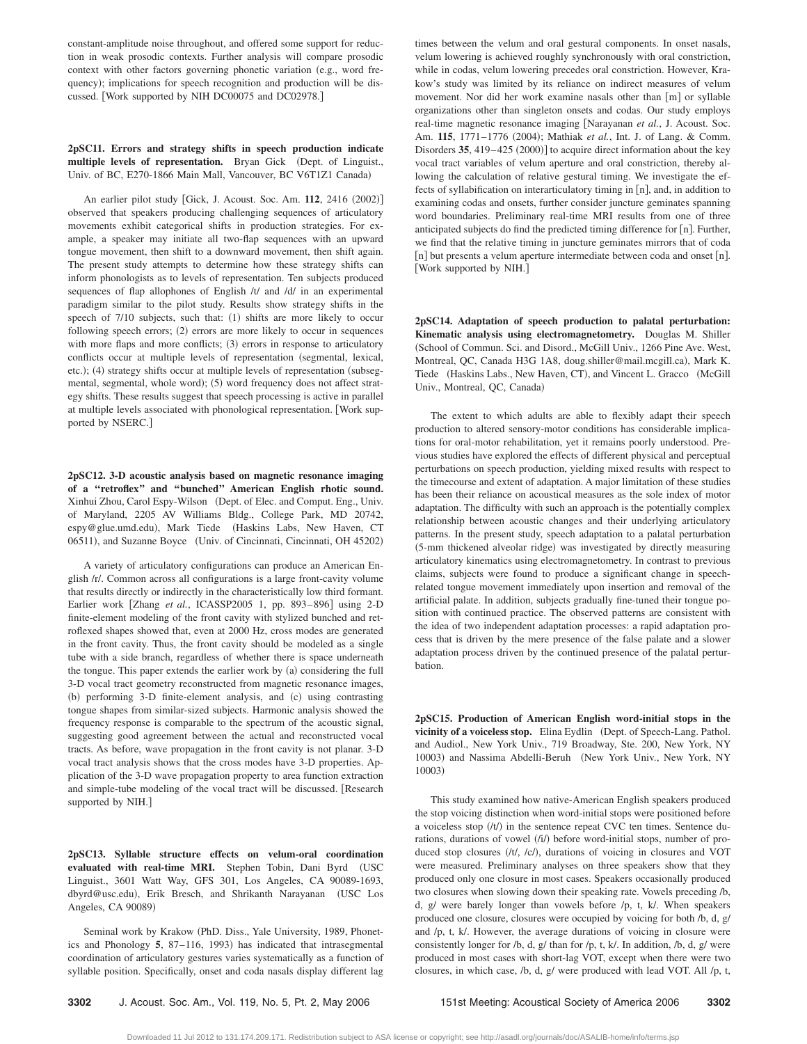constant-amplitude noise throughout, and offered some support for reduction in weak prosodic contexts. Further analysis will compare prosodic context with other factors governing phonetic variation (e.g., word frequency); implications for speech recognition and production will be discussed. Work supported by NIH DC00075 and DC02978.

**2pSC11. Errors and strategy shifts in speech production indicate multiple levels of representation.** Bryan Gick Dept. of Linguist., Univ. of BC, E270-1866 Main Mall, Vancouver, BC V6T1Z1 Canada)

An earlier pilot study [Gick, J. Acoust. Soc. Am. 112, 2416 (2002)] observed that speakers producing challenging sequences of articulatory movements exhibit categorical shifts in production strategies. For example, a speaker may initiate all two-flap sequences with an upward tongue movement, then shift to a downward movement, then shift again. The present study attempts to determine how these strategy shifts can inform phonologists as to levels of representation. Ten subjects produced sequences of flap allophones of English /t/ and /d/ in an experimental paradigm similar to the pilot study. Results show strategy shifts in the speech of 7/10 subjects, such that: (1) shifts are more likely to occur following speech errors; (2) errors are more likely to occur in sequences with more flaps and more conflicts; (3) errors in response to articulatory conflicts occur at multiple levels of representation (segmental, lexical, etc.); (4) strategy shifts occur at multiple levels of representation (subsegmental, segmental, whole word); (5) word frequency does not affect strategy shifts. These results suggest that speech processing is active in parallel at multiple levels associated with phonological representation. [Work supported by NSERC.

**2pSC12. 3-D acoustic analysis based on magnetic resonance imaging of a ''retroflex'' and ''bunched'' American English rhotic sound.** Xinhui Zhou, Carol Espy-Wilson (Dept. of Elec. and Comput. Eng., Univ. of Maryland, 2205 AV Williams Bldg., College Park, MD 20742, espy@glue.umd.edu), Mark Tiede (Haskins Labs, New Haven, CT 06511), and Suzanne Boyce (Univ. of Cincinnati, Cincinnati, OH 45202)

A variety of articulatory configurations can produce an American English /r/. Common across all configurations is a large front-cavity volume that results directly or indirectly in the characteristically low third formant. Earlier work [Zhang et al., ICASSP2005 1, pp. 893-896] using 2-D finite-element modeling of the front cavity with stylized bunched and retroflexed shapes showed that, even at 2000 Hz, cross modes are generated in the front cavity. Thus, the front cavity should be modeled as a single tube with a side branch, regardless of whether there is space underneath the tongue. This paper extends the earlier work by (a) considering the full 3-D vocal tract geometry reconstructed from magnetic resonance images, (b) performing 3-D finite-element analysis, and (c) using contrasting tongue shapes from similar-sized subjects. Harmonic analysis showed the frequency response is comparable to the spectrum of the acoustic signal, suggesting good agreement between the actual and reconstructed vocal tracts. As before, wave propagation in the front cavity is not planar. 3-D vocal tract analysis shows that the cross modes have 3-D properties. Application of the 3-D wave propagation property to area function extraction and simple-tube modeling of the vocal tract will be discussed. Research supported by NIH.]

**2pSC13. Syllable structure effects on velum-oral coordination evaluated with real-time MRI.** Stephen Tobin, Dani Byrd USC Linguist., 3601 Watt Way, GFS 301, Los Angeles, CA 90089-1693, dbyrd@usc.edu), Erik Bresch, and Shrikanth Narayanan (USC Los Angeles, CA 90089)

Seminal work by Krakow (PhD. Diss., Yale University, 1989, Phonetics and Phonology 5, 87-116, 1993) has indicated that intrasegmental coordination of articulatory gestures varies systematically as a function of syllable position. Specifically, onset and coda nasals display different lag

times between the velum and oral gestural components. In onset nasals, velum lowering is achieved roughly synchronously with oral constriction, while in codas, velum lowering precedes oral constriction. However, Krakow's study was limited by its reliance on indirect measures of velum movement. Nor did her work examine nasals other than  $[m]$  or syllable organizations other than singleton onsets and codas. Our study employs real-time magnetic resonance imaging Narayanan *et al.*, J. Acoust. Soc. Am. 115, 1771-1776 (2004); Mathiak et al., Int. J. of Lang. & Comm. Disorders 35, 419–425 (2000)] to acquire direct information about the key vocal tract variables of velum aperture and oral constriction, thereby allowing the calculation of relative gestural timing. We investigate the effects of syllabification on interarticulatory timing in [n], and, in addition to examining codas and onsets, further consider juncture geminates spanning word boundaries. Preliminary real-time MRI results from one of three anticipated subjects do find the predicted timing difference for  $\lceil n \rceil$ . Further, we find that the relative timing in juncture geminates mirrors that of coda  $[n]$  but presents a velum aperture intermediate between coda and onset  $[n]$ . [Work supported by NIH.]

**2pSC14. Adaptation of speech production to palatal perturbation: Kinematic analysis using electromagnetometry.** Douglas M. Shiller (School of Commun. Sci. and Disord., McGill Univ., 1266 Pine Ave. West, Montreal, QC, Canada H3G 1A8, doug.shiller@mail.mcgill.ca), Mark K. Tiede (Haskins Labs., New Haven, CT), and Vincent L. Gracco (McGill Univ., Montreal, QC, Canada)

The extent to which adults are able to flexibly adapt their speech production to altered sensory-motor conditions has considerable implications for oral-motor rehabilitation, yet it remains poorly understood. Previous studies have explored the effects of different physical and perceptual perturbations on speech production, yielding mixed results with respect to the timecourse and extent of adaptation. A major limitation of these studies has been their reliance on acoustical measures as the sole index of motor adaptation. The difficulty with such an approach is the potentially complex relationship between acoustic changes and their underlying articulatory patterns. In the present study, speech adaptation to a palatal perturbation (5-mm thickened alveolar ridge) was investigated by directly measuring articulatory kinematics using electromagnetometry. In contrast to previous claims, subjects were found to produce a significant change in speechrelated tongue movement immediately upon insertion and removal of the artificial palate. In addition, subjects gradually fine-tuned their tongue position with continued practice. The observed patterns are consistent with the idea of two independent adaptation processes: a rapid adaptation process that is driven by the mere presence of the false palate and a slower adaptation process driven by the continued presence of the palatal perturbation.

**2pSC15. Production of American English word-initial stops in the** vicinity of a voiceless stop. Elina Eydlin (Dept. of Speech-Lang. Pathol. and Audiol., New York Univ., 719 Broadway, Ste. 200, New York, NY 10003) and Nassima Abdelli-Beruh (New York Univ., New York, NY 10003)

This study examined how native-American English speakers produced the stop voicing distinction when word-initial stops were positioned before a voiceless stop  $(t/t)$  in the sentence repeat CVC ten times. Sentence durations, durations of vowel (/i/) before word-initial stops, number of produced stop closures (/t/, /c/), durations of voicing in closures and VOT were measured. Preliminary analyses on three speakers show that they produced only one closure in most cases. Speakers occasionally produced two closures when slowing down their speaking rate. Vowels preceding /b, d, g/ were barely longer than vowels before /p, t, k/. When speakers produced one closure, closures were occupied by voicing for both /b, d, g/ and /p, t, k/. However, the average durations of voicing in closure were consistently longer for /b, d, g/ than for /p, t, k/. In addition, /b, d, g/ were produced in most cases with short-lag VOT, except when there were two closures, in which case, /b, d, g/ were produced with lead VOT. All /p, t,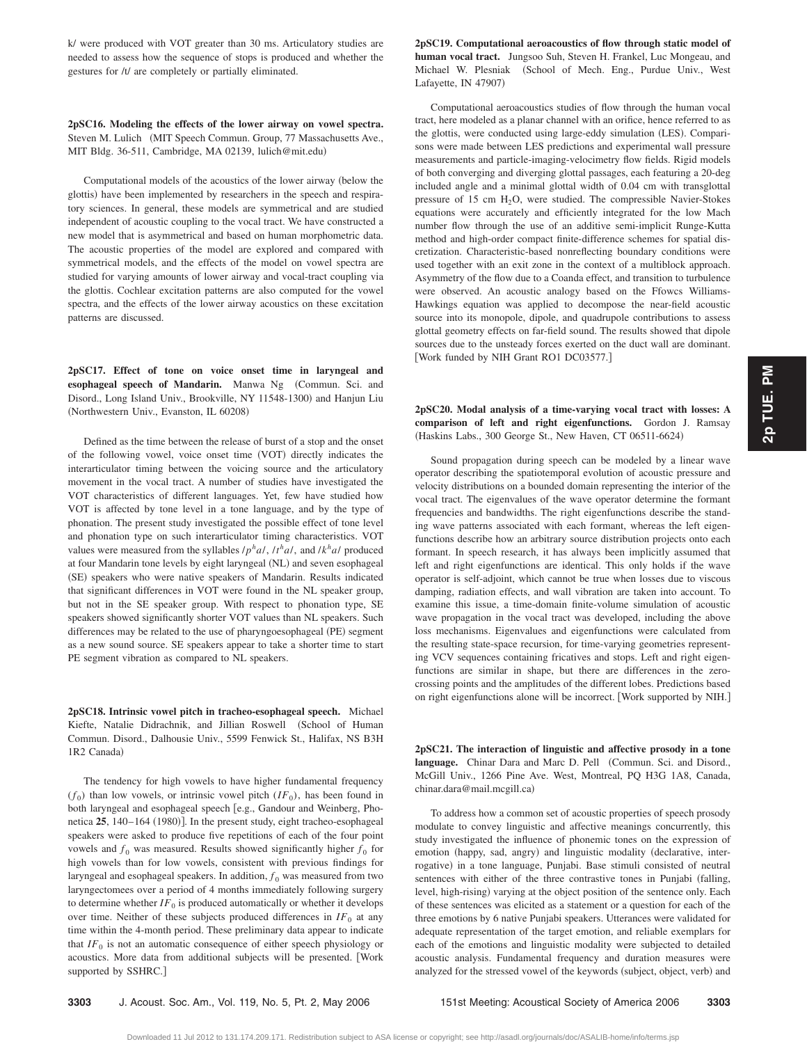k/ were produced with VOT greater than 30 ms. Articulatory studies are needed to assess how the sequence of stops is produced and whether the gestures for /t/ are completely or partially eliminated.

**2pSC16. Modeling the effects of the lower airway on vowel spectra.** Steven M. Lulich (MIT Speech Commun. Group, 77 Massachusetts Ave., MIT Bldg. 36-511, Cambridge, MA 02139, lulich@mit.edu-

Computational models of the acoustics of the lower airway (below the glottis) have been implemented by researchers in the speech and respiratory sciences. In general, these models are symmetrical and are studied independent of acoustic coupling to the vocal tract. We have constructed a new model that is asymmetrical and based on human morphometric data. The acoustic properties of the model are explored and compared with symmetrical models, and the effects of the model on vowel spectra are studied for varying amounts of lower airway and vocal-tract coupling via the glottis. Cochlear excitation patterns are also computed for the vowel spectra, and the effects of the lower airway acoustics on these excitation patterns are discussed.

**2pSC17. Effect of tone on voice onset time in laryngeal and** esophageal speech of Mandarin. Manwa Ng (Commun. Sci. and Disord., Long Island Univ., Brookville, NY 11548-1300) and Hanjun Liu (Northwestern Univ., Evanston, IL 60208)

Defined as the time between the release of burst of a stop and the onset of the following vowel, voice onset time (VOT) directly indicates the interarticulator timing between the voicing source and the articulatory movement in the vocal tract. A number of studies have investigated the VOT characteristics of different languages. Yet, few have studied how VOT is affected by tone level in a tone language, and by the type of phonation. The present study investigated the possible effect of tone level and phonation type on such interarticulator timing characteristics. VOT values were measured from the syllables  $/p<sup>h</sup>a/$ ,  $/t<sup>h</sup>a/$ , and  $/k<sup>h</sup>a/$  produced at four Mandarin tone levels by eight laryngeal (NL) and seven esophageal (SE) speakers who were native speakers of Mandarin. Results indicated that significant differences in VOT were found in the NL speaker group, but not in the SE speaker group. With respect to phonation type, SE speakers showed significantly shorter VOT values than NL speakers. Such differences may be related to the use of pharyngoesophageal (PE) segment as a new sound source. SE speakers appear to take a shorter time to start PE segment vibration as compared to NL speakers.

**2pSC18. Intrinsic vowel pitch in tracheo-esophageal speech.** Michael Kiefte, Natalie Didrachnik, and Jillian Roswell (School of Human Commun. Disord., Dalhousie Univ., 5599 Fenwick St., Halifax, NS B3H 1R2 Canada)

The tendency for high vowels to have higher fundamental frequency  $(f_0)$  than low vowels, or intrinsic vowel pitch  $(IF_0)$ , has been found in both laryngeal and esophageal speech [e.g., Gandour and Weinberg, Phonetica 25, 140-164 (1980)]. In the present study, eight tracheo-esophageal speakers were asked to produce five repetitions of each of the four point vowels and  $f_0$  was measured. Results showed significantly higher  $f_0$  for high vowels than for low vowels, consistent with previous findings for laryngeal and esophageal speakers. In addition,  $f_0$  was measured from two laryngectomees over a period of 4 months immediately following surgery to determine whether  $IF_0$  is produced automatically or whether it develops over time. Neither of these subjects produced differences in  $IF_0$  at any time within the 4-month period. These preliminary data appear to indicate that  $IF_0$  is not an automatic consequence of either speech physiology or acoustics. More data from additional subjects will be presented. Work supported by SSHRC.]

**2pSC19. Computational aeroacoustics of flow through static model of human vocal tract.** Jungsoo Suh, Steven H. Frankel, Luc Mongeau, and Michael W. Plesniak (School of Mech. Eng., Purdue Univ., West Lafayette, IN 47907)

Computational aeroacoustics studies of flow through the human vocal tract, here modeled as a planar channel with an orifice, hence referred to as the glottis, were conducted using large-eddy simulation (LES). Comparisons were made between LES predictions and experimental wall pressure measurements and particle-imaging-velocimetry flow fields. Rigid models of both converging and diverging glottal passages, each featuring a 20-deg included angle and a minimal glottal width of 0.04 cm with transglottal pressure of 15 cm  $H<sub>2</sub>O$ , were studied. The compressible Navier-Stokes equations were accurately and efficiently integrated for the low Mach number flow through the use of an additive semi-implicit Runge-Kutta method and high-order compact finite-difference schemes for spatial discretization. Characteristic-based nonreflecting boundary conditions were used together with an exit zone in the context of a multiblock approach. Asymmetry of the flow due to a Coanda effect, and transition to turbulence were observed. An acoustic analogy based on the Ffowcs Williams-Hawkings equation was applied to decompose the near-field acoustic source into its monopole, dipole, and quadrupole contributions to assess glottal geometry effects on far-field sound. The results showed that dipole sources due to the unsteady forces exerted on the duct wall are dominant. Work funded by NIH Grant RO1 DC03577.

**2pSC20. Modal analysis of a time-varying vocal tract with losses: A comparison of left and right eigenfunctions.** Gordon J. Ramsay (Haskins Labs., 300 George St., New Haven, CT 06511-6624)

Sound propagation during speech can be modeled by a linear wave operator describing the spatiotemporal evolution of acoustic pressure and velocity distributions on a bounded domain representing the interior of the vocal tract. The eigenvalues of the wave operator determine the formant frequencies and bandwidths. The right eigenfunctions describe the standing wave patterns associated with each formant, whereas the left eigenfunctions describe how an arbitrary source distribution projects onto each formant. In speech research, it has always been implicitly assumed that left and right eigenfunctions are identical. This only holds if the wave operator is self-adjoint, which cannot be true when losses due to viscous damping, radiation effects, and wall vibration are taken into account. To examine this issue, a time-domain finite-volume simulation of acoustic wave propagation in the vocal tract was developed, including the above loss mechanisms. Eigenvalues and eigenfunctions were calculated from the resulting state-space recursion, for time-varying geometries representing VCV sequences containing fricatives and stops. Left and right eigenfunctions are similar in shape, but there are differences in the zerocrossing points and the amplitudes of the different lobes. Predictions based on right eigenfunctions alone will be incorrect. Work supported by NIH.

**2pSC21. The interaction of linguistic and affective prosody in a tone** language. Chinar Dara and Marc D. Pell (Commun. Sci. and Disord., McGill Univ., 1266 Pine Ave. West, Montreal, PQ H3G 1A8, Canada, chinar.dara@mail.mcgill.ca-

To address how a common set of acoustic properties of speech prosody modulate to convey linguistic and affective meanings concurrently, this study investigated the influence of phonemic tones on the expression of emotion (happy, sad, angry) and linguistic modality (declarative, interrogative) in a tone language, Punjabi. Base stimuli consisted of neutral sentences with either of the three contrastive tones in Punjabi (falling, level, high-rising) varying at the object position of the sentence only. Each of these sentences was elicited as a statement or a question for each of the three emotions by 6 native Punjabi speakers. Utterances were validated for adequate representation of the target emotion, and reliable exemplars for each of the emotions and linguistic modality were subjected to detailed acoustic analysis. Fundamental frequency and duration measures were analyzed for the stressed vowel of the keywords (subject, object, verb) and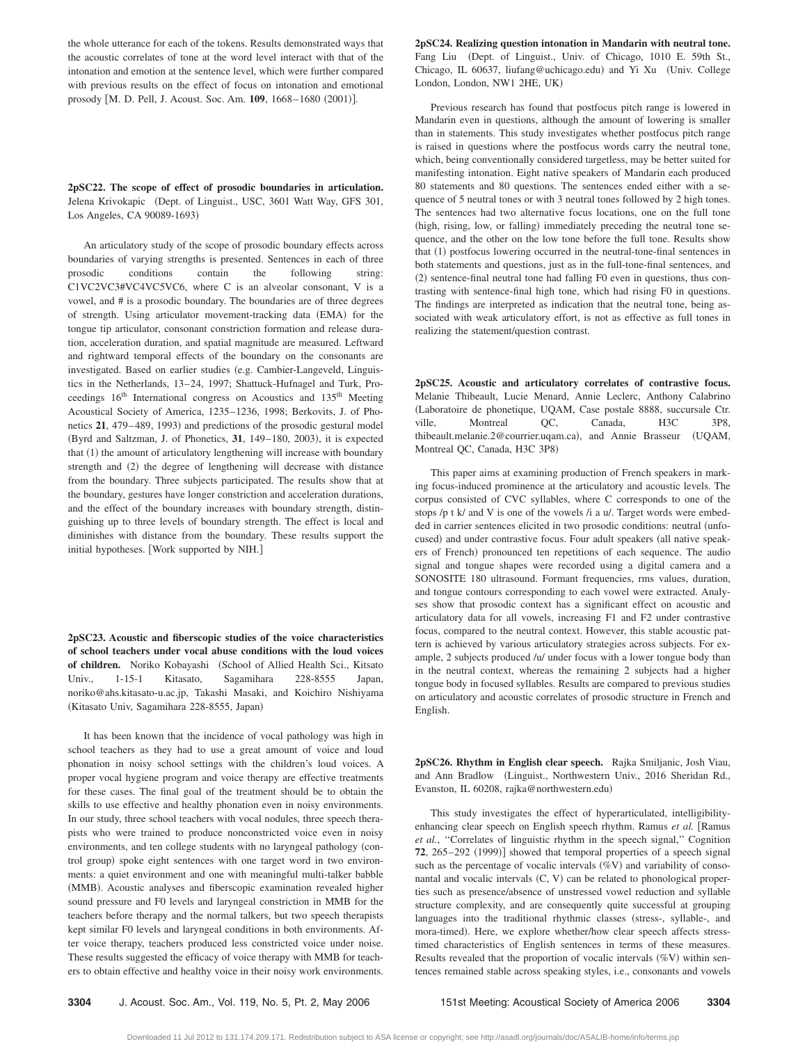the whole utterance for each of the tokens. Results demonstrated ways that the acoustic correlates of tone at the word level interact with that of the intonation and emotion at the sentence level, which were further compared with previous results on the effect of focus on intonation and emotional prosody [M. D. Pell, J. Acoust. Soc. Am. 109, 1668–1680 (2001)].

**2pSC22. The scope of effect of prosodic boundaries in articulation.** Jelena Krivokapic (Dept. of Linguist., USC, 3601 Watt Way, GFS 301, Los Angeles, CA 90089-1693)

An articulatory study of the scope of prosodic boundary effects across boundaries of varying strengths is presented. Sentences in each of three prosodic conditions contain the following string: C1VC2VC3#VC4VC5VC6, where C is an alveolar consonant, V is a vowel, and # is a prosodic boundary. The boundaries are of three degrees of strength. Using articulator movement-tracking data (EMA) for the tongue tip articulator, consonant constriction formation and release duration, acceleration duration, and spatial magnitude are measured. Leftward and rightward temporal effects of the boundary on the consonants are investigated. Based on earlier studies (e.g. Cambier-Langeveld, Linguistics in the Netherlands, 13–24, 1997; Shattuck-Hufnagel and Turk, Proceedings 16<sup>th</sup> International congress on Acoustics and 135<sup>th</sup> Meeting Acoustical Society of America, 1235–1236, 1998; Berkovits, J. of Phonetics 21, 479–489, 1993) and predictions of the prosodic gestural model (Byrd and Saltzman, J. of Phonetics, 31, 149-180, 2003), it is expected that (1) the amount of articulatory lengthening will increase with boundary strength and (2) the degree of lengthening will decrease with distance from the boundary. Three subjects participated. The results show that at the boundary, gestures have longer constriction and acceleration durations, and the effect of the boundary increases with boundary strength, distinguishing up to three levels of boundary strength. The effect is local and diminishes with distance from the boundary. These results support the initial hypotheses. Work supported by NIH.

**2pSC23. Acoustic and fiberscopic studies of the voice characteristics of school teachers under vocal abuse conditions with the loud voices** of children. Noriko Kobayashi (School of Allied Health Sci., Kitsato Univ., 1-15-1 Kitasato, Sagamihara 228-8555 Japan, noriko@ahs.kitasato-u.ac.jp, Takashi Masaki, and Koichiro Nishiyama (Kitasato Univ, Sagamihara 228-8555, Japan)

It has been known that the incidence of vocal pathology was high in school teachers as they had to use a great amount of voice and loud phonation in noisy school settings with the children's loud voices. A proper vocal hygiene program and voice therapy are effective treatments for these cases. The final goal of the treatment should be to obtain the skills to use effective and healthy phonation even in noisy environments. In our study, three school teachers with vocal nodules, three speech therapists who were trained to produce nonconstricted voice even in noisy environments, and ten college students with no laryngeal pathology (control group) spoke eight sentences with one target word in two environments: a quiet environment and one with meaningful multi-talker babble (MMB). Acoustic analyses and fiberscopic examination revealed higher sound pressure and F0 levels and laryngeal constriction in MMB for the teachers before therapy and the normal talkers, but two speech therapists kept similar F0 levels and laryngeal conditions in both environments. After voice therapy, teachers produced less constricted voice under noise. These results suggested the efficacy of voice therapy with MMB for teachers to obtain effective and healthy voice in their noisy work environments.

**2pSC24. Realizing question intonation in Mandarin with neutral tone.** Fang Liu (Dept. of Linguist., Univ. of Chicago, 1010 E. 59th St., Chicago, IL 60637, liufang@uchicago.edu) and Yi Xu (Univ. College London, London, NW1 2HE, UK-

Previous research has found that postfocus pitch range is lowered in Mandarin even in questions, although the amount of lowering is smaller than in statements. This study investigates whether postfocus pitch range is raised in questions where the postfocus words carry the neutral tone, which, being conventionally considered targetless, may be better suited for manifesting intonation. Eight native speakers of Mandarin each produced 80 statements and 80 questions. The sentences ended either with a sequence of 5 neutral tones or with 3 neutral tones followed by 2 high tones. The sentences had two alternative focus locations, one on the full tone (high, rising, low, or falling) immediately preceding the neutral tone sequence, and the other on the low tone before the full tone. Results show that (1) postfocus lowering occurred in the neutral-tone-final sentences in both statements and questions, just as in the full-tone-final sentences, and (2) sentence-final neutral tone had falling F0 even in questions, thus contrasting with sentence-final high tone, which had rising F0 in questions. The findings are interpreted as indication that the neutral tone, being associated with weak articulatory effort, is not as effective as full tones in realizing the statement/question contrast.

**2pSC25. Acoustic and articulatory correlates of contrastive focus.** Melanie Thibeault, Lucie Menard, Annie Leclerc, Anthony Calabrino Laboratoire de phonetique, UQAM, Case postale 8888, succursale Ctr. ville, Montreal QC, Canada, H3C 3P8, thibeault.melanie.2@courrier.uqam.ca), and Annie Brasseur (UQAM, Montreal QC, Canada, H3C 3P8)

This paper aims at examining production of French speakers in marking focus-induced prominence at the articulatory and acoustic levels. The corpus consisted of CVC syllables, where C corresponds to one of the stops /p t k/ and V is one of the vowels /i a u/. Target words were embedded in carrier sentences elicited in two prosodic conditions: neutral (unfocused) and under contrastive focus. Four adult speakers (all native speakers of French) pronounced ten repetitions of each sequence. The audio signal and tongue shapes were recorded using a digital camera and a SONOSITE 180 ultrasound. Formant frequencies, rms values, duration, and tongue contours corresponding to each vowel were extracted. Analyses show that prosodic context has a significant effect on acoustic and articulatory data for all vowels, increasing F1 and F2 under contrastive focus, compared to the neutral context. However, this stable acoustic pattern is achieved by various articulatory strategies across subjects. For example, 2 subjects produced /u/ under focus with a lower tongue body than in the neutral context, whereas the remaining 2 subjects had a higher tongue body in focused syllables. Results are compared to previous studies on articulatory and acoustic correlates of prosodic structure in French and English.

**2pSC26. Rhythm in English clear speech.** Rajka Smiljanic, Josh Viau, and Ann Bradlow Linguist., Northwestern Univ., 2016 Sheridan Rd., Evanston, IL 60208, rajka@northwestern.edu)

This study investigates the effect of hyperarticulated, intelligibilityenhancing clear speech on English speech rhythm. Ramus et al. [Ramus et al., "Correlates of linguistic rhythm in the speech signal," Cognition 72, 265–292 (1999)] showed that temporal properties of a speech signal such as the percentage of vocalic intervals  $(\%V)$  and variability of consonantal and vocalic intervals (C, V) can be related to phonological properties such as presence/absence of unstressed vowel reduction and syllable structure complexity, and are consequently quite successful at grouping languages into the traditional rhythmic classes (stress-, syllable-, and mora-timed). Here, we explore whether/how clear speech affects stresstimed characteristics of English sentences in terms of these measures. Results revealed that the proportion of vocalic intervals  $(\%V)$  within sentences remained stable across speaking styles, i.e., consonants and vowels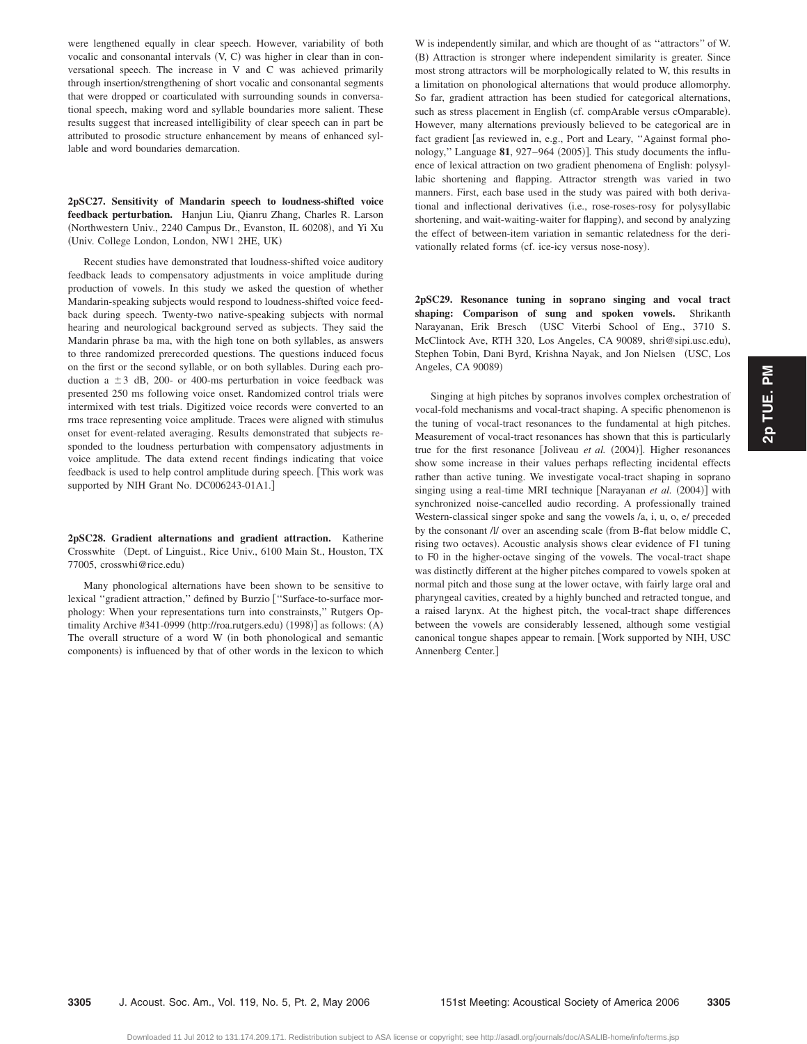were lengthened equally in clear speech. However, variability of both vocalic and consonantal intervals (V, C) was higher in clear than in conversational speech. The increase in V and C was achieved primarily through insertion/strengthening of short vocalic and consonantal segments that were dropped or coarticulated with surrounding sounds in conversational speech, making word and syllable boundaries more salient. These results suggest that increased intelligibility of clear speech can in part be attributed to prosodic structure enhancement by means of enhanced syllable and word boundaries demarcation.

**2pSC27. Sensitivity of Mandarin speech to loudness-shifted voice feedback perturbation.** Hanjun Liu, Qianru Zhang, Charles R. Larson (Northwestern Univ., 2240 Campus Dr., Evanston, IL 60208), and Yi Xu Univ. College London, London, NW1 2HE, UK-

Recent studies have demonstrated that loudness-shifted voice auditory feedback leads to compensatory adjustments in voice amplitude during production of vowels. In this study we asked the question of whether Mandarin-speaking subjects would respond to loudness-shifted voice feedback during speech. Twenty-two native-speaking subjects with normal hearing and neurological background served as subjects. They said the Mandarin phrase ba ma, with the high tone on both syllables, as answers to three randomized prerecorded questions. The questions induced focus on the first or the second syllable, or on both syllables. During each production a  $\pm 3$  dB, 200- or 400-ms perturbation in voice feedback was presented 250 ms following voice onset. Randomized control trials were intermixed with test trials. Digitized voice records were converted to an rms trace representing voice amplitude. Traces were aligned with stimulus onset for event-related averaging. Results demonstrated that subjects responded to the loudness perturbation with compensatory adjustments in voice amplitude. The data extend recent findings indicating that voice feedback is used to help control amplitude during speech. This work was supported by NIH Grant No. DC006243-01A1.]

**2pSC28. Gradient alternations and gradient attraction.** Katherine Crosswhite (Dept. of Linguist., Rice Univ., 6100 Main St., Houston, TX 77005, crosswhi@rice.edu-

Many phonological alternations have been shown to be sensitive to lexical "gradient attraction," defined by Burzio ["Surface-to-surface morphology: When your representations turn into constrainsts,'' Rutgers Optimality Archive #341-0999 (http://roa.rutgers.edu) (1998)] as follows: (A) The overall structure of a word W in both phonological and semantic components) is influenced by that of other words in the lexicon to which W is independently similar, and which are thought of as ''attractors'' of W. (B) Attraction is stronger where independent similarity is greater. Since most strong attractors will be morphologically related to W, this results in a limitation on phonological alternations that would produce allomorphy. So far, gradient attraction has been studied for categorical alternations, such as stress placement in English (cf. compArable versus cOmparable). However, many alternations previously believed to be categorical are in fact gradient [as reviewed in, e.g., Port and Leary, "Against formal phonology," Language 81, 927-964 (2005)]. This study documents the influence of lexical attraction on two gradient phenomena of English: polysyllabic shortening and flapping. Attractor strength was varied in two manners. First, each base used in the study was paired with both derivational and inflectional derivatives (i.e., rose-roses-rosy for polysyllabic shortening, and wait-waiting-waiter for flapping), and second by analyzing the effect of between-item variation in semantic relatedness for the derivationally related forms (cf. ice-icy versus nose-nosy).

**2pSC29. Resonance tuning in soprano singing and vocal tract shaping: Comparison of sung and spoken vowels.** Shrikanth Narayanan, Erik Bresch USC Viterbi School of Eng., 3710 S. McClintock Ave, RTH 320, Los Angeles, CA 90089, shri@sipi.usc.edu), Stephen Tobin, Dani Byrd, Krishna Nayak, and Jon Nielsen (USC, Los Angeles, CA 90089)

Singing at high pitches by sopranos involves complex orchestration of vocal-fold mechanisms and vocal-tract shaping. A specific phenomenon is the tuning of vocal-tract resonances to the fundamental at high pitches. Measurement of vocal-tract resonances has shown that this is particularly true for the first resonance [Joliveau et al. (2004)]. Higher resonances show some increase in their values perhaps reflecting incidental effects rather than active tuning. We investigate vocal-tract shaping in soprano singing using a real-time MRI technique [Narayanan et al. (2004)] with synchronized noise-cancelled audio recording. A professionally trained Western-classical singer spoke and sang the vowels /a, i, u, o, e/ preceded by the consonant /l/ over an ascending scale (from B-flat below middle C, rising two octaves). Acoustic analysis shows clear evidence of F1 tuning to F0 in the higher-octave singing of the vowels. The vocal-tract shape was distinctly different at the higher pitches compared to vowels spoken at normal pitch and those sung at the lower octave, with fairly large oral and pharyngeal cavities, created by a highly bunched and retracted tongue, and a raised larynx. At the highest pitch, the vocal-tract shape differences between the vowels are considerably lessened, although some vestigial canonical tongue shapes appear to remain. Work supported by NIH, USC Annenberg Center.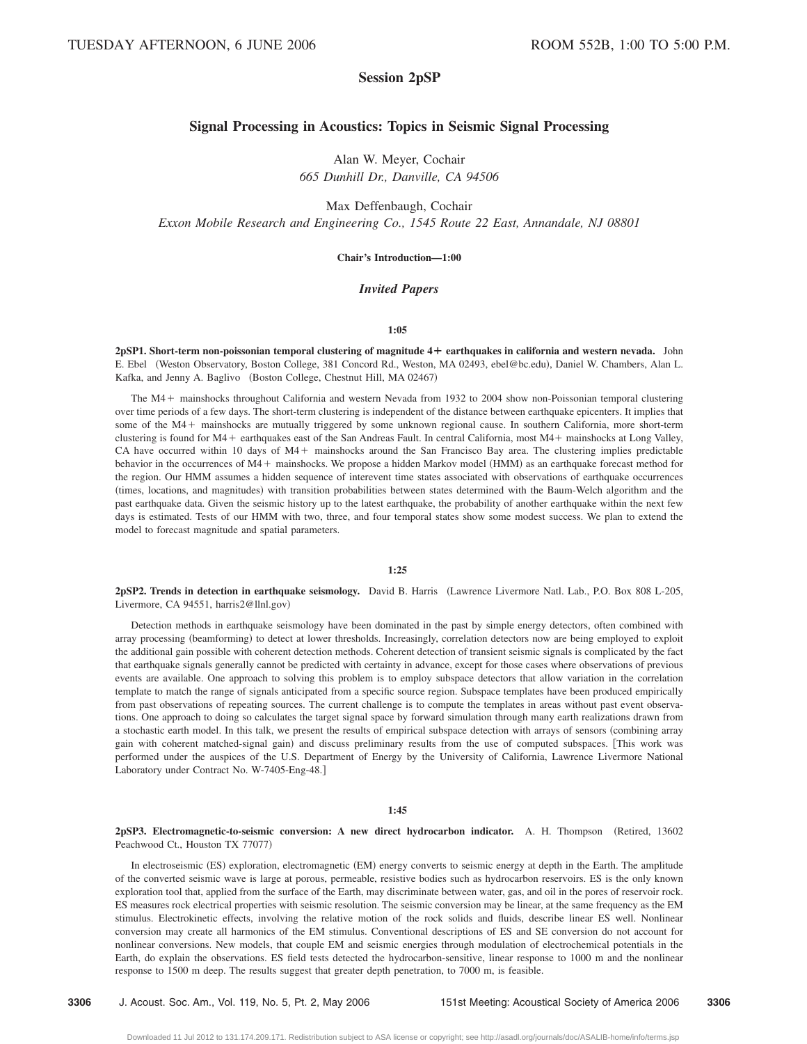# **Session 2pSP**

# **Signal Processing in Acoustics: Topics in Seismic Signal Processing**

Alan W. Meyer, Cochair *665 Dunhill Dr., Danville, CA 94506*

Max Deffenbaugh, Cochair *Exxon Mobile Research and Engineering Co., 1545 Route 22 East, Annandale, NJ 08801*

# **Chair's Introduction—1:00**

# *Invited Papers*

#### **1:05**

**2pSP1. Short-term non-poissonian temporal clustering of magnitude 4¿ earthquakes in california and western nevada.** John E. Ebel (Weston Observatory, Boston College, 381 Concord Rd., Weston, MA 02493, ebel@bc.edu), Daniel W. Chambers, Alan L. Kafka, and Jenny A. Baglivo (Boston College, Chestnut Hill, MA 02467)

The M4 mainshocks throughout California and western Nevada from 1932 to 2004 show non-Poissonian temporal clustering over time periods of a few days. The short-term clustering is independent of the distance between earthquake epicenters. It implies that some of the M4 + mainshocks are mutually triggered by some unknown regional cause. In southern California, more short-term clustering is found for M4 earthquakes east of the San Andreas Fault. In central California, most M4 mainshocks at Long Valley, CA have occurred within 10 days of M4+ mainshocks around the San Francisco Bay area. The clustering implies predictable behavior in the occurrences of M4 + mainshocks. We propose a hidden Markov model (HMM) as an earthquake forecast method for the region. Our HMM assumes a hidden sequence of interevent time states associated with observations of earthquake occurrences (times, locations, and magnitudes) with transition probabilities between states determined with the Baum-Welch algorithm and the past earthquake data. Given the seismic history up to the latest earthquake, the probability of another earthquake within the next few days is estimated. Tests of our HMM with two, three, and four temporal states show some modest success. We plan to extend the model to forecast magnitude and spatial parameters.

#### **1:25**

**2pSP2. Trends in detection in earthquake seismology.** David B. Harris Lawrence Livermore Natl. Lab., P.O. Box 808 L-205, Livermore, CA 94551, harris2@llnl.gov)

Detection methods in earthquake seismology have been dominated in the past by simple energy detectors, often combined with array processing (beamforming) to detect at lower thresholds. Increasingly, correlation detectors now are being employed to exploit the additional gain possible with coherent detection methods. Coherent detection of transient seismic signals is complicated by the fact that earthquake signals generally cannot be predicted with certainty in advance, except for those cases where observations of previous events are available. One approach to solving this problem is to employ subspace detectors that allow variation in the correlation template to match the range of signals anticipated from a specific source region. Subspace templates have been produced empirically from past observations of repeating sources. The current challenge is to compute the templates in areas without past event observations. One approach to doing so calculates the target signal space by forward simulation through many earth realizations drawn from a stochastic earth model. In this talk, we present the results of empirical subspace detection with arrays of sensors combining array gain with coherent matched-signal gain) and discuss preliminary results from the use of computed subspaces. [This work was performed under the auspices of the U.S. Department of Energy by the University of California, Lawrence Livermore National Laboratory under Contract No. W-7405-Eng-48.

#### **1:45**

# **2pSP3. Electromagnetic-to-seismic conversion: A new direct hydrocarbon indicator.** A. H. Thompson Retired, 13602 Peachwood Ct., Houston TX 77077)

In electroseismic (ES) exploration, electromagnetic (EM) energy converts to seismic energy at depth in the Earth. The amplitude of the converted seismic wave is large at porous, permeable, resistive bodies such as hydrocarbon reservoirs. ES is the only known exploration tool that, applied from the surface of the Earth, may discriminate between water, gas, and oil in the pores of reservoir rock. ES measures rock electrical properties with seismic resolution. The seismic conversion may be linear, at the same frequency as the EM stimulus. Electrokinetic effects, involving the relative motion of the rock solids and fluids, describe linear ES well. Nonlinear conversion may create all harmonics of the EM stimulus. Conventional descriptions of ES and SE conversion do not account for nonlinear conversions. New models, that couple EM and seismic energies through modulation of electrochemical potentials in the Earth, do explain the observations. ES field tests detected the hydrocarbon-sensitive, linear response to 1000 m and the nonlinear response to 1500 m deep. The results suggest that greater depth penetration, to 7000 m, is feasible.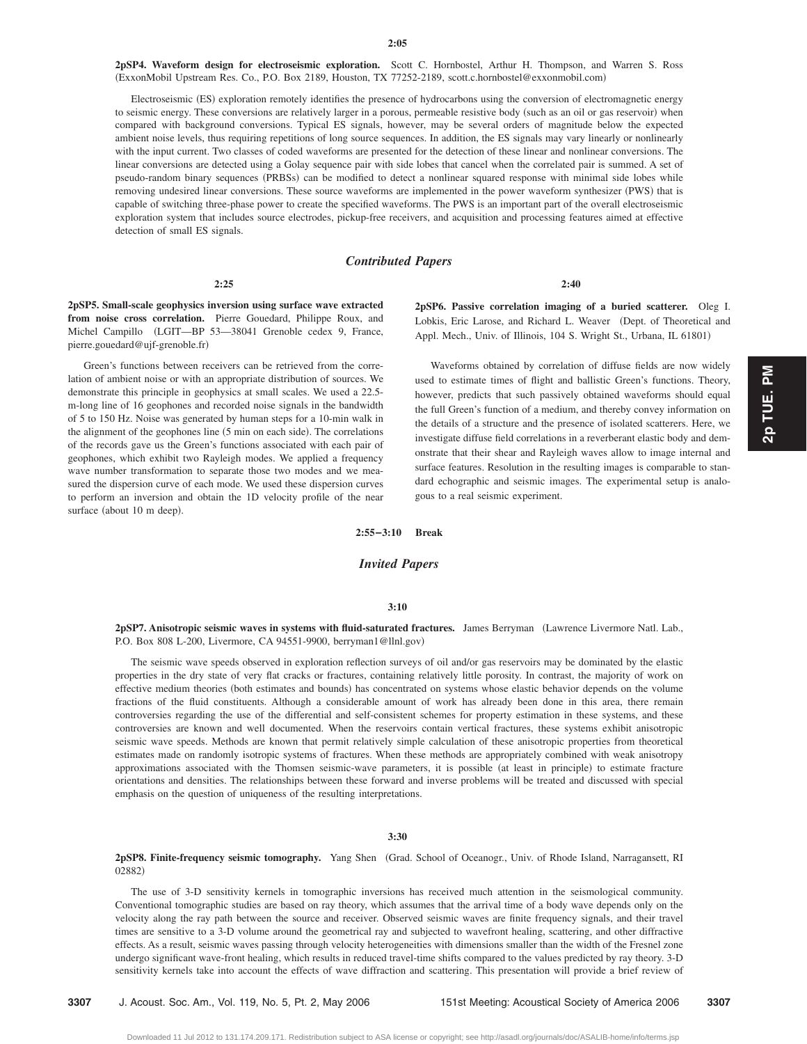**2pSP4. Waveform design for electroseismic exploration.** Scott C. Hornbostel, Arthur H. Thompson, and Warren S. Ross ExxonMobil Upstream Res. Co., P.O. Box 2189, Houston, TX 77252-2189, scott.c.hornbostel@exxonmobil.com-

Electroseismic (ES) exploration remotely identifies the presence of hydrocarbons using the conversion of electromagnetic energy to seismic energy. These conversions are relatively larger in a porous, permeable resistive body (such as an oil or gas reservoir) when compared with background conversions. Typical ES signals, however, may be several orders of magnitude below the expected ambient noise levels, thus requiring repetitions of long source sequences. In addition, the ES signals may vary linearly or nonlinearly with the input current. Two classes of coded waveforms are presented for the detection of these linear and nonlinear conversions. The linear conversions are detected using a Golay sequence pair with side lobes that cancel when the correlated pair is summed. A set of pseudo-random binary sequences (PRBSs) can be modified to detect a nonlinear squared response with minimal side lobes while removing undesired linear conversions. These source waveforms are implemented in the power waveform synthesizer (PWS) that is capable of switching three-phase power to create the specified waveforms. The PWS is an important part of the overall electroseismic exploration system that includes source electrodes, pickup-free receivers, and acquisition and processing features aimed at effective detection of small ES signals.

# *Contributed Papers*

#### **2:25**

**2pSP5. Small-scale geophysics inversion using surface wave extracted from noise cross correlation.** Pierre Gouedard, Philippe Roux, and Michel Campillo LGIT—BP 53—38041 Grenoble cedex 9, France, pierre.gouedard@ujf-grenoble.fr-

Green's functions between receivers can be retrieved from the correlation of ambient noise or with an appropriate distribution of sources. We demonstrate this principle in geophysics at small scales. We used a 22.5 m-long line of 16 geophones and recorded noise signals in the bandwidth of 5 to 150 Hz. Noise was generated by human steps for a 10-min walk in the alignment of the geophones line (5 min on each side). The correlations of the records gave us the Green's functions associated with each pair of geophones, which exhibit two Rayleigh modes. We applied a frequency wave number transformation to separate those two modes and we measured the dispersion curve of each mode. We used these dispersion curves to perform an inversion and obtain the 1D velocity profile of the near surface (about 10 m deep).

**2pSP6. Passive correlation imaging of a buried scatterer.** Oleg I. Lobkis, Eric Larose, and Richard L. Weaver (Dept. of Theoretical and Appl. Mech., Univ. of Illinois, 104 S. Wright St., Urbana, IL 61801)

**2:40**

Waveforms obtained by correlation of diffuse fields are now widely used to estimate times of flight and ballistic Green's functions. Theory, however, predicts that such passively obtained waveforms should equal the full Green's function of a medium, and thereby convey information on the details of a structure and the presence of isolated scatterers. Here, we investigate diffuse field correlations in a reverberant elastic body and demonstrate that their shear and Rayleigh waves allow to image internal and surface features. Resolution in the resulting images is comparable to standard echographic and seismic images. The experimental setup is analogous to a real seismic experiment.

# **2:55–3:10 Break**

# *Invited Papers*

#### **3:10**

**2pSP7. Anisotropic seismic waves in systems with fluid-saturated fractures.** James Berryman Lawrence Livermore Natl. Lab., P.O. Box 808 L-200, Livermore, CA 94551-9900, berryman1@llnl.gov)

The seismic wave speeds observed in exploration reflection surveys of oil and/or gas reservoirs may be dominated by the elastic properties in the dry state of very flat cracks or fractures, containing relatively little porosity. In contrast, the majority of work on effective medium theories (both estimates and bounds) has concentrated on systems whose elastic behavior depends on the volume fractions of the fluid constituents. Although a considerable amount of work has already been done in this area, there remain controversies regarding the use of the differential and self-consistent schemes for property estimation in these systems, and these controversies are known and well documented. When the reservoirs contain vertical fractures, these systems exhibit anisotropic seismic wave speeds. Methods are known that permit relatively simple calculation of these anisotropic properties from theoretical estimates made on randomly isotropic systems of fractures. When these methods are appropriately combined with weak anisotropy approximations associated with the Thomsen seismic-wave parameters, it is possible (at least in principle) to estimate fracture orientations and densities. The relationships between these forward and inverse problems will be treated and discussed with special emphasis on the question of uniqueness of the resulting interpretations.

#### **3:30**

**2pSP8. Finite-frequency seismic tomography.** Yang Shen Grad. School of Oceanogr., Univ. of Rhode Island, Narragansett, RI 02882)

The use of 3-D sensitivity kernels in tomographic inversions has received much attention in the seismological community. Conventional tomographic studies are based on ray theory, which assumes that the arrival time of a body wave depends only on the velocity along the ray path between the source and receiver. Observed seismic waves are finite frequency signals, and their travel times are sensitive to a 3-D volume around the geometrical ray and subjected to wavefront healing, scattering, and other diffractive effects. As a result, seismic waves passing through velocity heterogeneities with dimensions smaller than the width of the Fresnel zone undergo significant wave-front healing, which results in reduced travel-time shifts compared to the values predicted by ray theory. 3-D sensitivity kernels take into account the effects of wave diffraction and scattering. This presentation will provide a brief review of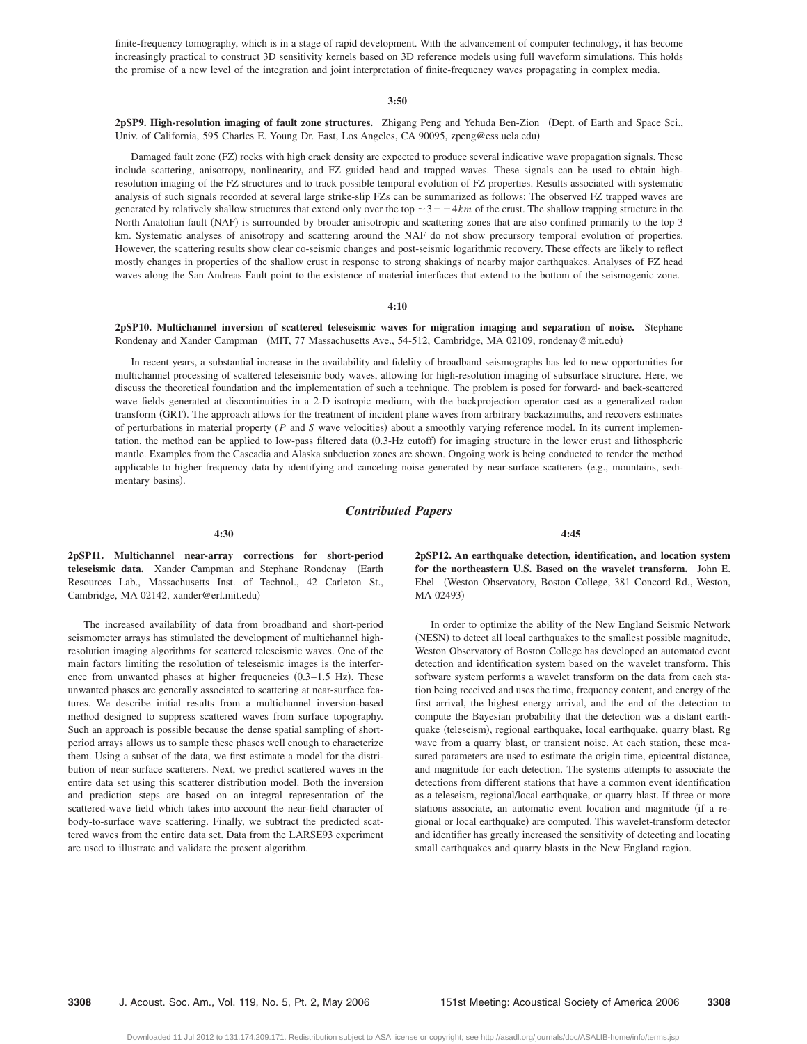finite-frequency tomography, which is in a stage of rapid development. With the advancement of computer technology, it has become increasingly practical to construct 3D sensitivity kernels based on 3D reference models using full waveform simulations. This holds the promise of a new level of the integration and joint interpretation of finite-frequency waves propagating in complex media.

#### **3:50**

**2pSP9. High-resolution imaging of fault zone structures.** Zhigang Peng and Yehuda Ben-Zion Dept. of Earth and Space Sci., Univ. of California, 595 Charles E. Young Dr. East, Los Angeles, CA 90095, zpeng@ess.ucla.edu-

Damaged fault zone (FZ) rocks with high crack density are expected to produce several indicative wave propagation signals. These include scattering, anisotropy, nonlinearity, and FZ guided head and trapped waves. These signals can be used to obtain highresolution imaging of the FZ structures and to track possible temporal evolution of FZ properties. Results associated with systematic analysis of such signals recorded at several large strike-slip FZs can be summarized as follows: The observed FZ trapped waves are generated by relatively shallow structures that extend only over the top  $\sim$  3  $-$  -4km of the crust. The shallow trapping structure in the North Anatolian fault (NAF) is surrounded by broader anisotropic and scattering zones that are also confined primarily to the top 3 km. Systematic analyses of anisotropy and scattering around the NAF do not show precursory temporal evolution of properties. However, the scattering results show clear co-seismic changes and post-seismic logarithmic recovery. These effects are likely to reflect mostly changes in properties of the shallow crust in response to strong shakings of nearby major earthquakes. Analyses of FZ head waves along the San Andreas Fault point to the existence of material interfaces that extend to the bottom of the seismogenic zone.

## **4:10**

# **2pSP10. Multichannel inversion of scattered teleseismic waves for migration imaging and separation of noise.** Stephane Rondenay and Xander Campman (MIT, 77 Massachusetts Ave., 54-512, Cambridge, MA 02109, rondenay@mit.edu)

In recent years, a substantial increase in the availability and fidelity of broadband seismographs has led to new opportunities for multichannel processing of scattered teleseismic body waves, allowing for high-resolution imaging of subsurface structure. Here, we discuss the theoretical foundation and the implementation of such a technique. The problem is posed for forward- and back-scattered wave fields generated at discontinuities in a 2-D isotropic medium, with the backprojection operator cast as a generalized radon transform (GRT). The approach allows for the treatment of incident plane waves from arbitrary backazimuths, and recovers estimates of perturbations in material property (P and S wave velocities) about a smoothly varying reference model. In its current implementation, the method can be applied to low-pass filtered data (0.3-Hz cutoff) for imaging structure in the lower crust and lithospheric mantle. Examples from the Cascadia and Alaska subduction zones are shown. Ongoing work is being conducted to render the method applicable to higher frequency data by identifying and canceling noise generated by near-surface scatterers (e.g., mountains, sedimentary basins).

## *Contributed Papers*

**4:30**

**2pSP11. Multichannel near-array corrections for short-period** teleseismic data. Xander Campman and Stephane Rondenay (Earth Resources Lab., Massachusetts Inst. of Technol., 42 Carleton St., Cambridge, MA 02142, xander@erl.mit.edu-

The increased availability of data from broadband and short-period seismometer arrays has stimulated the development of multichannel highresolution imaging algorithms for scattered teleseismic waves. One of the main factors limiting the resolution of teleseismic images is the interference from unwanted phases at higher frequencies  $(0.3-1.5 \text{ Hz})$ . These unwanted phases are generally associated to scattering at near-surface features. We describe initial results from a multichannel inversion-based method designed to suppress scattered waves from surface topography. Such an approach is possible because the dense spatial sampling of shortperiod arrays allows us to sample these phases well enough to characterize them. Using a subset of the data, we first estimate a model for the distribution of near-surface scatterers. Next, we predict scattered waves in the entire data set using this scatterer distribution model. Both the inversion and prediction steps are based on an integral representation of the scattered-wave field which takes into account the near-field character of body-to-surface wave scattering. Finally, we subtract the predicted scattered waves from the entire data set. Data from the LARSE93 experiment are used to illustrate and validate the present algorithm.

**2pSP12. An earthquake detection, identification, and location system for the northeastern U.S. Based on the wavelet transform.** John E. Ebel Weston Observatory, Boston College, 381 Concord Rd., Weston, MA 02493)

**4:45**

In order to optimize the ability of the New England Seismic Network (NESN) to detect all local earthquakes to the smallest possible magnitude, Weston Observatory of Boston College has developed an automated event detection and identification system based on the wavelet transform. This software system performs a wavelet transform on the data from each station being received and uses the time, frequency content, and energy of the first arrival, the highest energy arrival, and the end of the detection to compute the Bayesian probability that the detection was a distant earthquake (teleseism), regional earthquake, local earthquake, quarry blast, Rg wave from a quarry blast, or transient noise. At each station, these measured parameters are used to estimate the origin time, epicentral distance, and magnitude for each detection. The systems attempts to associate the detections from different stations that have a common event identification as a teleseism, regional/local earthquake, or quarry blast. If three or more stations associate, an automatic event location and magnitude (if a regional or local earthquake) are computed. This wavelet-transform detector and identifier has greatly increased the sensitivity of detecting and locating small earthquakes and quarry blasts in the New England region.

**3308** J. Acoust. Soc. Am., Vol. 119, No. 5, Pt. 2, May 2006 151st Meeting: Acoustical Society of America 2006 **3308**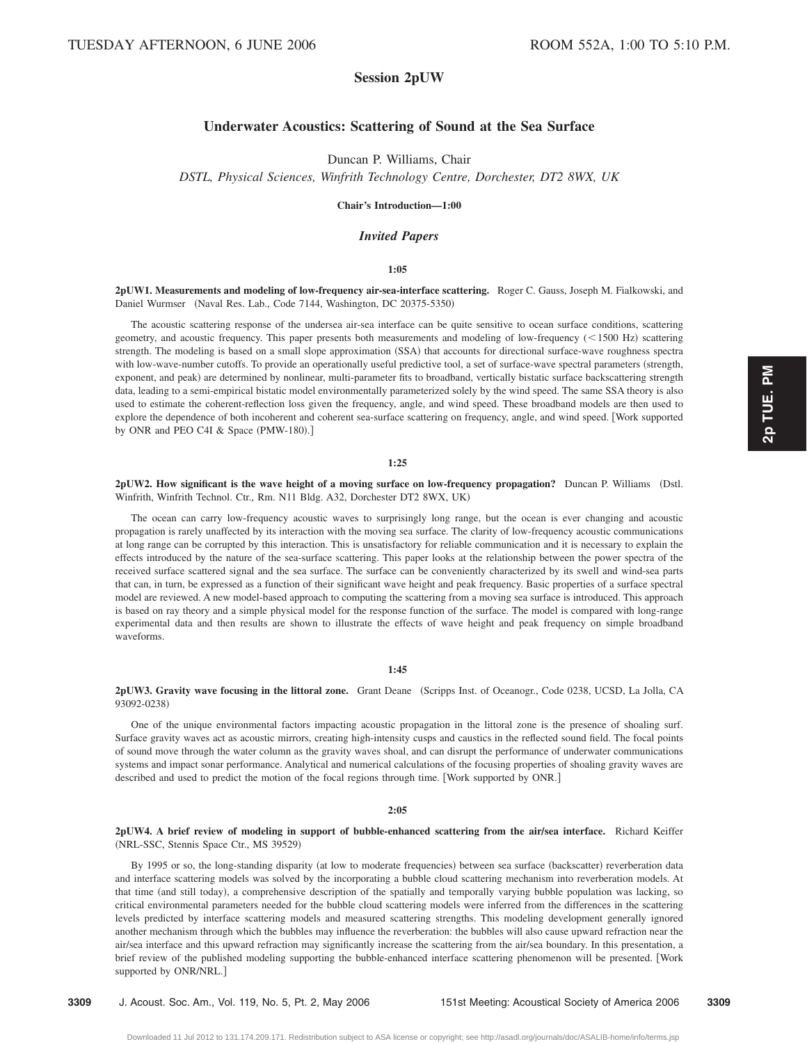# **Session 2pUW**

# **Underwater Acoustics: Scattering of Sound at the Sea Surface**

Duncan P. Williams, Chair

*DSTL, Physical Sciences, Winfrith Technology Centre, Dorchester, DT2 8WX, UK*

**Chair's Introduction—1:00**

# *Invited Papers*

# **1:05**

**2pUW1. Measurements and modeling of low-frequency air-sea-interface scattering.** Roger C. Gauss, Joseph M. Fialkowski, and Daniel Wurmser (Naval Res. Lab., Code 7144, Washington, DC 20375-5350)

The acoustic scattering response of the undersea air-sea interface can be quite sensitive to ocean surface conditions, scattering geometry, and acoustic frequency. This paper presents both measurements and modeling of low-frequency (<1500 Hz) scattering strength. The modeling is based on a small slope approximation (SSA) that accounts for directional surface-wave roughness spectra with low-wave-number cutoffs. To provide an operationally useful predictive tool, a set of surface-wave spectral parameters (strength, exponent, and peak) are determined by nonlinear, multi-parameter fits to broadband, vertically bistatic surface backscattering strength data, leading to a semi-empirical bistatic model environmentally parameterized solely by the wind speed. The same SSA theory is also used to estimate the coherent-reflection loss given the frequency, angle, and wind speed. These broadband models are then used to explore the dependence of both incoherent and coherent sea-surface scattering on frequency, angle, and wind speed. Work supported by ONR and PEO C4I & Space (PMW-180).]

### **1:25**

**2pUW2. How significant is the wave height of a moving surface on low-frequency propagation?** Duncan P. Williams (Dstl. Winfrith, Winfrith Technol. Ctr., Rm. N11 Bldg. A32, Dorchester DT2 8WX, UK-

The ocean can carry low-frequency acoustic waves to surprisingly long range, but the ocean is ever changing and acoustic propagation is rarely unaffected by its interaction with the moving sea surface. The clarity of low-frequency acoustic communications at long range can be corrupted by this interaction. This is unsatisfactory for reliable communication and it is necessary to explain the effects introduced by the nature of the sea-surface scattering. This paper looks at the relationship between the power spectra of the received surface scattered signal and the sea surface. The surface can be conveniently characterized by its swell and wind-sea parts that can, in turn, be expressed as a function of their significant wave height and peak frequency. Basic properties of a surface spectral model are reviewed. A new model-based approach to computing the scattering from a moving sea surface is introduced. This approach is based on ray theory and a simple physical model for the response function of the surface. The model is compared with long-range experimental data and then results are shown to illustrate the effects of wave height and peak frequency on simple broadband waveforms.

# **1:45**

2pUW3. Gravity wave focusing in the littoral zone. Grant Deane (Scripps Inst. of Oceanogr., Code 0238, UCSD, La Jolla, CA 93092-0238)

One of the unique environmental factors impacting acoustic propagation in the littoral zone is the presence of shoaling surf. Surface gravity waves act as acoustic mirrors, creating high-intensity cusps and caustics in the reflected sound field. The focal points of sound move through the water column as the gravity waves shoal, and can disrupt the performance of underwater communications systems and impact sonar performance. Analytical and numerical calculations of the focusing properties of shoaling gravity waves are described and used to predict the motion of the focal regions through time. [Work supported by ONR.]

## **2:05**

# **2pUW4. A brief review of modeling in support of bubble-enhanced scattering from the airÕsea interface.** Richard Keiffer (NRL-SSC, Stennis Space Ctr., MS 39529)

By 1995 or so, the long-standing disparity (at low to moderate frequencies) between sea surface (backscatter) reverberation data and interface scattering models was solved by the incorporating a bubble cloud scattering mechanism into reverberation models. At that time (and still today), a comprehensive description of the spatially and temporally varying bubble population was lacking, so critical environmental parameters needed for the bubble cloud scattering models were inferred from the differences in the scattering levels predicted by interface scattering models and measured scattering strengths. This modeling development generally ignored another mechanism through which the bubbles may influence the reverberation: the bubbles will also cause upward refraction near the air/sea interface and this upward refraction may significantly increase the scattering from the air/sea boundary. In this presentation, a brief review of the published modeling supporting the bubble-enhanced interface scattering phenomenon will be presented. Work supported by ONR/NRL.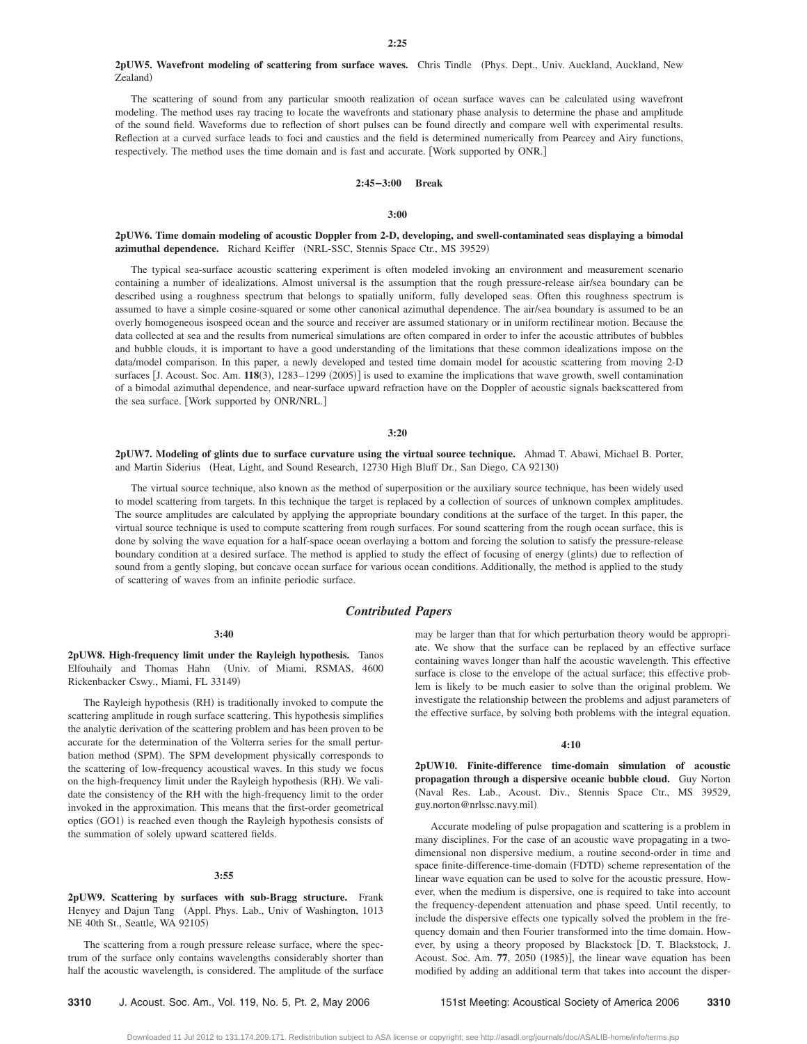## **2pUW5. Wavefront modeling of scattering from surface waves.** Chris Tindle Phys. Dept., Univ. Auckland, Auckland, New Zealand)

The scattering of sound from any particular smooth realization of ocean surface waves can be calculated using wavefront modeling. The method uses ray tracing to locate the wavefronts and stationary phase analysis to determine the phase and amplitude of the sound field. Waveforms due to reflection of short pulses can be found directly and compare well with experimental results. Reflection at a curved surface leads to foci and caustics and the field is determined numerically from Pearcey and Airy functions, respectively. The method uses the time domain and is fast and accurate. Work supported by ONR.

#### **2:45–3:00 Break**

## **3:00**

# **2pUW6. Time domain modeling of acoustic Doppler from 2-D, developing, and swell-contaminated seas displaying a bimodal** azimuthal dependence. Richard Keiffer (NRL-SSC, Stennis Space Ctr., MS 39529)

The typical sea-surface acoustic scattering experiment is often modeled invoking an environment and measurement scenario containing a number of idealizations. Almost universal is the assumption that the rough pressure-release air/sea boundary can be described using a roughness spectrum that belongs to spatially uniform, fully developed seas. Often this roughness spectrum is assumed to have a simple cosine-squared or some other canonical azimuthal dependence. The air/sea boundary is assumed to be an overly homogeneous isospeed ocean and the source and receiver are assumed stationary or in uniform rectilinear motion. Because the data collected at sea and the results from numerical simulations are often compared in order to infer the acoustic attributes of bubbles and bubble clouds, it is important to have a good understanding of the limitations that these common idealizations impose on the data/model comparison. In this paper, a newly developed and tested time domain model for acoustic scattering from moving 2-D surfaces [J. Acoust. Soc. Am. 118(3), 1283-1299 (2005)] is used to examine the implications that wave growth, swell contamination of a bimodal azimuthal dependence, and near-surface upward refraction have on the Doppler of acoustic signals backscattered from the sea surface. Work supported by ONR/NRL.

#### **3:20**

**2pUW7. Modeling of glints due to surface curvature using the virtual source technique.** Ahmad T. Abawi, Michael B. Porter, and Martin Siderius (Heat, Light, and Sound Research, 12730 High Bluff Dr., San Diego, CA 92130)

The virtual source technique, also known as the method of superposition or the auxiliary source technique, has been widely used to model scattering from targets. In this technique the target is replaced by a collection of sources of unknown complex amplitudes. The source amplitudes are calculated by applying the appropriate boundary conditions at the surface of the target. In this paper, the virtual source technique is used to compute scattering from rough surfaces. For sound scattering from the rough ocean surface, this is done by solving the wave equation for a half-space ocean overlaying a bottom and forcing the solution to satisfy the pressure-release boundary condition at a desired surface. The method is applied to study the effect of focusing of energy (glints) due to reflection of sound from a gently sloping, but concave ocean surface for various ocean conditions. Additionally, the method is applied to the study of scattering of waves from an infinite periodic surface.

## *Contributed Papers*

# **3:40**

**2pUW8. High-frequency limit under the Rayleigh hypothesis.** Tanos Elfouhaily and Thomas Hahn Univ. of Miami, RSMAS, 4600 Rickenbacker Cswy., Miami, FL 33149)

The Rayleigh hypothesis (RH) is traditionally invoked to compute the scattering amplitude in rough surface scattering. This hypothesis simplifies the analytic derivation of the scattering problem and has been proven to be accurate for the determination of the Volterra series for the small perturbation method (SPM). The SPM development physically corresponds to the scattering of low-frequency acoustical waves. In this study we focus on the high-frequency limit under the Rayleigh hypothesis (RH). We validate the consistency of the RH with the high-frequency limit to the order invoked in the approximation. This means that the first-order geometrical optics (GO1) is reached even though the Rayleigh hypothesis consists of the summation of solely upward scattered fields.

# **3:55**

**2pUW9. Scattering by surfaces with sub-Bragg structure.** Frank Henyey and Dajun Tang (Appl. Phys. Lab., Univ of Washington, 1013 NE 40th St., Seattle, WA 92105)

The scattering from a rough pressure release surface, where the spectrum of the surface only contains wavelengths considerably shorter than half the acoustic wavelength, is considered. The amplitude of the surface may be larger than that for which perturbation theory would be appropriate. We show that the surface can be replaced by an effective surface containing waves longer than half the acoustic wavelength. This effective surface is close to the envelope of the actual surface; this effective problem is likely to be much easier to solve than the original problem. We investigate the relationship between the problems and adjust parameters of the effective surface, by solving both problems with the integral equation.

# **4:10**

**2pUW10. Finite-difference time-domain simulation of acoustic propagation through a dispersive oceanic bubble cloud.** Guy Norton Naval Res. Lab., Acoust. Div., Stennis Space Ctr., MS 39529, guy.norton@nrlssc.navy.mil-

Accurate modeling of pulse propagation and scattering is a problem in many disciplines. For the case of an acoustic wave propagating in a twodimensional non dispersive medium, a routine second-order in time and space finite-difference-time-domain (FDTD) scheme representation of the linear wave equation can be used to solve for the acoustic pressure. However, when the medium is dispersive, one is required to take into account the frequency-dependent attenuation and phase speed. Until recently, to include the dispersive effects one typically solved the problem in the frequency domain and then Fourier transformed into the time domain. However, by using a theory proposed by Blackstock D. T. Blackstock, J. Acoust. Soc. Am. 77, 2050 (1985)], the linear wave equation has been modified by adding an additional term that takes into account the disper-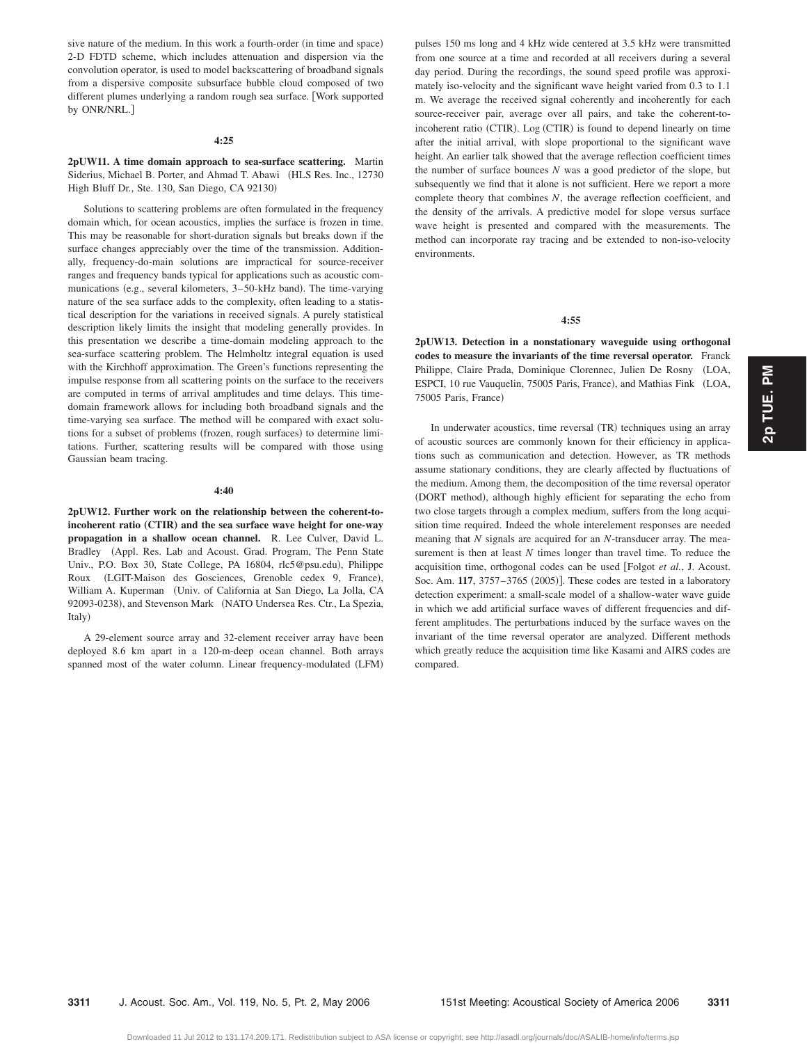sive nature of the medium. In this work a fourth-order (in time and space) 2-D FDTD scheme, which includes attenuation and dispersion via the convolution operator, is used to model backscattering of broadband signals from a dispersive composite subsurface bubble cloud composed of two different plumes underlying a random rough sea surface. Work supported by ONR/NRL.

#### **4:25**

**2pUW11. A time domain approach to sea-surface scattering.** Martin Siderius, Michael B. Porter, and Ahmad T. Abawi (HLS Res. Inc., 12730 High Bluff Dr., Ste. 130, San Diego, CA 92130)

Solutions to scattering problems are often formulated in the frequency domain which, for ocean acoustics, implies the surface is frozen in time. This may be reasonable for short-duration signals but breaks down if the surface changes appreciably over the time of the transmission. Additionally, frequency-do-main solutions are impractical for source-receiver ranges and frequency bands typical for applications such as acoustic communications (e.g., several kilometers, 3-50-kHz band). The time-varying nature of the sea surface adds to the complexity, often leading to a statistical description for the variations in received signals. A purely statistical description likely limits the insight that modeling generally provides. In this presentation we describe a time-domain modeling approach to the sea-surface scattering problem. The Helmholtz integral equation is used with the Kirchhoff approximation. The Green's functions representing the impulse response from all scattering points on the surface to the receivers are computed in terms of arrival amplitudes and time delays. This timedomain framework allows for including both broadband signals and the time-varying sea surface. The method will be compared with exact solutions for a subset of problems (frozen, rough surfaces) to determine limitations. Further, scattering results will be compared with those using Gaussian beam tracing.

#### **4:40**

**2pUW12. Further work on the relationship between the coherent-to**incoherent ratio (CTIR) and the sea surface wave height for one-way **propagation in a shallow ocean channel.** R. Lee Culver, David L. Bradley (Appl. Res. Lab and Acoust. Grad. Program, The Penn State Univ., P.O. Box 30, State College, PA 16804, rlc5@psu.edu), Philippe Roux (LGIT-Maison des Gosciences, Grenoble cedex 9, France), William A. Kuperman (Univ. of California at San Diego, La Jolla, CA 92093-0238), and Stevenson Mark (NATO Undersea Res. Ctr., La Spezia, Italy)

A 29-element source array and 32-element receiver array have been deployed 8.6 km apart in a 120-m-deep ocean channel. Both arrays spanned most of the water column. Linear frequency-modulated (LFM) pulses 150 ms long and 4 kHz wide centered at 3.5 kHz were transmitted from one source at a time and recorded at all receivers during a several day period. During the recordings, the sound speed profile was approximately iso-velocity and the significant wave height varied from 0.3 to 1.1 m. We average the received signal coherently and incoherently for each source-receiver pair, average over all pairs, and take the coherent-toincoherent ratio (CTIR). Log (CTIR) is found to depend linearly on time after the initial arrival, with slope proportional to the significant wave height. An earlier talk showed that the average reflection coefficient times the number of surface bounces *N* was a good predictor of the slope, but subsequently we find that it alone is not sufficient. Here we report a more complete theory that combines *N*, the average reflection coefficient, and the density of the arrivals. A predictive model for slope versus surface wave height is presented and compared with the measurements. The method can incorporate ray tracing and be extended to non-iso-velocity environments.

# **4:55**

**2pUW13. Detection in a nonstationary waveguide using orthogonal codes to measure the invariants of the time reversal operator.** Franck Philippe, Claire Prada, Dominique Clorennec, Julien De Rosny LOA, ESPCI, 10 rue Vauquelin, 75005 Paris, France), and Mathias Fink (LOA, 75005 Paris, France)

In underwater acoustics, time reversal (TR) techniques using an array of acoustic sources are commonly known for their efficiency in applications such as communication and detection. However, as TR methods assume stationary conditions, they are clearly affected by fluctuations of the medium. Among them, the decomposition of the time reversal operator (DORT method), although highly efficient for separating the echo from two close targets through a complex medium, suffers from the long acquisition time required. Indeed the whole interelement responses are needed meaning that *N* signals are acquired for an *N*-transducer array. The measurement is then at least *N* times longer than travel time. To reduce the acquisition time, orthogonal codes can be used Folgot *et al.*, J. Acoust. Soc. Am. 117, 3757-3765 (2005)]. These codes are tested in a laboratory detection experiment: a small-scale model of a shallow-water wave guide in which we add artificial surface waves of different frequencies and different amplitudes. The perturbations induced by the surface waves on the invariant of the time reversal operator are analyzed. Different methods which greatly reduce the acquisition time like Kasami and AIRS codes are compared.